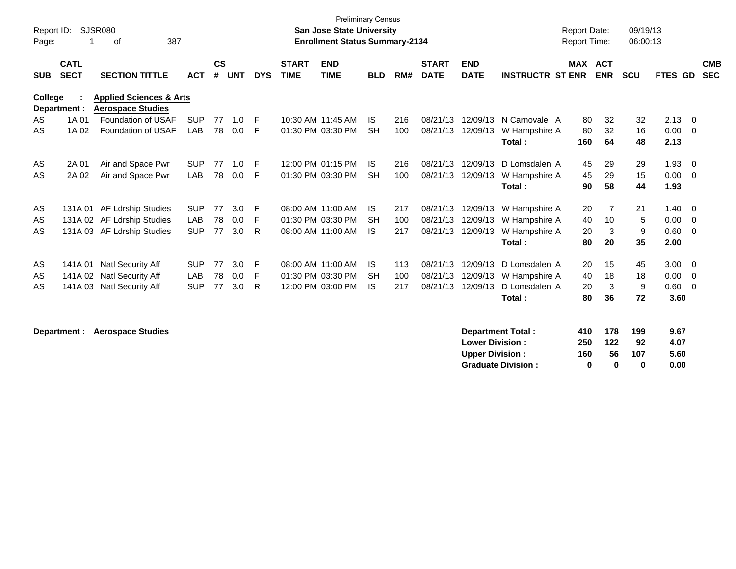| Report ID: |                            | <b>SJSR080</b>                                                 |            |                |            |            |                             | <b>Preliminary Census</b><br><b>San Jose State University</b> |            |     |                             |                           |                          | <b>Report Date:</b> |            | 09/19/13   |              |                          |
|------------|----------------------------|----------------------------------------------------------------|------------|----------------|------------|------------|-----------------------------|---------------------------------------------------------------|------------|-----|-----------------------------|---------------------------|--------------------------|---------------------|------------|------------|--------------|--------------------------|
| Page:      |                            | 387<br>оf                                                      |            |                |            |            |                             | <b>Enrollment Status Summary-2134</b>                         |            |     |                             |                           |                          | <b>Report Time:</b> |            | 06:00:13   |              |                          |
| <b>SUB</b> | <b>CATL</b><br><b>SECT</b> | <b>SECTION TITTLE</b>                                          | <b>ACT</b> | <b>CS</b><br># | <b>UNT</b> | <b>DYS</b> | <b>START</b><br><b>TIME</b> | <b>END</b><br><b>TIME</b>                                     | <b>BLD</b> | RM# | <b>START</b><br><b>DATE</b> | <b>END</b><br><b>DATE</b> | <b>INSTRUCTR ST ENR</b>  | MAX ACT             | <b>ENR</b> | <b>SCU</b> | FTES GD      | <b>CMB</b><br><b>SEC</b> |
| College    | Department :               | <b>Applied Sciences &amp; Arts</b><br><b>Aerospace Studies</b> |            |                |            |            |                             |                                                               |            |     |                             |                           |                          |                     |            |            |              |                          |
| AS         | 1A 01                      | Foundation of USAF                                             | <b>SUP</b> | 77             | 1.0        | -F         |                             | 10:30 AM 11:45 AM                                             | IS.        | 216 | 08/21/13                    | 12/09/13                  | N Carnovale A            | 80                  | 32         | 32         | 2.13         | - 0                      |
| AS         | 1A 02                      | <b>Foundation of USAF</b>                                      | <b>LAB</b> | 78             | 0.0        | -F         |                             | 01:30 PM 03:30 PM                                             | <b>SH</b>  | 100 | 08/21/13                    | 12/09/13                  | W Hampshire A<br>Total:  | 80<br>160           | 32<br>64   | 16<br>48   | 0.00<br>2.13 | - 0                      |
| AS         | 2A 01                      | Air and Space Pwr                                              | <b>SUP</b> | 77             | 1.0        | -F         |                             | 12:00 PM 01:15 PM                                             | IS.        | 216 | 08/21/13                    | 12/09/13                  | D Lomsdalen A            | 45                  | 29         | 29         | 1.93         | - 0                      |
| AS         | 2A 02                      | Air and Space Pwr                                              | <b>LAB</b> | 78             | 0.0        | F          |                             | 01:30 PM 03:30 PM                                             | <b>SH</b>  | 100 | 08/21/13                    | 12/09/13                  | W Hampshire A<br>Total:  | 45<br>90            | 29<br>58   | 15<br>44   | 0.00<br>1.93 | - 0                      |
| AS         |                            | 131A 01 AF Ldrship Studies                                     | <b>SUP</b> | 77             | 3.0        | F          |                             | 08:00 AM 11:00 AM                                             | IS.        | 217 | 08/21/13                    | 12/09/13                  | W Hampshire A            | 20                  | 7          | 21         | 1.40         | - 0                      |
| AS         |                            | 131A 02 AF Ldrship Studies                                     | LAB        | 78             | 0.0        | F          |                             | 01:30 PM 03:30 PM                                             | <b>SH</b>  | 100 | 08/21/13                    | 12/09/13                  | W Hampshire A            | 40                  | 10         | 5          | 0.00         | - 0                      |
| AS         |                            | 131A 03 AF Ldrship Studies                                     | <b>SUP</b> | 77             | 3.0        | R.         |                             | 08:00 AM 11:00 AM                                             | <b>IS</b>  | 217 | 08/21/13                    | 12/09/13                  | W Hampshire A<br>Total:  | 20<br>80            | 3<br>20    | 9<br>35    | 0.60<br>2.00 | $\Omega$                 |
| AS         | 141A 01                    | <b>Natl Security Aff</b>                                       | <b>SUP</b> | 77             | 3.0        | F          |                             | 08:00 AM 11:00 AM                                             | IS.        | 113 | 08/21/13                    | 12/09/13                  | D Lomsdalen A            | 20                  | 15         | 45         | 3.00         | - 0                      |
| AS         |                            | 141A 02 Natl Security Aff                                      | LAB        | 78             | 0.0        | F          |                             | 01:30 PM 03:30 PM                                             | <b>SH</b>  | 100 | 08/21/13                    | 12/09/13                  | W Hampshire A            | 40                  | 18         | 18         | 0.00         | - 0                      |
| AS         |                            | 141A 03 Natl Security Aff                                      | <b>SUP</b> | 77             | 3.0        | R          |                             | 12:00 PM 03:00 PM                                             | IS.        | 217 | 08/21/13                    | 12/09/13                  | D Lomsdalen A<br>Total:  | 20<br>80            | 3<br>36    | 9<br>72    | 0.60<br>3.60 | - 0                      |
|            | Department :               | <b>Aerospace Studies</b>                                       |            |                |            |            |                             |                                                               |            |     |                             |                           | <b>Department Total:</b> | 410                 | 178        | 199        | 9.67         |                          |

| 4 I V | - 110 | - - - - - | J.VI |
|-------|-------|-----------|------|
| 250   | 122   | 92        | 4.07 |
| 160   | 56    | 107       | 5.60 |
| o     | o     | o         | 0.00 |
|       |       |           |      |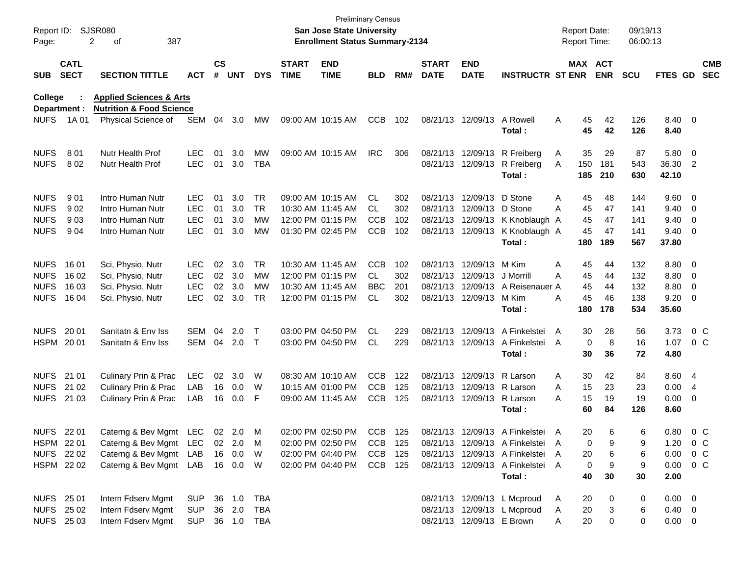| Page:          | Report ID: SJSR080         | 387<br>2<br>οf                                             |            |                    |            |            |                             | San Jose State University<br><b>Enrollment Status Summary-2134</b> | Preliminary Census |     |                             |                            |                                  | <b>Report Date:</b><br><b>Report Time:</b> |             |                       | 09/19/13<br>06:00:13 |                |                         |                          |
|----------------|----------------------------|------------------------------------------------------------|------------|--------------------|------------|------------|-----------------------------|--------------------------------------------------------------------|--------------------|-----|-----------------------------|----------------------------|----------------------------------|--------------------------------------------|-------------|-----------------------|----------------------|----------------|-------------------------|--------------------------|
| <b>SUB</b>     | <b>CATL</b><br><b>SECT</b> | <b>SECTION TITTLE</b>                                      | <b>ACT</b> | $\mathsf{cs}$<br># | <b>UNT</b> | <b>DYS</b> | <b>START</b><br><b>TIME</b> | <b>END</b><br><b>TIME</b>                                          | <b>BLD</b>         | RM# | <b>START</b><br><b>DATE</b> | <b>END</b><br><b>DATE</b>  | <b>INSTRUCTR ST ENR</b>          |                                            |             | MAX ACT<br><b>ENR</b> | <b>SCU</b>           | <b>FTES GD</b> |                         | <b>CMB</b><br><b>SEC</b> |
| <b>College</b> |                            | <b>Applied Sciences &amp; Arts</b>                         |            |                    |            |            |                             |                                                                    |                    |     |                             |                            |                                  |                                            |             |                       |                      |                |                         |                          |
| <b>NUFS</b>    | Department :<br>1A 01      | <b>Nutrition &amp; Food Science</b><br>Physical Science of | SEM        | 04                 | 3.0        | MW.        | 09:00 AM 10:15 AM           |                                                                    | <b>CCB</b>         | 102 |                             | 08/21/13 12/09/13          | A Rowell                         | Α                                          | 45          | 42                    | 126                  | 8.40 0         |                         |                          |
|                |                            |                                                            |            |                    |            |            |                             |                                                                    |                    |     |                             |                            | Total:                           |                                            | 45          | 42                    | 126                  | 8.40           |                         |                          |
| <b>NUFS</b>    | 801                        | Nutr Health Prof                                           | <b>LEC</b> | 01                 | 3.0        | MW         |                             | 09:00 AM 10:15 AM                                                  | <b>IRC</b>         | 306 |                             |                            | 08/21/13 12/09/13 R Freiberg     | A                                          | 35          | 29                    | 87                   | 5.80           | $\overline{\mathbf{0}}$ |                          |
| <b>NUFS</b>    | 802                        | Nutr Health Prof                                           | <b>LEC</b> | 01                 | 3.0        | <b>TBA</b> |                             |                                                                    |                    |     |                             | 08/21/13 12/09/13          | R Freiberg                       | A                                          | 150         | 181                   | 543                  | 36.30 2        |                         |                          |
|                |                            |                                                            |            |                    |            |            |                             |                                                                    |                    |     |                             |                            | Total:                           |                                            | 185         | 210                   | 630                  | 42.10          |                         |                          |
| <b>NUFS</b>    | 901                        | Intro Human Nutr                                           | LEC        | 01                 | 3.0        | <b>TR</b>  |                             | 09:00 AM 10:15 AM                                                  | CL.                | 302 |                             | 08/21/13 12/09/13          | D Stone                          | Α                                          | 45          | 48                    | 144                  | 9.60           | $\overline{\mathbf{0}}$ |                          |
| <b>NUFS</b>    | 902                        | Intro Human Nutr                                           | <b>LEC</b> | 01                 | 3.0        | <b>TR</b>  |                             | 10:30 AM 11:45 AM                                                  | CL.                | 302 |                             | 08/21/13 12/09/13          | D Stone                          | A                                          | 45          | 47                    | 141                  | 9.40           | 0                       |                          |
| <b>NUFS</b>    | 903                        | Intro Human Nutr                                           | <b>LEC</b> | 01                 | 3.0        | МW         |                             | 12:00 PM 01:15 PM                                                  | <b>CCB</b>         | 102 |                             | 08/21/13 12/09/13          | K Knoblaugh A                    |                                            | 45          | 47                    | 141                  | 9.40           | 0                       |                          |
| <b>NUFS</b>    | 904                        | Intro Human Nutr                                           | <b>LEC</b> | 01                 | 3.0        | MW         |                             | 01:30 PM 02:45 PM                                                  | <b>CCB</b>         | 102 |                             | 08/21/13 12/09/13          | K Knoblaugh A                    |                                            | 45          | 47                    | 141                  | 9.40           | 0                       |                          |
|                |                            |                                                            |            |                    |            |            |                             |                                                                    |                    |     |                             |                            | Total:                           |                                            | 180         | 189                   | 567                  | 37.80          |                         |                          |
| <b>NUFS</b>    | 16 01                      | Sci, Physio, Nutr                                          | <b>LEC</b> | 02                 | 3.0        | <b>TR</b>  |                             | 10:30 AM 11:45 AM                                                  | <b>CCB</b>         | 102 |                             | 08/21/13 12/09/13          | M Kim                            | Α                                          | 45          | 44                    | 132                  | 8.80           | $\overline{\mathbf{0}}$ |                          |
| <b>NUFS</b>    | 16 02                      | Sci, Physio, Nutr                                          | <b>LEC</b> | 02 <sub>o</sub>    | 3.0        | MW         |                             | 12:00 PM 01:15 PM                                                  | CL.                | 302 |                             | 08/21/13 12/09/13          | J Morrill                        | Α                                          | 45          | 44                    | 132                  | 8.80           | 0                       |                          |
| <b>NUFS</b>    | 16 03                      | Sci, Physio, Nutr                                          | <b>LEC</b> | 02                 | 3.0        | MW         |                             | 10:30 AM 11:45 AM                                                  | <b>BBC</b>         | 201 |                             | 08/21/13 12/09/13          | A Reisenauer A                   |                                            | 45          | 44                    | 132                  | 8.80           | 0                       |                          |
| <b>NUFS</b>    | 16 04                      | Sci, Physio, Nutr                                          | <b>LEC</b> | 02                 | 3.0        | TR         |                             | 12:00 PM 01:15 PM                                                  | CL                 | 302 |                             | 08/21/13 12/09/13          | M Kim                            | A                                          | 45          | 46                    | 138                  | 9.20           | 0                       |                          |
|                |                            |                                                            |            |                    |            |            |                             |                                                                    |                    |     |                             |                            | Total:                           |                                            | 180         | 178                   | 534                  | 35.60          |                         |                          |
| <b>NUFS</b>    | 20 01                      | Sanitatn & Env Iss                                         | SEM        | 04                 | 2.0        | $\top$     |                             | 03:00 PM 04:50 PM                                                  | CL                 | 229 |                             |                            | 08/21/13 12/09/13 A Finkelstei   | A                                          | 30          | 28                    | 56                   | 3.73           |                         | 0 <sup>o</sup>           |
|                | HSPM 2001                  | Sanitatn & Env Iss                                         | SEM        |                    | 04 2.0     | $\top$     |                             | 03:00 PM 04:50 PM                                                  | CL.                | 229 |                             | 08/21/13 12/09/13          | A Finkelstei                     | A                                          | $\mathbf 0$ | 8                     | 16                   | 1.07           |                         | $0\,C$                   |
|                |                            |                                                            |            |                    |            |            |                             |                                                                    |                    |     |                             |                            | Total:                           |                                            | 30          | 36                    | 72                   | 4.80           |                         |                          |
|                | NUFS 21 01                 | Culinary Prin & Prac                                       | <b>LEC</b> | 02                 | 3.0        | W          |                             | 08:30 AM 10:10 AM                                                  | <b>CCB</b>         | 122 |                             | 08/21/13 12/09/13 R Larson |                                  | A                                          | 30          | 42                    | 84                   | 8.60 4         |                         |                          |
|                | NUFS 21 02                 | <b>Culinary Prin &amp; Prac</b>                            | LAB        | 16                 | 0.0        | W          |                             | 10:15 AM 01:00 PM                                                  | <b>CCB</b>         | 125 |                             | 08/21/13 12/09/13 R Larson |                                  | A                                          | 15          | 23                    | 23                   | 0.00           | $\overline{4}$          |                          |
|                | NUFS 21 03                 | Culinary Prin & Prac                                       | LAB        |                    | 16 0.0     | F          |                             | 09:00 AM 11:45 AM                                                  | <b>CCB</b>         | 125 |                             | 08/21/13 12/09/13 R Larson |                                  | Α                                          | 15          | 19                    | 19                   | 0.00           | 0                       |                          |
|                |                            |                                                            |            |                    |            |            |                             |                                                                    |                    |     |                             |                            | Total :                          |                                            | 60          | 84                    | 126                  | 8.60           |                         |                          |
| <b>NUFS</b>    | 22 01                      | Caterng & Bev Mgmt LEC                                     |            |                    | 02 2.0     | M          |                             | 02:00 PM 02:50 PM                                                  | CCB                | 125 |                             |                            | 08/21/13 12/09/13 A Finkelstei A |                                            | 20          | 6                     | 6                    | 0.80           |                         | $0\,C$                   |
|                | HSPM 2201                  | Caterng & Bev Mgmt LEC 02 2.0 M                            |            |                    |            |            |                             | 02:00 PM 02:50 PM                                                  | CCB 125            |     |                             |                            | 08/21/13 12/09/13 A Finkelstei A |                                            | 0           | 9                     | 9                    | 1.20 0 C       |                         |                          |
|                | NUFS 22 02                 | Caterng & Bev Mgmt LAB                                     |            |                    | 16 0.0     | W          |                             | 02:00 PM 04:40 PM                                                  | CCB 125            |     |                             |                            | 08/21/13 12/09/13 A Finkelstei   | A                                          | 20          | 6                     | 6                    | $0.00 \t 0 C$  |                         |                          |
|                | HSPM 22 02                 | Caterng & Bev Mgmt LAB 16 0.0 W                            |            |                    |            |            |                             | 02:00 PM 04:40 PM                                                  | CCB 125            |     |                             |                            | 08/21/13 12/09/13 A Finkelstei A |                                            | 0           | 9                     | 9                    | $0.00 \t 0 C$  |                         |                          |
|                |                            |                                                            |            |                    |            |            |                             |                                                                    |                    |     |                             |                            | Total:                           |                                            | 40          | 30                    | 30                   | 2.00           |                         |                          |
|                | NUFS 25 01                 | Intern Fdserv Mgmt                                         | <b>SUP</b> |                    | 36 1.0     | TBA        |                             |                                                                    |                    |     |                             |                            | 08/21/13 12/09/13 L Mcproud      | A                                          | 20          | 0                     | 0                    | $0.00 \quad 0$ |                         |                          |
|                | NUFS 25 02                 | Intern Fdserv Mgmt                                         | <b>SUP</b> |                    | 36 2.0     | TBA        |                             |                                                                    |                    |     |                             |                            | 08/21/13 12/09/13 L Mcproud      | A                                          | 20          | 3                     | 6                    | $0.40 \quad 0$ |                         |                          |
|                | NUFS 25 03                 | Intern Fdserv Mgmt                                         | SUP        |                    |            | 36 1.0 TBA |                             |                                                                    |                    |     |                             | 08/21/13 12/09/13 E Brown  |                                  | A                                          | 20          | 0                     | 0                    | $0.00 \t 0$    |                         |                          |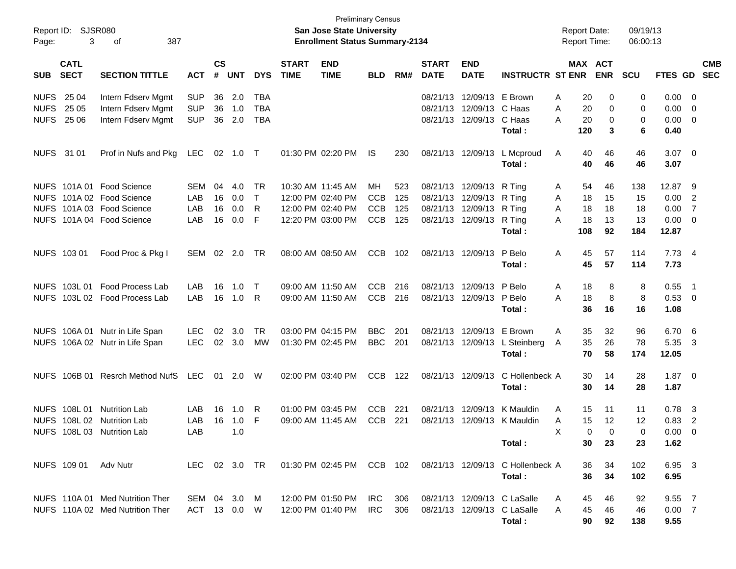| Page:             | Report ID: SJSR080<br>3    | 387<br>оf                       |              |                    |            |              |                             | San Jose State University<br><b>Enrollment Status Summary-2134</b> | <b>Preliminary Census</b> |     |                             |                           |                                                                                | <b>Report Date:</b><br><b>Report Time:</b> |                       | 09/19/13<br>06:00:13 |                |                            |            |
|-------------------|----------------------------|---------------------------------|--------------|--------------------|------------|--------------|-----------------------------|--------------------------------------------------------------------|---------------------------|-----|-----------------------------|---------------------------|--------------------------------------------------------------------------------|--------------------------------------------|-----------------------|----------------------|----------------|----------------------------|------------|
| <b>SUB</b>        | <b>CATL</b><br><b>SECT</b> | <b>SECTION TITTLE</b>           | <b>ACT</b>   | $\mathsf{cs}$<br># | <b>UNT</b> | <b>DYS</b>   | <b>START</b><br><b>TIME</b> | <b>END</b><br><b>TIME</b>                                          | <b>BLD</b>                | RM# | <b>START</b><br><b>DATE</b> | <b>END</b><br><b>DATE</b> | <b>INSTRUCTR ST ENR</b>                                                        |                                            | MAX ACT<br><b>ENR</b> | <b>SCU</b>           | FTES GD SEC    |                            | <b>CMB</b> |
| <b>NUFS 25 04</b> |                            | Intern Fdserv Mgmt              | <b>SUP</b>   | 36                 | 2.0        | <b>TBA</b>   |                             |                                                                    |                           |     |                             | 08/21/13 12/09/13         | E Brown                                                                        | Α                                          | 20<br>0               | 0                    | 0.00           | $\overline{\phantom{0}}$   |            |
| <b>NUFS</b>       | 25 05                      | Intern Fdserv Mgmt              | <b>SUP</b>   | 36                 | 1.0        | <b>TBA</b>   |                             |                                                                    |                           |     |                             | 08/21/13 12/09/13 C Haas  |                                                                                | A                                          | 20<br>0               | 0                    | 0.00           | $\overline{\mathbf{0}}$    |            |
|                   | <b>NUFS 2506</b>           | Intern Fdserv Mgmt              | <b>SUP</b>   |                    | 36 2.0     | <b>TBA</b>   |                             |                                                                    |                           |     |                             | 08/21/13 12/09/13         | C Haas                                                                         | Α                                          | 20<br>0               | 0                    | 0.00           | $\overline{\phantom{0}}$   |            |
|                   |                            |                                 |              |                    |            |              |                             |                                                                    |                           |     |                             |                           | Total:                                                                         | 120                                        | 3                     | 6                    | 0.40           |                            |            |
| NUFS 31 01        |                            | Prof in Nufs and Pkg            | <b>LEC</b>   | 02                 | 1.0 T      |              |                             | 01:30 PM 02:20 PM                                                  | IS.                       | 230 |                             | 08/21/13 12/09/13         | L Mcproud                                                                      | A                                          | 40<br>46              | 46                   | $3.07 \quad 0$ |                            |            |
|                   |                            |                                 |              |                    |            |              |                             |                                                                    |                           |     |                             |                           | Total:                                                                         |                                            | 40<br>46              | 46                   | 3.07           |                            |            |
|                   |                            | NUFS 101A 01 Food Science       | SEM          | 04                 | 4.0        | TR           |                             | 10:30 AM 11:45 AM                                                  | МH                        | 523 |                             | 08/21/13 12/09/13         | R Ting                                                                         | A                                          | 54<br>46              | 138                  | 12.87 9        |                            |            |
|                   |                            | NUFS 101A 02 Food Science       | LAB          | 16                 | 0.0        | $\mathsf{T}$ |                             | 12:00 PM 02:40 PM                                                  | <b>CCB</b>                | 125 |                             | 08/21/13 12/09/13         | R Ting                                                                         | A                                          | 18<br>15              | 15                   | 0.00           | $\overline{\phantom{0}}^2$ |            |
|                   |                            | NUFS 101A 03 Food Science       | LAB          | 16                 | 0.0        | R            |                             | 12:00 PM 02:40 PM                                                  | <b>CCB</b>                | 125 |                             | 08/21/13 12/09/13         | R Ting                                                                         | A                                          | 18<br>18              | 18                   | 0.00           | $\overline{7}$             |            |
|                   |                            | NUFS 101A 04 Food Science       | LAB          | 16                 | 0.0        | F            |                             | 12:20 PM 03:00 PM                                                  | <b>CCB</b>                | 125 |                             | 08/21/13 12/09/13         | R Ting                                                                         | A                                          | 18<br>13              | 13                   | 0.00           | $\overline{\phantom{0}}$   |            |
|                   |                            |                                 |              |                    |            |              |                             |                                                                    |                           |     |                             |                           | Total:                                                                         | 108                                        | 92                    | 184                  | 12.87          |                            |            |
|                   | NUFS 103 01                | Food Proc & Pkg I               | SEM          |                    | $02$ 2.0   | TR           |                             | 08:00 AM 08:50 AM                                                  | <b>CCB</b>                | 102 |                             | 08/21/13 12/09/13         | P Belo                                                                         | Α                                          | 45<br>57              | 114                  | 7.73 4         |                            |            |
|                   |                            |                                 |              |                    |            |              |                             |                                                                    |                           |     |                             |                           | Total:                                                                         |                                            | 45<br>57              | 114                  | 7.73           |                            |            |
|                   |                            | NUFS 103L 01 Food Process Lab   | LAB          | 16                 | 1.0        | $\top$       |                             | 09:00 AM 11:50 AM                                                  | <b>CCB</b>                | 216 |                             | 08/21/13 12/09/13         | P Belo                                                                         | A                                          | 18<br>8               | 8                    | 0.55           | $\overline{\phantom{1}}$   |            |
|                   |                            | NUFS 103L 02 Food Process Lab   | LAB          |                    | 16 1.0     | R            |                             | 09:00 AM 11:50 AM                                                  | <b>CCB</b>                | 216 |                             | 08/21/13 12/09/13         | P Belo                                                                         | Α                                          | 18<br>8               | 8                    | 0.53 0         |                            |            |
|                   |                            |                                 |              |                    |            |              |                             |                                                                    |                           |     |                             |                           | Total:                                                                         |                                            | 36<br>16              | 16                   | 1.08           |                            |            |
|                   |                            | NUFS 106A 01 Nutr in Life Span  | <b>LEC</b>   | 02                 | 3.0        | TR           |                             | 03:00 PM 04:15 PM                                                  | <b>BBC</b>                | 201 |                             | 08/21/13 12/09/13         | E Brown                                                                        | A                                          | 35<br>32              | 96                   | 6.70           | $-6$                       |            |
|                   |                            | NUFS 106A 02 Nutr in Life Span  | <b>LEC</b>   |                    | 02 3.0     | МW           |                             | 01:30 PM 02:45 PM                                                  | <b>BBC</b>                | 201 |                             |                           | 08/21/13 12/09/13 L Steinberg                                                  | A                                          | 35<br>26              | 78                   | 5.35           | $\overline{\mathbf{3}}$    |            |
|                   |                            |                                 |              |                    |            |              |                             |                                                                    |                           |     |                             |                           | Total:                                                                         |                                            | 70<br>58              | 174                  | 12.05          |                            |            |
|                   | NUFS 106B 01               | <b>Resrch Method NufS</b>       | <b>LEC</b>   |                    | 01 2.0     | W            |                             | 02:00 PM 03:40 PM                                                  | <b>CCB</b>                | 122 |                             | 08/21/13 12/09/13         | C Hollenbeck A                                                                 |                                            | 30<br>14              | 28                   | $1.87 \quad 0$ |                            |            |
|                   |                            |                                 |              |                    |            |              |                             |                                                                    |                           |     |                             |                           | Total:                                                                         |                                            | 30<br>14              | 28                   | 1.87           |                            |            |
|                   |                            | NUFS 108L 01 Nutrition Lab      | LAB          | 16                 | 1.0        | R            |                             | 01:00 PM 03:45 PM                                                  | <b>CCB</b>                | 221 |                             | 08/21/13 12/09/13         | K Mauldin                                                                      | A                                          | 15<br>11              | 11                   | 0.78           | - 3                        |            |
|                   |                            | NUFS 108L 02 Nutrition Lab      | LAB          |                    | 16 1.0     | F            |                             | 09:00 AM 11:45 AM                                                  | <b>CCB</b>                | 221 |                             |                           | 08/21/13 12/09/13 K Mauldin                                                    | A                                          | 15<br>12              | 12                   | 0.83           | $\overline{\phantom{a}}$   |            |
|                   |                            | NUFS 108L 03 Nutrition Lab      | LAB          |                    | 1.0        |              |                             |                                                                    |                           |     |                             |                           |                                                                                | X                                          | 0<br>$\mathbf 0$      | 0                    | $0.00\,$       | - 0                        |            |
|                   |                            |                                 |              |                    |            |              |                             |                                                                    |                           |     |                             |                           | Total :                                                                        |                                            | 30<br>23              | 23                   | 1.62           |                            |            |
|                   |                            | NUFS 109 01 Adv Nutr            |              |                    |            |              |                             |                                                                    |                           |     |                             |                           | LEC 02 3.0 TR  01:30 PM 02:45 PM  CCB  102  08/21/13  12/09/13  C Hollenbeck A |                                            | 36<br>34              | 102                  | 6.95 3         |                            |            |
|                   |                            |                                 |              |                    |            |              |                             |                                                                    |                           |     |                             |                           | Total:                                                                         |                                            | 36<br>34              | 102                  | 6.95           |                            |            |
|                   |                            | NUFS 110A 01 Med Nutrition Ther | SEM 04 3.0 M |                    |            |              |                             | 12:00 PM 01:50 PM IRC 306                                          |                           |     |                             |                           | 08/21/13 12/09/13 C LaSalle                                                    | A                                          | 45<br>46              | 92                   | $9.55$ 7       |                            |            |
|                   |                            | NUFS 110A 02 Med Nutrition Ther | ACT 13 0.0 W |                    |            |              |                             | 12:00 PM 01:40 PM IRC 306                                          |                           |     |                             |                           | 08/21/13 12/09/13 C LaSalle                                                    | A                                          | 45<br>46              | 46                   | 0.007          |                            |            |
|                   |                            |                                 |              |                    |            |              |                             |                                                                    |                           |     |                             |                           | Total:                                                                         |                                            | 90<br>92              | 138                  | 9.55           |                            |            |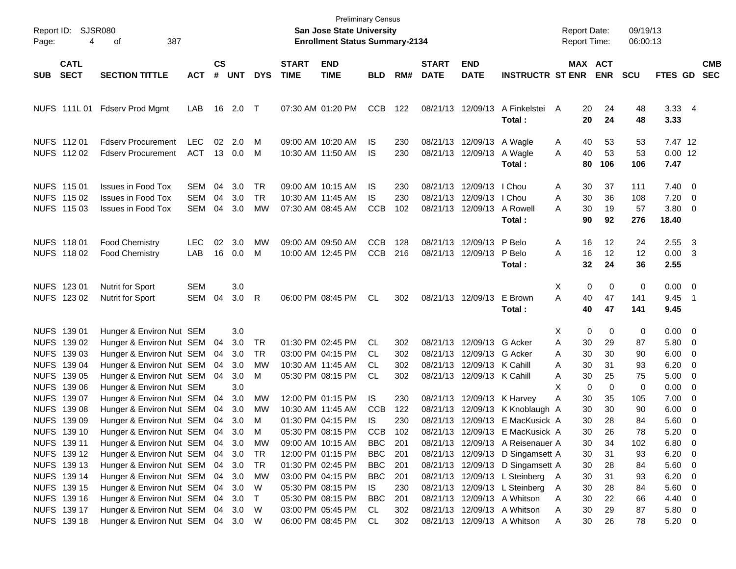| Page: | Report ID: SJSR080<br>4                                                 |                                                                                                                                                   |                                 |                      |                                 |                                     | <b>Preliminary Census</b><br><b>San Jose State University</b><br><b>Enrollment Status Summary-2134</b> |                                                                                                       |                                        |                                 |                             |                                                                                      | <b>Report Date:</b><br><b>Report Time:</b>                                                                                                                    |                                                    | 09/19/13<br>06:00:13                |                            |                                                             |                          |                          |
|-------|-------------------------------------------------------------------------|---------------------------------------------------------------------------------------------------------------------------------------------------|---------------------------------|----------------------|---------------------------------|-------------------------------------|--------------------------------------------------------------------------------------------------------|-------------------------------------------------------------------------------------------------------|----------------------------------------|---------------------------------|-----------------------------|--------------------------------------------------------------------------------------|---------------------------------------------------------------------------------------------------------------------------------------------------------------|----------------------------------------------------|-------------------------------------|----------------------------|-------------------------------------------------------------|--------------------------|--------------------------|
| SUB   | <b>CATL</b><br><b>SECT</b>                                              | <b>SECTION TITTLE</b>                                                                                                                             | <b>ACT</b>                      | $\mathsf{cs}$<br>#   | <b>UNT</b>                      | <b>DYS</b>                          | <b>START</b><br><b>TIME</b>                                                                            | <b>END</b><br><b>TIME</b>                                                                             | <b>BLD</b>                             | RM#                             | <b>START</b><br><b>DATE</b> | <b>END</b><br><b>DATE</b>                                                            | <b>INSTRUCTR ST ENR</b>                                                                                                                                       | MAX ACT                                            | <b>ENR</b>                          | <b>SCU</b>                 | <b>FTES GD</b>                                              |                          | <b>CMB</b><br><b>SEC</b> |
|       |                                                                         | NUFS 111L 01 Fdserv Prod Mgmt                                                                                                                     | LAB                             |                      | 16 2.0 T                        |                                     |                                                                                                        | 07:30 AM 01:20 PM                                                                                     | <b>CCB</b>                             | 122                             |                             | 08/21/13 12/09/13                                                                    | A Finkelstei A<br>Total:                                                                                                                                      | 20<br>20                                           | 24<br>24                            | 48<br>48                   | 3.33 4<br>3.33                                              |                          |                          |
|       | NUFS 11201<br>NUFS 112 02                                               | <b>Fdserv Procurement</b><br><b>Fdserv Procurement</b>                                                                                            | <b>LEC</b><br><b>ACT</b>        | 02                   | 2.0<br>13 0.0                   | M<br>M                              |                                                                                                        | 09:00 AM 10:20 AM<br>10:30 AM 11:50 AM                                                                | IS<br>IS                               | 230<br>230                      |                             | 08/21/13 12/09/13 A Wagle<br>08/21/13 12/09/13                                       | A Wagle<br>Total:                                                                                                                                             | 40<br>A<br>40<br>A<br>80                           | 53<br>53<br>106                     | 53<br>53<br>106            | 7.47 12<br>$0.00$ 12<br>7.47                                |                          |                          |
|       | NUFS 115 01<br>NUFS 115 02<br>NUFS 115 03                               | <b>Issues in Food Tox</b><br><b>Issues in Food Tox</b><br><b>Issues in Food Tox</b>                                                               | SEM<br><b>SEM</b><br><b>SEM</b> | 04<br>04<br>04       | 3.0<br>3.0<br>3.0               | TR.<br><b>TR</b><br>MW              |                                                                                                        | 09:00 AM 10:15 AM<br>10:30 AM 11:45 AM<br>07:30 AM 08:45 AM                                           | IS<br>IS<br><b>CCB</b>                 | 230<br>230<br>102               |                             | 08/21/13 12/09/13<br>08/21/13 12/09/13<br>08/21/13 12/09/13                          | I Chou<br>I Chou<br>A Rowell<br>Total:                                                                                                                        | 30<br>Α<br>A<br>30<br>30<br>А<br>90                | 37<br>36<br>19<br>92                | 111<br>108<br>57<br>276    | $7.40 \quad 0$<br>7.20<br>$3.80\ 0$<br>18.40                | $\overline{\phantom{0}}$ |                          |
|       | NUFS 11801<br>NUFS 11802                                                | <b>Food Chemistry</b><br><b>Food Chemistry</b>                                                                                                    | LEC.<br>LAB                     | 02<br>16             | 3.0<br>0.0                      | MW<br>M                             |                                                                                                        | 09:00 AM 09:50 AM<br>10:00 AM 12:45 PM                                                                | <b>CCB</b><br><b>CCB</b>               | 128<br>216                      |                             | 08/21/13 12/09/13 P Belo<br>08/21/13 12/09/13                                        | P Belo<br>Total:                                                                                                                                              | 16<br>Α<br>16<br>A<br>32                           | 12<br>12<br>24                      | 24<br>12<br>36             | 2.55<br>$0.00 \quad 3$<br>2.55                              | $\overline{\mathbf{3}}$  |                          |
|       | NUFS 123 01<br>NUFS 123 02                                              | Nutrit for Sport<br><b>Nutrit for Sport</b>                                                                                                       | <b>SEM</b><br><b>SEM</b>        | 04                   | 3.0<br>3.0                      | R                                   |                                                                                                        | 06:00 PM 08:45 PM                                                                                     | CL                                     | 302                             |                             | 08/21/13 12/09/13                                                                    | E Brown<br>Total:                                                                                                                                             | 0<br>X<br>A<br>40<br>40                            | 0<br>47<br>47                       | 0<br>141<br>141            | $0.00 \t 0$<br>9.45<br>9.45                                 | $\overline{\phantom{1}}$ |                          |
|       | NUFS 139 01<br>NUFS 139 02<br>NUFS 139 03<br>NUFS 139 04                | Hunger & Environ Nut SEM<br>Hunger & Environ Nut SEM<br>Hunger & Environ Nut SEM<br>Hunger & Environ Nut SEM                                      |                                 | 04<br>04<br>04       | 3.0<br>3.0<br>3.0<br>3.0        | <b>TR</b><br><b>TR</b><br><b>MW</b> |                                                                                                        | 01:30 PM 02:45 PM<br>03:00 PM 04:15 PM<br>10:30 AM 11:45 AM                                           | CL<br>CL<br>CL                         | 302<br>302<br>302               |                             | 08/21/13 12/09/13 G Acker<br>08/21/13 12/09/13 G Acker<br>08/21/13 12/09/13 K Cahill |                                                                                                                                                               | 0<br>X.<br>A<br>30<br>30<br>A<br>30<br>A           | 0<br>29<br>30<br>31                 | 0<br>87<br>90<br>93        | $0.00 \t 0$<br>5.80 0<br>$6.00 \t 0$<br>6.20                | $\overline{\phantom{0}}$ |                          |
|       | NUFS 139 05<br>NUFS 139 06<br>NUFS 139 07<br>NUFS 139 08<br>NUFS 139 09 | Hunger & Environ Nut SEM<br>Hunger & Environ Nut SEM<br>Hunger & Environ Nut SEM<br>Hunger & Environ Nut SEM<br>Hunger & Environ Nut SEM          |                                 | 04<br>04<br>04<br>04 | 3.0<br>3.0<br>3.0<br>3.0<br>3.0 | м<br>MW<br>MW<br>M                  |                                                                                                        | 05:30 PM 08:15 PM<br>12:00 PM 01:15 PM<br>10:30 AM 11:45 AM<br>01:30 PM 04:15 PM                      | <b>CL</b><br>IS.<br><b>CCB</b><br>IS   | 302<br>230<br>122<br>230        | 08/21/13                    | 08/21/13 12/09/13 K Cahill<br>08/21/13 12/09/13 K Harvey                             | 12/09/13 K Knoblaugh A<br>08/21/13 12/09/13 E MacKusick A                                                                                                     | 30<br>A<br>X<br>$\mathbf 0$<br>A<br>30<br>30<br>30 | 25<br>$\mathbf 0$<br>35<br>30<br>28 | 75<br>0<br>105<br>90<br>84 | $5.00 \t 0$<br>$0.00 \t 0$<br>$7.00 \t 0$<br>6.00<br>5.60 0 | $\overline{\phantom{0}}$ |                          |
|       | NUFS 139 10<br>NUFS 139 11<br>NUFS 139 12<br>NUFS 139 13                | Hunger & Environ Nut SEM 04<br>Hunger & Environ Nut SEM<br>Hunger & Environ Nut SEM<br>Hunger & Environ Nut SEM                                   |                                 | 04                   | 3.0<br>3.0<br>04 3.0<br>04 3.0  | M<br>МW<br>TR<br>TR                 |                                                                                                        | 05:30 PM 08:15 PM<br>09:00 AM 10:15 AM<br>12:00 PM 01:15 PM<br>01:30 PM 02:45 PM                      | <b>CCB</b><br>BBC<br><b>BBC</b><br>BBC | 102<br>201<br>201<br>201        |                             |                                                                                      | 08/21/13 12/09/13 E MacKusick A<br>08/21/13 12/09/13 A Reisenauer A<br>08/21/13 12/09/13 D Singamsett A<br>08/21/13 12/09/13 D Singamsett A                   | 30<br>30<br>30<br>30                               | 26<br>34<br>31<br>28                | 78<br>102<br>93<br>84      | 5.20<br>6.80 0<br>$6.20\ 0$<br>5.60 0                       | $\overline{\phantom{0}}$ |                          |
|       | NUFS 139 14<br>NUFS 139 15<br>NUFS 139 16<br>NUFS 139 17<br>NUFS 139 18 | Hunger & Environ Nut SEM<br>Hunger & Environ Nut SEM<br>Hunger & Environ Nut SEM<br>Hunger & Environ Nut SEM<br>Hunger & Environ Nut SEM 04 3.0 W |                                 | 04<br>04             | 3.0<br>3.0<br>04 3.0<br>04 3.0  | МW<br>W<br>$\top$<br>W              |                                                                                                        | 03:00 PM 04:15 PM<br>05:30 PM 08:15 PM<br>05:30 PM 08:15 PM<br>03:00 PM 05:45 PM<br>06:00 PM 08:45 PM | BBC<br>IS.<br>BBC<br>CL<br>CL          | 201<br>230<br>201<br>302<br>302 |                             |                                                                                      | 08/21/13 12/09/13 L Steinberg A<br>08/21/13 12/09/13 L Steinberg<br>08/21/13 12/09/13 A Whitson<br>08/21/13 12/09/13 A Whitson<br>08/21/13 12/09/13 A Whitson | 30<br>30<br>A<br>30<br>Α<br>30<br>Α<br>30<br>A     | 31<br>28<br>22<br>29<br>26          | 93<br>84<br>66<br>87<br>78 | $6.20\ 0$<br>5.60 0<br>4.40 0<br>5.80 0<br>$5.20 \t 0$      |                          |                          |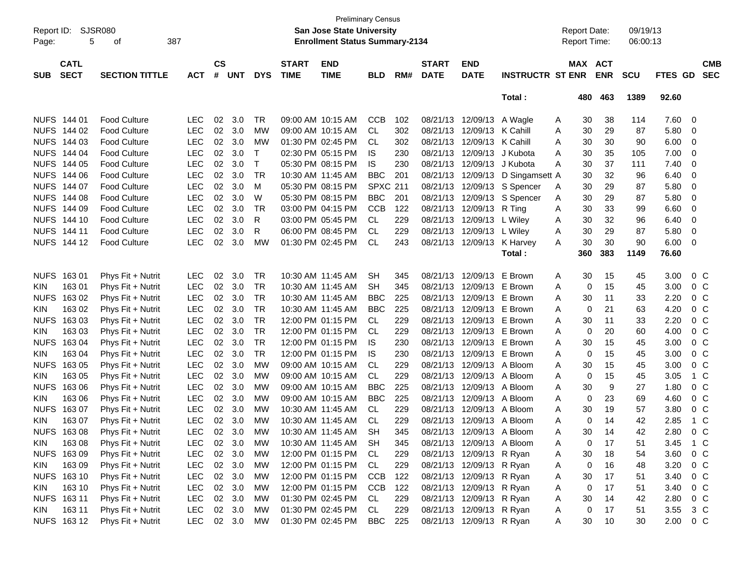|             |                                                     |                     |            |               |            |            |              |                                       | <b>Preliminary Census</b> |     |              |                           |                         |                     |                   |            |         |                |
|-------------|-----------------------------------------------------|---------------------|------------|---------------|------------|------------|--------------|---------------------------------------|---------------------------|-----|--------------|---------------------------|-------------------------|---------------------|-------------------|------------|---------|----------------|
| Report ID:  |                                                     | SJSR080             |            |               |            |            |              | <b>San Jose State University</b>      |                           |     |              |                           |                         | <b>Report Date:</b> |                   | 09/19/13   |         |                |
| Page:       | 387<br>5<br>οf                                      |                     |            |               |            |            |              | <b>Enrollment Status Summary-2134</b> |                           |     |              |                           |                         | <b>Report Time:</b> |                   | 06:00:13   |         |                |
|             | <b>CATL</b><br><b>SECT</b><br><b>SECTION TITTLE</b> |                     |            |               |            |            |              |                                       |                           |     |              |                           |                         |                     |                   |            |         |                |
|             |                                                     |                     |            | $\mathsf{cs}$ |            |            | <b>START</b> | <b>END</b>                            |                           |     | <b>START</b> | <b>END</b>                |                         |                     | MAX ACT           |            |         | <b>CMB</b>     |
| <b>SUB</b>  |                                                     |                     | <b>ACT</b> | #             | <b>UNT</b> | <b>DYS</b> | <b>TIME</b>  | <b>TIME</b>                           | <b>BLD</b>                | RM# | <b>DATE</b>  | <b>DATE</b>               | <b>INSTRUCTR ST ENR</b> |                     | <b>ENR</b>        | <b>SCU</b> | FTES GD | <b>SEC</b>     |
|             |                                                     |                     |            |               |            |            |              |                                       |                           |     |              |                           | Total:                  | 480                 | 463               | 1389       | 92.60   |                |
|             | NUFS 144 01                                         | <b>Food Culture</b> | <b>LEC</b> | 02            | 3.0        | <b>TR</b>  |              | 09:00 AM 10:15 AM                     | <b>CCB</b>                | 102 | 08/21/13     | 12/09/13                  | A Wagle                 | 30<br>A             | 38                | 114        | 7.60    | 0              |
|             | NUFS 144 02                                         | Food Culture        | <b>LEC</b> | 02            | 3.0        | <b>MW</b>  |              | 09:00 AM 10:15 AM                     | CL                        | 302 | 08/21/13     | 12/09/13                  | K Cahill                | 30<br>Α             | 29                | 87         | 5.80    | 0              |
| <b>NUFS</b> | 144 03                                              | <b>Food Culture</b> | <b>LEC</b> | 02            | 3.0        | МW         |              | 01:30 PM 02:45 PM                     | CL                        | 302 | 08/21/13     | 12/09/13                  | K Cahill                | 30<br>Α             | 30                | 90         | 6.00    | 0              |
| <b>NUFS</b> | 144 04                                              | <b>Food Culture</b> | <b>LEC</b> | 02            | 3.0        | Т          |              | 02:30 PM 05:15 PM                     | IS.                       | 230 | 08/21/13     | 12/09/13                  | J Kubota                | 30<br>Α             | 35                | 105        | 7.00    | 0              |
| <b>NUFS</b> | 144 05                                              | <b>Food Culture</b> | <b>LEC</b> | 02            | 3.0        | T          |              | 05:30 PM 08:15 PM                     | IS.                       | 230 | 08/21/13     | 12/09/13                  | J Kubota                | 30<br>A             | 37                | 111        | 7.40    | 0              |
| <b>NUFS</b> | 144 06                                              | <b>Food Culture</b> | LEC        | 02            | 3.0        | <b>TR</b>  |              | 10:30 AM 11:45 AM                     | <b>BBC</b>                | 201 | 08/21/13     | 12/09/13                  | D Singamsett A          | 30                  | 32                | 96         | 6.40    | 0              |
| <b>NUFS</b> | 144 07                                              | <b>Food Culture</b> | <b>LEC</b> | 02            | 3.0        | M          |              | 05:30 PM 08:15 PM                     | <b>SPXC 211</b>           |     | 08/21/13     |                           |                         | 30                  | 29                | 87         | 5.80    | 0              |
|             |                                                     |                     |            |               |            |            |              | 05:30 PM 08:15 PM                     |                           |     |              | 12/09/13                  | S Spencer               | A                   |                   |            |         |                |
| <b>NUFS</b> | 144 08                                              | <b>Food Culture</b> | <b>LEC</b> | 02            | 3.0        | W          |              |                                       | <b>BBC</b>                | 201 | 08/21/13     | 12/09/13                  | S Spencer               | 30<br>Α             | 29                | 87         | 5.80    | 0              |
| <b>NUFS</b> | 144 09                                              | <b>Food Culture</b> | LEC        | 02            | 3.0        | <b>TR</b>  |              | 03:00 PM 04:15 PM                     | <b>CCB</b>                | 122 | 08/21/13     | 12/09/13                  | R Ting                  | 30<br>Α             | 33                | 99         | 6.60    | 0              |
| <b>NUFS</b> | 144 10                                              | <b>Food Culture</b> | LEC        | 02            | 3.0        | R          |              | 03:00 PM 05:45 PM                     | CL                        | 229 | 08/21/13     | 12/09/13                  | L Wiley                 | 30<br>Α             | 32                | 96         | 6.40    | 0              |
| <b>NUFS</b> | 144 11                                              | <b>Food Culture</b> | <b>LEC</b> | 02            | 3.0        | R          |              | 06:00 PM 08:45 PM                     | CL                        | 229 | 08/21/13     | 12/09/13                  | L Wiley                 | 30<br>Α             | 29                | 87         | 5.80    | 0              |
| <b>NUFS</b> | 144 12                                              | <b>Food Culture</b> | <b>LEC</b> | 02            | 3.0        | МW         |              | 01:30 PM 02:45 PM                     | CL                        | 243 | 08/21/13     | 12/09/13                  | K Harvey                | 30<br>A             | 30                | 90         | 6.00    | 0              |
|             |                                                     |                     |            |               |            |            |              |                                       |                           |     |              |                           | Total:                  | 360                 | 383               | 1149       | 76.60   |                |
| <b>NUFS</b> | 16301                                               | Phys Fit + Nutrit   | <b>LEC</b> | 02            | 3.0        | <b>TR</b>  |              | 10:30 AM 11:45 AM                     | <b>SH</b>                 | 345 | 08/21/13     | 12/09/13                  | E Brown                 | 30<br>A             | 15                | 45         | 3.00    | $0\,C$         |
| <b>KIN</b>  | 16301                                               | Phys Fit + Nutrit   | <b>LEC</b> | 02            | 3.0        | <b>TR</b>  |              | 10:30 AM 11:45 AM                     | <b>SH</b>                 | 345 | 08/21/13     | 12/09/13                  | E Brown                 | Α                   | 15<br>0           | 45         | 3.00    | $0\,C$         |
| <b>NUFS</b> | 16302                                               | Phys Fit + Nutrit   | LEC        | 02            | 3.0        | <b>TR</b>  |              | 10:30 AM 11:45 AM                     | <b>BBC</b>                | 225 | 08/21/13     | 12/09/13                  | E Brown                 | 30<br>Α             | 11                | 33         | 2.20    | 0 <sup>C</sup> |
| KIN.        | 163 02                                              | Phys Fit + Nutrit   | LEC        | 02            | 3.0        | <b>TR</b>  |              | 10:30 AM 11:45 AM                     | <b>BBC</b>                | 225 | 08/21/13     | 12/09/13                  | E Brown                 | A                   | 21<br>0           | 63         | 4.20    | 0 <sup>C</sup> |
| <b>NUFS</b> | 16303                                               | Phys Fit + Nutrit   | LEC        | 02            | 3.0        | <b>TR</b>  |              | 12:00 PM 01:15 PM                     | CL                        | 229 | 08/21/13     | 12/09/13                  | E Brown                 | 30<br>Α             | 11                | 33         | 2.20    | 0 <sup>C</sup> |
| <b>KIN</b>  | 163 03                                              | Phys Fit + Nutrit   | LEC        | 02            | 3.0        | <b>TR</b>  |              | 12:00 PM 01:15 PM                     | CL                        | 229 | 08/21/13     | 12/09/13                  | E Brown                 | Α                   | 20<br>0           | 60         | 4.00    | 0 <sup>C</sup> |
| <b>NUFS</b> | 16304                                               | Phys Fit + Nutrit   | LEC        | 02            | 3.0        | <b>TR</b>  |              | 12:00 PM 01:15 PM                     | IS.                       | 230 | 08/21/13     | 12/09/13                  | E Brown                 | 30<br>A             | 15                | 45         | 3.00    | 0 <sup>C</sup> |
| KIN.        | 163 04                                              |                     | LEC        | 02            | 3.0        | <b>TR</b>  |              | 12:00 PM 01:15 PM                     | IS.                       | 230 | 08/21/13     | 12/09/13                  | E Brown                 | A                   | 15<br>0           | 45         | 3.00    | 0 <sup>C</sup> |
|             |                                                     | Phys Fit + Nutrit   |            |               |            | <b>MW</b>  |              |                                       |                           |     |              |                           |                         |                     |                   |            |         |                |
| <b>NUFS</b> | 16305                                               | Phys Fit + Nutrit   | LEC        | 02            | 3.0        |            |              | 09:00 AM 10:15 AM                     | <b>CL</b>                 | 229 | 08/21/13     | 12/09/13                  | A Bloom                 | 30<br>Α             | 15                | 45         | 3.00    | 0 <sup>C</sup> |
| <b>KIN</b>  | 163 05                                              | Phys Fit + Nutrit   | LEC        | 02            | 3.0        | МW         |              | 09:00 AM 10:15 AM                     | <b>CL</b>                 | 229 | 08/21/13     | 12/09/13                  | A Bloom                 | A                   | 15<br>0           | 45         | 3.05    | 1 C            |
| <b>NUFS</b> | 16306                                               | Phys Fit + Nutrit   | LEC        | 02            | 3.0        | МW         |              | 09:00 AM 10:15 AM                     | <b>BBC</b>                | 225 | 08/21/13     | 12/09/13                  | A Bloom                 | 30<br>A             | 9                 | 27         | 1.80    | 0 <sup>C</sup> |
| <b>KIN</b>  | 163 06                                              | Phys Fit + Nutrit   | LEC        | 02            | 3.0        | <b>MW</b>  |              | 09:00 AM 10:15 AM                     | <b>BBC</b>                | 225 | 08/21/13     | 12/09/13                  | A Bloom                 | Α                   | 0<br>23           | 69         | 4.60    | 0 <sup>C</sup> |
| <b>NUFS</b> | 16307                                               | Phys Fit + Nutrit   | LEC        | 02            | 3.0        | <b>MW</b>  |              | 10:30 AM 11:45 AM                     | <b>CL</b>                 | 229 | 08/21/13     | 12/09/13                  | A Bloom                 | 30<br>Α             | 19                | 57         | 3.80    | 0 <sup>C</sup> |
| <b>KIN</b>  | 163 07                                              | Phys Fit + Nutrit   | <b>LEC</b> | 02            | 3.0        | МW         |              | 10:30 AM 11:45 AM                     | <b>CL</b>                 | 229 | 08/21/13     | 12/09/13 A Bloom          |                         | A                   | $\mathbf 0$<br>14 | 42         | 2.85    | 1 C            |
|             | NUFS 163 08                                         | Phys Fit + Nutrit   | <b>LEC</b> |               | 02 3.0     | <b>MW</b>  |              | 10:30 AM 11:45 AM                     | <b>SH</b>                 | 345 |              | 08/21/13 12/09/13 A Bloom |                         | 30<br>А             | 14                | 42         | 2.80    | 0 <sup>C</sup> |
| KIN         | 16308                                               | Phys Fit + Nutrit   | <b>LEC</b> | 02            | 3.0        | MW         |              | 10:30 AM 11:45 AM                     | <b>SH</b>                 | 345 |              | 08/21/13 12/09/13 A Bloom |                         | A                   | 17<br>0           | 51         | 3.45    | 1 C            |
|             | NUFS 163 09                                         | Phys Fit + Nutrit   | <b>LEC</b> |               | 02 3.0     | MW         |              | 12:00 PM 01:15 PM                     | CL                        | 229 |              | 08/21/13 12/09/13 R Ryan  |                         | 30<br>Α             | 18                | 54         | 3.60    | 0 C            |
| KIN.        | 16309                                               | Phys Fit + Nutrit   | <b>LEC</b> |               | 02 3.0     | MW         |              | 12:00 PM 01:15 PM                     | CL                        | 229 |              | 08/21/13 12/09/13 R Ryan  |                         | Α                   | 16<br>0           | 48         | 3.20    | 0 <sup>C</sup> |
|             | NUFS 163 10                                         | Phys Fit + Nutrit   | <b>LEC</b> |               | 02 3.0     | MW         |              | 12:00 PM 01:15 PM                     | <b>CCB</b>                | 122 |              | 08/21/13 12/09/13 R Ryan  |                         | 30<br>Α             | 17                | 51         | 3.40    | 0 <sup>C</sup> |
| <b>KIN</b>  | 163 10                                              | Phys Fit + Nutrit   | <b>LEC</b> |               | 02 3.0     | MW         |              | 12:00 PM 01:15 PM                     | <b>CCB</b>                | 122 |              | 08/21/13 12/09/13 R Ryan  |                         | Α                   | 17<br>0           | 51         | 3.40    | 0 <sup>C</sup> |
|             | NUFS 16311                                          | Phys Fit + Nutrit   | <b>LEC</b> |               | 02 3.0     | MW         |              | 01:30 PM 02:45 PM                     | CL                        | 229 |              | 08/21/13 12/09/13 R Ryan  |                         | 30<br>Α             | 14                | 42         | 2.80    | 0 C            |
| <b>KIN</b>  | 163 11                                              | Phys Fit + Nutrit   | <b>LEC</b> |               | 02 3.0     | MW         |              | 01:30 PM 02:45 PM                     | CL                        | 229 |              | 08/21/13 12/09/13 R Ryan  |                         | Α                   | 0<br>17           | 51         | 3.55    | 3 C            |
|             | NUFS 16312                                          | Phys Fit + Nutrit   | LEC        |               | 02 3.0     | MW         |              | 01:30 PM 02:45 PM                     | BBC                       | 225 |              | 08/21/13 12/09/13 R Ryan  |                         | 30<br>A             | 10                | 30         | 2.00    | $0\,C$         |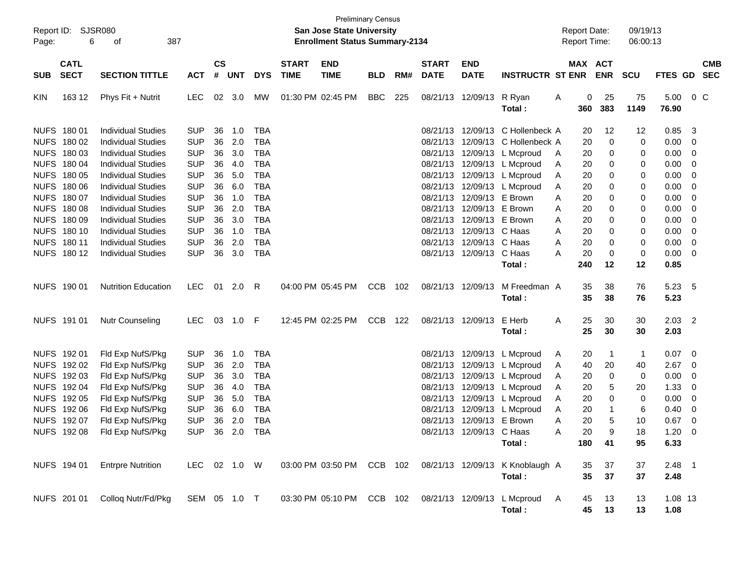| Page:      | Report ID: SJSR080<br>6    |                                                        |                          |                    |               |                          | <b>Preliminary Census</b><br>San Jose State University<br><b>Enrollment Status Summary-2134</b> |                           |            |     |                             |                                                        | <b>Report Date:</b><br><b>Report Time:</b>                           |        |                       | 09/19/13<br>06:00:13 |                   |                            |                                                      |                          |
|------------|----------------------------|--------------------------------------------------------|--------------------------|--------------------|---------------|--------------------------|-------------------------------------------------------------------------------------------------|---------------------------|------------|-----|-----------------------------|--------------------------------------------------------|----------------------------------------------------------------------|--------|-----------------------|----------------------|-------------------|----------------------------|------------------------------------------------------|--------------------------|
| <b>SUB</b> | <b>CATL</b><br><b>SECT</b> | <b>SECTION TITTLE</b>                                  | <b>ACT</b>               | $\mathsf{cs}$<br># | <b>UNT</b>    | <b>DYS</b>               | <b>START</b><br><b>TIME</b>                                                                     | <b>END</b><br><b>TIME</b> | <b>BLD</b> | RM# | <b>START</b><br><b>DATE</b> | <b>END</b><br><b>DATE</b>                              | <b>INSTRUCTR ST ENR</b>                                              |        | MAX ACT               | <b>ENR</b>           | <b>SCU</b>        | FTES GD                    |                                                      | <b>CMB</b><br><b>SEC</b> |
| KIN        | 163 12                     | Phys Fit + Nutrit                                      | <b>LEC</b>               |                    | 02 3.0        | MW                       | 01:30 PM 02:45 PM                                                                               |                           | <b>BBC</b> | 225 |                             | 08/21/13 12/09/13 R Ryan                               | Total :                                                              | A      | 0<br>360              | 25<br>383            | 75<br>1149        | 5.00<br>76.90              | $0\,$ C                                              |                          |
|            | NUFS 180 01<br>NUFS 180 02 | Individual Studies<br><b>Individual Studies</b>        | <b>SUP</b><br><b>SUP</b> | 36<br>36           | 1.0<br>2.0    | <b>TBA</b><br><b>TBA</b> |                                                                                                 |                           |            |     |                             |                                                        | 08/21/13 12/09/13 C Hollenbeck A<br>08/21/13 12/09/13 C Hollenbeck A |        | 20<br>20              | 12<br>0              | 12<br>0           | 0.85<br>$0.00 \t 0$        | - 3                                                  |                          |
|            | NUFS 180 03<br>NUFS 180 04 | <b>Individual Studies</b><br><b>Individual Studies</b> | <b>SUP</b><br><b>SUP</b> | 36<br>36           | 3.0<br>4.0    | <b>TBA</b><br><b>TBA</b> |                                                                                                 |                           |            |     |                             |                                                        | 08/21/13 12/09/13 L Mcproud<br>08/21/13 12/09/13 L Mcproud           | A<br>A | 20<br>20              | 0<br>0               | 0<br>0            | $0.00 \t 0$<br>$0.00 \t 0$ |                                                      |                          |
|            | NUFS 180 05<br>NUFS 180 06 | <b>Individual Studies</b><br><b>Individual Studies</b> | <b>SUP</b><br><b>SUP</b> | 36<br>36           | 5.0<br>6.0    | <b>TBA</b><br><b>TBA</b> |                                                                                                 |                           |            |     |                             |                                                        | 08/21/13 12/09/13 L Mcproud<br>08/21/13 12/09/13 L Mcproud           | A<br>A | 20<br>20              | 0<br>0               | 0<br>0            | 0.00<br>0.00               | $\overline{\phantom{0}}$<br>$\overline{\phantom{0}}$ |                          |
|            | NUFS 180 07<br>NUFS 180 08 | <b>Individual Studies</b><br><b>Individual Studies</b> | <b>SUP</b><br><b>SUP</b> | 36<br>36           | 1.0<br>2.0    | <b>TBA</b><br><b>TBA</b> |                                                                                                 |                           |            |     |                             | 08/21/13 12/09/13 E Brown<br>08/21/13 12/09/13 E Brown |                                                                      | A<br>A | 20<br>20              | 0<br>0               | 0<br>0            | 0.00<br>0.00               | $\overline{\phantom{0}}$<br>$\overline{\phantom{0}}$ |                          |
|            | NUFS 180 09<br>NUFS 180 10 | <b>Individual Studies</b><br><b>Individual Studies</b> | <b>SUP</b><br><b>SUP</b> | 36<br>36           | 3.0<br>1.0    | <b>TBA</b><br><b>TBA</b> |                                                                                                 |                           |            |     |                             | 08/21/13 12/09/13 E Brown<br>08/21/13 12/09/13 C Haas  |                                                                      | A<br>A | 20<br>20              | 0<br>0               | 0<br>0            | 0.00<br>$0.00 \t 0$        | $\overline{\phantom{0}}$                             |                          |
|            | NUFS 180 11<br>NUFS 180 12 | <b>Individual Studies</b><br><b>Individual Studies</b> | <b>SUP</b><br><b>SUP</b> | 36<br>36           | 2.0<br>3.0    | <b>TBA</b><br><b>TBA</b> |                                                                                                 |                           |            |     |                             | 08/21/13 12/09/13 C Haas<br>08/21/13 12/09/13 C Haas   |                                                                      | A<br>Α | 20<br>20              | 0<br>0               | 0<br>0            | $0.00 \t 0$<br>$0.00 \t 0$ |                                                      |                          |
|            | NUFS 190 01                | <b>Nutrition Education</b>                             | <b>LEC</b>               |                    | 01 2.0        | R                        |                                                                                                 | 04:00 PM 05:45 PM         | <b>CCB</b> | 102 |                             | 08/21/13 12/09/13                                      | Total:<br>M Freedman A                                               |        | 240<br>35             | 12<br>38             | 12<br>76          | 0.85<br>5.23 5             |                                                      |                          |
|            |                            |                                                        |                          |                    |               |                          |                                                                                                 |                           |            |     |                             |                                                        | Total :                                                              |        | 35                    | 38                   | 76                | 5.23                       |                                                      |                          |
|            | NUFS 191 01                | <b>Nutr Counseling</b>                                 | <b>LEC</b>               |                    | 03 1.0 F      |                          |                                                                                                 | 12:45 PM 02:25 PM         | <b>CCB</b> | 122 |                             | 08/21/13 12/09/13 E Herb                               | Total :                                                              | Α      | 25<br>25              | 30<br>30             | 30<br>30          | $2.03$ 2<br>2.03           |                                                      |                          |
|            | NUFS 192 01<br>NUFS 192 02 | Fld Exp NufS/Pkg<br>Fld Exp NufS/Pkg                   | <b>SUP</b><br><b>SUP</b> | 36<br>36           | 1.0<br>2.0    | <b>TBA</b><br>TBA        |                                                                                                 |                           |            |     |                             |                                                        | 08/21/13 12/09/13 L Mcproud<br>08/21/13 12/09/13 L Mcproud           | A<br>A | 20<br>40              | -1<br>20             | $\mathbf 1$<br>40 | $0.07 \quad 0$<br>2.67     | $\overline{\phantom{0}}$                             |                          |
|            | NUFS 192 03<br>NUFS 192 04 | Fld Exp NufS/Pkg<br>Fld Exp NufS/Pkg                   | <b>SUP</b><br><b>SUP</b> | 36<br>36           | 3.0<br>4.0    | <b>TBA</b><br><b>TBA</b> |                                                                                                 |                           |            |     |                             |                                                        | 08/21/13 12/09/13 L Mcproud<br>08/21/13 12/09/13 L Mcproud           | A<br>A | 20<br>20              | 0<br>5               | 0<br>20           | 0.00<br>1.33               | $\overline{\mathbf{0}}$<br>$\overline{\phantom{0}}$  |                          |
|            | NUFS 192 05<br>NUFS 192 06 | Fld Exp NufS/Pkg<br>Fld Exp NufS/Pkg                   | <b>SUP</b><br><b>SUP</b> | 36<br>36           | 5.0<br>6.0    | <b>TBA</b><br><b>TBA</b> |                                                                                                 |                           |            |     |                             |                                                        | 08/21/13 12/09/13 L Mcproud<br>08/21/13 12/09/13 L Mcproud           | A<br>A | 20<br>20              | 0<br>-1              | 0<br>6            | 0.00<br>0.40               | $\overline{\phantom{0}}$<br>$\overline{\phantom{0}}$ |                          |
|            | NUFS 192 07<br>NUFS 192 08 | Fld Exp NufS/Pkg<br>Fld Exp NufS/Pkg                   | <b>SUP</b><br><b>SUP</b> | 36                 | 2.0<br>36 2.0 | <b>TBA</b><br><b>TBA</b> |                                                                                                 |                           |            |     |                             | 08/21/13 12/09/13 E Brown<br>08/21/13 12/09/13 C Haas  |                                                                      | Α<br>Α | 20<br>20              | 5<br>q               | 10<br>18          | 0.67<br>1.20               | $\overline{\phantom{0}}$<br>$\overline{0}$           |                          |
|            | NUFS 194 01                | <b>Entrpre Nutrition</b>                               |                          |                    |               |                          |                                                                                                 |                           |            |     |                             |                                                        | Total :                                                              |        | 180                   | 41                   | 95                | 6.33                       |                                                      |                          |
|            |                            |                                                        | LEC 02 1.0 W             |                    |               |                          |                                                                                                 |                           |            |     |                             |                                                        | 03:00 PM 03:50 PM CCB 102 08/21/13 12/09/13 K Knoblaugh A<br>Total:  |        | 35<br>$35\phantom{a}$ | 37<br>37             | 37<br>37          | $2.48$ 1<br>2.48           |                                                      |                          |
|            | NUFS 201 01                | Collog Nutr/Fd/Pkg                                     | SEM 05 1.0 T             |                    |               |                          |                                                                                                 |                           |            |     |                             |                                                        | 03:30 PM 05:10 PM CCB 102 08/21/13 12/09/13 L Mcproud<br>Total:      | A      | 45<br>45              | 13<br>13             | 13<br>13          | 1.08 13<br>1.08            |                                                      |                          |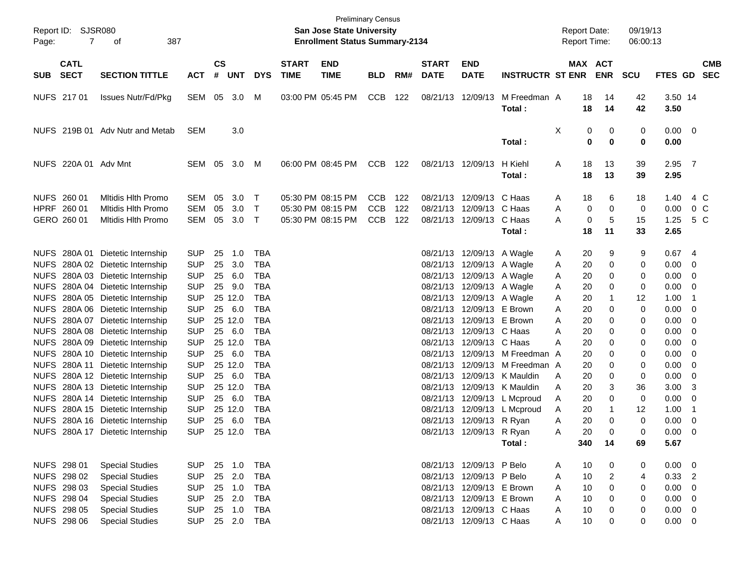| Report ID:  | SJSR080                                                                                |                                                                                                                                                                                                                                                                                                                     | <b>Preliminary Census</b><br><b>San Jose State University</b><br><b>Enrollment Status Summary-2134</b><br>387<br>оf        |                            |                                                                            |                                                                                                                            |                             |                                                             |                                        |                   |                                              |                                                                                                                                                                                                                                               |                                                                                                                                                          |                                                                                                 |                                                                  | 09/19/13                                             |                                                                        |                                                               |
|-------------|----------------------------------------------------------------------------------------|---------------------------------------------------------------------------------------------------------------------------------------------------------------------------------------------------------------------------------------------------------------------------------------------------------------------|----------------------------------------------------------------------------------------------------------------------------|----------------------------|----------------------------------------------------------------------------|----------------------------------------------------------------------------------------------------------------------------|-----------------------------|-------------------------------------------------------------|----------------------------------------|-------------------|----------------------------------------------|-----------------------------------------------------------------------------------------------------------------------------------------------------------------------------------------------------------------------------------------------|----------------------------------------------------------------------------------------------------------------------------------------------------------|-------------------------------------------------------------------------------------------------|------------------------------------------------------------------|------------------------------------------------------|------------------------------------------------------------------------|---------------------------------------------------------------|
| Page:       | 7                                                                                      |                                                                                                                                                                                                                                                                                                                     |                                                                                                                            |                            |                                                                            |                                                                                                                            |                             |                                                             |                                        |                   |                                              |                                                                                                                                                                                                                                               |                                                                                                                                                          | Report Time:                                                                                    |                                                                  | 06:00:13                                             |                                                                        |                                                               |
| <b>SUB</b>  | <b>CATL</b><br><b>SECT</b>                                                             | <b>SECTION TITTLE</b>                                                                                                                                                                                                                                                                                               | <b>ACT</b>                                                                                                                 | <b>CS</b><br>#             | <b>UNT</b>                                                                 | <b>DYS</b>                                                                                                                 | <b>START</b><br><b>TIME</b> | <b>END</b><br><b>TIME</b>                                   | <b>BLD</b>                             | RM#               | <b>START</b><br><b>DATE</b>                  | <b>END</b><br><b>DATE</b>                                                                                                                                                                                                                     | <b>INSTRUCTR ST ENR</b>                                                                                                                                  |                                                                                                 | MAX ACT<br><b>ENR</b>                                            | <b>SCU</b>                                           |                                                                        | <b>CMB</b><br>FTES GD SEC                                     |
|             | NUFS 217 01                                                                            | <b>Issues Nutr/Fd/Pkg</b>                                                                                                                                                                                                                                                                                           | SEM                                                                                                                        |                            | 05 3.0                                                                     | M                                                                                                                          |                             | 03:00 PM 05:45 PM                                           | CCB                                    | 122               |                                              | 08/21/13 12/09/13                                                                                                                                                                                                                             | M Freedman A<br>Total:                                                                                                                                   | 18<br>18                                                                                        | 14<br>14                                                         | 42<br>42                                             | 3.50 14<br>3.50                                                        |                                                               |
|             |                                                                                        | NUFS 219B 01 Adv Nutr and Metab                                                                                                                                                                                                                                                                                     | <b>SEM</b>                                                                                                                 |                            | 3.0                                                                        |                                                                                                                            |                             |                                                             |                                        |                   |                                              |                                                                                                                                                                                                                                               | Total:                                                                                                                                                   | X                                                                                               | 0<br>0<br>$\bf{0}$<br>0                                          | 0<br>0                                               | 0.00<br>0.00                                                           | $\overline{\mathbf{0}}$                                       |
|             | NUFS 220A 01 Adv Mnt                                                                   |                                                                                                                                                                                                                                                                                                                     | SEM 05 3.0                                                                                                                 |                            |                                                                            | M                                                                                                                          |                             | 06:00 PM 08:45 PM                                           | CCB                                    | 122               |                                              | 08/21/13 12/09/13                                                                                                                                                                                                                             | H Kiehl<br>Total:                                                                                                                                        | 18<br>A<br>18                                                                                   | 13<br>13                                                         | 39<br>39                                             | $2.95$ 7<br>2.95                                                       |                                                               |
|             | NUFS 260 01<br>HPRF 260 01<br>GERO 260 01                                              | <b>Mitidis Hith Promo</b><br><b>Mitidis Hith Promo</b><br><b>Mitidis Hith Promo</b>                                                                                                                                                                                                                                 | <b>SEM</b><br><b>SEM</b><br><b>SEM</b>                                                                                     | 05<br>05                   | 3.0<br>3.0<br>05 3.0                                                       | $\top$<br>$\top$<br>$\top$                                                                                                 |                             | 05:30 PM 08:15 PM<br>05:30 PM 08:15 PM<br>05:30 PM 08:15 PM | <b>CCB</b><br><b>CCB</b><br><b>CCB</b> | 122<br>122<br>122 |                                              | 08/21/13 12/09/13<br>08/21/13 12/09/13<br>08/21/13 12/09/13 C Haas                                                                                                                                                                            | C Haas<br>C Haas<br>Total:                                                                                                                               | 18<br>Α<br>Α<br>A<br>18                                                                         | 6<br>0<br>0<br>0<br>5<br>11                                      | 18<br>0<br>15<br>33                                  | 1.40<br>0.00<br>1.25<br>2.65                                           | 4 C<br>0 <sup>o</sup><br>5 C                                  |
|             | NUFS 280A 01                                                                           | Dietetic Internship<br>NUFS 280A 02 Dietetic Internship<br>NUFS 280A 03 Dietetic Internship<br>NUFS 280A 04 Dietetic Internship<br>NUFS 280A 05 Dietetic Internship<br>NUFS 280A 06 Dietetic Internship<br>NUFS 280A 07 Dietetic Internship<br>NUFS 280A 08 Dietetic Internship<br>NUFS 280A 09 Dietetic Internship | <b>SUP</b><br><b>SUP</b><br><b>SUP</b><br><b>SUP</b><br><b>SUP</b><br><b>SUP</b><br><b>SUP</b><br><b>SUP</b><br><b>SUP</b> | 25<br>25<br>25<br>25<br>25 | 1.0<br>3.0<br>6.0<br>9.0<br>25 12.0<br>6.0<br>25 12.0<br>25 6.0<br>25 12.0 | <b>TBA</b><br><b>TBA</b><br><b>TBA</b><br><b>TBA</b><br><b>TBA</b><br><b>TBA</b><br><b>TBA</b><br><b>TBA</b><br><b>TBA</b> |                             |                                                             |                                        |                   | 08/21/13<br>08/21/13                         | 08/21/13 12/09/13 A Wagle<br>08/21/13 12/09/13 A Wagle<br>08/21/13 12/09/13 A Wagle<br>08/21/13 12/09/13 A Wagle<br>08/21/13 12/09/13 A Wagle<br>08/21/13 12/09/13 E Brown<br>08/21/13 12/09/13 E Brown<br>12/09/13 C Haas<br>12/09/13 C Haas |                                                                                                                                                          | 20<br>A<br>20<br>Α<br>20<br>Α<br>20<br>Α<br>20<br>Α<br>20<br>Α<br>20<br>A<br>A<br>20<br>А<br>20 | 9<br>0<br>0<br>0<br>0<br>0<br>0<br>0                             | 9<br>0<br>0<br>0<br>12<br>$\mathbf 0$<br>0<br>0<br>0 | 0.67<br>0.00<br>0.00<br>0.00<br>1.00<br>0.00<br>0.00<br>0.00<br>0.00   | - 4<br>0<br>$\mathbf 0$<br>0<br>-1<br>0<br>0<br>0<br>0        |
| <b>NUFS</b> |                                                                                        | NUFS 280A 10 Dietetic Internship<br>NUFS 280A 11 Dietetic Internship<br>NUFS 280A 12 Dietetic Internship<br>NUFS 280A 13 Dietetic Internship<br>NUFS 280A 14 Dietetic Internship<br>280A 15 Dietetic Internship<br>NUFS 280A 16 Dietetic Internship<br>NUFS 280A 17 Dietetic Internship                             | <b>SUP</b><br><b>SUP</b><br><b>SUP</b><br><b>SUP</b><br><b>SUP</b><br><b>SUP</b><br><b>SUP</b><br>SUP 25 12.0 TBA          |                            | 25 6.0<br>25 12.0<br>25 6.0<br>25 12.0<br>25 6.0<br>25 12.0<br>25 6.0      | <b>TBA</b><br><b>TBA</b><br><b>TBA</b><br><b>TBA</b><br><b>TBA</b><br><b>TBA</b><br><b>TBA</b>                             |                             |                                                             |                                        |                   | 08/21/13<br>08/21/13<br>08/21/13<br>08/21/13 | 08/21/13 12/09/13 R Ryan<br>08/21/13 12/09/13 R Ryan                                                                                                                                                                                          | 12/09/13 M Freedman A<br>12/09/13 M Freedman A<br>12/09/13 K Mauldin<br>12/09/13 K Mauldin<br>08/21/13 12/09/13 L Mcproud<br>08/21/13 12/09/13 L Mcproud | 20<br>20<br>20<br>Α<br>20<br>Α<br>20<br>Α<br>20<br>Α<br>20<br>Α<br>20<br>Α                      | 0<br>0<br>0<br>3<br>0<br>-1<br>$\Omega$<br>0                     | 0<br>0<br>0<br>36<br>0<br>12<br>$\mathbf 0$<br>0     | 0.00<br>0.00<br>0.00<br>3.00<br>0.00<br>1.00<br>0.00<br>0.00           | 0<br>0<br>0<br>3<br>0<br>- 1<br>0<br>$\overline{\phantom{0}}$ |
|             | NUFS 298 01<br>NUFS 298 02<br>NUFS 298 03<br>NUFS 298 04<br>NUFS 298 05<br>NUFS 298 06 | <b>Special Studies</b><br><b>Special Studies</b><br><b>Special Studies</b><br><b>Special Studies</b><br><b>Special Studies</b><br><b>Special Studies</b>                                                                                                                                                            | <b>SUP</b><br><b>SUP</b><br><b>SUP</b><br><b>SUP</b><br><b>SUP</b><br><b>SUP</b>                                           | 25                         | 25 1.0<br>2.0<br>25 1.0<br>25 2.0<br>25 1.0                                | <b>TBA</b><br><b>TBA</b><br><b>TBA</b><br><b>TBA</b><br><b>TBA</b><br>25 2.0 TBA                                           |                             |                                                             |                                        |                   |                                              | 08/21/13 12/09/13 P Belo<br>08/21/13 12/09/13 P Belo<br>08/21/13 12/09/13 E Brown<br>08/21/13 12/09/13 E Brown<br>08/21/13 12/09/13 C Haas<br>08/21/13 12/09/13 C Haas                                                                        | Total:                                                                                                                                                   | 340<br>10<br>A<br>10<br>Α<br>10<br>Α<br>10<br>Α<br>10<br>Α<br>10<br>A                           | 14<br>0<br>$\overline{\mathbf{c}}$<br>$\mathbf 0$<br>0<br>0<br>0 | 69<br>0<br>4<br>0<br>0<br>0<br>0                     | 5.67<br>$0.00 \t 0$<br>$0.33$ 2<br>0.00<br>0.00<br>0.00<br>$0.00 \t 0$ | $\overline{0}$<br>$\overline{0}$<br>$\overline{\mathbf{0}}$   |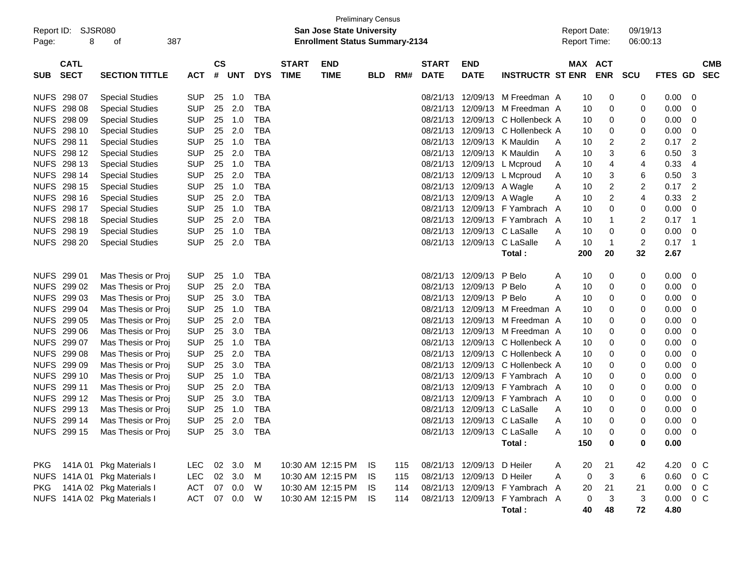| Report ID:<br>Page: | SJSR080<br>8               | 387<br>οf                      |                |                    |            |            |                             | <b>Preliminary Census</b><br><b>San Jose State University</b><br><b>Enrollment Status Summary-2134</b> |            |     |                             |                            |                                |   | <b>Report Date:</b><br><b>Report Time:</b> |                | 09/19/13<br>06:00:13    |                |                          |
|---------------------|----------------------------|--------------------------------|----------------|--------------------|------------|------------|-----------------------------|--------------------------------------------------------------------------------------------------------|------------|-----|-----------------------------|----------------------------|--------------------------------|---|--------------------------------------------|----------------|-------------------------|----------------|--------------------------|
| <b>SUB</b>          | <b>CATL</b><br><b>SECT</b> | <b>SECTION TITTLE</b>          | <b>ACT</b>     | $\mathsf{cs}$<br># | UNT        | <b>DYS</b> | <b>START</b><br><b>TIME</b> | <b>END</b><br><b>TIME</b>                                                                              | <b>BLD</b> | RM# | <b>START</b><br><b>DATE</b> | <b>END</b><br><b>DATE</b>  | <b>INSTRUCTR ST ENR</b>        |   | MAX ACT                                    | <b>ENR SCU</b> |                         | FTES GD        | <b>CMB</b><br><b>SEC</b> |
|                     | NUFS 298 07                | <b>Special Studies</b>         | <b>SUP</b>     | 25                 | 1.0        | <b>TBA</b> |                             |                                                                                                        |            |     | 08/21/13                    |                            | 12/09/13 M Freedman A          |   | 10                                         | 0              | 0                       | 0.00           | - 0                      |
|                     | NUFS 298 08                | <b>Special Studies</b>         | <b>SUP</b>     | 25                 | 2.0        | <b>TBA</b> |                             |                                                                                                        |            |     | 08/21/13                    |                            | 12/09/13 M Freedman A          |   | 10                                         | 0              | 0                       | 0.00           | 0                        |
|                     | NUFS 298 09                | <b>Special Studies</b>         | <b>SUP</b>     | 25                 | 1.0        | <b>TBA</b> |                             |                                                                                                        |            |     | 08/21/13                    | 12/09/13                   | C Hollenbeck A                 |   | 10                                         | 0              | 0                       | 0.00           | 0                        |
|                     | NUFS 298 10                | <b>Special Studies</b>         | <b>SUP</b>     | 25                 | 2.0        | <b>TBA</b> |                             |                                                                                                        |            |     | 08/21/13                    | 12/09/13                   | C Hollenbeck A                 |   | 10                                         | 0              | 0                       | 0.00           | 0                        |
|                     | NUFS 298 11                | <b>Special Studies</b>         | <b>SUP</b>     | 25                 | 1.0        | <b>TBA</b> |                             |                                                                                                        |            |     | 08/21/13                    |                            | 12/09/13 K Mauldin             | A | 10                                         | 2              | 2                       | 0.17           | $\overline{2}$           |
|                     | NUFS 298 12                | <b>Special Studies</b>         | <b>SUP</b>     | 25                 | 2.0        | <b>TBA</b> |                             |                                                                                                        |            |     | 08/21/13                    |                            | 12/09/13 K Mauldin             | A | 10                                         | 3              | 6                       | 0.50           | 3                        |
|                     | NUFS 298 13                | <b>Special Studies</b>         | <b>SUP</b>     | 25                 | 1.0        | <b>TBA</b> |                             |                                                                                                        |            |     | 08/21/13                    |                            | 12/09/13 L Mcproud             | A | 10                                         | 4              | 4                       | 0.33           | 4                        |
|                     | NUFS 298 14                | <b>Special Studies</b>         | <b>SUP</b>     | 25                 | 2.0        | <b>TBA</b> |                             |                                                                                                        |            |     | 08/21/13                    |                            | 12/09/13 L Mcproud             | A | 10                                         | 3              | 6                       | 0.50           | -3                       |
|                     | NUFS 298 15                | <b>Special Studies</b>         | <b>SUP</b>     | 25                 | 1.0        | <b>TBA</b> |                             |                                                                                                        |            |     | 08/21/13                    | 12/09/13 A Wagle           |                                | Α | 10                                         | $\overline{c}$ | 2                       | 0.17           | $\overline{2}$           |
|                     | NUFS 298 16                | <b>Special Studies</b>         | <b>SUP</b>     | 25                 | 2.0        | <b>TBA</b> |                             |                                                                                                        |            |     | 08/21/13                    | 12/09/13 A Wagle           |                                | A | 10                                         | $\overline{c}$ | 4                       | 0.33           | -2                       |
|                     | NUFS 298 17                | <b>Special Studies</b>         | <b>SUP</b>     | 25                 | 1.0        | <b>TBA</b> |                             |                                                                                                        |            |     | 08/21/13                    |                            | 12/09/13 F Yambrach            | A | 10                                         | 0              | 0                       | 0.00           | 0                        |
|                     | NUFS 298 18                | <b>Special Studies</b>         | <b>SUP</b>     | 25                 | 2.0        | <b>TBA</b> |                             |                                                                                                        |            |     | 08/21/13                    |                            | 12/09/13 F Yambrach A          |   | 10                                         | $\mathbf 1$    | 2                       | 0.17           | $\overline{1}$           |
|                     | NUFS 298 19                | <b>Special Studies</b>         | <b>SUP</b>     | 25                 | 1.0        | <b>TBA</b> |                             |                                                                                                        |            |     | 08/21/13                    |                            | 12/09/13 C LaSalle             | A | 10                                         | 0              | 0                       | 0.00           | 0                        |
|                     | NUFS 298 20                | <b>Special Studies</b>         | <b>SUP</b>     | 25                 | 2.0        | <b>TBA</b> |                             |                                                                                                        |            |     |                             | 08/21/13 12/09/13          | C LaSalle                      | A | 10                                         | $\mathbf 1$    | $\overline{\mathbf{c}}$ | 0.17           | $\overline{\phantom{1}}$ |
|                     |                            |                                |                |                    |            |            |                             |                                                                                                        |            |     |                             |                            | Total:                         |   | 200                                        | 20             | 32                      | 2.67           |                          |
|                     | NUFS 299 01                | Mas Thesis or Proj             | <b>SUP</b>     | 25                 | 1.0        | <b>TBA</b> |                             |                                                                                                        |            |     |                             | 08/21/13 12/09/13 P Belo   |                                | A | 10                                         | 0              | 0                       | 0.00           | - 0                      |
|                     | NUFS 299 02                | Mas Thesis or Proj             | <b>SUP</b>     | 25                 | 2.0        | <b>TBA</b> |                             |                                                                                                        |            |     | 08/21/13                    | 12/09/13 P Belo            |                                | A | 10                                         | 0              | 0                       | 0.00           | 0                        |
|                     | NUFS 299 03                | Mas Thesis or Proj             | <b>SUP</b>     | 25                 | 3.0        | <b>TBA</b> |                             |                                                                                                        |            |     | 08/21/13                    | 12/09/13 P Belo            |                                | A | 10                                         | 0              | 0                       | 0.00           | 0                        |
|                     | NUFS 299 04                | Mas Thesis or Proj             | <b>SUP</b>     | 25                 | 1.0        | <b>TBA</b> |                             |                                                                                                        |            |     | 08/21/13                    |                            | 12/09/13 M Freedman A          |   | 10                                         | 0              | 0                       | 0.00           | 0                        |
|                     | NUFS 299 05                | Mas Thesis or Proj             | <b>SUP</b>     | 25                 | 2.0        | <b>TBA</b> |                             |                                                                                                        |            |     | 08/21/13                    |                            | 12/09/13 M Freedman A          |   | 10                                         | 0              | 0                       | 0.00           | 0                        |
|                     | NUFS 299 06                | Mas Thesis or Proj             | <b>SUP</b>     | 25                 | 3.0        | <b>TBA</b> |                             |                                                                                                        |            |     | 08/21/13                    |                            | 12/09/13 M Freedman A          |   | 10                                         | 0              | 0                       | 0.00           | 0                        |
|                     | NUFS 299 07                | Mas Thesis or Proj             | <b>SUP</b>     | 25                 | 1.0        | <b>TBA</b> |                             |                                                                                                        |            |     | 08/21/13                    |                            | 12/09/13 C Hollenbeck A        |   | 10                                         | 0              | 0                       | 0.00           | 0                        |
|                     | NUFS 299 08                | Mas Thesis or Proj             | <b>SUP</b>     | 25                 | 2.0        | <b>TBA</b> |                             |                                                                                                        |            |     | 08/21/13                    |                            | 12/09/13 C Hollenbeck A        |   | 10                                         | 0              | 0                       | 0.00           | 0                        |
|                     | NUFS 299 09                | Mas Thesis or Proj             | <b>SUP</b>     | 25                 | 3.0        | <b>TBA</b> |                             |                                                                                                        |            |     | 08/21/13                    | 12/09/13                   | C Hollenbeck A                 |   | 10                                         | 0              | 0                       | 0.00           | 0                        |
|                     | NUFS 299 10                | Mas Thesis or Proj             | <b>SUP</b>     | 25                 | 1.0        | <b>TBA</b> |                             |                                                                                                        |            |     | 08/21/13                    |                            | 12/09/13 F Yambrach A          |   | 10                                         | 0              | 0                       | 0.00           | 0                        |
|                     | NUFS 299 11                | Mas Thesis or Proj             | <b>SUP</b>     | 25                 | 2.0        | <b>TBA</b> |                             |                                                                                                        |            |     | 08/21/13                    |                            | 12/09/13 F Yambrach A          |   | 10                                         | 0              | 0                       | 0.00           | 0                        |
|                     | NUFS 299 12                | Mas Thesis or Proj             | <b>SUP</b>     | 25                 | 3.0        | <b>TBA</b> |                             |                                                                                                        |            |     | 08/21/13                    |                            | 12/09/13 F Yambrach A          |   | 10                                         | 0              | 0                       | 0.00           | 0                        |
|                     | NUFS 299 13                | Mas Thesis or Proj             | <b>SUP</b>     | 25                 | 1.0        | <b>TBA</b> |                             |                                                                                                        |            |     | 08/21/13                    |                            | 12/09/13 C LaSalle             | Α | 10                                         | 0              | 0                       | 0.00           | 0                        |
|                     | NUFS 299 14                | Mas Thesis or Proj             | <b>SUP</b>     | 25                 | 2.0        | <b>TBA</b> |                             |                                                                                                        |            |     |                             |                            | 08/21/13 12/09/13 C LaSalle    | A | 10                                         | $\Omega$       | 0                       | 0.00           | 0                        |
|                     |                            | NUFS 299 15 Mas Thesis or Proj | SUP 25 3.0 TBA |                    |            |            |                             |                                                                                                        |            |     |                             |                            | 08/21/13 12/09/13 C LaSalle    | A | 10                                         | 0              | 0                       | $0.00 \quad 0$ |                          |
|                     |                            |                                |                |                    |            |            |                             |                                                                                                        |            |     |                             |                            | Total:                         |   | 150                                        | 0              | 0                       | 0.00           |                          |
|                     |                            | PKG 141A 01 Pkg Materials I    | LEC.           |                    | 02 3.0 M   |            |                             | 10:30 AM 12:15 PM IS                                                                                   |            | 115 |                             | 08/21/13 12/09/13 D Heiler |                                | A | 20                                         | 21             | 42                      | 4.20           | 0 C                      |
|                     |                            | NUFS 141A 01 Pkg Materials I   | LEC.           |                    | 02 3.0     | M          |                             | 10:30 AM 12:15 PM IS                                                                                   |            | 115 |                             | 08/21/13 12/09/13 D Heiler |                                | A | 0                                          | 3              | 6                       | 0.60           | $0\,C$                   |
| <b>PKG</b>          |                            | 141A 02 Pkg Materials I        | ACT            |                    | 07 0.0     | W          |                             | 10:30 AM 12:15 PM IS                                                                                   |            | 114 |                             |                            | 08/21/13 12/09/13 F Yambrach A |   | 20                                         | 21             | 21                      | 0.00           | $0\,C$                   |
|                     |                            | NUFS 141A 02 Pkg Materials I   | <b>ACT</b>     |                    | 07  0.0  W |            |                             | 10:30 AM 12:15 PM IS                                                                                   |            | 114 |                             |                            | 08/21/13 12/09/13 F Yambrach A |   | 0                                          | 3              | 3                       | 0.00           | $0\,C$                   |
|                     |                            |                                |                |                    |            |            |                             |                                                                                                        |            |     |                             |                            | Total:                         |   | 40                                         | 48             | 72                      | 4.80           |                          |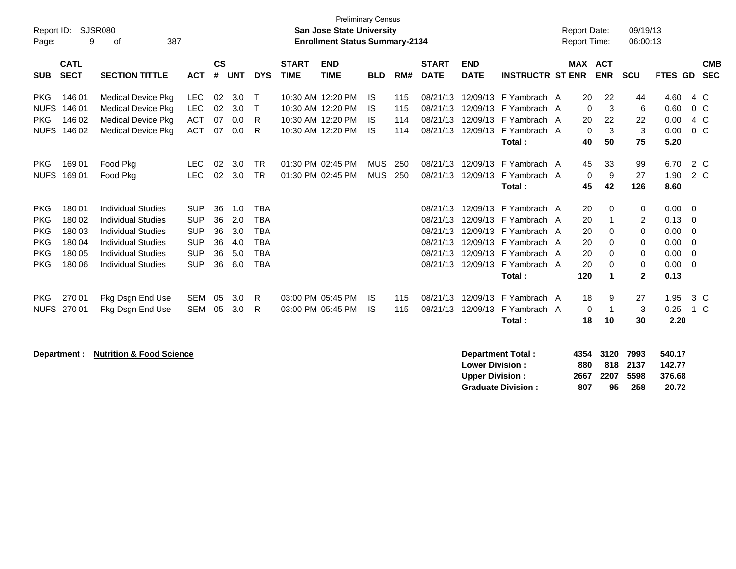| Report ID:<br>Page:                                                              | 9                                                        | SJSR080<br>387<br>оf                                                                                                                                                       |                                                                                  |                                  |                                        |                                                                                  |                             | <b>Preliminary Census</b><br><b>San Jose State University</b><br><b>Enrollment Status Summary-2134</b> |                          |                          |                                                                      |                                                          |                                                                                                                 | <b>Report Date:</b><br><b>Report Time:</b> |                                            |                                   | 09/19/13<br>06:00:13                         |                                                      |                                        |
|----------------------------------------------------------------------------------|----------------------------------------------------------|----------------------------------------------------------------------------------------------------------------------------------------------------------------------------|----------------------------------------------------------------------------------|----------------------------------|----------------------------------------|----------------------------------------------------------------------------------|-----------------------------|--------------------------------------------------------------------------------------------------------|--------------------------|--------------------------|----------------------------------------------------------------------|----------------------------------------------------------|-----------------------------------------------------------------------------------------------------------------|--------------------------------------------|--------------------------------------------|-----------------------------------|----------------------------------------------|------------------------------------------------------|----------------------------------------|
| <b>SUB</b>                                                                       | <b>CATL</b><br><b>SECT</b>                               | <b>SECTION TITTLE</b>                                                                                                                                                      | <b>ACT</b>                                                                       | $\mathsf{cs}$<br>#               | <b>UNT</b>                             | <b>DYS</b>                                                                       | <b>START</b><br><b>TIME</b> | <b>END</b><br><b>TIME</b>                                                                              | <b>BLD</b>               | RM#                      | <b>START</b><br><b>DATE</b>                                          | <b>END</b><br><b>DATE</b>                                | <b>INSTRUCTR ST ENR</b>                                                                                         |                                            | MAX ACT                                    | <b>ENR</b>                        | <b>SCU</b>                                   | <b>FTES GD</b>                                       | <b>CMB</b><br><b>SEC</b>               |
| <b>PKG</b><br><b>NUFS</b><br><b>PKG</b><br><b>NUFS</b>                           | 146 01<br>146 01<br>146 02<br>146 02                     | <b>Medical Device Pkg</b><br><b>Medical Device Pkg</b><br><b>Medical Device Pkg</b><br><b>Medical Device Pkg</b>                                                           | <b>LEC</b><br><b>LEC</b><br><b>ACT</b><br><b>ACT</b>                             | 02<br>02<br>07<br>07             | 3.0<br>3.0<br>0.0<br>0.0               | Т<br>R<br>R                                                                      |                             | 10:30 AM 12:20 PM<br>10:30 AM 12:20 PM<br>10:30 AM 12:20 PM<br>10:30 AM 12:20 PM                       | IS<br>IS<br>IS<br>IS     | 115<br>115<br>114<br>114 | 08/21/13<br>08/21/13<br>08/21/13<br>08/21/13                         | 12/09/13<br>12/09/13<br>12/09/13<br>12/09/13             | F Yambrach A<br>F Yambrach A<br>F Yambrach A<br>F Yambrach A<br>Total:                                          |                                            | 20<br>$\Omega$<br>20<br>$\mathbf{0}$<br>40 | 22<br>3<br>22<br>3<br>50          | 44<br>6<br>22<br>$\mathbf{3}$<br>75          | 4.60<br>0.60<br>0.00<br>0.00<br>5.20                 | 4 C<br>0 <sup>C</sup><br>4 C<br>$0\,C$ |
| <b>PKG</b><br><b>NUFS</b>                                                        | 169 01<br>169 01                                         | Food Pkg<br>Food Pkg                                                                                                                                                       | <b>LEC</b><br><b>LEC</b>                                                         | 02<br>02                         | 3.0<br>3.0                             | <b>TR</b><br><b>TR</b>                                                           |                             | 01:30 PM 02:45 PM<br>01:30 PM 02:45 PM                                                                 | <b>MUS</b><br><b>MUS</b> | 250<br>250               | 08/21/13<br>08/21/13                                                 | 12/09/13<br>12/09/13                                     | F Yambrach A<br>F Yambrach A<br>Total:                                                                          |                                            | 45<br>$\mathbf{0}$<br>45                   | 33<br>9<br>42                     | 99<br>27<br>126                              | 6.70<br>1.90<br>8.60                                 | 2 C<br>2 C                             |
| <b>PKG</b><br><b>PKG</b><br><b>PKG</b><br><b>PKG</b><br><b>PKG</b><br><b>PKG</b> | 180 01<br>180 02<br>180 03<br>180 04<br>180 05<br>180 06 | <b>Individual Studies</b><br><b>Individual Studies</b><br><b>Individual Studies</b><br><b>Individual Studies</b><br><b>Individual Studies</b><br><b>Individual Studies</b> | <b>SUP</b><br><b>SUP</b><br><b>SUP</b><br><b>SUP</b><br><b>SUP</b><br><b>SUP</b> | 36<br>36<br>36<br>36<br>36<br>36 | 1.0<br>2.0<br>3.0<br>4.0<br>5.0<br>6.0 | <b>TBA</b><br><b>TBA</b><br><b>TBA</b><br><b>TBA</b><br><b>TBA</b><br><b>TBA</b> |                             |                                                                                                        |                          |                          | 08/21/13<br>08/21/13<br>08/21/13<br>08/21/13<br>08/21/13<br>08/21/13 | 12/09/13<br>12/09/13<br>12/09/13<br>12/09/13<br>12/09/13 | F Yambrach A<br>F Yambrach A<br>F Yambrach A<br>F Yambrach A<br>12/09/13 F Yambrach A<br>F Yambrach A<br>Total: |                                            | 20<br>20<br>20<br>20<br>20<br>20<br>120    | 0<br>0<br>0<br>$\Omega$<br>0<br>1 | 0<br>2<br>0<br>0<br>0<br>0<br>$\overline{2}$ | 0.00<br>0.13<br>0.00<br>0.00<br>0.00<br>0.00<br>0.13 | - 0<br>- 0<br>- 0<br>- 0<br>- 0<br>- 0 |
| <b>PKG</b><br><b>NUFS</b>                                                        | 270 01<br>270 01                                         | Pkg Dsgn End Use<br>Pkg Dsgn End Use                                                                                                                                       | <b>SEM</b><br><b>SEM</b>                                                         | 05<br>05                         | 3.0<br>3.0                             | R<br>R                                                                           |                             | 03:00 PM 05:45 PM<br>03:00 PM 05:45 PM                                                                 | IS<br>IS                 | 115<br>115               | 08/21/13<br>08/21/13                                                 | 12/09/13<br>12/09/13                                     | F Yambrach A<br>F Yambrach A<br>Total:                                                                          |                                            | 18<br>0<br>18                              | 9<br>-1<br>10                     | 27<br>3<br>30                                | 1.95<br>0.25<br>2.20                                 | 3 C<br>1 C                             |

**Department : Nutrition & Food Science Department : Nutrition & Food Science Department in the State State State Inc.** 

| <b>Department Total:</b>  |     | 4354 3120 7993 |          | 540.17 |
|---------------------------|-----|----------------|----------|--------|
| <b>Lower Division :</b>   | 880 |                | 818 2137 | 142.77 |
| <b>Upper Division :</b>   |     | 2667 2207 5598 |          | 376.68 |
| <b>Graduate Division:</b> | 807 | 95             | -258     | 20.72  |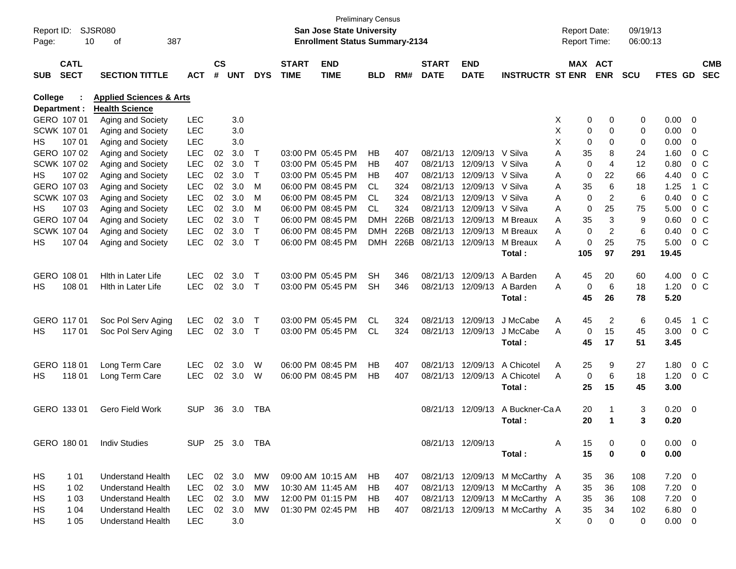| Report ID:<br>Page: |                    | <b>SJSR080</b><br>387<br>10<br>of  |            |               |            |              |              | San Jose State University<br><b>Enrollment Status Summary-2134</b> | <b>Preliminary Census</b> |      |              |                           |                                |    | <b>Report Date:</b><br>Report Time: |            | 09/19/13<br>06:00:13 |             |                          |                |
|---------------------|--------------------|------------------------------------|------------|---------------|------------|--------------|--------------|--------------------------------------------------------------------|---------------------------|------|--------------|---------------------------|--------------------------------|----|-------------------------------------|------------|----------------------|-------------|--------------------------|----------------|
|                     | <b>CATL</b>        |                                    |            | $\mathsf{cs}$ |            |              | <b>START</b> | <b>END</b>                                                         |                           |      | <b>START</b> | <b>END</b>                |                                |    | MAX ACT                             |            |                      |             |                          | <b>CMB</b>     |
| <b>SUB</b>          | <b>SECT</b>        | <b>SECTION TITTLE</b>              | <b>ACT</b> | #             | <b>UNT</b> | <b>DYS</b>   | <b>TIME</b>  | <b>TIME</b>                                                        | <b>BLD</b>                | RM#  | <b>DATE</b>  | <b>DATE</b>               | <b>INSTRUCTR ST ENR</b>        |    |                                     | <b>ENR</b> | <b>SCU</b>           | FTES GD     |                          | <b>SEC</b>     |
| College             |                    | <b>Applied Sciences &amp; Arts</b> |            |               |            |              |              |                                                                    |                           |      |              |                           |                                |    |                                     |            |                      |             |                          |                |
|                     | Department :       | <b>Health Science</b>              |            |               |            |              |              |                                                                    |                           |      |              |                           |                                |    |                                     |            |                      |             |                          |                |
|                     | GERO 107 01        | Aging and Society                  | <b>LEC</b> |               | 3.0        |              |              |                                                                    |                           |      |              |                           |                                | X. | 0                                   | 0          | 0                    | $0.00 \t 0$ |                          |                |
|                     | SCWK 107 01        | Aging and Society                  | <b>LEC</b> |               | 3.0        |              |              |                                                                    |                           |      |              |                           |                                | X  | 0                                   | 0          | 0                    | 0.00        | $\overline{\phantom{0}}$ |                |
| НS                  | 107 01             | Aging and Society                  | <b>LEC</b> |               | 3.0        |              |              |                                                                    |                           |      |              |                           |                                | X  | 0                                   | $\Omega$   | 0                    | 0.00        | $\mathbf 0$              |                |
|                     | GERO 107 02        | Aging and Society                  | <b>LEC</b> | 02            | 3.0        | T            |              | 03:00 PM 05:45 PM                                                  | НB                        | 407  |              | 08/21/13 12/09/13 V Silva |                                | Α  | 35                                  | 8          | 24                   | 1.60        |                          | $0\,C$         |
|                     | SCWK 107 02        | Aging and Society                  | <b>LEC</b> | 02            | 3.0        | $\top$       |              | 03:00 PM 05:45 PM                                                  | НB                        | 407  |              | 08/21/13 12/09/13 V Silva |                                | Α  | 0                                   | 4          | 12                   | 0.80        |                          | 0 <sup>o</sup> |
| HS.                 | 107 02             | Aging and Society                  | <b>LEC</b> | 02            | 3.0        | $\top$       |              | 03:00 PM 05:45 PM                                                  | НB                        | 407  |              | 08/21/13 12/09/13 V Silva |                                | Α  | 0                                   | 22         | 66                   | 4.40        |                          | 0 <sup>o</sup> |
|                     | GERO 107 03        | Aging and Society                  | <b>LEC</b> | 02            | 3.0        | м            |              | 06:00 PM 08:45 PM                                                  | CL.                       | 324  |              | 08/21/13 12/09/13 V Silva |                                | Α  | 35                                  | 6          | 18                   | 1.25        |                          | 1 C            |
|                     | SCWK 107 03        | Aging and Society                  | <b>LEC</b> | 02            | 3.0        | м            |              | 06:00 PM 08:45 PM                                                  | <b>CL</b>                 | 324  |              | 08/21/13 12/09/13 V Silva |                                | Α  | 0                                   | 2          | 6                    | 0.40        |                          | 0 <sup>o</sup> |
| НS                  | 107 03             | Aging and Society                  | <b>LEC</b> | 02            | 3.0        | M            |              | 06:00 PM 08:45 PM                                                  | <b>CL</b>                 | 324  | 08/21/13     | 12/09/13 V Silva          |                                | Α  | $\mathbf 0$                         | 25         | 75                   | 5.00        |                          | 0 <sup>o</sup> |
|                     | GERO 107 04        | Aging and Society                  | <b>LEC</b> | 02            | 3.0        | $\top$       |              | 06:00 PM 08:45 PM                                                  | DMH                       | 226B | 08/21/13     | 12/09/13                  | M Breaux                       | Α  | 35                                  | 3          | 9                    | 0.60        |                          | 0 <sup>o</sup> |
|                     | <b>SCWK 107 04</b> | Aging and Society                  | <b>LEC</b> | 02            | 3.0        | $\mathsf{T}$ |              | 06:00 PM 08:45 PM                                                  | <b>DMH</b>                | 226B |              | 08/21/13 12/09/13         | M Breaux                       | Α  | 0                                   | 2          | 6                    | 0.40        |                          | 0 <sup>o</sup> |
| НS                  | 107 04             | Aging and Society                  | <b>LEC</b> | 02            | 3.0        | $\top$       |              | 06:00 PM 08:45 PM                                                  | DMH                       | 226B |              | 08/21/13 12/09/13         | M Breaux                       | A  | 0                                   | 25         | 75                   | 5.00        |                          | 0 <sup>o</sup> |
|                     |                    |                                    |            |               |            |              |              |                                                                    |                           |      |              |                           | Total:                         |    | 105                                 | 97         | 291                  | 19.45       |                          |                |
|                     | GERO 108 01        | Hith in Later Life                 | <b>LEC</b> | 02            | 3.0        | Т            |              | 03:00 PM 05:45 PM                                                  | <b>SH</b>                 | 346  |              | 08/21/13 12/09/13         | A Barden                       | Α  | 45                                  | 20         | 60                   | 4.00        |                          | 0 C            |
| НS                  | 108 01             | Hith in Later Life                 | <b>LEC</b> | 02            | 3.0        | $\top$       |              | 03:00 PM 05:45 PM                                                  | <b>SH</b>                 | 346  |              | 08/21/13 12/09/13         | A Barden                       | Α  | $\mathbf 0$                         | 6          | 18                   | 1.20        |                          | 0 <sup>o</sup> |
|                     |                    |                                    |            |               |            |              |              |                                                                    |                           |      |              |                           | Total:                         |    | 45                                  | 26         | 78                   | 5.20        |                          |                |
|                     | GERO 117 01        | Soc Pol Serv Aging                 | <b>LEC</b> | 02            | 3.0        | $\top$       |              | 03:00 PM 05:45 PM                                                  | <b>CL</b>                 | 324  |              | 08/21/13 12/09/13         | J McCabe                       | Α  | 45                                  | 2          | 6                    | 0.45        |                          | 1 C            |
| HS.                 | 11701              | Soc Pol Serv Aging                 | <b>LEC</b> | 02            | 3.0        | $\top$       |              | 03:00 PM 05:45 PM                                                  | <b>CL</b>                 | 324  |              | 08/21/13 12/09/13         | J McCabe                       | A  | 0                                   | 15         | 45                   | 3.00        |                          | 0 <sup>o</sup> |
|                     |                    |                                    |            |               |            |              |              |                                                                    |                           |      |              |                           | Total:                         |    | 45                                  | 17         | 51                   | 3.45        |                          |                |
|                     | GERO 118 01        | Long Term Care                     | <b>LEC</b> | 02            | 3.0        | W            |              | 06:00 PM 08:45 PM                                                  | НB                        | 407  |              | 08/21/13 12/09/13         | A Chicotel                     | Α  | 25                                  | 9          | 27                   | 1.80        |                          | 0 C            |
| HS.                 | 11801              | Long Term Care                     | <b>LEC</b> | 02            | 3.0        | W            |              | 06:00 PM 08:45 PM                                                  | НB                        | 407  |              | 08/21/13 12/09/13         | A Chicotel                     | A  | $\mathbf 0$                         | 6          | 18                   | 1.20        |                          | 0 <sup>o</sup> |
|                     |                    |                                    |            |               |            |              |              |                                                                    |                           |      |              |                           | Total:                         |    | 25                                  | 15         | 45                   | 3.00        |                          |                |
|                     |                    |                                    |            |               |            |              |              |                                                                    |                           |      |              |                           |                                |    |                                     |            |                      |             |                          |                |
|                     | GERO 133 01        | Gero Field Work                    | <b>SUP</b> | 36            | 3.0        | <b>TBA</b>   |              |                                                                    |                           |      |              | 08/21/13 12/09/13         | A Buckner-Ca A                 |    | 20                                  |            | 3                    | $0.20 \ 0$  |                          |                |
|                     |                    |                                    |            |               |            |              |              |                                                                    |                           |      |              |                           | Total :                        |    | 20                                  | 1          | 3                    | 0.20        |                          |                |
|                     |                    |                                    |            |               |            |              |              |                                                                    |                           |      |              |                           |                                |    |                                     |            |                      |             |                          |                |
|                     | GERO 180 01        | <b>Indiv Studies</b>               | <b>SUP</b> |               | 25 3.0 TBA |              |              |                                                                    |                           |      |              | 08/21/13 12/09/13         |                                | Α  | 15                                  | 0          | 0                    | $0.00 \t 0$ |                          |                |
|                     |                    |                                    |            |               |            |              |              |                                                                    |                           |      |              |                           | Total:                         |    | 15                                  | 0          | 0                    | 0.00        |                          |                |
| HS                  | 1 0 1              | <b>Understand Health</b>           | LEC        |               | 02 3.0     | МW           |              | 09:00 AM 10:15 AM                                                  | HB.                       | 407  |              |                           | 08/21/13 12/09/13 M McCarthy A |    | 35                                  | 36         | 108                  | $7.20 \t 0$ |                          |                |
| HS.                 | 1 0 2              | <b>Understand Health</b>           | <b>LEC</b> |               | 02 3.0     | МW           |              | 10:30 AM 11:45 AM                                                  | HB                        | 407  |              |                           | 08/21/13 12/09/13 M McCarthy A |    | 35                                  | 36         | 108                  | $7.20 \t 0$ |                          |                |
| HS.                 | 1 0 3              | <b>Understand Health</b>           | <b>LEC</b> |               | 02 3.0     | МW           |              | 12:00 PM 01:15 PM                                                  | HB.                       | 407  |              |                           | 08/21/13 12/09/13 M McCarthy A |    | 35                                  | 36         | 108                  | $7.20 \t 0$ |                          |                |
| HS                  | 1 04               | <b>Understand Health</b>           | <b>LEC</b> |               | 02 3.0     | МW           |              | 01:30 PM 02:45 PM                                                  | HB.                       | 407  |              |                           | 08/21/13 12/09/13 M McCarthy A |    | 35                                  | 34         | 102                  | $6.80\ 0$   |                          |                |
| HS.                 | 1 0 5              | <b>Understand Health</b>           | <b>LEC</b> |               | 3.0        |              |              |                                                                    |                           |      |              |                           |                                | X. | $\mathbf 0$                         | 0          | 0                    | $0.00 \t 0$ |                          |                |
|                     |                    |                                    |            |               |            |              |              |                                                                    |                           |      |              |                           |                                |    |                                     |            |                      |             |                          |                |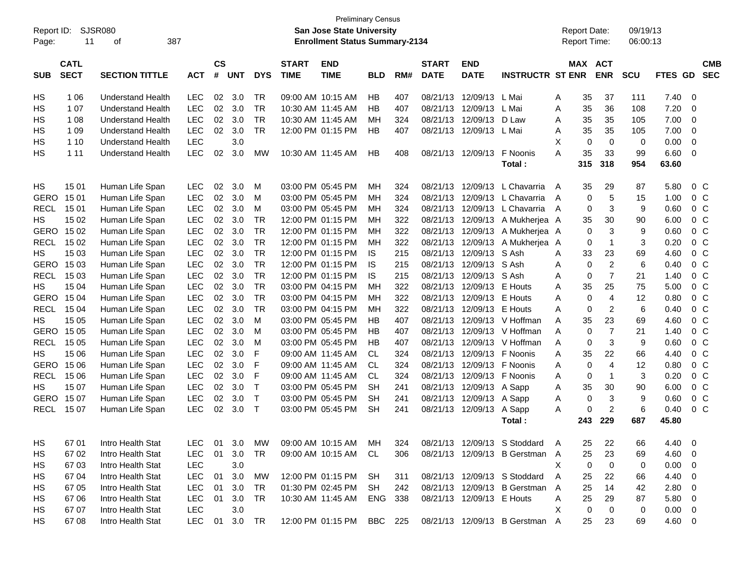|             | <b>Preliminary Census</b><br><b>SJSR080</b><br>San Jose State University<br>Report ID: |                          |            |               |            |              |                   |                                       |            |     |              |                           |                                |   |                     |                |            |             |                  |
|-------------|----------------------------------------------------------------------------------------|--------------------------|------------|---------------|------------|--------------|-------------------|---------------------------------------|------------|-----|--------------|---------------------------|--------------------------------|---|---------------------|----------------|------------|-------------|------------------|
|             |                                                                                        |                          |            |               |            |              |                   |                                       |            |     |              |                           |                                |   | <b>Report Date:</b> |                | 09/19/13   |             |                  |
| Page:       | 11                                                                                     | 387<br>οf                |            |               |            |              |                   | <b>Enrollment Status Summary-2134</b> |            |     |              |                           |                                |   | <b>Report Time:</b> |                | 06:00:13   |             |                  |
|             | <b>CATL</b>                                                                            |                          |            | $\mathsf{cs}$ |            |              | <b>START</b>      | <b>END</b>                            |            |     | <b>START</b> | <b>END</b>                |                                |   | MAX ACT             |                |            |             | <b>CMB</b>       |
| <b>SUB</b>  | <b>SECT</b>                                                                            | <b>SECTION TITTLE</b>    | <b>ACT</b> | #             | <b>UNT</b> | <b>DYS</b>   | <b>TIME</b>       | <b>TIME</b>                           | <b>BLD</b> | RM# | <b>DATE</b>  | <b>DATE</b>               | <b>INSTRUCTR ST ENR</b>        |   |                     | <b>ENR</b>     | <b>SCU</b> | <b>FTES</b> | GD<br><b>SEC</b> |
| HS          | 1 0 6                                                                                  | <b>Understand Health</b> | <b>LEC</b> | 02            | 3.0        | TR           | 09:00 AM 10:15 AM |                                       | HB         | 407 | 08/21/13     | 12/09/13 L Mai            |                                | A | 35                  | 37             | 111        | 7.40        | 0                |
| HS          | 1 0 7                                                                                  | <b>Understand Health</b> | <b>LEC</b> | 02            | 3.0        | <b>TR</b>    | 10:30 AM 11:45 AM |                                       | HB         | 407 | 08/21/13     | 12/09/13                  | L Mai                          | Α | 35                  | 36             | 108        | 7.20        | 0                |
| HS          | 1 0 8                                                                                  | <b>Understand Health</b> | <b>LEC</b> | 02            | 3.0        | <b>TR</b>    | 10:30 AM 11:45 AM |                                       | MН         | 324 | 08/21/13     | 12/09/13                  | D Law                          | A | 35                  | 35             | 105        | 7.00        | 0                |
| HS          | 1 0 9                                                                                  | <b>Understand Health</b> | <b>LEC</b> | 02            | 3.0        | <b>TR</b>    | 12:00 PM 01:15 PM |                                       | HB         | 407 | 08/21/13     | 12/09/13 L Mai            |                                | A | 35                  | 35             | 105        | 7.00        | 0                |
| HS          | 1 10                                                                                   | <b>Understand Health</b> | <b>LEC</b> |               | 3.0        |              |                   |                                       |            |     |              |                           |                                | X | $\mathbf 0$         | $\mathbf 0$    | 0          | 0.00        | 0                |
| HS          | 1 1 1                                                                                  | <b>Understand Health</b> | <b>LEC</b> | 02            | 3.0        | МW           | 10:30 AM 11:45 AM |                                       | HB         | 408 |              | 08/21/13 12/09/13         | F Noonis                       | Α | 35                  | 33             | 99         | 6.60        | 0                |
|             |                                                                                        |                          |            |               |            |              |                   |                                       |            |     |              |                           | Total:                         |   | 315                 | 318            | 954        | 63.60       |                  |
| HS          | 15 01                                                                                  | Human Life Span          | <b>LEC</b> | 02            | 3.0        | M            | 03:00 PM 05:45 PM |                                       | MН         | 324 | 08/21/13     | 12/09/13                  | L Chavarria                    | A | 35                  | 29             | 87         | 5.80        | 0 <sup>C</sup>   |
| <b>GERO</b> | 15 01                                                                                  | Human Life Span          | <b>LEC</b> | 02            | 3.0        | M            | 03:00 PM 05:45 PM |                                       | MН         | 324 | 08/21/13     | 12/09/13                  | L Chavarria                    | A | 0                   | 5              | 15         | 1.00        | 0 <sup>o</sup>   |
| <b>RECL</b> | 15 01                                                                                  | Human Life Span          | <b>LEC</b> | 02            | 3.0        | м            | 03:00 PM 05:45 PM |                                       | MН         | 324 | 08/21/13     | 12/09/13                  | L Chavarria                    | A | 0                   | 3              | 9          | 0.60        | 0 <sup>o</sup>   |
| HS          | 15 02                                                                                  | Human Life Span          | <b>LEC</b> | 02            | 3.0        | <b>TR</b>    | 12:00 PM 01:15 PM |                                       | MН         | 322 | 08/21/13     | 12/09/13                  | A Mukherjea A                  |   | 35                  | 30             | 90         | 6.00        | 0 <sup>o</sup>   |
| <b>GERO</b> | 15 02                                                                                  | Human Life Span          | <b>LEC</b> | 02            | 3.0        | <b>TR</b>    | 12:00 PM 01:15 PM |                                       | МH         | 322 | 08/21/13     | 12/09/13                  | A Mukherjea A                  |   | 0                   | 3              | 9          | 0.60        | 0 <sup>o</sup>   |
| <b>RECL</b> | 15 02                                                                                  | Human Life Span          | <b>LEC</b> | 02            | 3.0        | <b>TR</b>    | 12:00 PM 01:15 PM |                                       | МH         | 322 | 08/21/13     | 12/09/13                  | A Mukherjea A                  |   | 0                   | $\mathbf{1}$   | 3          | 0.20        | 0 <sup>o</sup>   |
| НS          | 15 03                                                                                  | Human Life Span          | <b>LEC</b> | 02            | 3.0        | <b>TR</b>    |                   | 12:00 PM 01:15 PM                     | IS         | 215 | 08/21/13     | 12/09/13                  | S Ash                          | A | 33                  | 23             | 69         | 4.60        | 0 <sup>o</sup>   |
| <b>GERO</b> | 15 03                                                                                  | Human Life Span          | <b>LEC</b> | 02            | 3.0        | <b>TR</b>    |                   | 12:00 PM 01:15 PM                     | IS         | 215 | 08/21/13     | 12/09/13                  | S Ash                          | Α | 0                   | $\overline{c}$ | 6          | 0.40        | 0 <sup>o</sup>   |
| <b>RECL</b> | 15 03                                                                                  | Human Life Span          | <b>LEC</b> | 02            | 3.0        | <b>TR</b>    |                   | 12:00 PM 01:15 PM                     | IS         | 215 | 08/21/13     | 12/09/13                  | S Ash                          | Α | 0                   | $\overline{7}$ | 21         | 1.40        | 0 <sup>o</sup>   |
| НS          | 15 04                                                                                  | Human Life Span          | <b>LEC</b> | 02            | 3.0        | <b>TR</b>    | 03:00 PM 04:15 PM |                                       | MН         | 322 | 08/21/13     | 12/09/13                  | E Houts                        | Α | 35                  | 25             | 75         | 5.00        | 0 <sup>o</sup>   |
| <b>GERO</b> | 15 04                                                                                  | Human Life Span          | <b>LEC</b> | 02            | 3.0        | <b>TR</b>    | 03:00 PM 04:15 PM |                                       | MН         | 322 | 08/21/13     | 12/09/13                  | E Houts                        | A | 0                   | $\overline{4}$ | 12         | 0.80        | 0 <sup>o</sup>   |
| <b>RECL</b> | 15 04                                                                                  | Human Life Span          | <b>LEC</b> | 02            | 3.0        | <b>TR</b>    | 03:00 PM 04:15 PM |                                       | MН         | 322 | 08/21/13     | 12/09/13                  | E Houts                        | A | 0                   | $\overline{2}$ | 6          | 0.40        | 0 <sup>o</sup>   |
| HS          | 15 05                                                                                  | Human Life Span          | <b>LEC</b> | 02            | 3.0        | м            | 03:00 PM 05:45 PM |                                       | HB         | 407 | 08/21/13     |                           | 12/09/13 V Hoffman             | A | 35                  | 23             | 69         | 4.60        | 0 <sup>o</sup>   |
| <b>GERO</b> | 15 05                                                                                  | Human Life Span          | <b>LEC</b> | 02            | 3.0        | м            | 03:00 PM 05:45 PM |                                       | HB         | 407 | 08/21/13     |                           | 12/09/13 V Hoffman             | Α | 0                   | $\overline{7}$ | 21         | 1.40        | 0 <sup>o</sup>   |
| <b>RECL</b> | 15 05                                                                                  | Human Life Span          | <b>LEC</b> | 02            | 3.0        | м            | 03:00 PM 05:45 PM |                                       | HB         | 407 | 08/21/13     |                           | 12/09/13 V Hoffman             | A | $\mathbf 0$         | 3              | 9          | 0.60        | 0 <sup>o</sup>   |
| HS          | 15 06                                                                                  | Human Life Span          | <b>LEC</b> | 02            | 3.0        | F            | 09:00 AM 11:45 AM |                                       | <b>CL</b>  | 324 | 08/21/13     | 12/09/13                  | F Noonis                       | Α | 35                  | 22             | 66         | 4.40        | 0 <sup>o</sup>   |
| <b>GERO</b> | 15 06                                                                                  | Human Life Span          | <b>LEC</b> | 02            | 3.0        | F            | 09:00 AM 11:45 AM |                                       | <b>CL</b>  | 324 | 08/21/13     | 12/09/13                  | F Noonis                       | Α | $\mathbf 0$         | $\overline{4}$ | 12         | 0.80        | 0 <sup>o</sup>   |
| <b>RECL</b> | 15 06                                                                                  | Human Life Span          | <b>LEC</b> | 02            | 3.0        | F            | 09:00 AM 11:45 AM |                                       | CL         | 324 | 08/21/13     | 12/09/13                  | F Noonis                       | A | 0                   | $\mathbf{1}$   | 3          | 0.20        | 0 <sup>o</sup>   |
| HS          | 15 07                                                                                  | Human Life Span          | <b>LEC</b> | 02            | 3.0        | $\mathsf T$  | 03:00 PM 05:45 PM |                                       | <b>SH</b>  | 241 | 08/21/13     | 12/09/13                  | A Sapp                         | Α | 35                  | 30             | 90         | 6.00        | 0 <sup>o</sup>   |
| GERO        | 15 07                                                                                  | Human Life Span          | <b>LEC</b> | 02            | 3.0        | $\mathsf{T}$ | 03:00 PM 05:45 PM |                                       | <b>SH</b>  | 241 | 08/21/13     | 12/09/13                  | A Sapp                         | A | 0                   | 3              | 9          | 0.60        | 0 <sup>o</sup>   |
| <b>RECL</b> | 15 07                                                                                  | Human Life Span          | <b>LEC</b> | 02            | 3.0        | $\mathsf{T}$ | 03:00 PM 05:45 PM |                                       | <b>SH</b>  | 241 | 08/21/13     | 12/09/13                  | A Sapp                         | A | $\mathbf 0$         | $\overline{2}$ | 6          | 0.40        | 0 <sup>o</sup>   |
|             |                                                                                        |                          |            |               |            |              |                   |                                       |            |     |              |                           | Total:                         |   | 243                 | 229            | 687        | 45.80       |                  |
| HS          | 67 01                                                                                  | Intro Health Stat        | LEC        | 01            | 3.0        | МW           | 09:00 AM 10:15 AM |                                       | MН         | 324 |              |                           | 08/21/13 12/09/13 S Stoddard   | A | 25                  | 22             | 66         | 4.40        | 0                |
| HS          | 67 02                                                                                  | Intro Health Stat        | LEC        | 01            | 3.0        | TR           |                   | 09:00 AM 10:15 AM                     | CL         | 306 |              |                           | 08/21/13 12/09/13 B Gerstman A |   | 25                  | 23             | 69         | 4.60        | 0                |
| HS          | 6703                                                                                   | Intro Health Stat        | LEC        |               | 3.0        |              |                   |                                       |            |     |              |                           |                                | X | 0                   | 0              | 0          | 0.00        | 0                |
| HS          | 67 04                                                                                  | Intro Health Stat        | LEC        | 01            | 3.0        | MW           |                   | 12:00 PM 01:15 PM                     | <b>SH</b>  | 311 |              |                           | 08/21/13 12/09/13 S Stoddard   | Α | 25                  | 22             | 66         | 4.40        | 0                |
| HS          | 67 05                                                                                  | Intro Health Stat        | <b>LEC</b> | 01            | 3.0        | TR           |                   | 01:30 PM 02:45 PM                     | <b>SH</b>  | 242 |              |                           | 08/21/13 12/09/13 B Gerstman A |   | 25                  | 14             | 42         | 2.80        | 0                |
| HS          | 67 06                                                                                  | Intro Health Stat        | <b>LEC</b> | 01            | 3.0        | <b>TR</b>    |                   | 10:30 AM 11:45 AM                     | ENG        | 338 |              | 08/21/13 12/09/13 E Houts |                                | A | 25                  | 29             | 87         | 5.80        | 0                |
| HS          | 67 07                                                                                  | Intro Health Stat        | LEC        |               | 3.0        |              |                   |                                       |            |     |              |                           |                                | X | 0                   | 0              | 0          | 0.00        | 0                |
| HS          | 67 08                                                                                  | Intro Health Stat        | <b>LEC</b> | 01            | 3.0        | <b>TR</b>    |                   | 12:00 PM 01:15 PM                     | BBC        | 225 |              |                           | 08/21/13 12/09/13 B Gerstman   | A | 25                  | 23             | 69         | 4.60        | 0                |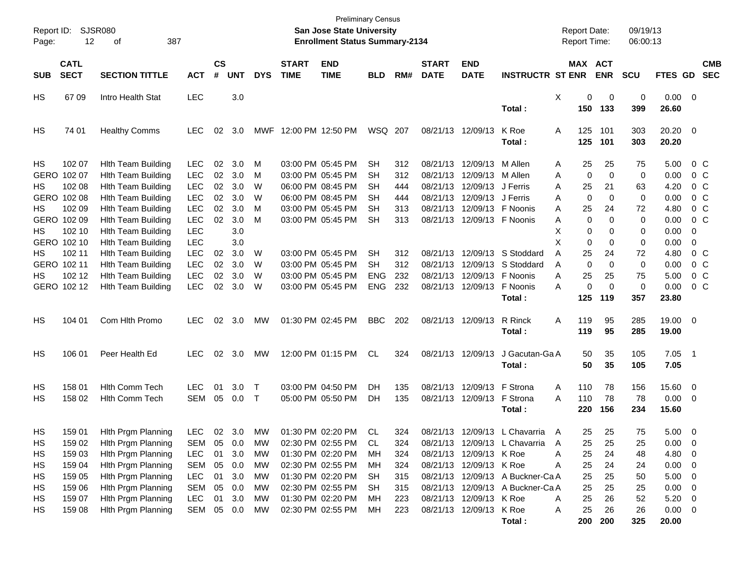| Report ID:<br>Page: | 12                         | <b>SJSR080</b><br>387<br>οf |            |                |            |            |                             | <b>Preliminary Census</b><br>San Jose State University<br><b>Enrollment Status Summary-2134</b> |            |     |                             |                            |                                  |   |             | <b>Report Date:</b><br><b>Report Time:</b> | 09/19/13<br>06:00:13 |                |                          |                          |
|---------------------|----------------------------|-----------------------------|------------|----------------|------------|------------|-----------------------------|-------------------------------------------------------------------------------------------------|------------|-----|-----------------------------|----------------------------|----------------------------------|---|-------------|--------------------------------------------|----------------------|----------------|--------------------------|--------------------------|
| <b>SUB</b>          | <b>CATL</b><br><b>SECT</b> | <b>SECTION TITTLE</b>       | <b>ACT</b> | <b>CS</b><br># | <b>UNT</b> | <b>DYS</b> | <b>START</b><br><b>TIME</b> | <b>END</b><br><b>TIME</b>                                                                       | <b>BLD</b> | RM# | <b>START</b><br><b>DATE</b> | <b>END</b><br><b>DATE</b>  | <b>INSTRUCTR ST ENR</b>          |   |             | MAX ACT<br><b>ENR</b>                      | <b>SCU</b>           | <b>FTES GD</b> |                          | <b>CMB</b><br><b>SEC</b> |
|                     |                            |                             |            |                |            |            |                             |                                                                                                 |            |     |                             |                            |                                  |   |             |                                            |                      |                |                          |                          |
| HS                  | 67 09                      | Intro Health Stat           | <b>LEC</b> |                | 3.0        |            |                             |                                                                                                 |            |     |                             |                            |                                  | Χ | 0           | 0                                          | 0                    | $0.00 \t 0$    |                          |                          |
|                     |                            |                             |            |                |            |            |                             |                                                                                                 |            |     |                             |                            | Total:                           |   | 150         | 133                                        | 399                  | 26.60          |                          |                          |
| HS                  | 74 01                      | <b>Healthy Comms</b>        | <b>LEC</b> | 02             | 3.0        |            | MWF 12:00 PM 12:50 PM       |                                                                                                 | WSQ 207    |     | 08/21/13 12/09/13           |                            | K Roe                            | A | 125         | 101                                        | 303                  | $20.20 \t 0$   |                          |                          |
|                     |                            |                             |            |                |            |            |                             |                                                                                                 |            |     |                             |                            | Total:                           |   | 125         | 101                                        | 303                  | 20.20          |                          |                          |
| HS                  | 102 07                     | <b>Hith Team Building</b>   | <b>LEC</b> | 02             | 3.0        | M          |                             | 03:00 PM 05:45 PM                                                                               | <b>SH</b>  | 312 |                             | 08/21/13 12/09/13          | M Allen                          | A | 25          | 25                                         | 75                   | 5.00           |                          | $0\,$ C                  |
|                     | GERO 102 07                | <b>Hlth Team Building</b>   | <b>LEC</b> | 02             | 3.0        | M          |                             | 03:00 PM 05:45 PM                                                                               | SН         | 312 |                             | 08/21/13 12/09/13 M Allen  |                                  | A | $\mathbf 0$ | $\mathbf 0$                                | 0                    | 0.00           |                          | 0 <sup>o</sup>           |
| HS                  | 102 08                     | <b>Hlth Team Building</b>   | <b>LEC</b> | 02             | 3.0        | W          |                             | 06:00 PM 08:45 PM                                                                               | SН         | 444 |                             | 08/21/13 12/09/13 J Ferris |                                  | A | 25          | 21                                         | 63                   | 4.20           |                          | 0 <sup>o</sup>           |
|                     | GERO 102 08                | <b>Hlth Team Building</b>   | <b>LEC</b> | 02             | 3.0        | W          |                             | 06:00 PM 08:45 PM                                                                               | SН         | 444 |                             | 08/21/13 12/09/13 J Ferris |                                  | A | 0           | 0                                          | 0                    | 0.00           |                          | 0 <sup>o</sup>           |
| HS                  | 102 09                     | <b>Hlth Team Building</b>   | <b>LEC</b> | 02             | 3.0        | м          |                             | 03:00 PM 05:45 PM                                                                               | <b>SH</b>  | 313 |                             | 08/21/13 12/09/13 F Noonis |                                  | Α | 25          | 24                                         | 72                   | 4.80           |                          | 0 <sup>o</sup>           |
|                     | GERO 102 09                | <b>Hlth Team Building</b>   | <b>LEC</b> | 02             | 3.0        | м          |                             | 03:00 PM 05:45 PM                                                                               | <b>SH</b>  | 313 |                             | 08/21/13 12/09/13 F Noonis |                                  | Α | 0           | 0                                          | 0                    | 0.00           |                          | $0\,C$                   |
| HS                  | 102 10                     | <b>Hlth Team Building</b>   | <b>LEC</b> |                | 3.0        |            |                             |                                                                                                 |            |     |                             |                            |                                  | X | 0           | 0                                          | 0                    | 0.00           | 0                        |                          |
|                     | GERO 102 10                | <b>Hlth Team Building</b>   | <b>LEC</b> |                | 3.0        |            |                             |                                                                                                 |            |     |                             |                            |                                  | X | 0           | 0                                          | 0                    | 0.00           | 0                        |                          |
| HS                  | 102 11                     | <b>Hlth Team Building</b>   | <b>LEC</b> | 02             | 3.0        | W          |                             | 03:00 PM 05:45 PM                                                                               | <b>SH</b>  | 312 |                             |                            | 08/21/13 12/09/13 S Stoddard     | Α | 25          | 24                                         | 72                   | 4.80           |                          | 0 <sup>o</sup>           |
|                     | GERO 102 11                | <b>Hlth Team Building</b>   | <b>LEC</b> | 02             | 3.0        | W          |                             | 03:00 PM 05:45 PM                                                                               | SH         | 312 |                             |                            | 08/21/13 12/09/13 S Stoddard     | A | $\mathbf 0$ | 0                                          | 0                    | 0.00           |                          | 0 <sup>o</sup>           |
| HS                  | 102 12                     | <b>Hlth Team Building</b>   | <b>LEC</b> | 02             | 3.0        | W          |                             | 03:00 PM 05:45 PM                                                                               | <b>ENG</b> | 232 |                             | 08/21/13 12/09/13 F Noonis |                                  | A | 25          | 25                                         | 75                   | 5.00           |                          | 0 <sup>o</sup>           |
|                     | GERO 102 12                | <b>Hith Team Building</b>   | <b>LEC</b> | 02             | 3.0        | W          |                             | 03:00 PM 05:45 PM                                                                               | <b>ENG</b> | 232 |                             | 08/21/13 12/09/13          | F Noonis                         | A | 0           | $\mathbf 0$                                | $\mathbf 0$          | 0.00           |                          | $0\,C$                   |
|                     |                            |                             |            |                |            |            |                             |                                                                                                 |            |     |                             |                            | Total:                           |   | 125         | 119                                        | 357                  | 23.80          |                          |                          |
|                     |                            |                             |            |                |            |            |                             |                                                                                                 |            |     |                             |                            |                                  |   |             |                                            |                      |                |                          |                          |
| HS                  | 104 01                     | Com Hlth Promo              | <b>LEC</b> | 02             | 3.0        | МW         |                             | 01:30 PM 02:45 PM                                                                               | <b>BBC</b> | 202 |                             | 08/21/13 12/09/13          | R Rinck                          | Α | 119         | 95                                         | 285                  | 19.00 0        |                          |                          |
|                     |                            |                             |            |                |            |            |                             |                                                                                                 |            |     |                             |                            | Total:                           |   | 119         | 95                                         | 285                  | 19.00          |                          |                          |
| HS                  | 106 01                     | Peer Health Ed              | <b>LEC</b> | 02             | 3.0        | МW         |                             | 12:00 PM 01:15 PM                                                                               | CL.        | 324 | 08/21/13 12/09/13           |                            | J Gacutan-Ga A                   |   | 50          | 35                                         | 105                  | $7.05$ 1       |                          |                          |
|                     |                            |                             |            |                |            |            |                             |                                                                                                 |            |     |                             |                            | Total:                           |   | 50          | 35                                         | 105                  | 7.05           |                          |                          |
|                     |                            |                             |            |                |            |            |                             |                                                                                                 |            |     |                             |                            |                                  |   |             |                                            |                      |                |                          |                          |
| HS                  | 158 01                     | <b>Hith Comm Tech</b>       | <b>LEC</b> | 01             | 3.0        | $\top$     |                             | 03:00 PM 04:50 PM                                                                               | DH         | 135 |                             | 08/21/13 12/09/13          | F Strona                         | A | 110         | 78                                         | 156                  | 15.60          | $\overline{\phantom{0}}$ |                          |
| HS                  | 158 02                     | Hith Comm Tech              | <b>SEM</b> | 05             | 0.0        | $\top$     |                             | 05:00 PM 05:50 PM                                                                               | DH.        | 135 |                             | 08/21/13 12/09/13 F Strona |                                  | A | 110         | 78                                         | 78                   | 0.00           | $\overline{\phantom{0}}$ |                          |
|                     |                            |                             |            |                |            |            |                             |                                                                                                 |            |     |                             |                            | Total :                          |   | 220         | 156                                        | 234                  | 15.60          |                          |                          |
| HS.                 | 159 01                     | Hith Prgm Planning          | LEC 02 3.0 |                |            | MW         |                             | 01:30 PM 02:20 PM                                                                               | CL.        | 324 |                             |                            | 08/21/13 12/09/13 L Chavarria A  |   | 25          | 25                                         | 75                   | 5.00           | - 0                      |                          |
| HS                  | 159 02                     | Hith Prgm Planning          | <b>SEM</b> | 05             | 0.0        | МW         |                             | 02:30 PM 02:55 PM                                                                               | CL.        | 324 |                             |                            | 08/21/13 12/09/13 L Chavarria    | A | 25          | 25                                         | 25                   | 0.00           | $\overline{\mathbf{0}}$  |                          |
| HS                  | 159 03                     | Hith Prgm Planning          | <b>LEC</b> | 01             | 3.0        | МW         |                             | 01:30 PM 02:20 PM                                                                               | МH         | 324 |                             | 08/21/13 12/09/13 K Roe    |                                  | Α | 25          | 24                                         | 48                   | 4.80           | $\overline{0}$           |                          |
| HS                  | 159 04                     | Hith Prgm Planning          | <b>SEM</b> | 05             | 0.0        | МW         |                             | 02:30 PM 02:55 PM                                                                               | МH         | 324 |                             | 08/21/13 12/09/13 K Roe    |                                  | Α | 25          | 24                                         | 24                   | 0.00           | $\overline{\mathbf{0}}$  |                          |
| HS                  | 159 05                     | <b>Hith Prgm Planning</b>   | <b>LEC</b> | 01             | 3.0        | МW         |                             | 01:30 PM 02:20 PM                                                                               | <b>SH</b>  | 315 |                             |                            | 08/21/13 12/09/13 A Buckner-Ca A |   | 25          | 25                                         | 50                   | 5.00           | $\overline{\mathbf{0}}$  |                          |
| HS                  | 159 06                     | Hith Prgm Planning          | <b>SEM</b> | 05             | 0.0        | МW         |                             | 02:30 PM 02:55 PM                                                                               | <b>SH</b>  | 315 |                             |                            | 08/21/13 12/09/13 A Buckner-Ca A |   | 25          | 25                                         | 25                   | 0.00           | $\overline{\phantom{0}}$ |                          |
| HS                  | 159 07                     | Hith Prgm Planning          | <b>LEC</b> | 01             | 3.0        | МW         |                             | 01:30 PM 02:20 PM                                                                               | МH         | 223 |                             | 08/21/13 12/09/13 K Roe    |                                  | Α | 25          | 26                                         | 52                   | 5.20           | $\overline{\phantom{0}}$ |                          |
| HS                  | 159 08                     | Hith Prgm Planning          | SEM        | 05             | 0.0        | МW         |                             | 02:30 PM 02:55 PM                                                                               | МH         | 223 |                             | 08/21/13 12/09/13 K Roe    |                                  | A | 25          | 26                                         | 26                   | $0.00 \t 0$    |                          |                          |
|                     |                            |                             |            |                |            |            |                             |                                                                                                 |            |     |                             |                            | Total:                           |   | 200         | 200                                        | 325                  | 20.00          |                          |                          |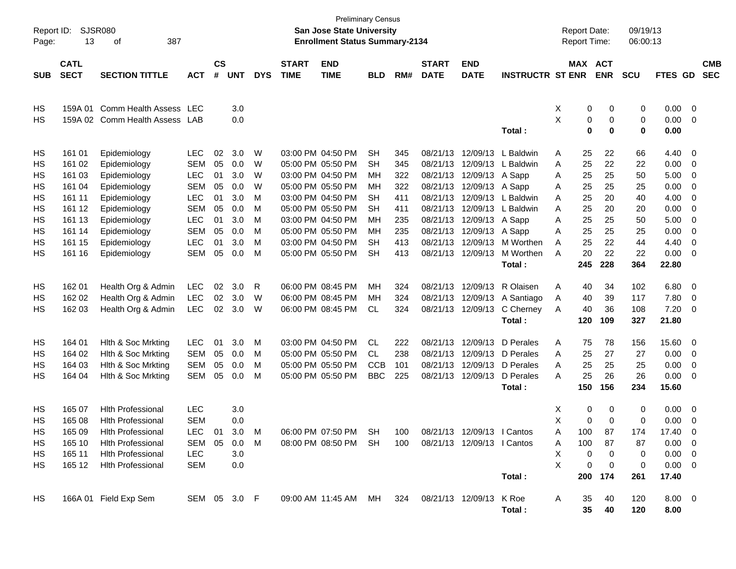| Report ID:<br>Page: | 13                         | <b>SJSR080</b><br>387<br>οf |              |                |            |            |                             | <b>Preliminary Census</b><br>San Jose State University<br><b>Enrollment Status Summary-2134</b> |            |     |                             |                            |                         |          | <b>Report Date:</b><br><b>Report Time:</b> |             | 09/19/13<br>06:00:13 |                |                |                          |
|---------------------|----------------------------|-----------------------------|--------------|----------------|------------|------------|-----------------------------|-------------------------------------------------------------------------------------------------|------------|-----|-----------------------------|----------------------------|-------------------------|----------|--------------------------------------------|-------------|----------------------|----------------|----------------|--------------------------|
| <b>SUB</b>          | <b>CATL</b><br><b>SECT</b> | <b>SECTION TITTLE</b>       | <b>ACT</b>   | <b>CS</b><br># | <b>UNT</b> | <b>DYS</b> | <b>START</b><br><b>TIME</b> | <b>END</b><br><b>TIME</b>                                                                       | <b>BLD</b> | RM# | <b>START</b><br><b>DATE</b> | <b>END</b><br><b>DATE</b>  | <b>INSTRUCTR ST ENR</b> |          | MAX ACT                                    | <b>ENR</b>  | <b>SCU</b>           | <b>FTES GD</b> |                | <b>CMB</b><br><b>SEC</b> |
|                     |                            |                             |              |                |            |            |                             |                                                                                                 |            |     |                             |                            |                         |          |                                            |             |                      |                |                |                          |
| HS                  | 159A 01                    | Comm Health Assess          | LEC          |                | 3.0        |            |                             |                                                                                                 |            |     |                             |                            |                         | х        | 0                                          | 0           | 0                    | 0.00           | $\overline{0}$ |                          |
| HS                  |                            | 159A 02 Comm Health Assess  | LAB          |                | 0.0        |            |                             |                                                                                                 |            |     |                             |                            |                         | X        | 0                                          | 0           | 0                    | 0.00           | 0              |                          |
|                     |                            |                             |              |                |            |            |                             |                                                                                                 |            |     |                             |                            | Total:                  |          | $\mathbf 0$                                | 0           | 0                    | 0.00           |                |                          |
| HS                  | 161 01                     | Epidemiology                | <b>LEC</b>   | 02             | 3.0        | W          |                             | 03:00 PM 04:50 PM                                                                               | <b>SH</b>  | 345 | 08/21/13                    | 12/09/13                   | L Baldwin               | Α        | 25                                         | 22          | 66                   | 4.40           | 0              |                          |
| HS                  | 161 02                     | Epidemiology                | <b>SEM</b>   | 05             | 0.0        | W          |                             | 05:00 PM 05:50 PM                                                                               | <b>SH</b>  | 345 | 08/21/13                    | 12/09/13                   | L Baldwin               | Α        | 25                                         | 22          | 22                   | 0.00           | 0              |                          |
| HS                  | 161 03                     | Epidemiology                | LEC          | 01             | 3.0        | W          |                             | 03:00 PM 04:50 PM                                                                               | ΜН         | 322 | 08/21/13                    | 12/09/13                   | A Sapp                  | Α        | 25                                         | 25          | 50                   | 5.00           | 0              |                          |
| HS                  | 161 04                     | Epidemiology                | <b>SEM</b>   | 05             | 0.0        | W          |                             | 05:00 PM 05:50 PM                                                                               | ΜН         | 322 | 08/21/13                    | 12/09/13                   | A Sapp                  | Α        | 25                                         | 25          | 25                   | 0.00           | 0              |                          |
| HS                  | 161 11                     | Epidemiology                | LEC          | 01             | 3.0        | M          |                             | 03:00 PM 04:50 PM                                                                               | <b>SH</b>  | 411 | 08/21/13                    | 12/09/13                   | L Baldwin               | Α        | 25                                         | 20          | 40                   | 4.00           | 0              |                          |
| HS                  | 161 12                     | Epidemiology                | <b>SEM</b>   | 05             | 0.0        | M          |                             | 05:00 PM 05:50 PM                                                                               | <b>SH</b>  | 411 | 08/21/13                    | 12/09/13                   | L Baldwin               | Α        | 25                                         | 20          | 20                   | 0.00           | 0              |                          |
| HS                  | 161 13                     | Epidemiology                | LEC          | 01             | 3.0        | M          |                             | 03:00 PM 04:50 PM                                                                               | ΜН         | 235 | 08/21/13                    | 12/09/13                   | A Sapp                  | Α        | 25                                         | 25          | 50                   | 5.00           | 0              |                          |
| HS                  | 161 14                     | Epidemiology                | <b>SEM</b>   | 05             | 0.0        | M          |                             | 05:00 PM 05:50 PM                                                                               | ΜН         | 235 | 08/21/13                    | 12/09/13                   | A Sapp                  | Α        | 25                                         | 25          | 25                   | 0.00           | 0              |                          |
| HS                  | 161 15                     | Epidemiology                | <b>LEC</b>   | 01             | 3.0        | M          |                             | 03:00 PM 04:50 PM                                                                               | <b>SH</b>  | 413 | 08/21/13                    | 12/09/13                   | M Worthen               | Α        | 25                                         | 22          | 44                   | 4.40           | 0              |                          |
| HS                  | 161 16                     | Epidemiology                | <b>SEM</b>   | 05             | 0.0        | м          |                             | 05:00 PM 05:50 PM                                                                               | <b>SH</b>  | 413 |                             | 08/21/13 12/09/13          | M Worthen               | A        | 20                                         | 22          | 22                   | 0.00           | 0              |                          |
|                     |                            |                             |              |                |            |            |                             |                                                                                                 |            |     |                             |                            | Total:                  |          | 245                                        | 228         | 364                  | 22.80          |                |                          |
| HS                  | 162 01                     | Health Org & Admin          | LEC          | 02             | 3.0        | R          |                             | 06:00 PM 08:45 PM                                                                               | ΜН         | 324 | 08/21/13                    | 12/09/13                   | R Olaisen               | Α        | 40                                         | 34          | 102                  | 6.80           | 0              |                          |
| HS                  | 162 02                     | Health Org & Admin          | <b>LEC</b>   | 02             | 3.0        | W          |                             | 06:00 PM 08:45 PM                                                                               | ΜН         | 324 |                             | 08/21/13 12/09/13          | A Santiago              | A        | 40                                         | 39          | 117                  | 7.80           | 0              |                          |
| HS                  | 162 03                     | Health Org & Admin          | <b>LEC</b>   | 02             | 3.0        | W          |                             | 06:00 PM 08:45 PM                                                                               | CL         | 324 |                             | 08/21/13 12/09/13          | C Cherney               | Α        | 40                                         | 36          | 108                  | 7.20           | 0              |                          |
|                     |                            |                             |              |                |            |            |                             |                                                                                                 |            |     |                             |                            | Total:                  |          | 120                                        | 109         | 327                  | 21.80          |                |                          |
| HS                  | 164 01                     | Hith & Soc Mrkting          | LEC          | 01             | 3.0        | м          |                             | 03:00 PM 04:50 PM                                                                               | <b>CL</b>  | 222 |                             | 08/21/13 12/09/13          | D Perales               | Α        | 75                                         | 78          | 156                  | 15.60          | 0              |                          |
| HS                  | 164 02                     | Hith & Soc Mrkting          | <b>SEM</b>   | 05             | 0.0        | M          |                             | 05:00 PM 05:50 PM                                                                               | CL.        | 238 | 08/21/13                    | 12/09/13                   | D Perales               | Α        | 25                                         | 27          | 27                   | 0.00           | 0              |                          |
| HS                  | 164 03                     | Hith & Soc Mrkting          | <b>SEM</b>   | 05             | 0.0        | M          |                             | 05:00 PM 05:50 PM                                                                               | <b>CCB</b> | 101 | 08/21/13                    | 12/09/13                   | D Perales               | Α        | 25                                         | 25          | 25                   | 0.00           | 0              |                          |
| HS                  | 164 04                     | Hith & Soc Mrkting          | <b>SEM</b>   | 05             | 0.0        | M          |                             | 05:00 PM 05:50 PM                                                                               | <b>BBC</b> | 225 |                             | 08/21/13 12/09/13          | D Perales               | А        | 25                                         | 26          | 26                   | 0.00           | 0              |                          |
|                     |                            |                             |              |                |            |            |                             |                                                                                                 |            |     |                             |                            | Total:                  |          | 150                                        | 156         | 234                  | 15.60          |                |                          |
| HS                  | 165 07                     | <b>Hlth Professional</b>    | <b>LEC</b>   |                | 3.0        |            |                             |                                                                                                 |            |     |                             |                            |                         | X        | 0                                          | 0           | 0                    | 0.00           | 0              |                          |
| HS                  | 165 08                     | <b>Hith Professional</b>    | <b>SEM</b>   |                | 0.0        |            |                             |                                                                                                 |            |     |                             |                            |                         | X        | 0                                          | 0           | 0                    | 0.00           | 0              |                          |
| HS                  | 165 09                     | <b>Hith Professional</b>    | LEC 01       |                | 3.0        | M          |                             | 06:00 PM 07:50 PM SH                                                                            |            | 100 |                             | 08/21/13 12/09/13 I Cantos |                         | A        | 100                                        | 87          | 174                  | 17.40          | 0              |                          |
| HS                  | 165 10                     | <b>Hlth Professional</b>    | SEM 05 0.0 M |                |            |            |                             | 08:00 PM 08:50 PM SH 100 08/21/13 12/09/13 I Cantos                                             |            |     |                             |                            |                         | A        | 100                                        | 87          | 87                   | $0.00 \t 0$    |                |                          |
| HS                  | 165 11                     | <b>Hith Professional</b>    | <b>LEC</b>   |                | 3.0        |            |                             |                                                                                                 |            |     |                             |                            |                         | Χ        | 0                                          | 0           | 0                    | $0.00 \quad 0$ |                |                          |
| HS                  | 165 12                     | <b>Hith Professional</b>    | <b>SEM</b>   |                | 0.0        |            |                             |                                                                                                 |            |     |                             |                            |                         | $\times$ | 0                                          | $\mathbf 0$ | 0                    | $0.00 \t 0$    |                |                          |
|                     |                            |                             |              |                |            |            |                             |                                                                                                 |            |     |                             |                            | Total:                  |          |                                            | 200 174     | 261                  | 17.40          |                |                          |
| HS                  |                            | 166A 01 Field Exp Sem       | SEM 05 3.0 F |                |            |            |                             | 09:00 AM 11:45 AM MH 324 08/21/13 12/09/13 K Roe                                                |            |     |                             |                            |                         | A        | 35                                         | 40          | 120                  | $8.00 \t 0$    |                |                          |
|                     |                            |                             |              |                |            |            |                             |                                                                                                 |            |     |                             |                            | Total:                  |          | 35                                         | 40          | 120                  | 8.00           |                |                          |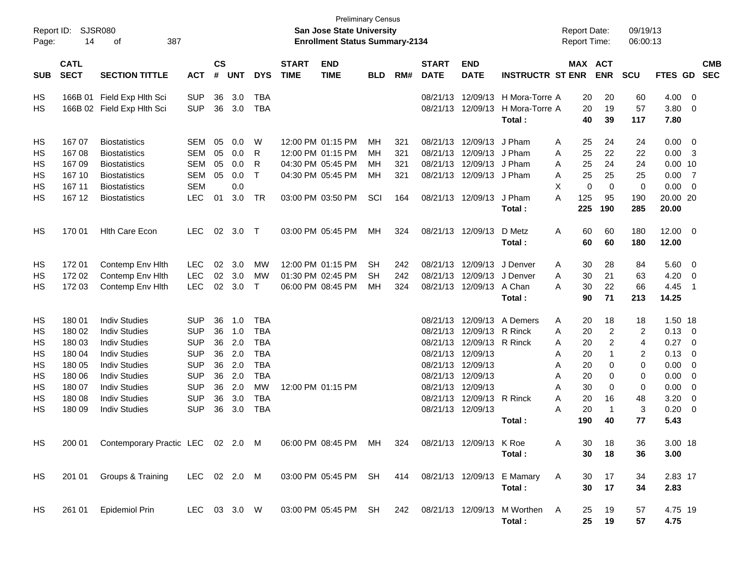| Report ID:<br>Page:                                | 14                                                                                     | SJSR080<br>387<br>оf                                                                                                                                                                                                 |                                                                                                                            |                                                    |                                                             |                                                                                                                           |                             | <b>Preliminary Census</b><br><b>San Jose State University</b><br><b>Enrollment Status Summary-2134</b> |                              |                          |                                                                                                                   |                                                                                              |                                                     | <b>Report Date:</b><br><b>Report Time:</b>                                                             |                                                                                                  | 09/19/13<br>06:00:13                                                        |                                                                                 |                                                                   |                          |
|----------------------------------------------------|----------------------------------------------------------------------------------------|----------------------------------------------------------------------------------------------------------------------------------------------------------------------------------------------------------------------|----------------------------------------------------------------------------------------------------------------------------|----------------------------------------------------|-------------------------------------------------------------|---------------------------------------------------------------------------------------------------------------------------|-----------------------------|--------------------------------------------------------------------------------------------------------|------------------------------|--------------------------|-------------------------------------------------------------------------------------------------------------------|----------------------------------------------------------------------------------------------|-----------------------------------------------------|--------------------------------------------------------------------------------------------------------|--------------------------------------------------------------------------------------------------|-----------------------------------------------------------------------------|---------------------------------------------------------------------------------|-------------------------------------------------------------------|--------------------------|
| <b>SUB</b>                                         | <b>CATL</b><br><b>SECT</b>                                                             | <b>SECTION TITTLE</b>                                                                                                                                                                                                | <b>ACT</b>                                                                                                                 | <b>CS</b><br>#                                     | <b>UNT</b>                                                  | <b>DYS</b>                                                                                                                | <b>START</b><br><b>TIME</b> | <b>END</b><br><b>TIME</b>                                                                              | <b>BLD</b>                   | RM#                      | <b>START</b><br><b>DATE</b>                                                                                       | <b>END</b><br><b>DATE</b>                                                                    | <b>INSTRUCTR ST ENR</b>                             | MAX ACT                                                                                                | <b>ENR</b>                                                                                       | <b>SCU</b>                                                                  | FTES GD                                                                         |                                                                   | <b>CMB</b><br><b>SEC</b> |
| HS<br>HS                                           | 166B 01                                                                                | Field Exp Hlth Sci<br>166B 02 Field Exp Hlth Sci                                                                                                                                                                     | <b>SUP</b><br><b>SUP</b>                                                                                                   | 36<br>36                                           | 3.0<br>3.0                                                  | <b>TBA</b><br><b>TBA</b>                                                                                                  |                             |                                                                                                        |                              |                          | 08/21/13<br>08/21/13 12/09/13                                                                                     | 12/09/13                                                                                     | H Mora-Torre A<br>H Mora-Torre A<br>Total:          | 20<br>20<br>40                                                                                         | 20<br>19<br>39                                                                                   | 60<br>57<br>117                                                             | 4.00<br>3.80<br>7.80                                                            | - 0<br>$\overline{0}$                                             |                          |
| HS<br>HS<br>HS<br><b>HS</b><br>HS                  | 16707<br>16708<br>16709<br>167 10<br>167 11                                            | <b>Biostatistics</b><br><b>Biostatistics</b><br><b>Biostatistics</b><br><b>Biostatistics</b><br><b>Biostatistics</b>                                                                                                 | <b>SEM</b><br><b>SEM</b><br><b>SEM</b><br><b>SEM</b><br><b>SEM</b>                                                         | 05<br>05<br>05<br>05                               | 0.0<br>0.0<br>0.0<br>0.0<br>0.0                             | W<br>R<br>R<br>т                                                                                                          |                             | 12:00 PM 01:15 PM<br>12:00 PM 01:15 PM<br>04:30 PM 05:45 PM<br>04:30 PM 05:45 PM                       | MН<br>MН<br>MН<br>MН         | 321<br>321<br>321<br>321 | 08/21/13<br>08/21/13<br>08/21/13<br>08/21/13                                                                      | 12/09/13<br>12/09/13<br>12/09/13<br>12/09/13                                                 | J Pham<br>J Pham<br>J Pham<br>J Pham                | Α<br>25<br>25<br>Α<br>25<br>Α<br>25<br>A<br>X<br>$\mathbf 0$                                           | 24<br>22<br>24<br>25<br>$\mathbf 0$                                                              | 24<br>22<br>24<br>25<br>0                                                   | 0.00<br>0.00<br>$0.00$ 10<br>0.00<br>0.00                                       | $\overline{\mathbf{0}}$<br>-3<br>$\overline{7}$<br>$\overline{0}$ |                          |
| HS                                                 | 167 12                                                                                 | <b>Biostatistics</b>                                                                                                                                                                                                 | <b>LEC</b>                                                                                                                 | 01                                                 | 3.0                                                         | <b>TR</b>                                                                                                                 |                             | 03:00 PM 03:50 PM                                                                                      | SCI                          | 164                      | 08/21/13                                                                                                          | 12/09/13                                                                                     | J Pham<br>Total:                                    | A<br>125<br>225                                                                                        | 95<br>190                                                                                        | 190<br>285                                                                  | 20.00 20<br>20.00                                                               |                                                                   |                          |
| HS                                                 | 170 01                                                                                 | <b>Hith Care Econ</b>                                                                                                                                                                                                | <b>LEC</b>                                                                                                                 | 02                                                 | 3.0                                                         | $\top$                                                                                                                    |                             | 03:00 PM 05:45 PM                                                                                      | MH                           | 324                      | 08/21/13 12/09/13                                                                                                 |                                                                                              | D Metz<br>Total:                                    | Α<br>60<br>60                                                                                          | 60<br>60                                                                                         | 180<br>180                                                                  | 12.00<br>12.00                                                                  | $\overline{0}$                                                    |                          |
| HS<br>HS<br>HS                                     | 172 01<br>172 02<br>172 03                                                             | Contemp Env Hlth<br>Contemp Env Hith<br>Contemp Env Hith                                                                                                                                                             | <b>LEC</b><br><b>LEC</b><br><b>LEC</b>                                                                                     | 02<br>02<br>02                                     | 3.0<br>3.0<br>3.0                                           | MW<br><b>MW</b><br>$\mathsf{T}$                                                                                           |                             | 12:00 PM 01:15 PM<br>01:30 PM 02:45 PM<br>06:00 PM 08:45 PM                                            | <b>SH</b><br><b>SH</b><br>MН | 242<br>242<br>324        | 08/21/13<br>08/21/13                                                                                              | 12/09/13<br>12/09/13<br>08/21/13 12/09/13                                                    | J Denver<br>J Denver<br>A Chan<br>Total:            | 30<br>Α<br>30<br>A<br>30<br>A<br>90                                                                    | 28<br>21<br>22<br>71                                                                             | 84<br>63<br>66<br>213                                                       | 5.60<br>4.20<br>4.45<br>14.25                                                   | $\overline{\mathbf{0}}$<br>0<br>-1                                |                          |
| HS<br>HS<br>HS<br>HS<br>HS<br>HS<br>HS<br>HS<br>HS | 180 01<br>180 02<br>180 03<br>180 04<br>180 05<br>180 06<br>180 07<br>180 08<br>180 09 | <b>Indiv Studies</b><br><b>Indiv Studies</b><br><b>Indiv Studies</b><br><b>Indiv Studies</b><br><b>Indiv Studies</b><br><b>Indiv Studies</b><br><b>Indiv Studies</b><br><b>Indiv Studies</b><br><b>Indiv Studies</b> | <b>SUP</b><br><b>SUP</b><br><b>SUP</b><br><b>SUP</b><br><b>SUP</b><br><b>SUP</b><br><b>SUP</b><br><b>SUP</b><br><b>SUP</b> | 36<br>36<br>36<br>36<br>36<br>36<br>36<br>36<br>36 | 1.0<br>1.0<br>2.0<br>2.0<br>2.0<br>2.0<br>2.0<br>3.0<br>3.0 | <b>TBA</b><br><b>TBA</b><br><b>TBA</b><br><b>TBA</b><br><b>TBA</b><br><b>TBA</b><br><b>MW</b><br><b>TBA</b><br><b>TBA</b> |                             | 12:00 PM 01:15 PM                                                                                      |                              |                          | 08/21/13<br>08/21/13<br>08/21/13<br>08/21/13<br>08/21/13<br>08/21/13<br>08/21/13<br>08/21/13<br>08/21/13 12/09/13 | 12/09/13<br>12/09/13<br>12/09/13<br>12/09/13<br>12/09/13<br>12/09/13<br>12/09/13<br>12/09/13 | A Demers<br>R Rinck<br>R Rinck<br>R Rinck<br>Total: | Α<br>20<br>20<br>Α<br>20<br>Α<br>20<br>Α<br>20<br>Α<br>20<br>Α<br>30<br>Α<br>A<br>20<br>20<br>Α<br>190 | 18<br>$\overline{c}$<br>$\overline{c}$<br>$\mathbf 1$<br>0<br>0<br>0<br>16<br>$\mathbf{1}$<br>40 | 18<br>$\overline{2}$<br>4<br>$\overline{2}$<br>0<br>0<br>0<br>48<br>3<br>77 | 1.50 18<br>0.13<br>0.27<br>0.13<br>0.00<br>0.00<br>0.00<br>3.20<br>0.20<br>5.43 | 0<br>0<br>0<br>0<br>0<br>0<br>0<br>0                              |                          |
| HS                                                 | 200 01                                                                                 | Contemporary Practic LEC 02 2.0 M                                                                                                                                                                                    |                                                                                                                            |                                                    |                                                             |                                                                                                                           |                             | 06:00 PM 08:45 PM MH                                                                                   |                              | 324                      |                                                                                                                   | 08/21/13 12/09/13 K Roe                                                                      | Total:                                              | 30<br>A<br>30                                                                                          | 18<br>18                                                                                         | 36<br>36                                                                    | 3.00 18<br>3.00                                                                 |                                                                   |                          |
| HS                                                 | 201 01                                                                                 | Groups & Training                                                                                                                                                                                                    | LEC 02 2.0 M                                                                                                               |                                                    |                                                             |                                                                                                                           |                             | 03:00 PM 05:45 PM SH                                                                                   |                              |                          |                                                                                                                   |                                                                                              | 414 08/21/13 12/09/13 E Mamary<br>Total:            | A<br>30<br>30                                                                                          | 17<br>17                                                                                         | 34<br>34                                                                    | 2.83 17<br>2.83                                                                 |                                                                   |                          |
| HS                                                 | 261 01                                                                                 | <b>Epidemiol Prin</b>                                                                                                                                                                                                | LEC 03 3.0 W                                                                                                               |                                                    |                                                             |                                                                                                                           |                             | 03:00 PM 05:45 PM SH                                                                                   |                              | 242                      | 08/21/13 12/09/13                                                                                                 |                                                                                              | M Worthen<br>Total:                                 | A<br>25<br>25                                                                                          | 19<br>19                                                                                         | 57<br>57                                                                    | 4.75 19<br>4.75                                                                 |                                                                   |                          |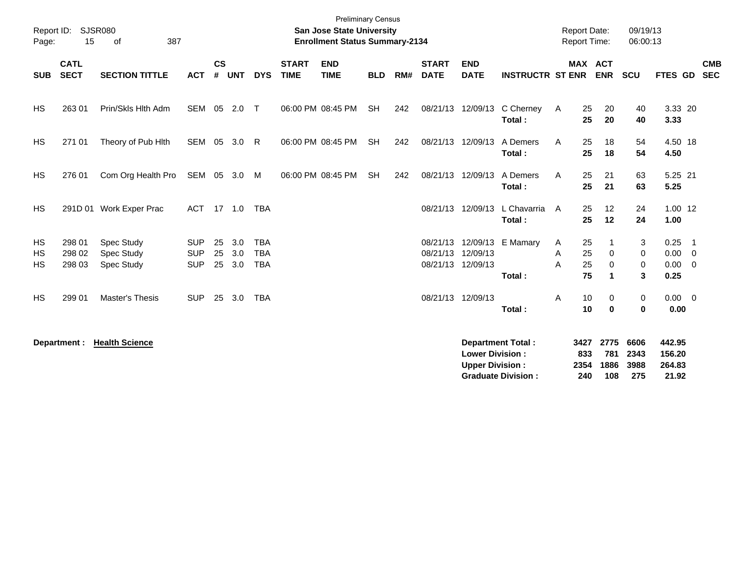| Report ID:<br>Page:   | 15                         | <b>SJSR080</b><br>387<br>of                   |                                        |                    |                      |                                        |                             | <b>Preliminary Census</b><br><b>San Jose State University</b><br><b>Enrollment Status Summary-2134</b> |            |     |                             |                                                  |                                                       |             | <b>Report Date:</b><br><b>Report Time:</b> |                            | 09/19/13<br>06:00:13        |                                                |                          |
|-----------------------|----------------------------|-----------------------------------------------|----------------------------------------|--------------------|----------------------|----------------------------------------|-----------------------------|--------------------------------------------------------------------------------------------------------|------------|-----|-----------------------------|--------------------------------------------------|-------------------------------------------------------|-------------|--------------------------------------------|----------------------------|-----------------------------|------------------------------------------------|--------------------------|
| <b>SUB</b>            | <b>CATL</b><br><b>SECT</b> | <b>SECTION TITTLE</b>                         | <b>ACT</b>                             | $\mathsf{cs}$<br># | <b>UNT</b>           | <b>DYS</b>                             | <b>START</b><br><b>TIME</b> | <b>END</b><br><b>TIME</b>                                                                              | <b>BLD</b> | RM# | <b>START</b><br><b>DATE</b> | <b>END</b><br><b>DATE</b>                        | <b>INSTRUCTR ST ENR</b>                               |             | MAX ACT                                    | <b>ENR</b>                 | SCU                         | FTES GD                                        | <b>CMB</b><br><b>SEC</b> |
| <b>HS</b>             | 263 01                     | Prin/Skls Hlth Adm                            | SEM                                    | 05                 | 2.0                  | $\top$                                 |                             | 06:00 PM 08:45 PM                                                                                      | <b>SH</b>  | 242 |                             | 08/21/13 12/09/13                                | C Cherney<br>Total:                                   | A           | 25<br>25                                   | 20<br>20                   | 40<br>40                    | 3.33 20<br>3.33                                |                          |
| HS                    | 271 01                     | Theory of Pub Hith                            | SEM                                    | 05                 | 3.0                  | R                                      |                             | 06:00 PM 08:45 PM                                                                                      | <b>SH</b>  | 242 |                             | 08/21/13 12/09/13                                | A Demers<br>Total:                                    | A           | 25<br>25                                   | 18<br>18                   | 54<br>54                    | 4.50 18<br>4.50                                |                          |
| <b>HS</b>             | 276 01                     | Com Org Health Pro                            | SEM 05                                 |                    | 3.0                  | M                                      |                             | 06:00 PM 08:45 PM                                                                                      | <b>SH</b>  | 242 | 08/21/13                    | 12/09/13                                         | A Demers<br>Total:                                    | A           | 25<br>25                                   | 21<br>21                   | 63<br>63                    | 5.25 21<br>5.25                                |                          |
| <b>HS</b>             |                            | 291D 01 Work Exper Prac                       | ACT                                    |                    | $17$ 1.0             | TBA                                    |                             |                                                                                                        |            |     |                             | 08/21/13 12/09/13                                | L Chavarria<br>Total:                                 | A           | 25<br>25                                   | 12<br>12                   | 24<br>24                    | $1.00$ 12<br>1.00                              |                          |
| HS<br><b>HS</b><br>HS | 298 01<br>298 02<br>298 03 | <b>Spec Study</b><br>Spec Study<br>Spec Study | <b>SUP</b><br><b>SUP</b><br><b>SUP</b> | 25<br>25           | 3.0<br>3.0<br>25 3.0 | <b>TBA</b><br><b>TBA</b><br><b>TBA</b> |                             |                                                                                                        |            |     | 08/21/13<br>08/21/13        | 12/09/13<br>12/09/13<br>08/21/13 12/09/13        | E Mamary<br>Total:                                    | A<br>Α<br>A | 25<br>25<br>25<br>75                       | $\mathbf 0$<br>$\Omega$    | 3<br>0<br>0<br>3            | $0.25$ 1<br>$0.00 \t 0$<br>$0.00 \t 0$<br>0.25 |                          |
| <b>HS</b>             | 299 01                     | Master's Thesis                               | <b>SUP</b>                             | 25                 | 3.0                  | <b>TBA</b>                             |                             |                                                                                                        |            |     | 08/21/13 12/09/13           |                                                  | Total:                                                | Α           | 10<br>10                                   | 0<br>$\bf{0}$              | $\mathbf 0$<br>$\bf{0}$     | $0.00 \t 0$<br>0.00                            |                          |
|                       | Department :               | <b>Health Science</b>                         |                                        |                    |                      |                                        |                             |                                                                                                        |            |     |                             | <b>Lower Division:</b><br><b>Upper Division:</b> | <b>Department Total:</b><br><b>Graduate Division:</b> |             | 3427<br>833<br>2354<br>240                 | 2775<br>781<br>1886<br>108 | 6606<br>2343<br>3988<br>275 | 442.95<br>156.20<br>264.83<br>21.92            |                          |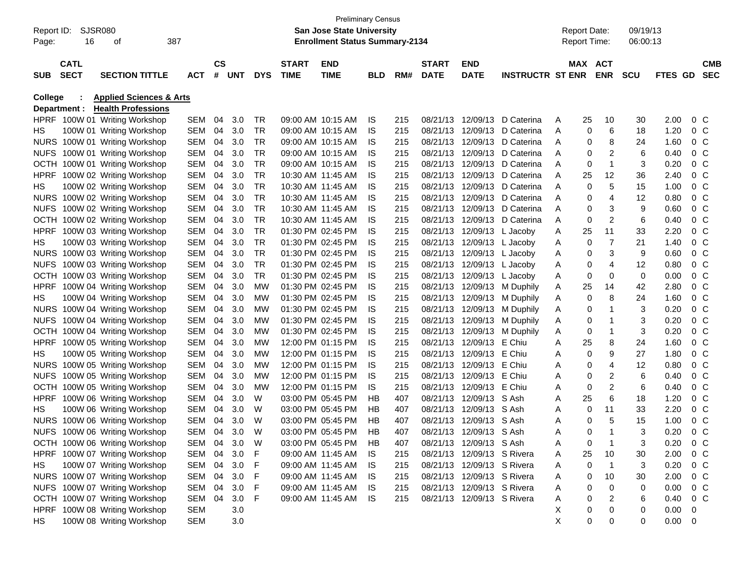| Page:          | Report ID: SJSR080<br>16 | 387<br>οf                          |            |           |            |            |                   | <b>Preliminary Census</b><br>San Jose State University<br><b>Enrollment Status Summary-2134</b> |            |     |              |                            |                         |   | <b>Report Date:</b><br><b>Report Time:</b> |                | 09/19/13<br>06:00:13 |                        |                |            |
|----------------|--------------------------|------------------------------------|------------|-----------|------------|------------|-------------------|-------------------------------------------------------------------------------------------------|------------|-----|--------------|----------------------------|-------------------------|---|--------------------------------------------|----------------|----------------------|------------------------|----------------|------------|
|                |                          |                                    |            |           |            |            |                   |                                                                                                 |            |     |              |                            |                         |   |                                            |                |                      |                        |                |            |
|                | <b>CATL</b>              |                                    |            | <b>CS</b> |            |            | <b>START</b>      | <b>END</b>                                                                                      |            |     | <b>START</b> | <b>END</b>                 |                         |   | MAX ACT                                    |                |                      |                        |                | СМВ        |
| <b>SUB</b>     | <b>SECT</b>              | <b>SECTION TITTLE</b>              | <b>ACT</b> | #         | <b>UNT</b> | <b>DYS</b> | <b>TIME</b>       | <b>TIME</b>                                                                                     | <b>BLD</b> | RM# | <b>DATE</b>  | <b>DATE</b>                | <b>INSTRUCTR ST ENR</b> |   |                                            | <b>ENR</b>     | <b>SCU</b>           | FTES GD                |                | <b>SEC</b> |
| <b>College</b> |                          | <b>Applied Sciences &amp; Arts</b> |            |           |            |            |                   |                                                                                                 |            |     |              |                            |                         |   |                                            |                |                      |                        |                |            |
|                | Department :             | <b>Health Professions</b>          |            |           |            |            |                   |                                                                                                 |            |     |              |                            |                         |   |                                            |                |                      |                        |                |            |
|                |                          | HPRF 100W 01 Writing Workshop      | SEM        | 04        | 3.0        | TR         | 09:00 AM 10:15 AM |                                                                                                 | IS         | 215 | 08/21/13     | 12/09/13                   | D Caterina              | A | 25                                         | 10             | 30                   | 2.00                   | $0\,$ C        |            |
| HS.            |                          | 100W 01 Writing Workshop           | SEM        | 04        | 3.0        | <b>TR</b>  | 09:00 AM 10:15 AM |                                                                                                 | IS         | 215 | 08/21/13     | 12/09/13                   | D Caterina              | A | 0                                          | 6              | 18                   | 1.20                   | 0 <sup>o</sup> |            |
|                |                          | NURS 100W 01 Writing Workshop      | SEM        | 04        | 3.0        | <b>TR</b>  | 09:00 AM 10:15 AM |                                                                                                 | IS.        | 215 | 08/21/13     | 12/09/13                   | D Caterina              | A | 0                                          | 8              | 24                   | 1.60                   | 0 <sup>o</sup> |            |
| <b>NUFS</b>    |                          | 100W 01 Writing Workshop           | SEM        | 04        | 3.0        | <b>TR</b>  | 09:00 AM 10:15 AM |                                                                                                 | IS         | 215 | 08/21/13     | 12/09/13                   | D Caterina              | A | 0                                          | $\overline{c}$ | 6                    | 0.40                   | 0 <sup>o</sup> |            |
| OCTH           |                          | 100W 01 Writing Workshop           | SEM        | 04        | 3.0        | <b>TR</b>  | 09:00 AM 10:15 AM |                                                                                                 | IS         | 215 | 08/21/13     | 12/09/13                   | D Caterina              | A | 0                                          | 1              | 3                    | 0.20                   | 0 <sup>o</sup> |            |
| <b>HPRF</b>    |                          | 100W 02 Writing Workshop           | SEM        | 04        | 3.0        | <b>TR</b>  | 10:30 AM 11:45 AM |                                                                                                 | IS         | 215 | 08/21/13     | 12/09/13                   | D Caterina              | A | 25                                         | 12             | 36                   | 2.40                   | 0 <sup>o</sup> |            |
| HS             |                          | 100W 02 Writing Workshop           | SEM        | 04        | 3.0        | <b>TR</b>  | 10:30 AM 11:45 AM |                                                                                                 | IS         | 215 | 08/21/13     | 12/09/13                   | D Caterina              | A | 0                                          | 5              | 15                   | 1.00                   | 0 <sup>o</sup> |            |
|                |                          | NURS 100W 02 Writing Workshop      | SEM        | 04        | 3.0        | <b>TR</b>  | 10:30 AM 11:45 AM |                                                                                                 | IS         | 215 | 08/21/13     | 12/09/13                   | D Caterina              | A | 0                                          | 4              | 12                   | 0.80                   | $0\,$ C        |            |
| <b>NUFS</b>    |                          | 100W 02 Writing Workshop           | SEM        | 04        | 3.0        | <b>TR</b>  |                   | 10:30 AM 11:45 AM                                                                               | IS         | 215 | 08/21/13     | 12/09/13                   | D Caterina              | A | 0                                          | 3              | 9                    | 0.60                   | $0\,$ C        |            |
| остн           |                          | 100W 02 Writing Workshop           | SEM        | 04        | 3.0        | <b>TR</b>  |                   | 10:30 AM 11:45 AM                                                                               | IS         | 215 | 08/21/13     | 12/09/13                   | D Caterina              | A | 0                                          | 2              | 6                    | 0.40                   | 0 <sup>o</sup> |            |
| HPRF           |                          | 100W 03 Writing Workshop           | SEM        | 04        | 3.0        | <b>TR</b>  | 01:30 PM 02:45 PM |                                                                                                 | IS         | 215 | 08/21/13     | 12/09/13 L Jacoby          |                         | A | 25                                         | 11             | 33                   | 2.20                   | 0 <sup>o</sup> |            |
| HS.            |                          | 100W 03 Writing Workshop           | SEM        | 04        | 3.0        | <b>TR</b>  | 01:30 PM 02:45 PM |                                                                                                 | IS         | 215 | 08/21/13     | 12/09/13 L Jacoby          |                         | Α | 0                                          | $\overline{7}$ | 21                   | 1.40                   | 0 <sup>o</sup> |            |
|                |                          | NURS 100W 03 Writing Workshop      | SEM        | 04        | 3.0        | <b>TR</b>  | 01:30 PM 02:45 PM |                                                                                                 | IS         | 215 | 08/21/13     | 12/09/13 L Jacoby          |                         | Α | 0                                          | 3              | 9                    | 0.60                   | 0 <sup>o</sup> |            |
| <b>NUFS</b>    |                          | 100W 03 Writing Workshop           | SEM        | 04        | 3.0        | <b>TR</b>  | 01:30 PM 02:45 PM |                                                                                                 | IS         | 215 | 08/21/13     | 12/09/13 L Jacoby          |                         | Α | 0                                          | 4              | 12                   | 0.80                   | $0\,$ C        |            |
|                |                          | OCTH 100W 03 Writing Workshop      | SEM        | 04        | 3.0        | <b>TR</b>  | 01:30 PM 02:45 PM |                                                                                                 | IS         | 215 | 08/21/13     | 12/09/13 L Jacoby          |                         | Α | 0                                          | 0              | 0                    | 0.00                   | 0 <sup>o</sup> |            |
| <b>HPRF</b>    |                          | 100W 04 Writing Workshop           | SEM        | 04        | 3.0        | <b>MW</b>  | 01:30 PM 02:45 PM |                                                                                                 | IS         | 215 | 08/21/13     |                            | 12/09/13 M Duphily      | A | 25                                         | 14             | 42                   | 2.80                   | 0 <sup>o</sup> |            |
| HS.            |                          | 100W 04 Writing Workshop           | SEM        | 04        | 3.0        | <b>MW</b>  | 01:30 PM 02:45 PM |                                                                                                 | IS         | 215 | 08/21/13     | 12/09/13                   | M Duphily               | A | 0                                          | 8              | 24                   | 1.60                   | $0\,$ C        |            |
|                |                          | NURS 100W 04 Writing Workshop      | SEM        | 04        | 3.0        | <b>MW</b>  | 01:30 PM 02:45 PM |                                                                                                 | IS         | 215 | 08/21/13     | 12/09/13                   | M Duphily               | A | 0                                          | 1              | 3                    | 0.20                   | 0 <sup>o</sup> |            |
| <b>NUFS</b>    |                          | 100W 04 Writing Workshop           | SEM        | 04        | 3.0        | <b>MW</b>  | 01:30 PM 02:45 PM |                                                                                                 | IS         | 215 | 08/21/13     | 12/09/13                   | M Duphily               | Α | 0                                          | 1              | 3                    | 0.20                   | 0 <sup>o</sup> |            |
| остн           |                          | 100W 04 Writing Workshop           | SEM        | 04        | 3.0        | <b>MW</b>  | 01:30 PM 02:45 PM |                                                                                                 | IS         | 215 | 08/21/13     |                            | 12/09/13 M Duphily      | Α | 0                                          | 1              | 3                    | 0.20                   | 0 <sup>o</sup> |            |
| <b>HPRF</b>    |                          | 100W 05 Writing Workshop           | SEM        | 04        | 3.0        | <b>MW</b>  | 12:00 PM 01:15 PM |                                                                                                 | IS         | 215 | 08/21/13     | 12/09/13 E Chiu            |                         | Α | 25                                         | 8              | 24                   | 1.60                   | 0 <sup>o</sup> |            |
| HS             |                          | 100W 05 Writing Workshop           | SEM        | 04        | 3.0        | <b>MW</b>  | 12:00 PM 01:15 PM |                                                                                                 | IS         | 215 | 08/21/13     | 12/09/13 E Chiu            |                         | A | 0                                          | 9              | 27                   | 1.80                   | 0 <sup>o</sup> |            |
|                |                          | NURS 100W 05 Writing Workshop      | SEM        | 04        | 3.0        | <b>MW</b>  | 12:00 PM 01:15 PM |                                                                                                 | IS         | 215 | 08/21/13     | 12/09/13 E Chiu            |                         | Α | 0                                          | 4              | 12                   | 0.80                   | 0 <sup>o</sup> |            |
| <b>NUFS</b>    |                          | 100W 05 Writing Workshop           | SEM        | 04        | 3.0        | <b>MW</b>  | 12:00 PM 01:15 PM |                                                                                                 | IS         | 215 | 08/21/13     | 12/09/13 E Chiu            |                         | Α | 0                                          | $\overline{c}$ | 6                    | 0.40                   | 0 <sup>o</sup> |            |
| <b>OCTH</b>    |                          | 100W 05 Writing Workshop           | SEM        | 04        | 3.0        | MW         | 12:00 PM 01:15 PM |                                                                                                 | IS         | 215 | 08/21/13     | 12/09/13 E Chiu            |                         | Α | 0                                          | $\overline{c}$ | 6                    | 0.40                   | 0 <sup>o</sup> |            |
| <b>HPRF</b>    |                          | 100W 06 Writing Workshop           | SEM        | 04        | 3.0        | W          | 03:00 PM 05:45 PM |                                                                                                 | HВ         | 407 | 08/21/13     | 12/09/13 S Ash             |                         | Α | 25                                         | 6              | 18                   | 1.20                   | 0 <sup>o</sup> |            |
| HS.            |                          | 100W 06 Writing Workshop           | SEM        | 04        | 3.0        | W          | 03:00 PM 05:45 PM |                                                                                                 | HВ         | 407 | 08/21/13     | 12/09/13 S Ash             |                         | Α | 0                                          | 11             | 33                   | 2.20                   | 0 <sup>o</sup> |            |
|                |                          | NURS 100W 06 Writing Workshop      | SEM        | 04        | 3.0        | W          | 03:00 PM 05:45 PM |                                                                                                 | HB         | 407 | 08/21/13     | 12/09/13 S Ash             |                         | Α | 0                                          | 5              | 15                   | 1.00                   | $0\,$ C        |            |
|                |                          | NUFS 100W 06 Writing Workshop      | SEM 04 3.0 |           |            | W          |                   | 03:00 PM 05:45 PM                                                                               | HB         | 407 |              | 08/21/13 12/09/13 S Ash    |                         | А | 0                                          |                |                      | 0.20                   | $0\,C$         |            |
|                |                          | OCTH 100W 06 Writing Workshop      | SEM 04 3.0 |           |            | W          |                   | 03:00 PM 05:45 PM                                                                               | HB         | 407 |              | 08/21/13 12/09/13 S Ash    |                         | A | 0                                          | $\mathbf 1$    | 3                    | 0.20                   | 0 <sup>o</sup> |            |
|                |                          | HPRF 100W 07 Writing Workshop      | SEM 04 3.0 |           |            | F          |                   | 09:00 AM 11:45 AM                                                                               | IS.        | 215 |              | 08/21/13 12/09/13 S Rivera |                         | A | 25                                         | 10             | 30                   | 2.00                   | 0 C            |            |
| HS             |                          | 100W 07 Writing Workshop           | SEM 04 3.0 |           |            | F          |                   | 09:00 AM 11:45 AM                                                                               | IS.        | 215 |              | 08/21/13 12/09/13 S Rivera |                         | A | 0                                          | $\overline{1}$ | 3                    | 0.20                   | $0\,$ C        |            |
|                |                          | NURS 100W 07 Writing Workshop      | SEM 04 3.0 |           |            | F          |                   | 09:00 AM 11:45 AM                                                                               | IS.        | 215 |              | 08/21/13 12/09/13 S Rivera |                         | A | 0                                          | 10             | 30                   | 2.00                   | 0 C            |            |
|                |                          | NUFS 100W 07 Writing Workshop      | SEM 04     |           | 3.0        | F          |                   | 09:00 AM 11:45 AM                                                                               | - IS       | 215 |              | 08/21/13 12/09/13 S Rivera |                         | A | 0                                          | 0              | 0                    | 0.00                   | $0\,$ C        |            |
|                |                          | OCTH 100W 07 Writing Workshop      | SEM 04     |           | 3.0        | F          |                   | 09:00 AM 11:45 AM IS                                                                            |            | 215 |              | 08/21/13 12/09/13 S Rivera |                         | A | 0                                          | 2              | 6                    | $0.40 \quad 0 \quad C$ |                |            |
|                |                          | HPRF 100W 08 Writing Workshop      | SEM        |           | 3.0        |            |                   |                                                                                                 |            |     |              |                            |                         | Х | 0                                          | 0              | 0                    | $0.00 \t 0$            |                |            |
| HS.            |                          | 100W 08 Writing Workshop           | SEM        |           | 3.0        |            |                   |                                                                                                 |            |     |              |                            |                         | X | 0                                          | 0              | 0                    | $0.00 \t 0$            |                |            |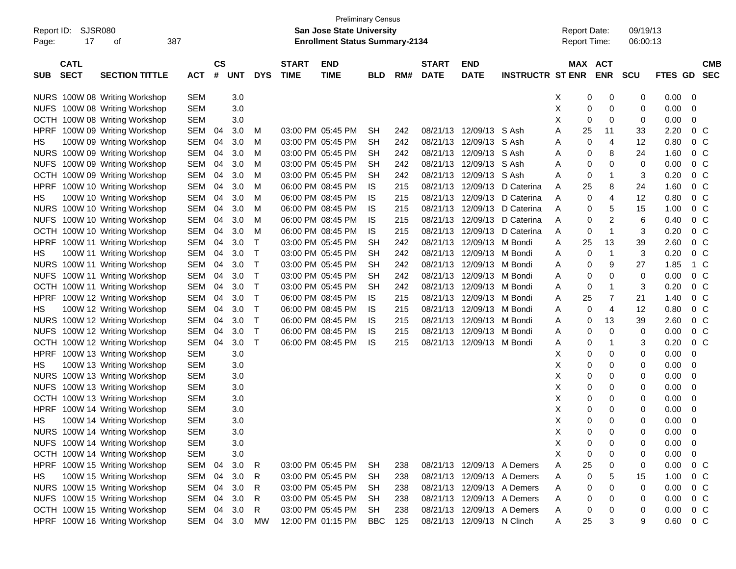| Report ID:<br>17<br>Page:                | <b>SJSR080</b><br>387<br>οf   |            |                    |            |              |                             | <b>Preliminary Census</b><br><b>San Jose State University</b><br><b>Enrollment Status Summary-2134</b> |            |     |                             |                            |                            | <b>Report Date:</b><br>Report Time: |                       | 09/19/13<br>06:00:13 |             |                                       |
|------------------------------------------|-------------------------------|------------|--------------------|------------|--------------|-----------------------------|--------------------------------------------------------------------------------------------------------|------------|-----|-----------------------------|----------------------------|----------------------------|-------------------------------------|-----------------------|----------------------|-------------|---------------------------------------|
| <b>CATL</b><br><b>SECT</b><br><b>SUB</b> | <b>SECTION TITTLE</b>         | <b>ACT</b> | $\mathsf{cs}$<br># | <b>UNT</b> | <b>DYS</b>   | <b>START</b><br><b>TIME</b> | <b>END</b><br><b>TIME</b>                                                                              | <b>BLD</b> | RM# | <b>START</b><br><b>DATE</b> | <b>END</b><br><b>DATE</b>  | <b>INSTRUCTR ST ENR</b>    |                                     | MAX ACT<br><b>ENR</b> | <b>SCU</b>           | <b>FTES</b> | <b>CMB</b><br><b>GD</b><br><b>SEC</b> |
|                                          | NURS 100W 08 Writing Workshop | <b>SEM</b> |                    | 3.0        |              |                             |                                                                                                        |            |     |                             |                            |                            | Χ                                   | 0<br>0                | 0                    | 0.00        | 0                                     |
|                                          | NUFS 100W 08 Writing Workshop | <b>SEM</b> |                    | 3.0        |              |                             |                                                                                                        |            |     |                             |                            |                            | X                                   | 0<br>0                | 0                    | 0.00        | 0                                     |
|                                          | OCTH 100W 08 Writing Workshop | <b>SEM</b> |                    | 3.0        |              |                             |                                                                                                        |            |     |                             |                            |                            | X                                   | 0<br>0                | 0                    | 0.00        | 0                                     |
| <b>HPRF</b>                              | 100W 09 Writing Workshop      | SEM        | 04                 | 3.0        | M            |                             | 03:00 PM 05:45 PM                                                                                      | <b>SH</b>  | 242 | 08/21/13                    | 12/09/13 S Ash             |                            | 25<br>Α                             | 11                    | 33                   | 2.20        | $0\,C$                                |
| HS                                       | 100W 09 Writing Workshop      | <b>SEM</b> | 04                 | 3.0        | M            |                             | 03:00 PM 05:45 PM                                                                                      | <b>SH</b>  | 242 | 08/21/13                    | 12/09/13                   | S Ash                      | Α                                   | 4<br>0                | 12                   | 0.80        | $0\,C$                                |
|                                          | NURS 100W 09 Writing Workshop | <b>SEM</b> | 04                 | 3.0        | M            |                             | 03:00 PM 05:45 PM                                                                                      | <b>SH</b>  | 242 | 08/21/13                    | 12/09/13                   | S Ash                      | Α                                   | 8<br>0                | 24                   | 1.60        | $0\,C$                                |
|                                          | NUFS 100W 09 Writing Workshop | <b>SEM</b> | 04                 | 3.0        | M            |                             | 03:00 PM 05:45 PM                                                                                      | <b>SH</b>  | 242 | 08/21/13                    | 12/09/13                   | S Ash                      | Α                                   | 0<br>0                | 0                    | 0.00        | 0 <sup>C</sup>                        |
|                                          | OCTH 100W 09 Writing Workshop | <b>SEM</b> | 04                 | 3.0        | M            |                             | 03:00 PM 05:45 PM                                                                                      | <b>SH</b>  | 242 | 08/21/13                    | 12/09/13                   | S Ash                      | Α                                   | 0<br>1                | 3                    | 0.20        | 0 <sup>C</sup>                        |
| <b>HPRF</b>                              | 100W 10 Writing Workshop      | <b>SEM</b> | 04                 | 3.0        | M            |                             | 06:00 PM 08:45 PM                                                                                      | IS         | 215 | 08/21/13                    | 12/09/13                   | D Caterina                 | 25<br>Α                             | 8                     | 24                   | 1.60        | 0 <sup>C</sup>                        |
| HS                                       | 100W 10 Writing Workshop      | <b>SEM</b> | 04                 | 3.0        | M            |                             | 06:00 PM 08:45 PM                                                                                      | IS         | 215 | 08/21/13                    | 12/09/13                   | D Caterina                 | Α                                   | 4<br>0                | 12                   | 0.80        | 0 <sup>C</sup>                        |
|                                          | NURS 100W 10 Writing Workshop | <b>SEM</b> | 04                 | 3.0        | M            |                             | 06:00 PM 08:45 PM                                                                                      | IS         | 215 | 08/21/13                    | 12/09/13                   | D Caterina                 | Α                                   | 5<br>0                | 15                   | 1.00        | $0\,C$                                |
|                                          | NUFS 100W 10 Writing Workshop | <b>SEM</b> | 04                 | 3.0        | M            |                             | 06:00 PM 08:45 PM                                                                                      | IS         | 215 | 08/21/13                    | 12/09/13                   | D Caterina                 | Α                                   | 2<br>0                | 6                    | 0.40        | 0 <sup>C</sup>                        |
|                                          | OCTH 100W 10 Writing Workshop | <b>SEM</b> | 04                 | 3.0        | M            |                             | 06:00 PM 08:45 PM                                                                                      | IS         | 215 | 08/21/13                    | 12/09/13                   | D Caterina                 | A                                   | $\mathbf{1}$<br>0     | 3                    | 0.20        | 0 <sup>C</sup>                        |
| <b>HPRF</b>                              | 100W 11 Writing Workshop      | <b>SEM</b> | 04                 | 3.0        | Т            |                             | 03:00 PM 05:45 PM                                                                                      | <b>SH</b>  | 242 | 08/21/13                    | 12/09/13                   | M Bondi                    | 25<br>Α                             | 13                    | 39                   | 2.60        | 0 <sup>C</sup>                        |
| HS                                       | 100W 11 Writing Workshop      | <b>SEM</b> | 04                 | 3.0        | т            |                             | 03:00 PM 05:45 PM                                                                                      | <b>SH</b>  | 242 | 08/21/13                    | 12/09/13                   | M Bondi                    | Α                                   | $\mathbf 1$<br>0      | 3                    | 0.20        | 0 <sup>C</sup>                        |
|                                          | NURS 100W 11 Writing Workshop | <b>SEM</b> | 04                 | 3.0        | Т            |                             | 03:00 PM 05:45 PM                                                                                      | <b>SH</b>  | 242 | 08/21/13                    | 12/09/13                   | M Bondi                    | Α                                   | 9<br>0                | 27                   | 1.85        | 1 C                                   |
|                                          | NUFS 100W 11 Writing Workshop | <b>SEM</b> | 04                 | 3.0        | Т            |                             | 03:00 PM 05:45 PM                                                                                      | <b>SH</b>  | 242 | 08/21/13                    | 12/09/13                   | M Bondi                    | Α                                   | 0<br>0                | 0                    | 0.00        | 0 <sup>C</sup>                        |
|                                          | OCTH 100W 11 Writing Workshop | <b>SEM</b> | 04                 | 3.0        | Т            |                             | 03:00 PM 05:45 PM                                                                                      | <b>SH</b>  | 242 | 08/21/13                    | 12/09/13                   | M Bondi                    | Α                                   | 0<br>1                | 3                    | 0.20        | 0 <sup>C</sup>                        |
| <b>HPRF</b>                              | 100W 12 Writing Workshop      | <b>SEM</b> | 04                 | 3.0        | Т            |                             | 06:00 PM 08:45 PM                                                                                      | IS         | 215 | 08/21/13                    | 12/09/13                   | M Bondi                    | 25<br>Α                             | 7                     | 21                   | 1.40        | 0 <sup>C</sup>                        |
| HS                                       | 100W 12 Writing Workshop      | <b>SEM</b> | 04                 | 3.0        | т            |                             | 06:00 PM 08:45 PM                                                                                      | IS         | 215 | 08/21/13                    | 12/09/13                   | M Bondi                    | Α                                   | 4<br>0                | 12                   | 0.80        | 0 <sup>C</sup>                        |
|                                          | NURS 100W 12 Writing Workshop | <b>SEM</b> | 04                 | 3.0        | Т            |                             | 06:00 PM 08:45 PM                                                                                      | IS         | 215 | 08/21/13                    | 12/09/13                   | M Bondi                    | Α                                   | 13<br>0               | 39                   | 2.60        | 0 <sup>C</sup>                        |
|                                          | NUFS 100W 12 Writing Workshop | <b>SEM</b> | 04                 | 3.0        | т            |                             | 06:00 PM 08:45 PM                                                                                      | IS         | 215 | 08/21/13                    | 12/09/13                   | M Bondi                    | Α                                   | 0<br>0                | 0                    | 0.00        | 0 <sup>C</sup>                        |
|                                          | OCTH 100W 12 Writing Workshop | <b>SEM</b> | 04                 | 3.0        | Τ            |                             | 06:00 PM 08:45 PM                                                                                      | IS         | 215 | 08/21/13                    | 12/09/13                   | M Bondi                    | Α                                   | 0<br>1                | 3                    | 0.20        | 0 <sup>C</sup>                        |
| <b>HPRF</b>                              | 100W 13 Writing Workshop      | <b>SEM</b> |                    | 3.0        |              |                             |                                                                                                        |            |     |                             |                            |                            | Χ                                   | 0<br>0                | 0                    | 0.00        | 0                                     |
| HS                                       | 100W 13 Writing Workshop      | <b>SEM</b> |                    | 3.0        |              |                             |                                                                                                        |            |     |                             |                            |                            | Χ                                   | 0<br>0                | 0                    | 0.00        | 0                                     |
|                                          | NURS 100W 13 Writing Workshop | <b>SEM</b> |                    | 3.0        |              |                             |                                                                                                        |            |     |                             |                            |                            | Χ                                   | 0<br>0                | 0                    | 0.00        | 0                                     |
|                                          | NUFS 100W 13 Writing Workshop | <b>SEM</b> |                    | 3.0        |              |                             |                                                                                                        |            |     |                             |                            |                            | Χ                                   | 0<br>0                | 0                    | 0.00        | 0                                     |
|                                          | OCTH 100W 13 Writing Workshop | <b>SEM</b> |                    | 3.0        |              |                             |                                                                                                        |            |     |                             |                            |                            | х                                   | 0<br>0                | 0                    | 0.00        | 0                                     |
| <b>HPRF</b>                              | 100W 14 Writing Workshop      | <b>SEM</b> |                    | 3.0        |              |                             |                                                                                                        |            |     |                             |                            |                            | х                                   | 0<br>0                | 0                    | 0.00        | 0                                     |
| HS                                       | 100W 14 Writing Workshop      | <b>SEM</b> |                    | 3.0        |              |                             |                                                                                                        |            |     |                             |                            |                            | Χ                                   | 0<br>0                | 0                    | 0.00        | 0                                     |
|                                          | NURS 100W 14 Writing Workshop | <b>SEM</b> |                    | 3.0        |              |                             |                                                                                                        |            |     |                             |                            |                            | Х                                   | 0<br>0                | 0                    | 0.00        | 0                                     |
|                                          | NUFS 100W 14 Writing Workshop | <b>SEM</b> |                    | $3.0\,$    |              |                             |                                                                                                        |            |     |                             |                            |                            | Х                                   | 0<br>0                | 0                    | 0.00        | 0                                     |
|                                          | OCTH 100W 14 Writing Workshop | <b>SEM</b> |                    | $3.0\,$    |              |                             |                                                                                                        |            |     |                             |                            |                            | X                                   | 0<br>0                | 0                    | 0.00        | 0                                     |
|                                          | HPRF 100W 15 Writing Workshop | SEM        | 04                 | 3.0        | $\mathsf{R}$ |                             | 03:00 PM 05:45 PM                                                                                      | <b>SH</b>  | 238 |                             |                            | 08/21/13 12/09/13 A Demers | 25<br>Α                             | 0                     | 0                    | 0.00        | $0\quad C$                            |
| HS                                       | 100W 15 Writing Workshop      | SEM        | 04                 | 3.0        | R            |                             | 03:00 PM 05:45 PM                                                                                      | <b>SH</b>  | 238 | 08/21/13                    |                            | 12/09/13 A Demers          | Α                                   | 5<br>0                | 15                   | 1.00        | 0 <sup>C</sup>                        |
|                                          | NURS 100W 15 Writing Workshop | SEM        | 04                 | 3.0        | R            |                             | 03:00 PM 05:45 PM                                                                                      | <b>SH</b>  | 238 | 08/21/13                    |                            | 12/09/13 A Demers          | Α                                   | 0<br>0                | 0                    | 0.00        | 0 C                                   |
|                                          | NUFS 100W 15 Writing Workshop | SEM        | 04                 | 3.0        | R            |                             | 03:00 PM 05:45 PM                                                                                      | <b>SH</b>  | 238 | 08/21/13                    |                            | 12/09/13 A Demers          | Α                                   | 0<br>0                | 0                    | 0.00        | 0 C                                   |
|                                          | OCTH 100W 15 Writing Workshop | SEM        | 04                 | 3.0        | R            |                             | 03:00 PM 05:45 PM                                                                                      | <b>SH</b>  | 238 | 08/21/13                    |                            | 12/09/13 A Demers          | A                                   | 0<br>0                | 0                    | 0.00        | $0\,C$                                |
|                                          | HPRF 100W 16 Writing Workshop | SEM 04 3.0 |                    |            | MW           |                             | 12:00 PM 01:15 PM                                                                                      | <b>BBC</b> | 125 |                             | 08/21/13 12/09/13 N Clinch |                            | 25<br>A                             | 3                     | 9                    | 0.60        | $0\,C$                                |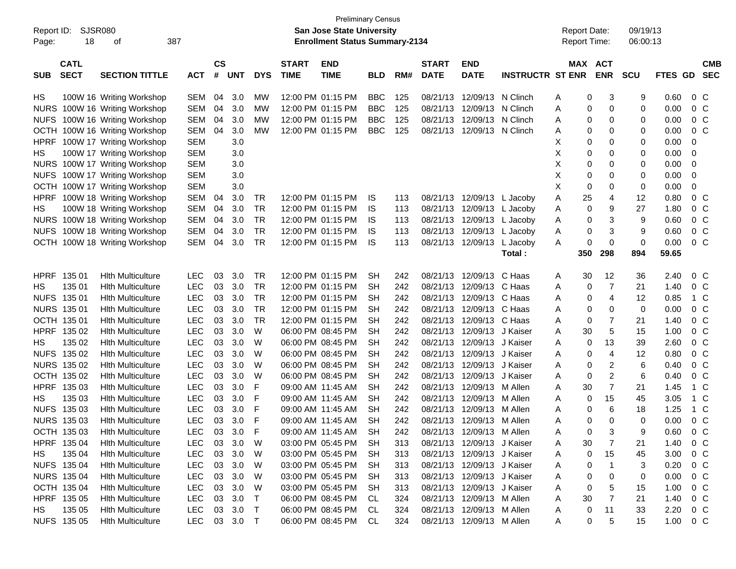|                           | <b>Preliminary Census</b><br><b>SJSR080</b><br>Report ID:<br><b>San Jose State University</b> |              |           |            |            |              |                                       |            |     |              |                            |                         |                     |                     |            |                |                |
|---------------------------|-----------------------------------------------------------------------------------------------|--------------|-----------|------------|------------|--------------|---------------------------------------|------------|-----|--------------|----------------------------|-------------------------|---------------------|---------------------|------------|----------------|----------------|
|                           |                                                                                               |              |           |            |            |              |                                       |            |     |              |                            |                         | <b>Report Date:</b> |                     | 09/19/13   |                |                |
| Page:                     | 387<br>18<br>οf                                                                               |              |           |            |            |              | <b>Enrollment Status Summary-2134</b> |            |     |              |                            |                         | <b>Report Time:</b> |                     | 06:00:13   |                |                |
| <b>CATL</b>               |                                                                                               |              | <b>CS</b> |            |            | <b>START</b> | <b>END</b>                            |            |     | <b>START</b> | <b>END</b>                 |                         |                     | MAX ACT             |            |                | <b>CMB</b>     |
| <b>SECT</b><br><b>SUB</b> | <b>SECTION TITTLE</b>                                                                         | <b>ACT</b>   | #         | <b>UNT</b> | <b>DYS</b> | <b>TIME</b>  | <b>TIME</b>                           | <b>BLD</b> | RM# | <b>DATE</b>  | <b>DATE</b>                | <b>INSTRUCTR ST ENR</b> |                     | <b>ENR</b>          | <b>SCU</b> | <b>FTES GD</b> | <b>SEC</b>     |
| HS                        | 100W 16 Writing Workshop                                                                      | SEM          | 04        | 3.0        | <b>MW</b>  |              | 12:00 PM 01:15 PM                     | <b>BBC</b> | 125 | 08/21/13     | 12/09/13                   | N Clinch                | A                   | 3<br>0              | 9          | 0.60           | $0\,$ C        |
|                           | NURS 100W 16 Writing Workshop                                                                 | SEM          | 04        | 3.0        | <b>MW</b>  |              | 12:00 PM 01:15 PM                     | <b>BBC</b> | 125 | 08/21/13     | 12/09/13 N Clinch          |                         | A                   | 0<br>0              | 0          | 0.00           | 0 <sup>o</sup> |
|                           | NUFS 100W 16 Writing Workshop                                                                 | <b>SEM</b>   | 04        | 3.0        | MW         |              | 12:00 PM 01:15 PM                     | <b>BBC</b> | 125 | 08/21/13     | 12/09/13                   | N Clinch                | Α                   | 0<br>0              | 0          | 0.00           | 0 <sup>o</sup> |
|                           | OCTH 100W 16 Writing Workshop                                                                 | <b>SEM</b>   | 04        | 3.0        | МW         |              | 12:00 PM 01:15 PM                     | <b>BBC</b> | 125 | 08/21/13     | 12/09/13 N Clinch          |                         | Α                   | 0<br>0              | 0          | 0.00           | 0 <sup>o</sup> |
|                           | HPRF 100W 17 Writing Workshop                                                                 | <b>SEM</b>   |           | 3.0        |            |              |                                       |            |     |              |                            |                         | X                   | 0<br>0              | 0          | 0.00           | 0              |
| HS                        | 100W 17 Writing Workshop                                                                      | <b>SEM</b>   |           | 3.0        |            |              |                                       |            |     |              |                            |                         | Х                   | 0<br>0              | 0          | 0.00           | 0              |
|                           | NURS 100W 17 Writing Workshop                                                                 | <b>SEM</b>   |           | 3.0        |            |              |                                       |            |     |              |                            |                         | Х                   | 0<br>0              | 0          | 0.00           | 0              |
|                           | NUFS 100W 17 Writing Workshop                                                                 | <b>SEM</b>   |           | 3.0        |            |              |                                       |            |     |              |                            |                         | Х                   | 0<br>0              | 0          | 0.00           | 0              |
|                           | OCTH 100W 17 Writing Workshop                                                                 | <b>SEM</b>   |           | 3.0        |            |              |                                       |            |     |              |                            |                         | Х                   | 0<br>0              | 0          | 0.00           | 0              |
|                           | HPRF 100W 18 Writing Workshop                                                                 | SEM          | 04        | 3.0        | TR         |              | 12:00 PM 01:15 PM                     | IS         | 113 | 08/21/13     | 12/09/13 L Jacoby          |                         | 25<br>A             | 4                   | 12         | 0.80           | 0 <sup>o</sup> |
| HS                        | 100W 18 Writing Workshop                                                                      | <b>SEM</b>   | 04        | 3.0        | <b>TR</b>  |              | 12:00 PM 01:15 PM                     | IS         | 113 | 08/21/13     | 12/09/13 L Jacoby          |                         | Α                   | 9<br>0              | 27         | 1.80           | 0 <sup>o</sup> |
|                           | NURS 100W 18 Writing Workshop                                                                 | <b>SEM</b>   | 04        | 3.0        | <b>TR</b>  |              | 12:00 PM 01:15 PM                     | IS         | 113 | 08/21/13     | 12/09/13 L Jacoby          |                         | Α                   | 3<br>0              | 9          | 0.60           | 0 <sup>o</sup> |
|                           | NUFS 100W 18 Writing Workshop                                                                 | <b>SEM</b>   | 04        | 3.0        | <b>TR</b>  |              | 12:00 PM 01:15 PM                     | IS         | 113 | 08/21/13     | 12/09/13                   | L Jacoby                | Α                   | 3<br>0              | 9          | 0.60           | 0 <sup>o</sup> |
|                           | OCTH 100W 18 Writing Workshop                                                                 | SEM          | 04        | 3.0        | <b>TR</b>  |              | 12:00 PM 01:15 PM                     | IS         | 113 |              | 08/21/13 12/09/13 L Jacoby |                         | A                   | 0<br>0              | 0          | 0.00           | 0 <sup>o</sup> |
|                           |                                                                                               |              |           |            |            |              |                                       |            |     |              |                            | Total:                  | 350                 | 298                 | 894        | 59.65          |                |
|                           |                                                                                               |              |           |            |            |              |                                       |            |     |              |                            |                         |                     |                     |            |                |                |
| HPRF 135 01               | <b>Hith Multiculture</b>                                                                      | <b>LEC</b>   | 03        | 3.0        | TR         |              | 12:00 PM 01:15 PM                     | <b>SH</b>  | 242 | 08/21/13     | 12/09/13                   | C Haas                  | 30<br>A             | 12                  | 36         | 2.40           | $0\,$ C        |
| 135 01<br>HS              | <b>Hith Multiculture</b>                                                                      | <b>LEC</b>   | 03        | 3.0        | <b>TR</b>  |              | 12:00 PM 01:15 PM                     | <b>SH</b>  | 242 | 08/21/13     | 12/09/13                   | C Haas                  | Α                   | $\overline{7}$<br>0 | 21         | 1.40           | 0 <sup>o</sup> |
| NUFS 135 01               | <b>Hith Multiculture</b>                                                                      | <b>LEC</b>   | 03        | 3.0        | <b>TR</b>  |              | 12:00 PM 01:15 PM                     | <b>SH</b>  | 242 | 08/21/13     | 12/09/13                   | C Haas                  | A                   | $\overline{4}$<br>0 | 12         | 0.85           | 1 C            |
| <b>NURS 135 01</b>        | <b>Hith Multiculture</b>                                                                      | <b>LEC</b>   | 03        | 3.0        | <b>TR</b>  |              | 12:00 PM 01:15 PM                     | <b>SH</b>  | 242 | 08/21/13     | 12/09/13                   | C Haas                  | Α                   | 0<br>0              | 0          | 0.00           | 0 <sup>o</sup> |
| OCTH 135 01               | <b>Hith Multiculture</b>                                                                      | <b>LEC</b>   | 03        | 3.0        | <b>TR</b>  |              | 12:00 PM 01:15 PM                     | <b>SH</b>  | 242 | 08/21/13     | 12/09/13                   | C Haas                  | Α                   | 7<br>0              | 21         | 1.40           | 0 <sup>o</sup> |
| HPRF 135 02               | <b>Hith Multiculture</b>                                                                      | <b>LEC</b>   | 03        | 3.0        | W          |              | 06:00 PM 08:45 PM                     | <b>SH</b>  | 242 | 08/21/13     | 12/09/13                   | J Kaiser                | 30<br>Α             | 5                   | 15         | 1.00           | 0 <sup>o</sup> |
| 135 02<br>HS              | <b>Hith Multiculture</b>                                                                      | <b>LEC</b>   | 03        | 3.0        | W          |              | 06:00 PM 08:45 PM                     | <b>SH</b>  | 242 | 08/21/13     | 12/09/13                   | J Kaiser                | Α                   | 13<br>0             | 39         | 2.60           | 0 <sup>o</sup> |
| NUFS 135 02               | <b>Hith Multiculture</b>                                                                      | <b>LEC</b>   | 03        | 3.0        | W          |              | 06:00 PM 08:45 PM                     | <b>SH</b>  | 242 | 08/21/13     | 12/09/13                   | J Kaiser                | A                   | $\overline{4}$<br>0 | 12         | 0.80           | 0 <sup>o</sup> |
| NURS 135 02               | <b>Hith Multiculture</b>                                                                      | <b>LEC</b>   | 03        | 3.0        | W          |              | 06:00 PM 08:45 PM                     | <b>SH</b>  | 242 | 08/21/13     | 12/09/13                   | J Kaiser                | Α                   | 2<br>0              | 6          | 0.40           | 0 <sup>o</sup> |
| OCTH 135 02               | <b>Hith Multiculture</b>                                                                      | <b>LEC</b>   | 03        | 3.0        | W          |              | 06:00 PM 08:45 PM                     | <b>SH</b>  | 242 | 08/21/13     | 12/09/13                   | J Kaiser                | Α                   | $\overline{c}$<br>0 | 6          | 0.40           | 0 <sup>o</sup> |
| HPRF 135 03               | <b>Hith Multiculture</b>                                                                      | <b>LEC</b>   | 03        | 3.0        | F          |              | 09:00 AM 11:45 AM                     | <b>SH</b>  | 242 | 08/21/13     | 12/09/13                   | M Allen                 | 30<br>Α             | $\overline{7}$      | 21         | 1.45           | $1\,C$         |
| 135 03<br>HS              | <b>Hith Multiculture</b>                                                                      | <b>LEC</b>   | 03        | 3.0        | F          |              | 09:00 AM 11:45 AM                     | <b>SH</b>  | 242 | 08/21/13     | 12/09/13                   | M Allen                 | A                   | 15<br>0             | 45         | 3.05           | $1\,C$         |
| NUFS 135 03               | <b>Hith Multiculture</b>                                                                      | <b>LEC</b>   | 03        | 3.0        | F          |              | 09:00 AM 11:45 AM                     | <b>SH</b>  | 242 | 08/21/13     | 12/09/13                   | M Allen                 | Α                   | 6<br>0              | 18         | 1.25           | 1 C            |
| NURS 135 03               | <b>Hith Multiculture</b>                                                                      | <b>LEC</b>   | 03        | 3.0        | F          |              | 09:00 AM 11:45 AM                     | <b>SH</b>  | 242 | 08/21/13     | 12/09/13 M Allen           |                         | Α                   | 0<br>0              | 0          | 0.00           | 0 <sup>o</sup> |
| OCTH 135 03               | <b>Hith Multiculture</b>                                                                      | LEC          |           | 03 3.0     | F          |              | 09:00 AM 11:45 AM                     | <b>SH</b>  | 242 |              | 08/21/13 12/09/13 M Allen  |                         | Α                   | 0                   | 9          | 0.60           | $0\,C$         |
| HPRF 135 04               | <b>Hith Multiculture</b>                                                                      | <b>LEC</b>   | 03        | 3.0        | - W        |              | 03:00 PM 05:45 PM                     | <b>SH</b>  | 313 |              | 08/21/13 12/09/13 J Kaiser |                         | 30<br>A             | 7                   | 21         | 1.40           | $0\,$ C        |
| 135 04<br>HS              | <b>Hith Multiculture</b>                                                                      | LEC          | 03        | 3.0        | W          |              | 03:00 PM 05:45 PM                     | -SH        | 313 |              | 08/21/13 12/09/13 J Kaiser |                         | A                   | 15<br>0             | 45         | 3.00           | $0\,$ C        |
| NUFS 135 04               | <b>Hith Multiculture</b>                                                                      | LEC          | 03        | 3.0        | W          |              | 03:00 PM 05:45 PM                     | SH         | 313 |              | 08/21/13 12/09/13 J Kaiser |                         | A                   | 0                   | 3          | 0.20           | $0\,$ C        |
| NURS 135 04               | <b>Hith Multiculture</b>                                                                      | LEC          | 03        | 3.0        | W          |              | 03:00 PM 05:45 PM                     | SH         | 313 |              | 08/21/13 12/09/13 J Kaiser |                         | A                   | 0<br>0              | 0          | 0.00           | $0\,$ C        |
| OCTH 135 04               | <b>Hith Multiculture</b>                                                                      | LEC          | 03        | 3.0        | W          |              | 03:00 PM 05:45 PM                     | -SH        | 313 |              | 08/21/13 12/09/13 J Kaiser |                         | A                   | 5<br>0              | 15         | 1.00           | $0\,$ C        |
| HPRF 135 05               | <b>Hith Multiculture</b>                                                                      | LEC          | 03        | 3.0        | $\top$     |              | 06:00 PM 08:45 PM                     | -CL        | 324 |              | 08/21/13 12/09/13 M Allen  |                         | 30<br>A             | 7                   | 21         | 1.40           | $0\,$ C        |
| 135 05<br>HS              | <b>Hith Multiculture</b>                                                                      | LEC          | 03        | 3.0        | $\top$     |              | 06:00 PM 08:45 PM                     | CL.        | 324 |              | 08/21/13 12/09/13 M Allen  |                         | A                   | 11<br>0             | 33         | 2.20           | $0\,$ C        |
| NUFS 135 05               | <b>Hith Multiculture</b>                                                                      | LEC 03 3.0 T |           |            |            |              | 06:00 PM 08:45 PM                     | CL.        | 324 |              | 08/21/13 12/09/13 M Allen  |                         | A                   | 0<br>5              | 15         | $1.00 \t 0 C$  |                |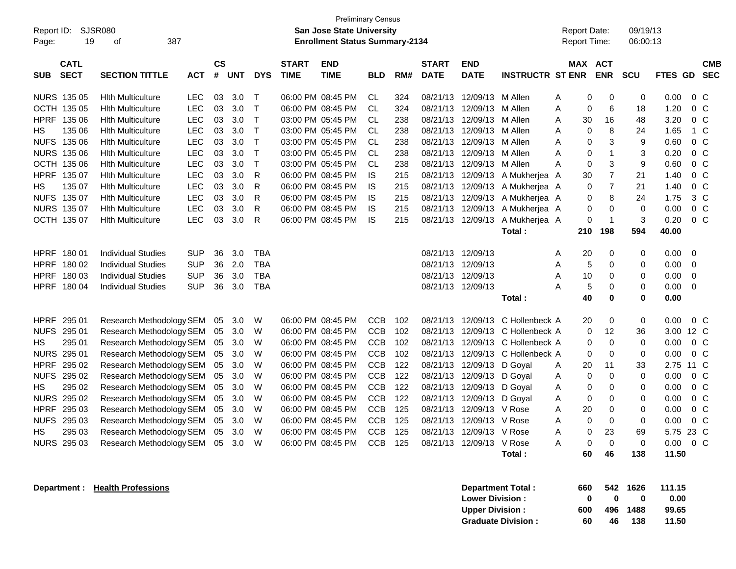| Report ID:<br>19<br>Page:                              | SJSR080<br>387<br>οf                                                             |                                        |                    |                   |                                        |                             | <b>Preliminary Census</b><br><b>San Jose State University</b><br><b>Enrollment Status Summary-2134</b> |                                     |                   |                                  |                                                    |                                                 | <b>Report Date:</b><br>Report Time: |                                      | 09/19/13<br>06:00:13   |                       |                                        |
|--------------------------------------------------------|----------------------------------------------------------------------------------|----------------------------------------|--------------------|-------------------|----------------------------------------|-----------------------------|--------------------------------------------------------------------------------------------------------|-------------------------------------|-------------------|----------------------------------|----------------------------------------------------|-------------------------------------------------|-------------------------------------|--------------------------------------|------------------------|-----------------------|----------------------------------------|
| <b>CATL</b><br><b>SECT</b><br><b>SUB</b>               | <b>SECTION TITTLE</b>                                                            | <b>ACT</b>                             | $\mathsf{cs}$<br># | <b>UNT</b>        | <b>DYS</b>                             | <b>START</b><br><b>TIME</b> | <b>END</b><br><b>TIME</b>                                                                              | <b>BLD</b>                          | RM#               | <b>START</b><br><b>DATE</b>      | <b>END</b><br><b>DATE</b>                          | <b>INSTRUCTR ST ENR</b>                         | <b>MAX ACT</b>                      | <b>ENR</b>                           | SCU                    | FTES GD               | <b>CMB</b><br><b>SEC</b>               |
| NURS 135 05<br>OCTH 135 05                             | <b>Hith Multiculture</b><br><b>Hith Multiculture</b>                             | <b>LEC</b><br><b>LEC</b>               | 03<br>03           | 3.0<br>3.0        | $\top$<br>$\mathsf{T}$                 |                             | 06:00 PM 08:45 PM<br>06:00 PM 08:45 PM                                                                 | CL.<br>CL                           | 324<br>324        | 08/21/13<br>08/21/13             | 12/09/13<br>12/09/13                               | M Allen<br>M Allen                              | A<br>0<br>A<br>0                    | $\mathbf 0$<br>$6\phantom{1}6$       | 0<br>18                | 0.00<br>1.20          | 0 <sup>o</sup><br>0 <sup>o</sup>       |
| <b>HPRF</b><br>135 06<br>135 06<br>HS.<br>NUFS 135 06  | <b>Hith Multiculture</b><br><b>Hith Multiculture</b>                             | <b>LEC</b><br><b>LEC</b><br><b>LEC</b> | 03<br>03<br>03     | 3.0<br>3.0<br>3.0 | $\top$<br>$\mathsf{T}$<br>$\mathsf{T}$ |                             | 03:00 PM 05:45 PM<br>03:00 PM 05:45 PM                                                                 | <b>CL</b><br><b>CL</b>              | 238<br>238        | 08/21/13<br>08/21/13             | 12/09/13<br>12/09/13                               | M Allen<br>M Allen                              | 30<br>A<br>0<br>A<br>0              | 16<br>8<br>$\mathbf{3}$              | 48<br>24<br>9          | 3.20<br>1.65          | $0\quad C$<br>$1\,C$<br>$0\quad C$     |
| <b>NURS 135 06</b><br>OCTH 135 06                      | <b>Hith Multiculture</b><br><b>Hith Multiculture</b><br><b>Hith Multiculture</b> | <b>LEC</b><br><b>LEC</b>               | 03<br>03           | 3.0<br>3.0        | $\top$<br>$\mathsf T$                  |                             | 03:00 PM 05:45 PM<br>03:00 PM 05:45 PM<br>03:00 PM 05:45 PM                                            | <b>CL</b><br><b>CL</b><br><b>CL</b> | 238<br>238<br>238 | 08/21/13<br>08/21/13<br>08/21/13 | 12/09/13<br>12/09/13<br>12/09/13                   | M Allen<br>M Allen<br>M Allen                   | A<br>A<br>0<br>0<br>A               | $\mathbf{1}$<br>3                    | 3<br>9                 | 0.60<br>0.20<br>0.60  | 0 <sup>o</sup><br>0 <sup>o</sup>       |
| <b>HPRF</b><br>135 07<br>135 07<br>НS                  | <b>Hith Multiculture</b><br><b>Hith Multiculture</b>                             | <b>LEC</b><br><b>LEC</b>               | 03<br>03           | 3.0<br>3.0        | R<br>R                                 |                             | 06:00 PM 08:45 PM<br>06:00 PM 08:45 PM                                                                 | <b>IS</b><br><b>IS</b>              | 215<br>215        | 08/21/13                         | 12/09/13<br>08/21/13 12/09/13                      | A Mukherjea A<br>A Mukherjea A                  | 30<br>0                             | $\overline{7}$<br>$\overline{7}$     | 21<br>21               | 1.40<br>1.40          | 0 <sup>o</sup><br>0 <sup>o</sup>       |
| NUFS 135 07<br>NURS 135 07<br>OCTH 135 07              | <b>Hith Multiculture</b><br><b>Hith Multiculture</b><br><b>Hith Multiculture</b> | <b>LEC</b><br><b>LEC</b><br>LEC        | 03<br>03<br>03     | 3.0<br>3.0<br>3.0 | R<br>R<br>${\sf R}$                    |                             | 06:00 PM 08:45 PM<br>06:00 PM 08:45 PM<br>06:00 PM 08:45 PM                                            | IS<br><b>IS</b><br>IS               | 215<br>215<br>215 | 08/21/13                         | 12/09/13<br>08/21/13 12/09/13<br>08/21/13 12/09/13 | A Mukherjea A<br>A Mukherjea A<br>A Mukherjea A | 0<br>0<br>0                         | 8<br>$\mathbf 0$<br>$\overline{1}$   | 24<br>$\mathbf 0$<br>3 | 1.75<br>0.00<br>0.20  | 3 <sup>C</sup><br>$0\quad C$<br>$0\,C$ |
|                                                        |                                                                                  |                                        |                    |                   |                                        |                             |                                                                                                        |                                     |                   |                                  |                                                    | Total:                                          | 210                                 | 198                                  | 594                    | 40.00                 |                                        |
| <b>HPRF</b><br>18001<br>HPRF 180 02                    | <b>Individual Studies</b><br><b>Individual Studies</b>                           | <b>SUP</b><br><b>SUP</b>               | 36<br>36           | 3.0<br>2.0        | <b>TBA</b><br><b>TBA</b>               |                             |                                                                                                        |                                     |                   | 08/21/13                         | 12/09/13<br>08/21/13 12/09/13                      |                                                 | 20<br>Α<br>A<br>5                   | 0<br>$\mathbf 0$                     | 0<br>0                 | 0.00<br>0.00          | $\mathbf 0$<br>$\mathbf 0$             |
| <b>HPRF</b><br>180 03<br>HPRF<br>18004                 | <b>Individual Studies</b><br><b>Individual Studies</b>                           | <b>SUP</b><br><b>SUP</b>               | 36<br>36           | 3.0<br>3.0        | <b>TBA</b><br><b>TBA</b>               |                             |                                                                                                        |                                     |                   | 08/21/13                         | 12/09/13<br>08/21/13 12/09/13                      | Total:                                          | A<br>10<br>5<br>A<br>40             | $\pmb{0}$<br>$\mathbf 0$<br>$\bf{0}$ | 0<br>0<br>0            | 0.00<br>0.00<br>0.00  | $\mathbf 0$<br>$\mathbf 0$             |
| <b>HPRF</b><br>295 01                                  | Research Methodology SEM                                                         |                                        | 05                 | 3.0               | W                                      |                             | 06:00 PM 08:45 PM                                                                                      | <b>CCB</b>                          | 102               | 08/21/13                         | 12/09/13                                           | C Hollenbeck A                                  | 20                                  | $\mathbf 0$                          | 0                      | 0.00                  | 0 <sup>o</sup>                         |
| <b>NUFS</b><br>295 01<br>295 01<br>HS                  | Research Methodology SEM<br>Research Methodology SEM                             |                                        | 05<br>05           | 3.0<br>3.0        | W<br>W                                 |                             | 06:00 PM 08:45 PM<br>06:00 PM 08:45 PM                                                                 | <b>CCB</b><br><b>CCB</b>            | 102<br>102        | 08/21/13                         | 12/09/13<br>08/21/13 12/09/13                      | C Hollenbeck A<br>C Hollenbeck A                | $\Omega$<br>0                       | 12<br>$\mathbf 0$                    | 36<br>0                | 3.00<br>0.00          | 12 C<br>0 <sup>o</sup>                 |
| NURS 295 01<br>HPRF<br>295 02<br><b>NUFS</b><br>295 02 | Research Methodology SEM<br>Research Methodology SEM<br>Research Methodology SEM |                                        | 05<br>05<br>05     | 3.0<br>3.0<br>3.0 | W<br>W<br>W                            |                             | 06:00 PM 08:45 PM<br>06:00 PM 08:45 PM<br>06:00 PM 08:45 PM                                            | <b>CCB</b><br>CCB<br><b>CCB</b>     | 102<br>122<br>122 | 08/21/13<br>08/21/13<br>08/21/13 | 12/09/13<br>12/09/13<br>12/09/13                   | C Hollenbeck A<br>D Goyal<br>D Goval            | 0<br>20<br>Α<br>0<br>A              | $\mathbf 0$<br>11<br>$\mathbf 0$     | $\mathbf 0$<br>33<br>0 | 0.00<br>2.75<br>0.00  | $0\,C$<br>11 C<br>0 <sub>C</sub>       |
| 295 02<br>HS<br>NURS 295 02                            | Research Methodology SEM<br>Research Methodology SEM                             |                                        | 05<br>05           | 3.0<br>3.0        | W<br>W                                 |                             | 06:00 PM 08:45 PM<br>06:00 PM 08:45 PM                                                                 | <b>CCB</b><br><b>CCB</b>            | 122<br>122        | 08/21/13                         | 12/09/13<br>08/21/13 12/09/13                      | D Goval<br>D Goval                              | 0<br>A<br>0<br>A                    | $\mathbf 0$<br>$\mathbf 0$           | 0<br>0                 | 0.00<br>0.00          | 0 <sup>o</sup><br>0 <sup>o</sup>       |
| <b>HPRF</b><br>295 03<br>NUFS 295 03                   | Research Methodology SEM<br>Research Methodology SEM                             |                                        | 05<br>05           | 3.0<br>3.0        | W<br>W                                 |                             | 06:00 PM 08:45 PM<br>06:00 PM 08:45 PM                                                                 | <b>CCB</b><br>CCB                   | 125<br>125        | 08/21/13<br>08/21/13             | 12/09/13 V Rose<br>12/09/13 V Rose                 |                                                 | 20<br>A<br>A<br>0                   | $\mathbf 0$<br>$\mathbf 0$           | 0<br>0                 | 0.00<br>0.00          | $0\quad C$<br>$0\,C$                   |
| 295 03<br>НS<br>NURS 295 03                            | Research Methodology SEM<br>Research Methodology SEM                             |                                        | 05<br>05           | 3.0<br>3.0        | W<br>W                                 |                             | 06:00 PM 08:45 PM<br>06:00 PM 08:45 PM                                                                 | <b>CCB</b><br><b>CCB</b>            | 125<br>125        | 08/21/13<br>08/21/13             | 12/09/13<br>12/09/13 V Rose                        | V Rose<br>Total:                                | A<br>0<br>0<br>A<br>60              | 23<br>$\mathbf 0$<br>46              | 69<br>0<br>138         | 5.75<br>0.00<br>11.50 | 23 C<br>0 <sup>o</sup>                 |
|                                                        |                                                                                  |                                        |                    |                   |                                        |                             |                                                                                                        |                                     |                   |                                  |                                                    |                                                 |                                     |                                      |                        |                       |                                        |

**Department : Health Professions** 

| Department Total:         | 660 |    | 542 1626 | 111.15 |
|---------------------------|-----|----|----------|--------|
| <b>Lower Division:</b>    | n   | n  | o        | 0.00   |
| <b>Upper Division:</b>    | 600 |    | 496 1488 | 99.65  |
| <b>Graduate Division:</b> | 60  | 46 | 138      | 11.50  |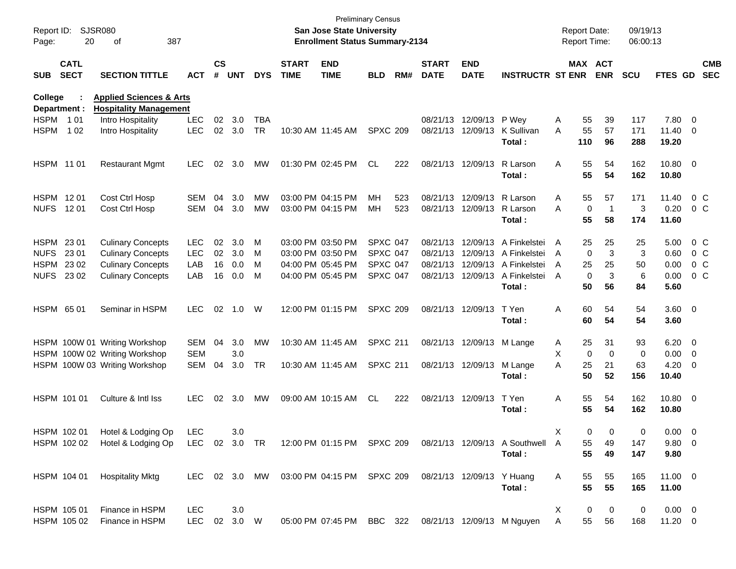| Report ID:<br>Page:     | <b>SJSR080</b><br>20       | 387<br>οf                                                           |               |                |            |            |                             | <b>San Jose State University</b><br><b>Enrollment Status Summary-2134</b> | <b>Preliminary Census</b> |     |                             |                            |                                          | <b>Report Date:</b><br>Report Time: |                              | 09/19/13<br>06:00:13 |                       |                          |
|-------------------------|----------------------------|---------------------------------------------------------------------|---------------|----------------|------------|------------|-----------------------------|---------------------------------------------------------------------------|---------------------------|-----|-----------------------------|----------------------------|------------------------------------------|-------------------------------------|------------------------------|----------------------|-----------------------|--------------------------|
| <b>SUB</b>              | <b>CATL</b><br><b>SECT</b> | <b>SECTION TITTLE</b>                                               | <b>ACT</b>    | <b>CS</b><br># | <b>UNT</b> | <b>DYS</b> | <b>START</b><br><b>TIME</b> | <b>END</b><br><b>TIME</b>                                                 | <b>BLD</b>                | RM# | <b>START</b><br><b>DATE</b> | <b>END</b><br><b>DATE</b>  | <b>INSTRUCTR ST ENR</b>                  |                                     | MAX ACT<br><b>ENR</b>        | SCU                  | FTES GD               | <b>CMB</b><br><b>SEC</b> |
| College<br>Department : |                            | <b>Applied Sciences &amp; Arts</b><br><b>Hospitality Management</b> |               |                |            |            |                             |                                                                           |                           |     |                             |                            |                                          |                                     |                              |                      |                       |                          |
| HSPM 101                |                            | Intro Hospitality                                                   | <b>LEC</b>    | 02             | 3.0        | <b>TBA</b> |                             |                                                                           |                           |     |                             | 08/21/13 12/09/13 P Wey    |                                          | A                                   | 55<br>39                     | 117                  | 7.80 0                |                          |
| <b>HSPM</b>             | 1 0 2                      | Intro Hospitality                                                   | <b>LEC</b>    | 02             | 3.0        | <b>TR</b>  |                             | 10:30 AM 11:45 AM                                                         | <b>SPXC 209</b>           |     |                             |                            | 08/21/13 12/09/13 K Sullivan<br>Total:   | A<br>110                            | 55<br>57<br>96               | 171<br>288           | $11.40 \t 0$<br>19.20 |                          |
| HSPM 1101               |                            | <b>Restaurant Mgmt</b>                                              | <b>LEC</b>    |                | 02 3.0     | MW         |                             | 01:30 PM 02:45 PM                                                         | CL.                       | 222 |                             | 08/21/13 12/09/13          | R Larson<br>Total:                       | A                                   | 55<br>54<br>55<br>54         | 162<br>162           | 10.80 0<br>10.80      |                          |
| HSPM 1201               |                            | Cost Ctrl Hosp                                                      | <b>SEM</b>    | 04             | 3.0        | MW         |                             | 03:00 PM 04:15 PM                                                         | ΜН                        | 523 |                             | 08/21/13 12/09/13          | R Larson                                 | A                                   | 55<br>57                     | 171                  | 11.40                 | $0\,C$                   |
| NUFS 1201               |                            | Cost Ctrl Hosp                                                      | <b>SEM</b>    | 04             | 3.0        | <b>MW</b>  |                             | 03:00 PM 04:15 PM                                                         | <b>MH</b>                 | 523 |                             | 08/21/13 12/09/13 R Larson |                                          | A                                   | 0<br>$\overline{1}$          | 3                    | 0.20                  | $0\,C$                   |
|                         |                            |                                                                     |               |                |            |            |                             |                                                                           |                           |     |                             |                            | Total:                                   |                                     | 55<br>58                     | 174                  | 11.60                 |                          |
| HSPM 23 01              |                            | <b>Culinary Concepts</b>                                            | <b>LEC</b>    | 02             | 3.0        | M          |                             | 03:00 PM 03:50 PM                                                         | <b>SPXC 047</b>           |     |                             | 08/21/13 12/09/13          | A Finkelstei                             | A                                   | 25<br>25                     | 25                   | 5.00                  | 0 C                      |
| <b>NUFS</b>             | 23 01                      | <b>Culinary Concepts</b>                                            | <b>LEC</b>    | 02             | 3.0        | м          |                             | 03:00 PM 03:50 PM                                                         | <b>SPXC 047</b>           |     |                             |                            | 08/21/13 12/09/13 A Finkelstei           | A                                   | 3<br>$\mathbf 0$             | 3                    | 0.60                  | $0\,$ C                  |
| HSPM 2302               |                            | <b>Culinary Concepts</b>                                            | LAB           | 16             | 0.0        | м          |                             | 04:00 PM 05:45 PM                                                         | <b>SPXC 047</b>           |     |                             | 08/21/13 12/09/13          | A Finkelstei                             | A                                   | 25<br>25                     | 50                   | 0.00                  | 0 <sup>o</sup>           |
| NUFS 23 02              |                            | <b>Culinary Concepts</b>                                            | LAB           | 16             | 0.0        | м          |                             | 04:00 PM 05:45 PM                                                         | <b>SPXC 047</b>           |     |                             |                            | 08/21/13 12/09/13 A Finkelstei<br>Total: | A                                   | 3<br>$\mathbf 0$<br>50<br>56 | 6<br>84              | 0.00<br>5.60          | $0\,C$                   |
| HSPM 65 01              |                            | Seminar in HSPM                                                     | <b>LEC</b>    | 02             | 1.0        | W          |                             | 12:00 PM 01:15 PM                                                         | <b>SPXC 209</b>           |     |                             | 08/21/13 12/09/13          | T Yen<br>Total:                          | A                                   | 60<br>54<br>60<br>54         | 54<br>54             | $3.60 \ 0$<br>3.60    |                          |
|                         |                            | HSPM 100W 01 Writing Workshop                                       | SEM           | 04             | 3.0        | MW         |                             | 10:30 AM 11:45 AM                                                         | <b>SPXC 211</b>           |     |                             | 08/21/13 12/09/13 M Lange  |                                          | A                                   | 25<br>31                     | 93                   | $6.20 \t 0$           |                          |
|                         |                            | HSPM 100W 02 Writing Workshop                                       | <b>SEM</b>    |                | 3.0        |            |                             |                                                                           |                           |     |                             |                            |                                          | X                                   | $\mathbf 0$<br>$\Omega$      | 0                    | $0.00 \t 0$           |                          |
|                         |                            | HSPM 100W 03 Writing Workshop                                       | <b>SEM</b>    | 04             | 3.0        | <b>TR</b>  |                             | 10:30 AM 11:45 AM                                                         | <b>SPXC 211</b>           |     |                             | 08/21/13 12/09/13          | M Lange<br>Total:                        | A                                   | 25<br>21<br>50<br>52         | 63<br>156            | $4.20 \ 0$<br>10.40   |                          |
| HSPM 101 01             |                            | Culture & Intl Iss                                                  | <b>LEC</b>    | 02             | 3.0        | MW         |                             | 09:00 AM 10:15 AM                                                         | CL                        | 222 |                             | 08/21/13 12/09/13          | T Yen<br>Total:                          | Α                                   | 55<br>54<br>55<br>54         | 162<br>162           | 10.80 0<br>10.80      |                          |
|                         |                            | HSPM 102 01 Hotel & Lodging Op                                      | LEC           |                | $3.0\,$    |            |                             |                                                                           |                           |     |                             |                            |                                          | X                                   | $\mathbf 0$<br>$\pmb{0}$     | 0                    | $0.00 \t 0$           |                          |
|                         | HSPM 102 02                | Hotel & Lodging Op                                                  | LEC 02 3.0 TR |                |            |            |                             | 12:00 PM 01:15 PM SPXC 209                                                |                           |     |                             |                            | 08/21/13 12/09/13 A Southwell A          |                                     | 55<br>49                     | 147                  | 9.80 0                |                          |
|                         |                            |                                                                     |               |                |            |            |                             |                                                                           |                           |     |                             |                            | Total:                                   |                                     | 55<br>49                     | 147                  | 9.80                  |                          |
| HSPM 104 01             |                            | <b>Hospitality Mktg</b>                                             | LEC 02 3.0 MW |                |            |            |                             | 03:00 PM 04:15 PM SPXC 209                                                |                           |     |                             | 08/21/13 12/09/13 Y Huang  | Total:                                   | A                                   | 55<br>55<br>55<br>55         | 165<br>165           | 11.00 0<br>11.00      |                          |
| HSPM 105 01             |                            | Finance in HSPM                                                     | <b>LEC</b>    |                | 3.0        |            |                             |                                                                           |                           |     |                             |                            |                                          | X.                                  | 0<br>0                       | 0                    | $0.00 \t 0$           |                          |
|                         | HSPM 105 02                | Finance in HSPM                                                     | <b>LEC</b>    |                | 02 3.0 W   |            |                             | 05:00 PM 07:45 PM                                                         | BBC 322                   |     |                             |                            | 08/21/13 12/09/13 M Nguyen               | Α                                   | 55<br>56                     | 168                  | 11.20 0               |                          |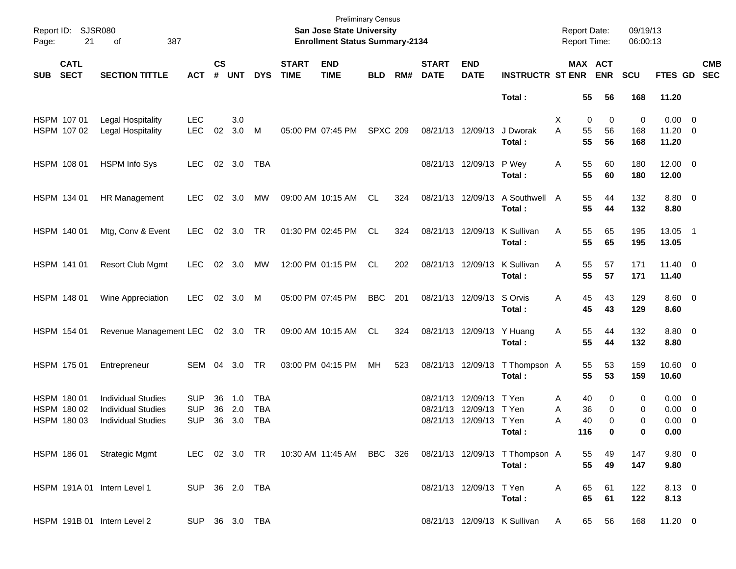| Page:      | Report ID: SJSR080<br>21                  | 387<br>οf                                                                           |                                        |                             |                   |                                        |                             | <b>Preliminary Census</b><br>San Jose State University<br><b>Enrollment Status Summary-2134</b> |                 |     |                                  |                                              |                                                                                          | <b>Report Date:</b><br><b>Report Time:</b> |                       |                       | 09/19/13<br>06:00:13 |                                                   |                          |
|------------|-------------------------------------------|-------------------------------------------------------------------------------------|----------------------------------------|-----------------------------|-------------------|----------------------------------------|-----------------------------|-------------------------------------------------------------------------------------------------|-----------------|-----|----------------------------------|----------------------------------------------|------------------------------------------------------------------------------------------|--------------------------------------------|-----------------------|-----------------------|----------------------|---------------------------------------------------|--------------------------|
| <b>SUB</b> | <b>CATL</b><br><b>SECT</b>                | <b>SECTION TITTLE</b>                                                               | <b>ACT</b>                             | $\mathsf{cs}$<br>$\pmb{\#}$ | <b>UNT</b>        | <b>DYS</b>                             | <b>START</b><br><b>TIME</b> | <b>END</b><br><b>TIME</b>                                                                       | <b>BLD</b>      | RM# | <b>START</b><br><b>DATE</b>      | <b>END</b><br><b>DATE</b>                    | <b>INSTRUCTR ST ENR</b>                                                                  |                                            |                       | MAX ACT<br><b>ENR</b> | <b>SCU</b>           | FTES GD                                           | <b>CMB</b><br><b>SEC</b> |
|            |                                           |                                                                                     |                                        |                             |                   |                                        |                             |                                                                                                 |                 |     |                                  |                                              | Total:                                                                                   |                                            | 55                    | 56                    | 168                  | 11.20                                             |                          |
|            | HSPM 107 01<br>HSPM 107 02                | Legal Hospitality<br>Legal Hospitality                                              | <b>LEC</b><br><b>LEC</b>               | 02                          | 3.0<br>3.0        | M                                      |                             | 05:00 PM 07:45 PM                                                                               | <b>SPXC 209</b> |     | 08/21/13 12/09/13                |                                              | J Dworak<br>Total:                                                                       | Х<br>A                                     | 0<br>55<br>55         | 0<br>56<br>56         | 0<br>168<br>168      | $0.00 \t 0$<br>11.20 0<br>11.20                   |                          |
|            | HSPM 108 01                               | <b>HSPM Info Sys</b>                                                                | <b>LEC</b>                             |                             | 02 3.0            | TBA                                    |                             |                                                                                                 |                 |     |                                  | 08/21/13 12/09/13                            | P Wey<br>Total:                                                                          | Α                                          | 55<br>55              | 60<br>60              | 180<br>180           | $12.00 \t 0$<br>12.00                             |                          |
|            | HSPM 134 01                               | HR Management                                                                       | <b>LEC</b>                             | 02                          | 3.0               | МW                                     |                             | 09:00 AM 10:15 AM                                                                               | CL              | 324 |                                  | 08/21/13 12/09/13                            | A Southwell<br>Total:                                                                    | A                                          | 55<br>55              | 44<br>44              | 132<br>132           | 8.80 0<br>8.80                                    |                          |
|            | HSPM 140 01                               | Mtg, Conv & Event                                                                   | <b>LEC</b>                             |                             | 02 3.0            | TR                                     |                             | 01:30 PM 02:45 PM                                                                               | CL              | 324 | 08/21/13 12/09/13                |                                              | K Sullivan<br>Total:                                                                     | Α                                          | 55<br>55              | 65<br>65              | 195<br>195           | 13.05 1<br>13.05                                  |                          |
|            | HSPM 141 01                               | <b>Resort Club Mgmt</b>                                                             | <b>LEC</b>                             |                             | 02 3.0            | МW                                     |                             | 12:00 PM 01:15 PM                                                                               | CL              | 202 | 08/21/13 12/09/13                |                                              | K Sullivan<br>Total:                                                                     | Α                                          | 55<br>55              | 57<br>57              | 171<br>171           | $11.40 \t 0$<br>11.40                             |                          |
|            | HSPM 148 01                               | Wine Appreciation                                                                   | <b>LEC</b>                             |                             | 02 3.0            | M                                      |                             | 05:00 PM 07:45 PM                                                                               | <b>BBC</b>      | 201 |                                  | 08/21/13 12/09/13                            | S Orvis<br>Total:                                                                        | Α                                          | 45<br>45              | 43<br>43              | 129<br>129           | $8.60$ 0<br>8.60                                  |                          |
|            | HSPM 154 01                               | Revenue Management LEC 02 3.0 TR                                                    |                                        |                             |                   |                                        |                             | 09:00 AM 10:15 AM                                                                               | CL.             | 324 |                                  | 08/21/13 12/09/13                            | Y Huang<br>Total:                                                                        | A                                          | 55<br>55              | 44<br>44              | 132<br>132           | 8.80 0<br>8.80                                    |                          |
|            | HSPM 175 01                               | Entrepreneur                                                                        | SEM                                    |                             | 04 3.0            | TR                                     |                             | 03:00 PM 04:15 PM                                                                               | MH              | 523 |                                  | 08/21/13 12/09/13                            | T Thompson A<br>Total:                                                                   |                                            | 55<br>55              | 53<br>53              | 159<br>159           | $10.60 \t 0$<br>10.60                             |                          |
|            | HSPM 180 01<br>HSPM 180 02<br>HSPM 180 03 | <b>Individual Studies</b><br><b>Individual Studies</b><br><b>Individual Studies</b> | <b>SUP</b><br><b>SUP</b><br><b>SUP</b> | 36<br>36<br>36              | 1.0<br>2.0<br>3.0 | <b>TBA</b><br><b>TBA</b><br><b>TBA</b> |                             |                                                                                                 |                 |     | 08/21/13<br>08/21/13<br>08/21/13 | 12/09/13<br>12/09/13 T Yen<br>12/09/13 T Yen | T Yen<br>Total :                                                                         | A<br>Α<br>Α                                | 40<br>36<br>40<br>116 | 0<br>0<br>0<br>0      | 0<br>0<br>0<br>0     | $0.00 \t 0$<br>$0.00 \t 0$<br>$0.00 \t 0$<br>0.00 |                          |
|            |                                           | HSPM 186 01 Strategic Mgmt                                                          |                                        |                             |                   |                                        |                             |                                                                                                 |                 |     |                                  |                                              | LEC 02 3.0 TR  10:30 AM  11:45 AM  BBC  326  08/21/13  12/09/13  T Thompson  A<br>Total: |                                            | 55<br>55              | 49<br>49              | 147<br>147           | $9.80\ 0$<br>9.80                                 |                          |
|            |                                           | HSPM 191A 01 Intern Level 1                                                         |                                        |                             | SUP 36 2.0 TBA    |                                        |                             |                                                                                                 |                 |     |                                  | 08/21/13 12/09/13 T Yen                      | Total:                                                                                   | A                                          | 65<br>65              | 61<br>61              | 122<br>122           | 8.13 0<br>8.13                                    |                          |
|            |                                           | HSPM 191B 01 Intern Level 2                                                         |                                        |                             | SUP 36 3.0 TBA    |                                        |                             |                                                                                                 |                 |     |                                  |                                              | 08/21/13 12/09/13 K Sullivan                                                             | A                                          | 65                    | 56                    | 168                  | $11.20 \t 0$                                      |                          |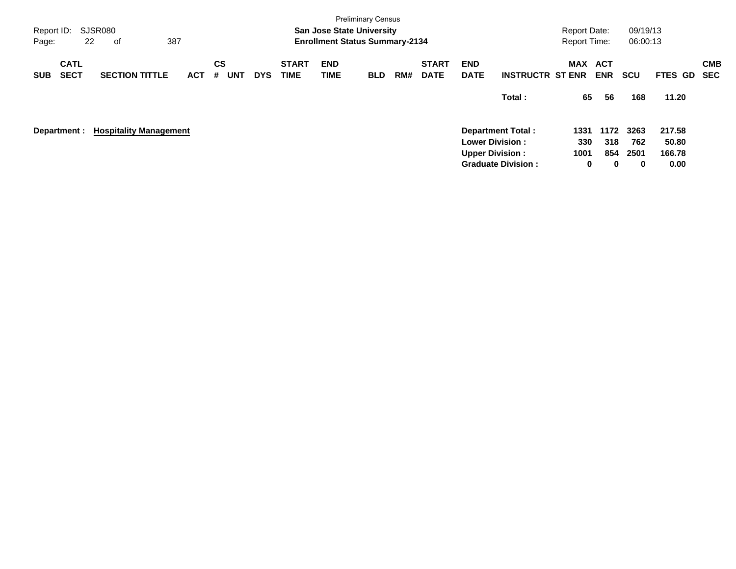| Report ID:<br>Page: | 22                         | SJSR080<br>оf                 | 387        |                              |            |                             | <b>San Jose State University</b><br><b>Enrollment Status Summary-2134</b> | <b>Preliminary Census</b> |     |                             |                                                  |                                                                 | <b>Report Date:</b><br><b>Report Time:</b> |                                      | 09/19/13<br>06:00:13            |                                            |                          |
|---------------------|----------------------------|-------------------------------|------------|------------------------------|------------|-----------------------------|---------------------------------------------------------------------------|---------------------------|-----|-----------------------------|--------------------------------------------------|-----------------------------------------------------------------|--------------------------------------------|--------------------------------------|---------------------------------|--------------------------------------------|--------------------------|
| <b>SUB</b>          | <b>CATL</b><br><b>SECT</b> | <b>SECTION TITTLE</b>         | <b>ACT</b> | <b>CS</b><br><b>UNT</b><br># | <b>DYS</b> | <b>START</b><br><b>TIME</b> | <b>END</b><br>TIME                                                        | <b>BLD</b>                | RM# | <b>START</b><br><b>DATE</b> | <b>END</b><br><b>DATE</b>                        | <b>INSTRUCTR ST ENR</b>                                         | MAX ACT                                    | <b>ENR</b>                           | <b>SCU</b>                      | FTES GD                                    | <b>CMB</b><br><b>SEC</b> |
|                     | Department :               | <b>Hospitality Management</b> |            |                              |            |                             |                                                                           |                           |     |                             | <b>Lower Division:</b><br><b>Upper Division:</b> | Total:<br><b>Department Total:</b><br><b>Graduate Division:</b> | 65<br>1331<br>330<br>1001<br>0             | 56<br>1172<br>318<br>854<br>$\bf{0}$ | 168<br>3263<br>762<br>2501<br>0 | 11.20<br>217.58<br>50.80<br>166.78<br>0.00 |                          |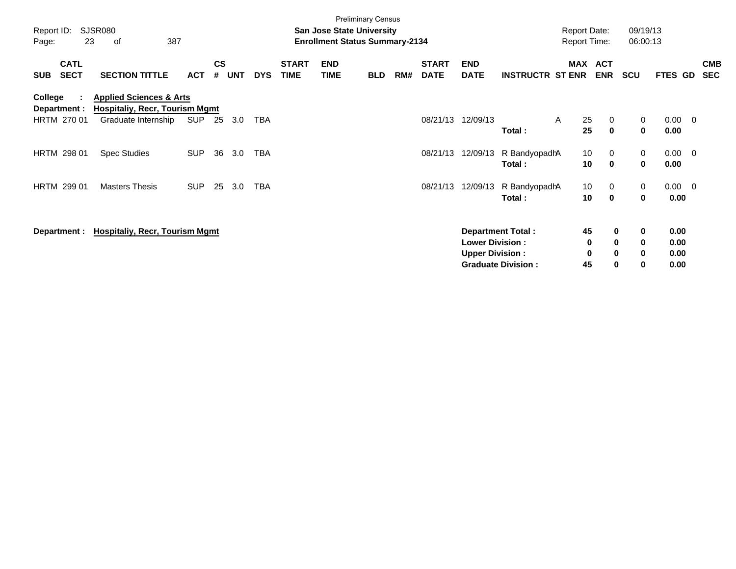| Report ID:<br>Page:     | 23                         | <b>SJSR080</b><br>387<br>οf                                                 |            |                |            |            |                             | <b>San Jose State University</b><br><b>Enrollment Status Summary-2134</b> | <b>Preliminary Census</b> |     |                             |                           |                           | <b>Report Date:</b><br><b>Report Time:</b> |                            | 09/19/13<br>06:00:13 |                     |                |                          |
|-------------------------|----------------------------|-----------------------------------------------------------------------------|------------|----------------|------------|------------|-----------------------------|---------------------------------------------------------------------------|---------------------------|-----|-----------------------------|---------------------------|---------------------------|--------------------------------------------|----------------------------|----------------------|---------------------|----------------|--------------------------|
| <b>SUB</b>              | <b>CATL</b><br><b>SECT</b> | <b>SECTION TITTLE</b>                                                       | <b>ACT</b> | <b>CS</b><br># | <b>UNT</b> | <b>DYS</b> | <b>START</b><br><b>TIME</b> | <b>END</b><br><b>TIME</b>                                                 | <b>BLD</b>                | RM# | <b>START</b><br><b>DATE</b> | <b>END</b><br><b>DATE</b> | <b>INSTRUCTR ST ENR</b>   | MAX ACT                                    | <b>ENR</b>                 | <b>SCU</b>           | FTES GD             |                | <b>CMB</b><br><b>SEC</b> |
| College<br>Department : | ÷                          | <b>Applied Sciences &amp; Arts</b><br><b>Hospitaliy, Recr, Tourism Mgmt</b> |            |                |            |            |                             |                                                                           |                           |     |                             |                           |                           |                                            |                            |                      |                     |                |                          |
| HRTM 270 01             |                            | Graduate Internship                                                         | SUP        | 25             | 3.0        | TBA        |                             |                                                                           |                           |     | 08/21/13                    | 12/09/13                  | Total:                    | 25<br>A<br>25                              | $\mathbf 0$<br>$\mathbf 0$ | 0<br>0               | 0.00<br>0.00        | $\overline{0}$ |                          |
| <b>HRTM 298 01</b>      |                            | <b>Spec Studies</b>                                                         | <b>SUP</b> | 36             | 3.0        | <b>TBA</b> |                             |                                                                           |                           |     | 08/21/13                    | 12/09/13                  | R BandyopadhA<br>Total:   | 10<br>10                                   | 0<br>$\mathbf 0$           | 0<br>0               | 0.00<br>0.00        | $\overline{0}$ |                          |
| <b>HRTM 299 01</b>      |                            | <b>Masters Thesis</b>                                                       | <b>SUP</b> | 25             | 3.0        | <b>TBA</b> |                             |                                                                           |                           |     | 08/21/13                    | 12/09/13                  | R BandyopadhA<br>Total:   | 10<br>10                                   | 0<br>$\mathbf 0$           | 0<br>0               | $0.00 \t 0$<br>0.00 |                |                          |
| Department :            |                            | <b>Hospitaliy, Recr, Tourism Mgmt</b>                                       |            |                |            |            |                             |                                                                           |                           |     |                             | <b>Lower Division:</b>    | <b>Department Total:</b>  | 45<br>0                                    | $\mathbf 0$<br>$\mathbf 0$ | 0<br>0               | 0.00<br>0.00        |                |                          |
|                         |                            |                                                                             |            |                |            |            |                             |                                                                           |                           |     |                             | <b>Upper Division:</b>    | <b>Graduate Division:</b> | 0<br>45                                    | $\mathbf 0$<br>$\bf{0}$    | 0<br>0               | 0.00<br>0.00        |                |                          |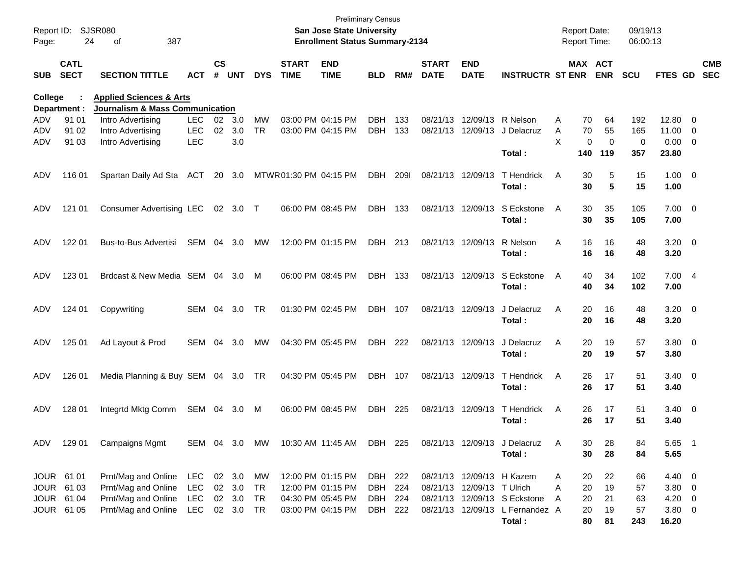| Report ID:<br>Page: | 24                         | SJSR080<br>387<br>οf                                                             |            |                    |            |            |                             | <b>Preliminary Census</b><br>San Jose State University<br><b>Enrollment Status Summary-2134</b> |            |      |                             |                            |                                        | <b>Report Date:</b><br>Report Time: |                              | 09/19/13<br>06:00:13 |                     |                          |                          |
|---------------------|----------------------------|----------------------------------------------------------------------------------|------------|--------------------|------------|------------|-----------------------------|-------------------------------------------------------------------------------------------------|------------|------|-----------------------------|----------------------------|----------------------------------------|-------------------------------------|------------------------------|----------------------|---------------------|--------------------------|--------------------------|
| <b>SUB</b>          | <b>CATL</b><br><b>SECT</b> | <b>SECTION TITTLE</b>                                                            | ACT        | $\mathsf{cs}$<br># | <b>UNT</b> | <b>DYS</b> | <b>START</b><br><b>TIME</b> | <b>END</b><br><b>TIME</b>                                                                       | <b>BLD</b> | RM#  | <b>START</b><br><b>DATE</b> | <b>END</b><br><b>DATE</b>  | <b>INSTRUCTR ST ENR</b>                |                                     | <b>MAX ACT</b><br><b>ENR</b> | <b>SCU</b>           | FTES GD             |                          | <b>CMB</b><br><b>SEC</b> |
| College             |                            | <b>Applied Sciences &amp; Arts</b><br><b>Journalism &amp; Mass Communication</b> |            |                    |            |            |                             |                                                                                                 |            |      |                             |                            |                                        |                                     |                              |                      |                     |                          |                          |
| ADV                 | Department :<br>91 01      |                                                                                  | <b>LEC</b> | 02 <sub>o</sub>    |            | <b>MW</b>  |                             | 03:00 PM 04:15 PM                                                                               | DBH        | 133  |                             | 08/21/13 12/09/13          | R Nelson                               |                                     |                              |                      | 12.80               | $\overline{\phantom{0}}$ |                          |
| ADV                 | 91 02                      | Intro Advertising<br>Intro Advertising                                           | LEC        | 02                 | 3.0<br>3.0 | <b>TR</b>  |                             | 03:00 PM 04:15 PM                                                                               | <b>DBH</b> | 133  | 08/21/13 12/09/13           |                            | J Delacruz                             | Α<br>A<br>70                        | 70<br>64<br>55               | 192<br>165           | 11.00               | $\overline{\phantom{0}}$ |                          |
| ADV                 | 91 03                      | Intro Advertising                                                                | <b>LEC</b> |                    | 3.0        |            |                             |                                                                                                 |            |      |                             |                            |                                        | X                                   | 0<br>$\mathbf 0$             | 0                    | 0.00                | $\overline{\phantom{0}}$ |                          |
|                     |                            |                                                                                  |            |                    |            |            |                             |                                                                                                 |            |      |                             |                            | Total:                                 | 140                                 | 119                          | 357                  | 23.80               |                          |                          |
| ADV                 | 116 01                     | Spartan Daily Ad Sta                                                             | <b>ACT</b> | 20                 | 3.0        |            | MTWR01:30 PM 04:15 PM       |                                                                                                 | <b>DBH</b> | 2091 | 08/21/13 12/09/13           |                            | <b>T</b> Hendrick<br>Total:            | Α<br>30<br>30                       | 5<br>5                       | 15<br>15             | $1.00 \t 0$<br>1.00 |                          |                          |
| ADV                 | 121 01                     | Consumer Advertising LEC                                                         |            |                    | 02 3.0     | $\top$     | 06:00 PM 08:45 PM           |                                                                                                 | <b>DBH</b> | 133  | 08/21/13 12/09/13           |                            | S Eckstone<br>Total:                   | A<br>30<br>30                       | 35<br>35                     | 105<br>105           | $7.00 \t 0$<br>7.00 |                          |                          |
| ADV                 | 122 01                     | Bus-to-Bus Advertisi                                                             | <b>SEM</b> | 04                 | 3.0        | МW         |                             | 12:00 PM 01:15 PM                                                                               | DBH        | 213  | 08/21/13 12/09/13           |                            | R Nelson<br>Total:                     | Α<br>16                             | 16<br>16<br>16               | 48<br>48             | $3.20 \ 0$<br>3.20  |                          |                          |
| ADV                 | 123 01                     | Brdcast & New Media SEM 04                                                       |            |                    | 3.0        | M          |                             | 06:00 PM 08:45 PM                                                                               | DBH        | 133  |                             | 08/21/13 12/09/13          | S Eckstone<br>Total:                   | A<br>40<br>40                       | 34<br>34                     | 102<br>102           | 7.004<br>7.00       |                          |                          |
| ADV                 | 124 01                     | Copywriting                                                                      | <b>SEM</b> | 04                 | 3.0        | <b>TR</b>  |                             | 01:30 PM 02:45 PM                                                                               | DBH        | 107  | 08/21/13 12/09/13           |                            | J Delacruz<br>Total:                   | A<br>20<br>20                       | 16<br>16                     | 48<br>48             | $3.20 \ 0$<br>3.20  |                          |                          |
| ADV                 | 125 01                     | Ad Layout & Prod                                                                 | SEM        | 04                 | 3.0        | МW         |                             | 04:30 PM 05:45 PM                                                                               | DBH        | 222  | 08/21/13 12/09/13           |                            | J Delacruz<br>Total:                   | A<br>20<br>20                       | 19<br>19                     | 57<br>57             | 3.80 0<br>3.80      |                          |                          |
| ADV                 | 126 01                     | Media Planning & Buy SEM 04 3.0                                                  |            |                    |            | TR         |                             | 04:30 PM 05:45 PM                                                                               | DBH        | 107  | 08/21/13 12/09/13           |                            | T Hendrick<br>Total:                   | A<br>26                             | 26<br>17<br>17               | 51<br>51             | $3.40 \ 0$<br>3.40  |                          |                          |
| ADV                 | 128 01                     | Integrtd Mktg Comm                                                               | SEM 04     |                    | 3.0        | M          | 06:00 PM 08:45 PM           |                                                                                                 | <b>DBH</b> | 225  | 08/21/13 12/09/13           |                            | T Hendrick<br>Total:                   | A<br>26                             | 17<br>26<br>17               | 51<br>51             | $3.40 \ 0$<br>3.40  |                          |                          |
| ADV                 | 129 01                     | <b>Campaigns Mgmt</b>                                                            | SEM 04 3.0 |                    |            | MW         |                             | 10:30 AM 11:45 AM                                                                               | DBH 225    |      |                             |                            | 08/21/13 12/09/13 J Delacruz<br>Total: | A<br>30                             | 28<br>30<br>28               | 84<br>84             | 5.65 1<br>5.65      |                          |                          |
| JOUR 61 01          |                            | Prnt/Mag and Online                                                              | LEC        |                    | 02 3.0     | МW         |                             | 12:00 PM 01:15 PM                                                                               | DBH 222    |      |                             |                            | 08/21/13 12/09/13 H Kazem              | A<br>20                             | 22                           | 66                   | $4.40 \quad 0$      |                          |                          |
|                     | JOUR 61 03                 | Prnt/Mag and Online                                                              | <b>LEC</b> |                    | 02 3.0     | TR         |                             | 12:00 PM 01:15 PM                                                                               | DBH        | 224  |                             | 08/21/13 12/09/13 T Ulrich |                                        | 20<br>Α                             | 19                           | 57                   | 3.80 0              |                          |                          |
|                     | JOUR 61 04                 | Prnt/Mag and Online                                                              | <b>LEC</b> |                    | 02 3.0     | TR         |                             | 04:30 PM 05:45 PM                                                                               | DBH 224    |      |                             |                            | 08/21/13 12/09/13 S Eckstone           | Α<br>20                             | 21                           | 63                   | $4.20 \ 0$          |                          |                          |
|                     | JOUR 61 05                 | Prnt/Mag and Online                                                              | LEC        |                    | 02 3.0     | TR         |                             | 03:00 PM 04:15 PM                                                                               | DBH        | 222  |                             |                            | 08/21/13 12/09/13 L Fernandez A        | 20                                  | 19                           | 57                   | $3.80\ 0$           |                          |                          |
|                     |                            |                                                                                  |            |                    |            |            |                             |                                                                                                 |            |      |                             |                            | Total:                                 | 80                                  | 81                           | 243                  | 16.20               |                          |                          |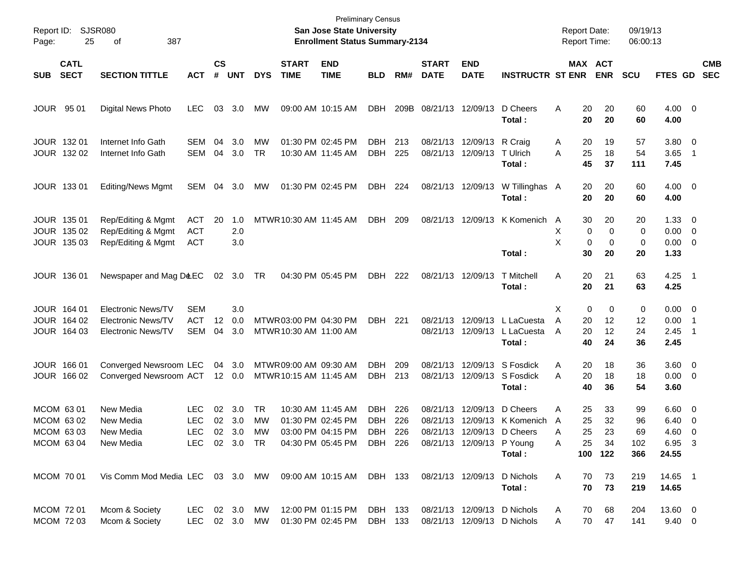| Report ID:<br>Page: | 25                                                  | SJSR080<br>387<br>οf                                                  |                                         |                    |                                      |                 |                                                  | San Jose State University<br><b>Enrollment Status Summary-2134</b> | <b>Preliminary Census</b>               |            |                             |                                                |                                                                           | <b>Report Date:</b><br><b>Report Time:</b> |                                                            | 09/19/13<br>06:00:13         |                                                     |                                            |                          |
|---------------------|-----------------------------------------------------|-----------------------------------------------------------------------|-----------------------------------------|--------------------|--------------------------------------|-----------------|--------------------------------------------------|--------------------------------------------------------------------|-----------------------------------------|------------|-----------------------------|------------------------------------------------|---------------------------------------------------------------------------|--------------------------------------------|------------------------------------------------------------|------------------------------|-----------------------------------------------------|--------------------------------------------|--------------------------|
| <b>SUB</b>          | <b>CATL</b><br><b>SECT</b>                          | <b>SECTION TITTLE</b>                                                 | <b>ACT</b>                              | $\mathsf{cs}$<br># | <b>UNT</b>                           | <b>DYS</b>      | <b>START</b><br><b>TIME</b>                      | <b>END</b><br><b>TIME</b>                                          | <b>BLD</b>                              | RM#        | <b>START</b><br><b>DATE</b> | <b>END</b><br><b>DATE</b>                      | <b>INSTRUCTR ST ENR</b>                                                   |                                            | <b>MAX ACT</b><br><b>ENR</b>                               | <b>SCU</b>                   | FTES GD                                             |                                            | <b>CMB</b><br><b>SEC</b> |
|                     | <b>JOUR 9501</b>                                    | <b>Digital News Photo</b>                                             | <b>LEC</b>                              | 03                 | 3.0                                  | MW              | 09:00 AM 10:15 AM                                |                                                                    | <b>DBH</b>                              | 209B       |                             | 08/21/13 12/09/13                              | D Cheers<br>Total:                                                        | 20<br>A<br>20                              | 20<br>20                                                   | 60<br>60                     | $4.00 \ 0$<br>4.00                                  |                                            |                          |
|                     | JOUR 132 01<br>JOUR 132 02                          | Internet Info Gath<br>Internet Info Gath                              | SEM<br><b>SEM</b>                       | 04<br>04           | 3.0<br>3.0                           | MW<br><b>TR</b> | 01:30 PM 02:45 PM                                | 10:30 AM 11:45 AM                                                  | <b>DBH</b><br><b>DBH</b>                | 213<br>225 |                             | 08/21/13 12/09/13 R Craig<br>08/21/13 12/09/13 | T Ulrich<br>Total:                                                        | 20<br>A<br>A<br>25<br>45                   | 19<br>18<br>37                                             | 57<br>54<br>111              | 3.80 0<br>3.65<br>7.45                              | $\overline{1}$                             |                          |
|                     | <b>JOUR 13301</b>                                   | <b>Editing/News Mgmt</b>                                              | SEM                                     | 04                 | 3.0                                  | MW              | 01:30 PM 02:45 PM                                |                                                                    | DBH                                     | 224        |                             | 08/21/13 12/09/13                              | W Tillinghas A<br>Total:                                                  | 20<br>20                                   | 20<br>20                                                   | 60<br>60                     | $4.00 \ 0$<br>4.00                                  |                                            |                          |
|                     | JOUR 135 01<br>JOUR 135 02<br>JOUR 135 03           | Rep/Editing & Mgmt<br>Rep/Editing & Mgmt<br>Rep/Editing & Mgmt        | ACT<br><b>ACT</b><br><b>ACT</b>         | 20                 | 1.0<br>2.0<br>3.0                    |                 | MTWR 10:30 AM 11:45 AM                           |                                                                    | <b>DBH</b>                              | 209        |                             | 08/21/13 12/09/13                              | K Komenich<br>Total:                                                      | 30<br>A<br>X<br>X<br>30                    | 20<br>0<br>$\mathbf 0$<br>$\mathbf 0$<br>$\mathbf 0$<br>20 | 20<br>0<br>0<br>20           | $1.33 \ 0$<br>$0.00 \t 0$<br>$0.00 \t 0$<br>1.33    |                                            |                          |
|                     | <b>JOUR 13601</b>                                   | Newspaper and Mag D&EC                                                |                                         |                    | 02 3.0 TR                            |                 | 04:30 PM 05:45 PM                                |                                                                    | DBH                                     | 222        |                             | 08/21/13 12/09/13                              | <b>T</b> Mitchell<br>Total:                                               | A<br>20<br>20                              | 21<br>21                                                   | 63<br>63                     | $4.25$ 1<br>4.25                                    |                                            |                          |
|                     | JOUR 164 01<br>JOUR 164 02<br>JOUR 164 03           | <b>Electronic News/TV</b><br>Electronic News/TV<br>Electronic News/TV | <b>SEM</b><br><b>ACT</b><br><b>SEM</b>  | 12<br>04           | 3.0<br>0.0<br>3.0                    |                 | MTWR 03:00 PM 04:30 PM<br>MTWR 10:30 AM 11:00 AM |                                                                    | DBH                                     | 221        | 08/21/13                    | 12/09/13<br>08/21/13 12/09/13                  | L LaCuesta<br>L LaCuesta<br>Total:                                        | Х<br>A<br>20<br>20<br>A<br>40              | $\mathbf 0$<br>0<br>12<br>12<br>24                         | 0<br>12<br>24<br>36          | $0.00 \t 0$<br>0.00<br>2.45<br>2.45                 | $\overline{\phantom{1}}$<br>$\overline{1}$ |                          |
|                     | JOUR 166 01<br>JOUR 166 02                          | Converged Newsroom LEC<br>Converged Newsroom ACT 12 0.0               |                                         | 04                 | 3.0                                  |                 | MTWR 09:00 AM 09:30 AM<br>MTWR 10:15 AM 11:45 AM |                                                                    | <b>DBH</b><br>DBH                       | 209<br>213 | 08/21/13<br>08/21/13        |                                                | 12/09/13 S Fosdick<br>12/09/13 S Fosdick<br>Total:                        | 20<br>Α<br>A<br>20<br>40                   | 18<br>18<br>36                                             | 36<br>18<br>54               | $3.60 \ 0$<br>$0.00 \t 0$<br>3.60                   |                                            |                          |
|                     | MCOM 6301<br>MCOM 63 02<br>MCOM 63 03<br>MCOM 63 04 | New Media<br>New Media<br>New Media<br>New Media                      | LEC<br><b>LEC</b><br><b>LEC</b><br>LEC. | 02<br>02           | 3.0<br>3.0<br>02 3.0 MW<br>02 3.0 TR | TR<br>MW        | 01:30 PM 02:45 PM                                | 10:30 AM 11:45 AM<br>03:00 PM 04:15 PM<br>04:30 PM 05:45 PM        | DBH<br><b>DBH</b><br>DBH 226<br>DBH 226 | 226<br>226 | 08/21/13<br>08/21/13        | 12/09/13<br>08/21/13 12/09/13 P Young          | D Cheers<br>12/09/13 K Komenich A<br>08/21/13 12/09/13 D Cheers<br>Total: | 25<br>Α<br>25<br>25<br>A<br>25<br>A<br>100 | 33<br>32<br>23<br>34<br>122                                | 99<br>96<br>69<br>102<br>366 | $6.60 \quad 0$<br>6.40<br>4.60 0<br>6.95 3<br>24.55 | $\overline{\phantom{0}}$                   |                          |
|                     | MCOM 70 01                                          | Vis Comm Mod Media LEC 03 3.0 MW                                      |                                         |                    |                                      |                 |                                                  | 09:00 AM 10:15 AM                                                  | DBH 133                                 |            |                             | 08/21/13 12/09/13                              | D Nichols<br>Total:                                                       | 70<br>A<br>70                              | 73<br>73                                                   | 219<br>219                   | 14.65 1<br>14.65                                    |                                            |                          |
|                     | MCOM 72 01<br>MCOM 72 03                            | Mcom & Society<br>Mcom & Society                                      | LEC.<br>LEC 02 3.0 MW                   |                    | 02 3.0                               | МW              |                                                  | 12:00 PM 01:15 PM<br>01:30 PM 02:45 PM                             | DBH 133<br>DBH 133                      |            |                             |                                                | 08/21/13 12/09/13 D Nichols<br>08/21/13 12/09/13 D Nichols                | 70<br>A<br>Α                               | 68<br>70<br>47                                             | 204<br>141                   | 13.60 0<br>$9.40 \ 0$                               |                                            |                          |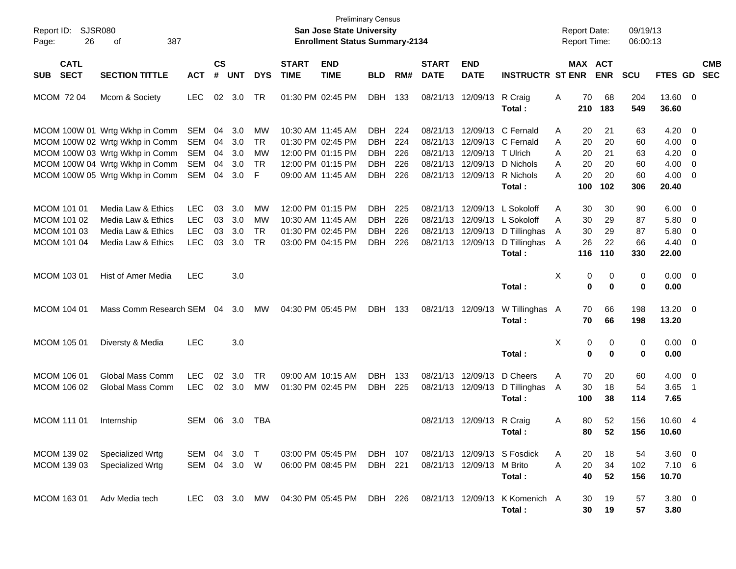| Report ID:<br>26<br>Page:                                | SJSR080<br>387<br>οf                                                                               |                                                      |                      |                          |                                    |                             | <b>Preliminary Census</b><br>San Jose State University<br><b>Enrollment Status Summary-2134</b> |                                                      |                          |                             |                            |                                                                                                                                  |                               | <b>Report Date:</b><br><b>Report Time:</b> |                       | 09/19/13<br>06:00:13 |                                      |                                                                                  |
|----------------------------------------------------------|----------------------------------------------------------------------------------------------------|------------------------------------------------------|----------------------|--------------------------|------------------------------------|-----------------------------|-------------------------------------------------------------------------------------------------|------------------------------------------------------|--------------------------|-----------------------------|----------------------------|----------------------------------------------------------------------------------------------------------------------------------|-------------------------------|--------------------------------------------|-----------------------|----------------------|--------------------------------------|----------------------------------------------------------------------------------|
| <b>CATL</b><br><b>SECT</b><br><b>SUB</b>                 | <b>SECTION TITTLE</b>                                                                              | <b>ACT</b>                                           | $\mathsf{cs}$<br>#   | <b>UNT</b>               | <b>DYS</b>                         | <b>START</b><br><b>TIME</b> | <b>END</b><br><b>TIME</b>                                                                       | <b>BLD</b>                                           | RM#                      | <b>START</b><br><b>DATE</b> | <b>END</b><br><b>DATE</b>  | <b>INSTRUCTR ST ENR</b>                                                                                                          |                               |                                            | MAX ACT<br><b>ENR</b> | <b>SCU</b>           | FTES GD                              | <b>CMB</b><br><b>SEC</b>                                                         |
| MCOM 72 04                                               | Mcom & Society                                                                                     | <b>LEC</b>                                           |                      | 02 3.0                   | TR                                 | 01:30 PM 02:45 PM           |                                                                                                 | <b>DBH</b>                                           | 133                      |                             | 08/21/13 12/09/13          | R Craig<br>Total :                                                                                                               | Α                             | 70<br>210                                  | 68<br>183             | 204<br>549           | 13.60 0<br>36.60                     |                                                                                  |
|                                                          | MCOM 100W 01 Wrtg Wkhp in Comm<br>MCOM 100W 02 Wrtg Wkhp in Comm<br>MCOM 100W 03 Wrtg Wkhp in Comm | SEM<br>SEM<br><b>SEM</b>                             | 04<br>04<br>04       | 3.0<br>3.0<br>3.0        | MW<br>TR<br>MW                     |                             | 10:30 AM 11:45 AM<br>01:30 PM 02:45 PM<br>12:00 PM 01:15 PM                                     | <b>DBH</b><br><b>DBH</b><br><b>DBH</b>               | 224<br>224<br>226        | 08/21/13                    | 08/21/13 12/09/13 T Ulrich | 08/21/13 12/09/13 C Fernald<br>12/09/13 C Fernald                                                                                | A<br>A<br>A                   | 20<br>20<br>20                             | 21<br>20<br>21        | 63<br>60<br>63       | $4.20 \ 0$<br>$4.00 \ 0$<br>4.20     | $\overline{\mathbf{0}}$                                                          |
|                                                          | MCOM 100W 04 Wrtg Wkhp in Comm<br>MCOM 100W 05 Wrtg Wkhp in Comm                                   | <b>SEM</b><br>SEM                                    | 04<br>04             | 3.0<br>3.0               | <b>TR</b><br>F                     |                             | 12:00 PM 01:15 PM<br>09:00 AM 11:45 AM                                                          | <b>DBH</b><br><b>DBH</b>                             | 226<br>226               |                             |                            | 08/21/13 12/09/13 D Nichols<br>08/21/13 12/09/13 R Nichols<br>Total:                                                             | A<br>A                        | 20<br>20<br>100                            | 20<br>20<br>102       | 60<br>60<br>306      | $4.00 \ 0$<br>$4.00 \ 0$<br>20.40    |                                                                                  |
| MCOM 101 01<br>MCOM 101 02<br>MCOM 101 03<br>MCOM 101 04 | Media Law & Ethics<br>Media Law & Ethics<br>Media Law & Ethics<br>Media Law & Ethics               | <b>LEC</b><br><b>LEC</b><br><b>LEC</b><br><b>LEC</b> | 03<br>03<br>03<br>03 | 3.0<br>3.0<br>3.0<br>3.0 | MW<br>MW<br><b>TR</b><br><b>TR</b> |                             | 12:00 PM 01:15 PM<br>10:30 AM 11:45 AM<br>01:30 PM 02:45 PM<br>03:00 PM 04:15 PM                | <b>DBH</b><br><b>DBH</b><br><b>DBH</b><br><b>DBH</b> | 225<br>226<br>226<br>226 |                             |                            | 08/21/13 12/09/13 L Sokoloff<br>08/21/13 12/09/13 L Sokoloff<br>08/21/13 12/09/13 D Tillinghas<br>08/21/13 12/09/13 D Tillinghas | A<br>A<br>A<br>$\overline{A}$ | 30<br>30<br>30<br>26                       | 30<br>29<br>29<br>22  | 90<br>87<br>87<br>66 | $6.00 \t 0$<br>5.80<br>5.80<br>4.40  | $\overline{\phantom{0}}$<br>$\overline{\phantom{0}}$<br>$\overline{\phantom{0}}$ |
| MCOM 103 01                                              | <b>Hist of Amer Media</b>                                                                          | <b>LEC</b>                                           |                      | 3.0                      |                                    |                             |                                                                                                 |                                                      |                          |                             |                            | Total:<br>Total:                                                                                                                 | X                             | 116<br>0<br>0                              | 110<br>0<br>0         | 330<br>0<br>0        | 22.00<br>$0.00 \t 0$<br>0.00         |                                                                                  |
| <b>MCOM 104 01</b>                                       | Mass Comm Research SEM                                                                             |                                                      | 04                   | 3.0                      | МW                                 |                             | 04:30 PM 05:45 PM                                                                               | DBH                                                  | 133                      |                             | 08/21/13 12/09/13          | W Tillinghas A<br>Total :                                                                                                        |                               | 70<br>70                                   | 66<br>66              | 198<br>198           | 13.20 0<br>13.20                     |                                                                                  |
| <b>MCOM 105 01</b>                                       | Diversty & Media                                                                                   | <b>LEC</b>                                           |                      | 3.0                      |                                    |                             |                                                                                                 |                                                      |                          |                             |                            | Total:                                                                                                                           | X                             | 0<br>$\bf{0}$                              | 0<br>0                | 0<br>0               | $0.00 \t 0$<br>0.00                  |                                                                                  |
| MCOM 106 01<br>MCOM 106 02                               | <b>Global Mass Comm</b><br>Global Mass Comm                                                        | <b>LEC</b><br><b>LEC</b>                             | 02                   | 3.0<br>$02 \quad 3.0$    | <b>TR</b><br>MW                    | 01:30 PM 02:45 PM           | 09:00 AM 10:15 AM                                                                               | <b>DBH</b><br><b>DBH</b>                             | 133<br>225               |                             |                            | 08/21/13 12/09/13 D Cheers<br>08/21/13 12/09/13 D Tillinghas<br>Total:                                                           | Α<br>A                        | 70<br>30<br>100                            | 20<br>18<br>38        | 60<br>54<br>114      | $4.00 \ 0$<br>3.65<br>7.65           | $\overline{\phantom{1}}$                                                         |
| <b>MCOM 111 01</b>                                       | Internship                                                                                         | SEM                                                  | 06                   | 3.0                      | <b>TBA</b>                         |                             |                                                                                                 |                                                      |                          |                             | 08/21/13 12/09/13 R Craig  | Total :                                                                                                                          | Α                             | 80<br>80                                   | 52<br>52              | 156<br>156           | 10.60 4<br>10.60                     |                                                                                  |
| MCOM 139 02<br>MCOM 139 03                               | Specialized Wrtg<br>Specialized Wrtg                                                               | SEM 04 3.0<br>SEM 04 3.0 W                           |                      |                          | $\top$                             |                             | 03:00 PM 05:45 PM<br>06:00 PM 08:45 PM                                                          | DBH 107<br>DBH 221                                   |                          |                             | 08/21/13 12/09/13 M Brito  | 08/21/13 12/09/13 S Fosdick<br>Total:                                                                                            | A<br>Α                        | 20<br>20<br>40                             | 18<br>34<br>52        | 54<br>102<br>156     | $3.60 \quad 0$<br>$7.10\ 6$<br>10.70 |                                                                                  |
| MCOM 163 01                                              | Adv Media tech                                                                                     |                                                      |                      |                          |                                    |                             | LEC 03 3.0 MW 04:30 PM 05:45 PM                                                                 | DBH 226                                              |                          |                             |                            | 08/21/13 12/09/13 K Komenich A<br>Total:                                                                                         |                               | 30<br>30                                   | 19<br>19              | 57<br>57             | $3.80\ 0$<br>3.80                    |                                                                                  |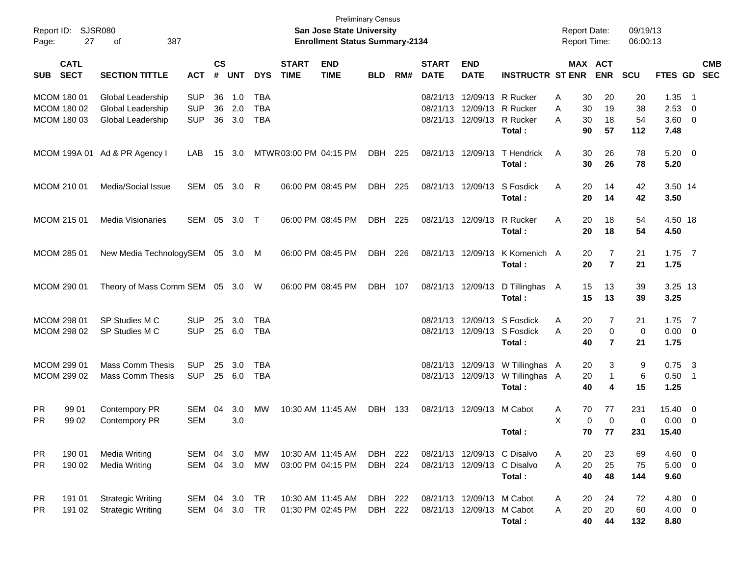| Page:            | Report ID: SJSR080<br>27   | 387<br>οf                                                   |                                        |                    |                   |                                 |                             | <b>Preliminary Census</b><br><b>San Jose State University</b><br><b>Enrollment Status Summary-2134</b> |                    |     |                             |                                                                               |                                                                      | <b>Report Date:</b><br><b>Report Time:</b> |                          | 09/19/13<br>06:00:13    |                                       |                                                    |            |
|------------------|----------------------------|-------------------------------------------------------------|----------------------------------------|--------------------|-------------------|---------------------------------|-----------------------------|--------------------------------------------------------------------------------------------------------|--------------------|-----|-----------------------------|-------------------------------------------------------------------------------|----------------------------------------------------------------------|--------------------------------------------|--------------------------|-------------------------|---------------------------------------|----------------------------------------------------|------------|
| <b>SUB</b>       | <b>CATL</b><br><b>SECT</b> | <b>SECTION TITTLE</b>                                       | <b>ACT</b>                             | $\mathsf{cs}$<br># | <b>UNT</b>        | <b>DYS</b>                      | <b>START</b><br><b>TIME</b> | <b>END</b><br><b>TIME</b>                                                                              | <b>BLD</b>         | RM# | <b>START</b><br><b>DATE</b> | <b>END</b><br><b>DATE</b>                                                     | <b>INSTRUCTR ST ENR</b>                                              | MAX ACT                                    | <b>ENR</b>               | <b>SCU</b>              | FTES GD SEC                           |                                                    | <b>CMB</b> |
| MCOM 180 01      | MCOM 180 02<br>MCOM 180 03 | Global Leadership<br>Global Leadership<br>Global Leadership | <b>SUP</b><br><b>SUP</b><br><b>SUP</b> | 36<br>36<br>36     | 1.0<br>2.0<br>3.0 | TBA<br><b>TBA</b><br><b>TBA</b> |                             |                                                                                                        |                    |     |                             | 08/21/13 12/09/13 R Rucker<br>08/21/13 12/09/13 R Rucker<br>08/21/13 12/09/13 | R Rucker<br>Total:                                                   | 30<br>Α<br>30<br>Α<br>30<br>Α<br>90        | 20<br>19<br>18<br>57     | 20<br>38<br>54<br>112   | 1.35<br>2.53<br>$3.60 \ 0$<br>7.48    | - 1<br>- 0                                         |            |
|                  |                            | MCOM 199A 01 Ad & PR Agency I                               | LAB                                    | 15                 | 3.0               |                                 | MTWR03:00 PM 04:15 PM       |                                                                                                        | DBH 225            |     |                             | 08/21/13 12/09/13                                                             | T Hendrick<br>Total:                                                 | 30<br>A<br>30                              | 26<br>26                 | 78<br>78                | $5.20 \ 0$<br>5.20                    |                                                    |            |
| MCOM 210 01      |                            | Media/Social Issue                                          | SEM 05                                 |                    | 3.0               | R                               |                             | 06:00 PM 08:45 PM                                                                                      | DBH                | 225 |                             | 08/21/13 12/09/13                                                             | S Fosdick<br>Total:                                                  | Α<br>20<br>20                              | 14<br>14                 | 42<br>42                | 3.50 14<br>3.50                       |                                                    |            |
| MCOM 215 01      |                            | Media Visionaries                                           | SEM 05                                 |                    | 3.0               | $\top$                          |                             | 06:00 PM 08:45 PM                                                                                      | DBH                | 225 |                             | 08/21/13 12/09/13                                                             | R Rucker<br>Total:                                                   | Α<br>20<br>20                              | 18<br>18                 | 54<br>54                | 4.50 18<br>4.50                       |                                                    |            |
| MCOM 285 01      |                            | New Media TechnologySEM 05 3.0 M                            |                                        |                    |                   |                                 |                             | 06:00 PM 08:45 PM                                                                                      | DBH                | 226 | 08/21/13 12/09/13           |                                                                               | K Komenich A<br>Total:                                               | 20<br>20                                   | 7<br>$\overline{7}$      | 21<br>21                | $1.75$ 7<br>1.75                      |                                                    |            |
| MCOM 290 01      |                            | Theory of Mass Comm SEM 05 3.0 W                            |                                        |                    |                   |                                 |                             | 06:00 PM 08:45 PM                                                                                      | DBH                | 107 |                             | 08/21/13 12/09/13                                                             | D Tillinghas<br>Total:                                               | 15<br>A<br>15                              | 13<br>13                 | 39<br>39                | 3.25 13<br>3.25                       |                                                    |            |
| MCOM 298 01      | MCOM 298 02                | SP Studies M C<br>SP Studies M C                            | <b>SUP</b><br><b>SUP</b>               | 25                 | 3.0<br>25 6.0     | TBA<br><b>TBA</b>               |                             |                                                                                                        |                    |     |                             |                                                                               | 08/21/13 12/09/13 S Fosdick<br>08/21/13 12/09/13 S Fosdick<br>Total: | A<br>20<br>20<br>Α<br>40                   | 7<br>0<br>$\overline{7}$ | 21<br>$\mathbf 0$<br>21 | $1.75$ 7<br>$0.00 \t 0$<br>1.75       |                                                    |            |
| MCOM 299 01      | MCOM 299 02                | <b>Mass Comm Thesis</b><br><b>Mass Comm Thesis</b>          | <b>SUP</b><br><b>SUP</b>               | 25                 | 3.0<br>25 6.0     | TBA<br><b>TBA</b>               |                             |                                                                                                        |                    |     |                             | 08/21/13 12/09/13                                                             | 08/21/13 12/09/13 W Tillinghas A<br>W Tillinghas A<br>Total:         | 20<br>20<br>40                             | 3<br>1<br>4              | 9<br>6<br>15            | $0.75$ 3<br>0.50<br>1.25              | - 1                                                |            |
| PR.<br>PR.       | 99 01<br>99 02             | Contempory PR<br>Contempory PR                              | SEM<br><b>SEM</b>                      | 04                 | 3.0<br>3.0        | MW                              |                             | 10:30 AM 11:45 AM                                                                                      | DBH 133            |     |                             | 08/21/13 12/09/13 M Cabot                                                     | Total:                                                               | 70<br>A<br>X<br>$\mathbf 0$<br>70          | 77<br>0<br>77            | 231<br>0<br>231         | 15.40<br>0.00<br>15.40                | $\overline{\mathbf{0}}$<br>$\overline{\mathbf{0}}$ |            |
| PR.<br><b>PR</b> | 190 01<br>190 02           | <b>Media Writing</b><br><b>Media Writing</b>                | SEM 04 3.0<br>SEM 04 3.0               |                    |                   | MW<br>МW                        |                             | 10:30 AM 11:45 AM<br>03:00 PM 04:15 PM                                                                 | DBH 222<br>DBH 224 |     |                             |                                                                               | 08/21/13 12/09/13 C Disalvo<br>08/21/13 12/09/13 C Disalvo<br>Total: | 20<br>A<br>20<br>A<br>40                   | 23<br>25<br>48           | 69<br>75<br>144         | $4.60 \quad 0$<br>$5.00 \t 0$<br>9.60 |                                                    |            |
| PR.<br><b>PR</b> | 191 01<br>191 02           | <b>Strategic Writing</b><br><b>Strategic Writing</b>        | SEM 04 3.0 TR<br>SEM 04 3.0 TR         |                    |                   |                                 |                             | 10:30 AM 11:45 AM<br>01:30 PM 02:45 PM                                                                 | DBH 222<br>DBH 222 |     |                             | 08/21/13 12/09/13 M Cabot<br>08/21/13 12/09/13 M Cabot                        | Total:                                                               | 20<br>A<br>20<br>A<br>40                   | 24<br>20<br>44           | 72<br>60<br>132         | 4.80 0<br>$4.00 \ 0$<br>8.80          |                                                    |            |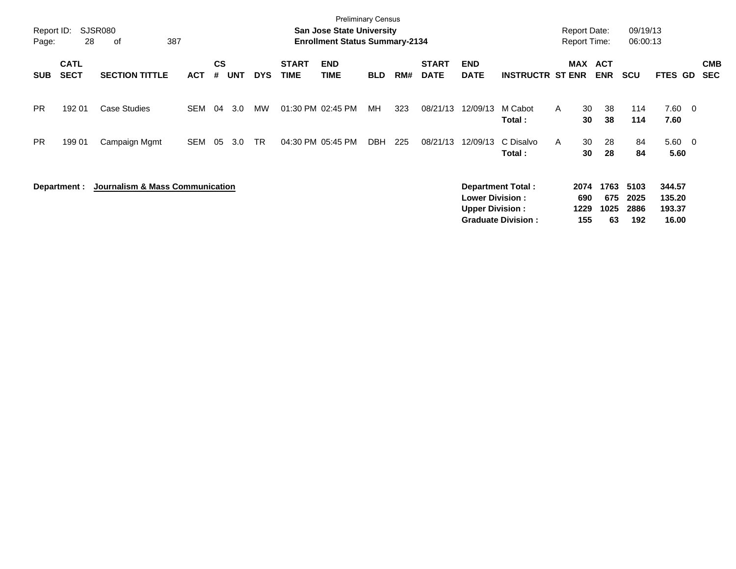| Report ID:<br>Page: | 28                         | <b>SJSR080</b><br>387<br>of     |            |                |            |            |                             | <b>Preliminary Census</b><br><b>San Jose State University</b><br><b>Enrollment Status Summary-2134</b> |            |     |                             |                                                  |                                                |   | <b>Report Date:</b><br><b>Report Time:</b> |                           | 09/19/13<br>06:00:13        |                                     |                         |                          |
|---------------------|----------------------------|---------------------------------|------------|----------------|------------|------------|-----------------------------|--------------------------------------------------------------------------------------------------------|------------|-----|-----------------------------|--------------------------------------------------|------------------------------------------------|---|--------------------------------------------|---------------------------|-----------------------------|-------------------------------------|-------------------------|--------------------------|
| <b>SUB</b>          | <b>CATL</b><br><b>SECT</b> | <b>SECTION TITTLE</b>           | <b>ACT</b> | <b>CS</b><br># | <b>UNT</b> | <b>DYS</b> | <b>START</b><br><b>TIME</b> | <b>END</b><br><b>TIME</b>                                                                              | <b>BLD</b> | RM# | <b>START</b><br><b>DATE</b> | <b>END</b><br><b>DATE</b>                        | <b>INSTRUCTR ST ENR</b>                        |   | MAX                                        | <b>ACT</b><br><b>ENR</b>  | <b>SCU</b>                  | FTES GD                             |                         | <b>CMB</b><br><b>SEC</b> |
| <b>PR</b>           | 192 01                     | <b>Case Studies</b>             | SEM        | 04             | 3.0        | MW         | 01:30 PM 02:45 PM           |                                                                                                        | МH         | 323 | 08/21/13                    | 12/09/13                                         | M Cabot<br>Total:                              | A | 30<br>30                                   | 38<br>38                  | 114<br>114                  | 7.60<br>7.60                        | $\overline{\mathbf{0}}$ |                          |
| <b>PR</b>           | 199 01                     | Campaign Mgmt                   | SEM        | 05             | 3.0        | TR.        | 04:30 PM 05:45 PM           |                                                                                                        | DBH        | 225 | 08/21/13                    | 12/09/13                                         | C Disalvo<br>Total:                            | A | 30<br>30                                   | 28<br>28                  | 84<br>84                    | 5.60<br>5.60                        | $\overline{0}$          |                          |
|                     | Department :               | Journalism & Mass Communication |            |                |            |            |                             |                                                                                                        |            |     |                             | <b>Lower Division:</b><br><b>Upper Division:</b> | Department Total:<br><b>Graduate Division:</b> |   | 2074<br>690<br>1229<br>155                 | 1763<br>675<br>1025<br>63 | 5103<br>2025<br>2886<br>192 | 344.57<br>135.20<br>193.37<br>16.00 |                         |                          |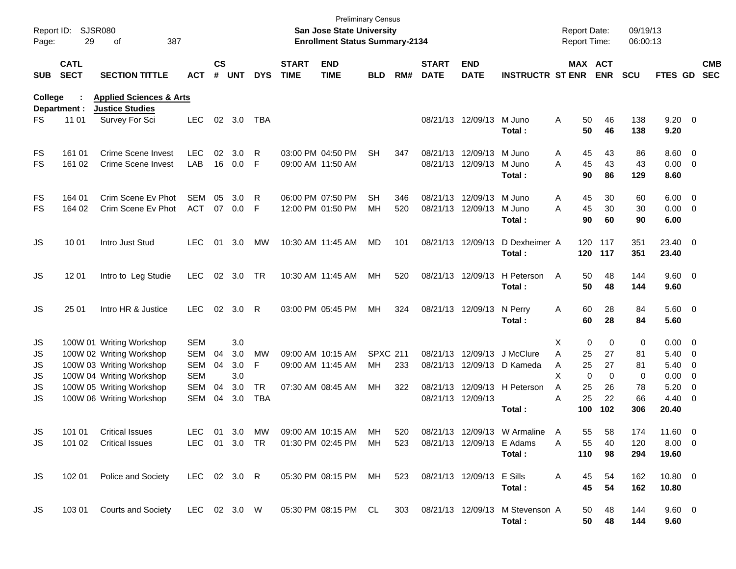| Report ID:<br>Page: | 29                         | <b>SJSR080</b><br>387<br>οf                                                                     |            |                    |            |            |                             | San Jose State University<br><b>Enrollment Status Summary-2134</b>       | <b>Preliminary Census</b> |     |                             |                           |                         | <b>Report Date:</b><br><b>Report Time:</b> |          |                       | 09/19/13<br>06:00:13 |                    |                          |                          |
|---------------------|----------------------------|-------------------------------------------------------------------------------------------------|------------|--------------------|------------|------------|-----------------------------|--------------------------------------------------------------------------|---------------------------|-----|-----------------------------|---------------------------|-------------------------|--------------------------------------------|----------|-----------------------|----------------------|--------------------|--------------------------|--------------------------|
| <b>SUB</b>          | <b>CATL</b><br><b>SECT</b> | <b>SECTION TITTLE</b>                                                                           | <b>ACT</b> | $\mathsf{cs}$<br># | <b>UNT</b> | <b>DYS</b> | <b>START</b><br><b>TIME</b> | <b>END</b><br><b>TIME</b>                                                | <b>BLD</b>                | RM# | <b>START</b><br><b>DATE</b> | <b>END</b><br><b>DATE</b> | <b>INSTRUCTR ST ENR</b> |                                            |          | MAX ACT<br><b>ENR</b> | <b>SCU</b>           | FTES GD            |                          | <b>CMB</b><br><b>SEC</b> |
| College             | Department :               | <b>Applied Sciences &amp; Arts</b><br><b>Justice Studies</b>                                    |            |                    |            |            |                             |                                                                          |                           |     |                             |                           |                         |                                            |          |                       |                      |                    |                          |                          |
| FS                  | 11 01                      | Survey For Sci                                                                                  | <b>LEC</b> |                    | 02 3.0     | TBA        |                             |                                                                          |                           |     |                             | 08/21/13 12/09/13         | M Juno<br>Total:        | Α                                          | 50<br>50 | 46<br>46              | 138<br>138           | $9.20 \ 0$<br>9.20 |                          |                          |
| FS                  | 161 01                     | Crime Scene Invest                                                                              | LEC.       | 02                 | 3.0        | R          |                             | 03:00 PM 04:50 PM                                                        | <b>SH</b>                 | 347 |                             | 08/21/13 12/09/13         | M Juno                  | A                                          | 45       | 43                    | 86                   | $8.60$ 0           |                          |                          |
| <b>FS</b>           | 161 02                     | <b>Crime Scene Invest</b>                                                                       | LAB        |                    | 16  0.0    | -F         |                             | 09:00 AM 11:50 AM                                                        |                           |     |                             | 08/21/13 12/09/13         | M Juno                  | A                                          | 45       | 43                    | 43                   | $0.00 \t 0$        |                          |                          |
|                     |                            |                                                                                                 |            |                    |            |            |                             |                                                                          |                           |     |                             |                           | Total:                  |                                            | 90       | 86                    | 129                  | 8.60               |                          |                          |
| FS                  | 164 01                     | Crim Scene Ev Phot                                                                              | <b>SEM</b> | 05                 | 3.0        | R          |                             | 06:00 PM 07:50 PM                                                        | <b>SH</b>                 | 346 |                             | 08/21/13 12/09/13         | M Juno                  | A                                          | 45       | 30                    | 60                   | $6.00 \t 0$        |                          |                          |
| <b>FS</b>           | 164 02                     | Crim Scene Ev Phot                                                                              | ACT        |                    | 07 0.0     | -F         |                             | 12:00 PM 01:50 PM                                                        | МH                        | 520 |                             | 08/21/13 12/09/13         | M Juno                  | A                                          | 45       | 30                    | 30                   | $0.00 \t 0$        |                          |                          |
|                     |                            |                                                                                                 |            |                    |            |            |                             |                                                                          |                           |     |                             |                           | Total :                 |                                            | 90       | 60                    | 90                   | 6.00               |                          |                          |
| JS                  | 10 01                      | Intro Just Stud                                                                                 | <b>LEC</b> | 01                 | 3.0        | МW         |                             | 10:30 AM 11:45 AM                                                        | MD                        | 101 |                             | 08/21/13 12/09/13         | D Dexheimer A           |                                            | 120      | 117                   | 351                  | 23.40 0            |                          |                          |
|                     |                            |                                                                                                 |            |                    |            |            |                             |                                                                          |                           |     |                             |                           | Total:                  |                                            | 120      | 117                   | 351                  | 23.40              |                          |                          |
| JS                  | 12 01                      | Intro to Leg Studie                                                                             | LEC.       |                    | 02 3.0     | TR         |                             | 10:30 AM 11:45 AM                                                        | МH                        | 520 |                             | 08/21/13 12/09/13         | H Peterson              | A                                          | 50       | 48                    | 144                  | 9.60 0             |                          |                          |
|                     |                            |                                                                                                 |            |                    |            |            |                             |                                                                          |                           |     |                             |                           | Total:                  |                                            | 50       | 48                    | 144                  | 9.60               |                          |                          |
| JS                  | 25 01                      | Intro HR & Justice                                                                              | <b>LEC</b> | 02                 | 3.0        | R          |                             | 03:00 PM 05:45 PM                                                        | МH                        | 324 |                             | 08/21/13 12/09/13         | N Perry                 | A                                          | 60       | 28                    | 84                   | 5.60 0             |                          |                          |
|                     |                            |                                                                                                 |            |                    |            |            |                             |                                                                          |                           |     |                             |                           | Total:                  |                                            | 60       | 28                    | 84                   | 5.60               |                          |                          |
| JS                  |                            | 100W 01 Writing Workshop                                                                        | <b>SEM</b> |                    | 3.0        |            |                             |                                                                          |                           |     |                             |                           |                         | X                                          | 0        | 0                     | 0                    | $0.00 \t 0$        |                          |                          |
| JS                  |                            | 100W 02 Writing Workshop                                                                        | <b>SEM</b> | 04                 | 3.0        | MW         |                             | 09:00 AM 10:15 AM                                                        | <b>SPXC 211</b>           |     |                             | 08/21/13 12/09/13         | J McClure               | A                                          | 25       | 27                    | 81                   | $5.40 \ 0$         |                          |                          |
| JS                  |                            | 100W 03 Writing Workshop                                                                        | <b>SEM</b> | 04                 | 3.0        | F          |                             | 09:00 AM 11:45 AM                                                        | МH                        | 233 |                             | 08/21/13 12/09/13         | D Kameda                | Α                                          | 25       | 27                    | 81                   | 5.40               | $\overline{\phantom{0}}$ |                          |
| JS                  |                            | 100W 04 Writing Workshop                                                                        | <b>SEM</b> |                    | 3.0        |            |                             |                                                                          |                           |     |                             |                           |                         | X                                          | 0        | 0                     | 0                    | 0.00               | $\overline{\phantom{0}}$ |                          |
| JS                  |                            | 100W 05 Writing Workshop                                                                        | <b>SEM</b> | 04                 | 3.0        | TR         |                             | 07:30 AM 08:45 AM                                                        | МH                        | 322 |                             | 08/21/13 12/09/13         | H Peterson              | A                                          | 25       | 26                    | 78                   | 5.20               | $\overline{\mathbf{0}}$  |                          |
| JS                  |                            | 100W 06 Writing Workshop                                                                        | <b>SEM</b> | 04                 | 3.0        | <b>TBA</b> |                             |                                                                          |                           |     |                             | 08/21/13 12/09/13         |                         | A                                          | 25       | 22                    | 66                   | 4.40               | $\overline{\phantom{0}}$ |                          |
|                     |                            |                                                                                                 |            |                    |            |            |                             |                                                                          |                           |     |                             |                           | Total:                  |                                            | 100      | 102                   | 306                  | 20.40              |                          |                          |
| JS                  | 101 01                     | <b>Critical Issues</b>                                                                          | LEC        |                    | 01 3.0     | MW         |                             | 09:00 AM 10:15 AM                                                        | MH.                       | 520 |                             | 08/21/13 12/09/13         | W Armaline A            |                                            | 55       | 58                    | 174                  | $11.60 \t 0$       |                          |                          |
| JS                  |                            | 101 02 Critical Issues                                                                          |            |                    |            |            |                             | LEC 01 3.0 TR  01:30 PM  02:45 PM  MH  523  08/21/13  12/09/13  E  Adams |                           |     |                             |                           |                         | A                                          | 55       | 40                    | 120                  | $8.00 \t 0$        |                          |                          |
|                     |                            |                                                                                                 |            |                    |            |            |                             |                                                                          |                           |     |                             |                           | Total:                  |                                            | 110      | 98                    | 294                  | 19.60              |                          |                          |
| JS                  |                            | 102 01 Police and Society LEC 02 3.0 R 05:30 PM 08:15 PM MH 523 08/21/13 12/09/13 E Sills       |            |                    |            |            |                             |                                                                          |                           |     |                             |                           |                         | A                                          | 45       | 54                    | 162                  | $10.80 \t 0$       |                          |                          |
|                     |                            |                                                                                                 |            |                    |            |            |                             |                                                                          |                           |     |                             |                           | Total:                  |                                            | 45       | 54                    | 162                  | 10.80              |                          |                          |
| JS                  |                            | 103 01 Courts and Society LEC 02 3.0 W 05:30 PM 08:15 PM CL 303 08/21/13 12/09/13 M Stevenson A |            |                    |            |            |                             |                                                                          |                           |     |                             |                           |                         |                                            | 50       | 48                    | 144                  | $9.60 \quad 0$     |                          |                          |
|                     |                            |                                                                                                 |            |                    |            |            |                             |                                                                          |                           |     |                             |                           | Total:                  |                                            | 50       | 48                    | 144                  | 9.60               |                          |                          |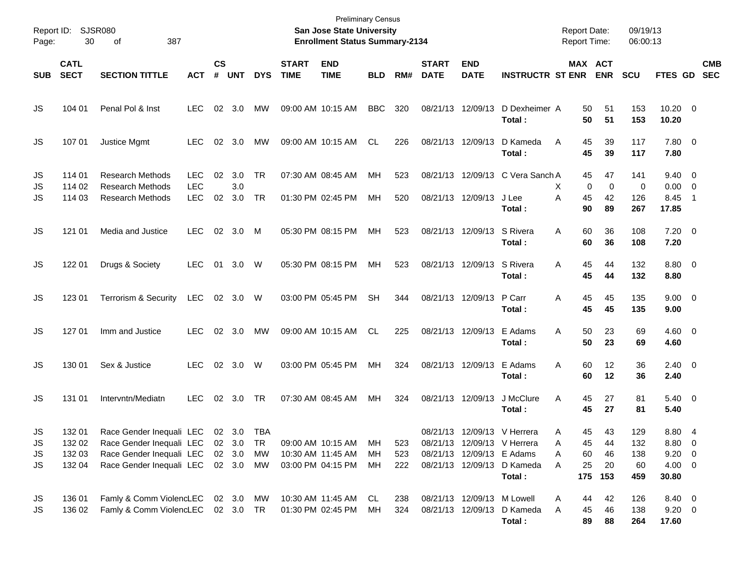| Report ID:<br>Page: | 30                         | <b>SJSR080</b><br>387<br>οf                        |                          |                    |            |            |                             | <b>Preliminary Census</b><br>San Jose State University<br><b>Enrollment Status Summary-2134</b> |            |     |                             |                            |                             | <b>Report Date:</b><br><b>Report Time:</b> |                       | 09/19/13<br>06:00:13 |                        |                         |                          |
|---------------------|----------------------------|----------------------------------------------------|--------------------------|--------------------|------------|------------|-----------------------------|-------------------------------------------------------------------------------------------------|------------|-----|-----------------------------|----------------------------|-----------------------------|--------------------------------------------|-----------------------|----------------------|------------------------|-------------------------|--------------------------|
| <b>SUB</b>          | <b>CATL</b><br><b>SECT</b> | <b>SECTION TITTLE</b>                              | <b>ACT</b>               | $\mathsf{cs}$<br># | <b>UNT</b> | <b>DYS</b> | <b>START</b><br><b>TIME</b> | <b>END</b><br><b>TIME</b>                                                                       | <b>BLD</b> | RM# | <b>START</b><br><b>DATE</b> | <b>END</b><br><b>DATE</b>  | <b>INSTRUCTR ST ENR</b>     |                                            | MAX ACT<br><b>ENR</b> | <b>SCU</b>           | FTES GD                |                         | <b>CMB</b><br><b>SEC</b> |
| JS                  | 104 01                     | Penal Pol & Inst                                   | <b>LEC</b>               | 02                 | 3.0        | МW         |                             | 09:00 AM 10:15 AM                                                                               | <b>BBC</b> | 320 |                             | 08/21/13 12/09/13          | D Dexheimer A<br>Total:     | 50<br>50                                   | 51<br>51              | 153<br>153           | $10.20 \t 0$<br>10.20  |                         |                          |
| JS                  | 107 01                     | Justice Mgmt                                       | <b>LEC</b>               | 02                 | 3.0        | МW         |                             | 09:00 AM 10:15 AM                                                                               | CL         | 226 | 08/21/13 12/09/13           |                            | D Kameda<br>Total:          | Α<br>45<br>45                              | 39<br>39              | 117<br>117           | 7.80 0<br>7.80         |                         |                          |
| JS<br>JS            | 114 01<br>114 02           | <b>Research Methods</b><br><b>Research Methods</b> | <b>LEC</b><br><b>LEC</b> | 02                 | 3.0<br>3.0 | <b>TR</b>  | 07:30 AM 08:45 AM           |                                                                                                 | MН         | 523 | 08/21/13                    | 12/09/13                   | C Vera Sanch A              | 45<br>0<br>X                               | 47<br>0               | 141<br>0             | $9.40 \quad 0$<br>0.00 | $\overline{\mathbf{0}}$ |                          |
| JS                  | 114 03                     | <b>Research Methods</b>                            | <b>LEC</b>               | 02                 | 3.0        | <b>TR</b>  |                             | 01:30 PM 02:45 PM                                                                               | МH         | 520 |                             | 08/21/13 12/09/13          | J Lee<br>Total:             | Α<br>45<br>90                              | 42<br>89              | 126<br>267           | 8.45<br>17.85          | $\overline{1}$          |                          |
| JS                  | 121 01                     | Media and Justice                                  | <b>LEC</b>               | 02                 | 3.0        | M          |                             | 05:30 PM 08:15 PM                                                                               | МH         | 523 |                             | 08/21/13 12/09/13          | S Rivera<br>Total:          | Α<br>60<br>60                              | 36<br>36              | 108<br>108           | $7.20 \t 0$<br>7.20    |                         |                          |
| JS                  | 122 01                     | Drugs & Society                                    | <b>LEC</b>               | 01                 | 3.0        | W          |                             | 05:30 PM 08:15 PM                                                                               | МH         | 523 |                             | 08/21/13 12/09/13          | S Rivera<br>Total:          | A<br>45<br>45                              | 44<br>44              | 132<br>132           | 8.80 0<br>8.80         |                         |                          |
| JS                  | 123 01                     | <b>Terrorism &amp; Security</b>                    | LEC                      |                    | 02 3.0     | W          |                             | 03:00 PM 05:45 PM                                                                               | <b>SH</b>  | 344 |                             | 08/21/13 12/09/13          | P Carr<br>Total:            | Α<br>45<br>45                              | 45<br>45              | 135<br>135           | $9.00 \t 0$<br>9.00    |                         |                          |
| JS                  | 127 01                     | Imm and Justice                                    | <b>LEC</b>               | 02                 | 3.0        | МW         |                             | 09:00 AM 10:15 AM                                                                               | <b>CL</b>  | 225 |                             | 08/21/13 12/09/13          | E Adams<br>Total:           | A<br>50<br>50                              | 23<br>23              | 69<br>69             | $4.60 \quad 0$<br>4.60 |                         |                          |
| JS                  | 130 01                     | Sex & Justice                                      | <b>LEC</b>               |                    | 02 3.0     | W          |                             | 03:00 PM 05:45 PM                                                                               | МH         | 324 |                             | 08/21/13 12/09/13          | E Adams<br>Total:           | A<br>60<br>60                              | 12<br>12              | 36<br>36             | $2.40 \ 0$<br>2.40     |                         |                          |
| JS                  | 131 01                     | Intervntn/Mediatn                                  | <b>LEC</b>               | 02                 | 3.0        | TR         | 07:30 AM 08:45 AM           |                                                                                                 | МH         | 324 |                             | 08/21/13 12/09/13          | J McClure<br>Total:         | Α<br>45<br>45                              | 27<br>27              | 81<br>81             | 5.40 0<br>5.40         |                         |                          |
| JS                  | 132 01                     | Race Gender Inequali LEC 02 3.0                    |                          |                    |            | <b>TBA</b> |                             |                                                                                                 |            |     |                             |                            | 08/21/13 12/09/13 V Herrera | A<br>45                                    | 43                    | 129                  | 8.80 4                 |                         |                          |
| JS                  | 132 02                     | Race Gender Inequali LEC 02 3.0 TR                 |                          |                    |            |            |                             | 09:00 AM 10:15 AM                                                                               | MН         | 523 |                             |                            | 08/21/13 12/09/13 V Herrera | A<br>45                                    | 44                    | 132                  | $8.80\ 0$              |                         |                          |
| JS                  | 132 03                     | Race Gender Inequali LEC                           |                          |                    | 02 3.0     | МW         |                             | 10:30 AM 11:45 AM                                                                               | МH         | 523 |                             | 08/21/13 12/09/13 E Adams  |                             | 60<br>Α                                    | 46                    | 138                  | $9.20 \ 0$             |                         |                          |
| JS                  | 132 04                     | Race Gender Inequali LEC 02 3.0 MW                 |                          |                    |            |            |                             | 03:00 PM 04:15 PM                                                                               | MН         | 222 |                             |                            | 08/21/13 12/09/13 D Kameda  | 25<br>A                                    | 20                    | 60                   | $4.00 \t 0$            |                         |                          |
|                     |                            |                                                    |                          |                    |            |            |                             |                                                                                                 |            |     |                             |                            | Total:                      | 175                                        | 153                   | 459                  | 30.80                  |                         |                          |
| JS                  | 136 01                     | Famly & Comm ViolencLEC                            |                          |                    | 02 3.0 MW  |            |                             | 10:30 AM 11:45 AM                                                                               | CL         | 238 |                             | 08/21/13 12/09/13 M Lowell |                             | 44<br>A                                    | 42                    | 126                  | 8.40 0                 |                         |                          |
| JS                  | 136 02                     | Famly & Comm ViolencLEC 02 3.0 TR                  |                          |                    |            |            |                             | 01:30 PM 02:45 PM                                                                               | MН         | 324 |                             |                            | 08/21/13 12/09/13 D Kameda  | A<br>45                                    | 46                    | 138                  | $9.20 \ 0$             |                         |                          |
|                     |                            |                                                    |                          |                    |            |            |                             |                                                                                                 |            |     |                             |                            | Total:                      | 89                                         | 88                    | 264                  | 17.60                  |                         |                          |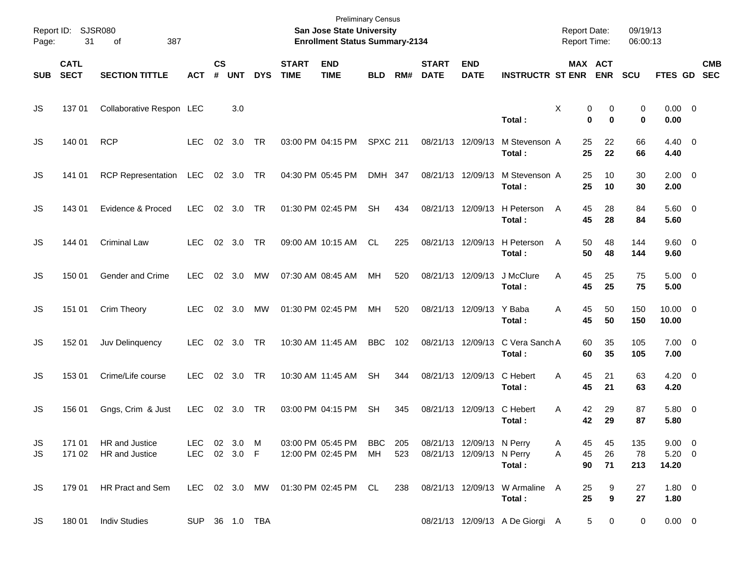| Report ID:<br>Page: | 31                         | <b>SJSR080</b><br>387<br>of      |                      |                |                |            |                             | <b>Preliminary Census</b><br><b>San Jose State University</b><br><b>Enrollment Status Summary-2134</b> |                 |            |                             |                                                        |                                          | <b>Report Date:</b><br><b>Report Time:</b> |                       | 09/19/13<br>06:00:13 |                                    |                          |
|---------------------|----------------------------|----------------------------------|----------------------|----------------|----------------|------------|-----------------------------|--------------------------------------------------------------------------------------------------------|-----------------|------------|-----------------------------|--------------------------------------------------------|------------------------------------------|--------------------------------------------|-----------------------|----------------------|------------------------------------|--------------------------|
| <b>SUB</b>          | <b>CATL</b><br><b>SECT</b> | <b>SECTION TITTLE</b>            | <b>ACT</b>           | <b>CS</b><br># | <b>UNT</b>     | <b>DYS</b> | <b>START</b><br><b>TIME</b> | <b>END</b><br><b>TIME</b>                                                                              | <b>BLD</b>      | RM#        | <b>START</b><br><b>DATE</b> | <b>END</b><br><b>DATE</b>                              | <b>INSTRUCTR ST ENR</b>                  | <b>MAX ACT</b>                             | <b>ENR</b>            | <b>SCU</b>           | FTES GD                            | <b>CMB</b><br><b>SEC</b> |
| JS                  | 13701                      | Collaborative Respon LEC         |                      |                | 3.0            |            |                             |                                                                                                        |                 |            |                             |                                                        | Total:                                   | X<br>0<br>$\bf{0}$                         | 0<br>$\bf{0}$         | 0<br>$\mathbf 0$     | $0.00 \t 0$<br>0.00                |                          |
| JS                  | 140 01                     | <b>RCP</b>                       | <b>LEC</b>           | 02             | 3.0            | TR         |                             | 03:00 PM 04:15 PM                                                                                      | <b>SPXC 211</b> |            |                             | 08/21/13 12/09/13                                      | M Stevenson A<br>Total:                  | 25<br>25                                   | 22<br>22              | 66<br>66             | $4.40 \quad 0$<br>4.40             |                          |
| JS                  | 141 01                     | <b>RCP Representation</b>        | LEC                  |                | 02 3.0         | TR         |                             | 04:30 PM 05:45 PM                                                                                      | DMH 347         |            |                             | 08/21/13 12/09/13                                      | M Stevenson A<br>Total:                  | 25<br>25                                   | 10<br>10              | 30<br>30             | $2.00 \t 0$<br>2.00                |                          |
| JS                  | 143 01                     | Evidence & Proced                | <b>LEC</b>           |                | 02 3.0         | TR         |                             | 01:30 PM 02:45 PM                                                                                      | <b>SH</b>       | 434        |                             | 08/21/13 12/09/13                                      | H Peterson<br>Total:                     | 45<br>A<br>45                              | 28<br>28              | 84<br>84             | 5.60 0<br>5.60                     |                          |
| JS                  | 144 01                     | <b>Criminal Law</b>              | <b>LEC</b>           |                | 02 3.0         | TR         |                             | 09:00 AM 10:15 AM                                                                                      | CL.             | 225        |                             | 08/21/13 12/09/13                                      | H Peterson<br>Total:                     | 50<br>A<br>50                              | 48<br>48              | 144<br>144           | $9.60 \quad 0$<br>9.60             |                          |
| JS                  | 150 01                     | Gender and Crime                 | <b>LEC</b>           |                | 02 3.0         | MW         |                             | 07:30 AM 08:45 AM                                                                                      | MH              | 520        |                             | 08/21/13 12/09/13                                      | J McClure<br>Total:                      | 45<br>A<br>45                              | 25<br>25              | 75<br>75             | $5.00 \quad 0$<br>5.00             |                          |
| JS                  | 151 01                     | Crim Theory                      | <b>LEC</b>           |                | 02 3.0         | MW         |                             | 01:30 PM 02:45 PM                                                                                      | МH              | 520        |                             | 08/21/13 12/09/13 Y Baba                               | Total:                                   | 45<br>A<br>45                              | 50<br>50              | 150<br>150           | $10.00 \t 0$<br>10.00              |                          |
| JS                  | 152 01                     | Juv Delinquency                  | <b>LEC</b>           |                | $02 \quad 3.0$ | TR         |                             | 10:30 AM 11:45 AM                                                                                      | <b>BBC</b>      | 102        |                             | 08/21/13 12/09/13                                      | C Vera Sanch A<br>Total:                 | 60<br>60                                   | 35<br>35              | 105<br>105           | $7.00 \t 0$<br>7.00                |                          |
| JS                  | 153 01                     | Crime/Life course                | <b>LEC</b>           |                | 02 3.0         | <b>TR</b>  |                             | 10:30 AM 11:45 AM                                                                                      | <b>SH</b>       | 344        |                             | 08/21/13 12/09/13                                      | C Hebert<br>Total:                       | 45<br>A<br>45                              | 21<br>21              | 63<br>63             | $4.20 \ 0$<br>4.20                 |                          |
| JS                  | 156 01                     | Gngs, Crim & Just                | <b>LEC</b>           |                | 02 3.0         | TR         |                             | 03:00 PM 04:15 PM                                                                                      | <b>SH</b>       | 345        | 08/21/13                    | 12/09/13                                               | C Hebert<br>Total:                       | 42<br>Α<br>42                              | 29<br>29              | 87<br>87             | 5.80 0<br>5.80                     |                          |
| JS<br>JS.           | 171 01<br>171 02           | HR and Justice<br>HR and Justice | LEC.<br>LEC 02 3.0 F |                | 02 3.0 M       |            |                             | 03:00 PM 05:45 PM BBC<br>12:00 PM 02:45 PM                                                             | МH              | 205<br>523 |                             | 08/21/13 12/09/13 N Perry<br>08/21/13 12/09/13 N Perry | Total:                                   | 45<br>A<br>A<br>45<br>90                   | 45<br>26<br>71        | 135<br>78<br>213     | $9.00 \t 0$<br>$5.20 \ 0$<br>14.20 |                          |
| JS.                 | 179 01                     | HR Pract and Sem                 |                      |                |                |            |                             | LEC 02 3.0 MW 01:30 PM 02:45 PM CL                                                                     |                 | 238        |                             |                                                        | 08/21/13 12/09/13 W Armaline A<br>Total: | 25<br>25                                   | 9<br>$\boldsymbol{9}$ | 27<br>27             | $1.80 \ 0$<br>1.80                 |                          |
| JS                  | 180 01                     | <b>Indiv Studies</b>             | SUP 36 1.0 TBA       |                |                |            |                             |                                                                                                        |                 |            |                             |                                                        | 08/21/13 12/09/13 A De Giorgi A          | 5                                          | $\mathbf 0$           | 0                    | $0.00 \t 0$                        |                          |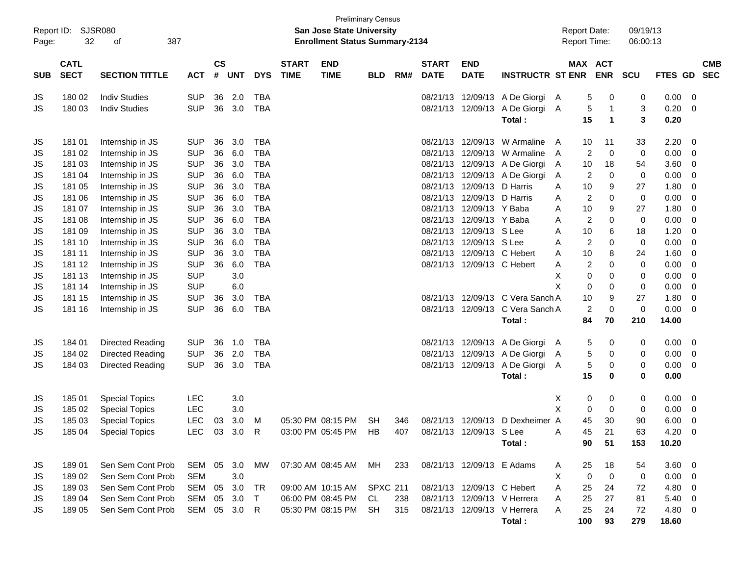|                      |                            |                             |              |                    |            |            |                             |                                                                    | <b>Preliminary Census</b> |     |                             |                            |                               |                                     |                       |              |                      |             |                          |
|----------------------|----------------------------|-----------------------------|--------------|--------------------|------------|------------|-----------------------------|--------------------------------------------------------------------|---------------------------|-----|-----------------------------|----------------------------|-------------------------------|-------------------------------------|-----------------------|--------------|----------------------|-------------|--------------------------|
| Report ID:<br>Page:  | 32                         | <b>SJSR080</b><br>387<br>of |              |                    |            |            |                             | San Jose State University<br><b>Enrollment Status Summary-2134</b> |                           |     |                             |                            |                               | <b>Report Date:</b><br>Report Time: |                       |              | 09/19/13<br>06:00:13 |             |                          |
|                      |                            |                             |              |                    |            |            |                             |                                                                    |                           |     |                             |                            |                               |                                     |                       |              |                      |             |                          |
| <b>SUB</b>           | <b>CATL</b><br><b>SECT</b> | <b>SECTION TITTLE</b>       | <b>ACT</b>   | $\mathsf{cs}$<br># | <b>UNT</b> | <b>DYS</b> | <b>START</b><br><b>TIME</b> | <b>END</b><br><b>TIME</b>                                          | <b>BLD</b>                | RM# | <b>START</b><br><b>DATE</b> | <b>END</b><br><b>DATE</b>  | <b>INSTRUCTR ST ENR</b>       |                                     | MAX ACT<br><b>ENR</b> | <b>SCU</b>   |                      | FTES GD     | <b>CMB</b><br><b>SEC</b> |
| JS                   | 180 02                     | <b>Indiv Studies</b>        | <b>SUP</b>   | 36                 | 2.0        | <b>TBA</b> |                             |                                                                    |                           |     | 08/21/13                    | 12/09/13                   | A De Giorgi                   | A                                   | 5                     | 0            | 0                    | 0.00        | - 0                      |
| JS                   | 180 03                     | <b>Indiv Studies</b>        | <b>SUP</b>   | 36                 | 3.0        | <b>TBA</b> |                             |                                                                    |                           |     |                             | 08/21/13 12/09/13          | A De Giorgi                   | A                                   | 5                     | $\mathbf{1}$ | 3                    | 0.20        | - 0                      |
|                      |                            |                             |              |                    |            |            |                             |                                                                    |                           |     |                             |                            | Total:                        |                                     | 15                    | 1            | 3                    | 0.20        |                          |
| JS                   | 181 01                     | Internship in JS            | <b>SUP</b>   | 36                 | 3.0        | <b>TBA</b> |                             |                                                                    |                           |     | 08/21/13                    | 12/09/13                   | W Armaline                    | A                                   | 10<br>11              |              | 33                   | 2.20        | 0                        |
| JS                   | 181 02                     | Internship in JS            | <b>SUP</b>   | 36                 | 6.0        | <b>TBA</b> |                             |                                                                    |                           |     | 08/21/13                    | 12/09/13                   | W Armaline                    | A                                   | 2                     | $\mathbf 0$  | 0                    | 0.00        | 0                        |
| JS                   | 181 03                     | Internship in JS            | <b>SUP</b>   | 36                 | 3.0        | <b>TBA</b> |                             |                                                                    |                           |     |                             |                            | 08/21/13 12/09/13 A De Giorgi | A                                   | 10                    | 18           | 54                   | 3.60        | 0                        |
| JS                   | 181 04                     | Internship in JS            | <b>SUP</b>   | 36                 | 6.0        | <b>TBA</b> |                             |                                                                    |                           |     |                             | 08/21/13 12/09/13          | A De Giorgi                   | A                                   | 2                     | $\mathbf 0$  | 0                    | 0.00        | 0                        |
| JS                   | 181 05                     | Internship in JS            | <b>SUP</b>   | 36                 | 3.0        | <b>TBA</b> |                             |                                                                    |                           |     |                             | 08/21/13 12/09/13          | D Harris                      | A                                   | 10                    | 9            | 27                   | 1.80        | 0                        |
| JS                   | 181 06                     | Internship in JS            | <b>SUP</b>   | 36                 | 6.0        | <b>TBA</b> |                             |                                                                    |                           |     |                             | 08/21/13 12/09/13          | D Harris                      | A                                   | $\overline{2}$        | $\mathbf 0$  | 0                    | 0.00        | 0                        |
| JS                   | 181 07                     | Internship in JS            | <b>SUP</b>   | 36                 | 3.0        | <b>TBA</b> |                             |                                                                    |                           |     |                             | 08/21/13 12/09/13 Y Baba   |                               | Α                                   | 10                    | 9            | 27                   | 1.80        | 0                        |
| JS                   | 181 08                     | Internship in JS            | <b>SUP</b>   | 36                 | 6.0        | <b>TBA</b> |                             |                                                                    |                           |     | 08/21/13                    | 12/09/13 Y Baba            |                               | Α                                   | $\overline{c}$        | $\mathbf 0$  | 0                    | 0.00        | $\mathbf 0$              |
| JS                   | 181 09                     | Internship in JS            | <b>SUP</b>   | 36                 | 3.0        | <b>TBA</b> |                             |                                                                    |                           |     | 08/21/13                    | 12/09/13                   | S Lee                         | Α                                   | 10                    | 6            | 18                   | 1.20        | 0                        |
| JS                   | 181 10                     | Internship in JS            | <b>SUP</b>   | 36                 | 6.0        | <b>TBA</b> |                             |                                                                    |                           |     |                             | 08/21/13 12/09/13 S Lee    |                               | А                                   | $\overline{2}$        | $\mathbf 0$  | 0                    | 0.00        | 0                        |
| JS                   | 181 11                     | Internship in JS            | <b>SUP</b>   | 36                 | 3.0        | <b>TBA</b> |                             |                                                                    |                           |     | 08/21/13                    |                            | 12/09/13 C Hebert             | A                                   | 10                    | 8            | 24                   | 1.60        | 0                        |
| JS                   | 181 12                     | Internship in JS            | <b>SUP</b>   | 36                 | 6.0        | <b>TBA</b> |                             |                                                                    |                           |     |                             | 08/21/13 12/09/13 C Hebert |                               | A                                   | 2                     | $\mathbf 0$  | 0                    | 0.00        | $\mathbf 0$              |
| JS                   | 181 13                     | Internship in JS            | <b>SUP</b>   |                    | 3.0        |            |                             |                                                                    |                           |     |                             |                            |                               | X                                   | $\mathbf 0$           | 0            | 0                    | 0.00        | 0                        |
| JS                   | 181 14                     | Internship in JS            | <b>SUP</b>   |                    | 6.0        |            |                             |                                                                    |                           |     |                             |                            |                               | X                                   | 0                     | 0            | 0                    | 0.00        | 0                        |
| JS                   | 181 15                     | Internship in JS            | <b>SUP</b>   | 36                 | 3.0        | <b>TBA</b> |                             |                                                                    |                           |     | 08/21/13                    | 12/09/13                   | C Vera Sanch A                |                                     | 10                    | 9            | 27                   | 1.80        | 0                        |
| JS                   | 181 16                     | Internship in JS            | <b>SUP</b>   | 36                 | 6.0        | <b>TBA</b> |                             |                                                                    |                           |     |                             | 08/21/13 12/09/13          | C Vera Sanch A                |                                     | $\overline{2}$        | $\mathbf 0$  | 0                    | 0.00        | $\overline{0}$           |
|                      |                            |                             |              |                    |            |            |                             |                                                                    |                           |     |                             |                            | Total:                        |                                     | 84                    | 70           | 210                  | 14.00       |                          |
| JS                   | 184 01                     | Directed Reading            | <b>SUP</b>   | 36                 | 1.0        | <b>TBA</b> |                             |                                                                    |                           |     | 08/21/13                    |                            | 12/09/13 A De Giorgi          | A                                   | 5                     | 0            | 0                    | 0.00        | 0                        |
| JS                   | 184 02                     | Directed Reading            | <b>SUP</b>   | 36                 | 2.0        | <b>TBA</b> |                             |                                                                    |                           |     | 08/21/13                    | 12/09/13                   | A De Giorgi                   | A                                   | 5                     | 0            | 0                    | 0.00        | 0                        |
| JS                   | 184 03                     | Directed Reading            | <b>SUP</b>   | 36                 | 3.0        | <b>TBA</b> |                             |                                                                    |                           |     |                             | 08/21/13 12/09/13          | A De Giorgi                   | A                                   | 5                     | 0            | 0                    | 0.00        | - 0                      |
|                      |                            |                             |              |                    |            |            |                             |                                                                    |                           |     |                             |                            | Total:                        |                                     | 15                    | 0            | 0                    | 0.00        |                          |
| JS                   | 18501                      | <b>Special Topics</b>       | LEC          |                    | 3.0        |            |                             |                                                                    |                           |     |                             |                            |                               | х                                   | 0                     | 0            | 0                    | 0.00        | 0                        |
| JS                   | 185 02                     | <b>Special Topics</b>       | <b>LEC</b>   |                    | 3.0        |            |                             |                                                                    |                           |     |                             |                            |                               | X                                   | 0                     | 0            | 0                    | 0.00        | 0                        |
| JS                   | 185 03                     | <b>Special Topics</b>       | <b>LEC</b>   | 03                 | 3.0        | M          |                             | 05:30 PM 08:15 PM                                                  | <b>SH</b>                 | 346 |                             | 08/21/13 12/09/13          | D Dexheimer A                 |                                     | 45                    | 30           | 90                   | 6.00        | $\mathbf 0$              |
| $\mathsf{JS}\xspace$ | 185 04                     | <b>Special Topics</b>       | LEC 03 3.0 R |                    |            |            |                             | 03:00 PM 05:45 PM HB                                               |                           | 407 |                             | 08/21/13 12/09/13 S Lee    |                               | - A                                 | 45                    | 21           | 63                   | 4.20        | $\overline{\mathbf{0}}$  |
|                      |                            |                             |              |                    |            |            |                             |                                                                    |                           |     |                             |                            | Total:                        |                                     | 90                    | 51           | 153                  | 10.20       |                          |
| JS                   | 18901                      | Sen Sem Cont Prob           | SEM 05 3.0   |                    |            | MW         |                             | 07:30 AM 08:45 AM MH                                               |                           | 233 |                             | 08/21/13 12/09/13 E Adams  |                               | A                                   | 25                    | 18           | 54                   | $3.60 \ 0$  |                          |
| JS                   | 18902                      | Sen Sem Cont Prob           | <b>SEM</b>   |                    | 3.0        |            |                             |                                                                    |                           |     |                             |                            |                               | Χ                                   | $\mathbf 0$           | $\mathbf 0$  | 0                    | $0.00 \t 0$ |                          |
| JS                   | 18903                      | Sen Sem Cont Prob           | SEM          | 05                 | 3.0        | TR         |                             | 09:00 AM 10:15 AM SPXC 211                                         |                           |     |                             | 08/21/13 12/09/13 C Hebert |                               | Α                                   | 25                    | 24           | 72                   | $4.80\ 0$   |                          |
| JS                   | 18904                      | Sen Sem Cont Prob           | SEM          | 05                 | 3.0        | $\top$     |                             | 06:00 PM 08:45 PM CL                                               |                           | 238 |                             |                            | 08/21/13 12/09/13 V Herrera   | A                                   | 25                    | 27           | 81                   | $5.40\ 0$   |                          |
| JS                   | 18905                      | Sen Sem Cont Prob           | SEM 05 3.0   |                    |            | -R         |                             | 05:30 PM 08:15 PM SH                                               |                           | 315 |                             |                            | 08/21/13 12/09/13 V Herrera   | A                                   | 25                    | 24           | 72                   | 4.80 0      |                          |
|                      |                            |                             |              |                    |            |            |                             |                                                                    |                           |     |                             |                            | Total:                        |                                     | 100                   | 93           | 279                  | 18.60       |                          |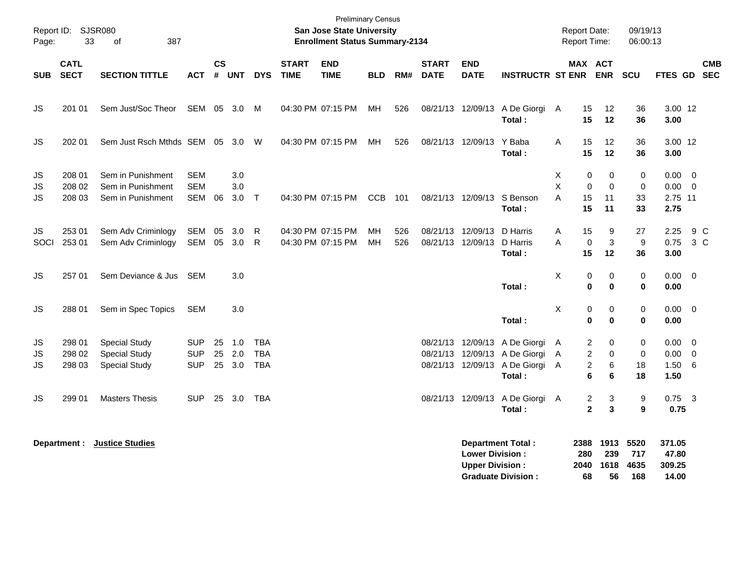| Page:          | Report ID: SJSR080<br>33   | 387<br>οf                                                            |                                        |                |                       |                                        |                             | <b>Preliminary Census</b><br><b>San Jose State University</b><br><b>Enrollment Status Summary-2134</b> |            |            |                             |                                                  |                                                                                                           |              | <b>Report Date:</b><br>Report Time: |                              | 09/19/13<br>06:00:13       |                                        |                         |            |
|----------------|----------------------------|----------------------------------------------------------------------|----------------------------------------|----------------|-----------------------|----------------------------------------|-----------------------------|--------------------------------------------------------------------------------------------------------|------------|------------|-----------------------------|--------------------------------------------------|-----------------------------------------------------------------------------------------------------------|--------------|-------------------------------------|------------------------------|----------------------------|----------------------------------------|-------------------------|------------|
| <b>SUB</b>     | <b>CATL</b><br><b>SECT</b> | <b>SECTION TITTLE</b>                                                | ACT                                    | <b>CS</b><br># | <b>UNT</b>            | <b>DYS</b>                             | <b>START</b><br><b>TIME</b> | <b>END</b><br><b>TIME</b>                                                                              | <b>BLD</b> | RM#        | <b>START</b><br><b>DATE</b> | <b>END</b><br><b>DATE</b>                        | <b>INSTRUCTR ST ENR</b>                                                                                   |              | MAX ACT                             | <b>ENR</b>                   | <b>SCU</b>                 | FTES GD SEC                            |                         | <b>CMB</b> |
| <b>JS</b>      | 201 01                     | Sem Just/Soc Theor                                                   | SEM                                    | 05             | 3.0                   | M                                      |                             | 04:30 PM 07:15 PM                                                                                      | MН         | 526        |                             |                                                  | 08/21/13 12/09/13 A De Giorgi<br>Total:                                                                   | A            | 15<br>15                            | 12<br>12                     | 36<br>36                   | 3.00 12<br>3.00                        |                         |            |
| JS             | 202 01                     | Sem Just Rsch Mthds SEM 05 3.0 W                                     |                                        |                |                       |                                        |                             | 04:30 PM 07:15 PM                                                                                      | МH         | 526        |                             | 08/21/13 12/09/13                                | Y Baba<br>Total:                                                                                          | A            | 15<br>15                            | 12<br>12                     | 36<br>36                   | 3.00 12<br>3.00                        |                         |            |
| JS<br>JS<br>JS | 208 01<br>208 02<br>208 03 | Sem in Punishment<br>Sem in Punishment<br>Sem in Punishment          | <b>SEM</b><br><b>SEM</b><br>SEM        | 06             | 3.0<br>3.0<br>$3.0$ T |                                        |                             | 04:30 PM 07:15 PM                                                                                      | CCB        | 101        |                             | 08/21/13 12/09/13                                | S Benson<br>Total:                                                                                        | Χ<br>X<br>A  | 0<br>$\mathbf 0$<br>15<br>15        | 0<br>$\mathbf 0$<br>11<br>11 | 0<br>$\pmb{0}$<br>33<br>33 | 0.00<br>$0.00 \t 0$<br>2.75 11<br>2.75 | $\overline{\mathbf{0}}$ |            |
| JS.<br>SOCI    | 253 01<br>253 01           | Sem Adv Criminlogy<br>Sem Adv Criminlogy                             | <b>SEM</b><br>SEM                      | 05<br>05       | 3.0<br>3.0            | R<br>-R                                |                             | 04:30 PM 07:15 PM<br>04:30 PM 07:15 PM                                                                 | MН<br>MН   | 526<br>526 |                             | 08/21/13 12/09/13<br>08/21/13 12/09/13           | D Harris<br>D Harris<br>Total:                                                                            | Α<br>A       | 15<br>0<br>15                       | 9<br>$\mathbf{3}$<br>12      | 27<br>9<br>36              | 2.25<br>0.75<br>3.00                   | 9 C<br>3 <sup>C</sup>   |            |
| JS             | 257 01                     | Sem Deviance & Jus                                                   | SEM                                    |                | 3.0                   |                                        |                             |                                                                                                        |            |            |                             |                                                  | Total:                                                                                                    | X            | 0<br>$\mathbf 0$                    | 0<br>0                       | 0<br>0                     | 0.00<br>0.00                           | $\overline{\mathbf{0}}$ |            |
| JS             | 288 01                     | Sem in Spec Topics                                                   | <b>SEM</b>                             |                | 3.0                   |                                        |                             |                                                                                                        |            |            |                             |                                                  | Total:                                                                                                    | X            | 0<br>$\mathbf 0$                    | 0<br>$\bf{0}$                | 0<br>$\mathbf 0$           | $0.00 \t 0$<br>0.00                    |                         |            |
| JS<br>JS<br>JS | 298 01<br>298 02<br>298 03 | <b>Special Study</b><br><b>Special Study</b><br><b>Special Study</b> | <b>SUP</b><br><b>SUP</b><br><b>SUP</b> | 25<br>25       | 1.0<br>2.0<br>25 3.0  | <b>TBA</b><br><b>TBA</b><br><b>TBA</b> |                             |                                                                                                        |            |            |                             |                                                  | 08/21/13 12/09/13 A De Giorgi<br>08/21/13 12/09/13 A De Giorgi<br>08/21/13 12/09/13 A De Giorgi<br>Total: | A<br>Α<br>A  | 2<br>2<br>$\overline{c}$<br>6       | 0<br>0<br>6<br>6             | 0<br>0<br>18<br>18         | $0.00 \quad 0$<br>0.00<br>1.50<br>1.50 | $\overline{0}$<br>6     |            |
| JS             | 299 01                     | <b>Masters Thesis</b>                                                | <b>SUP</b>                             |                | 25 3.0                | TBA                                    |                             |                                                                                                        |            |            |                             | 08/21/13 12/09/13                                | A De Giorgi<br>Total:                                                                                     | $\mathsf{A}$ | 2<br>$\overline{2}$                 | 3<br>$\mathbf{3}$            | 9<br>9                     | $0.75$ 3<br>0.75                       |                         |            |
|                | Department :               | <b>Justice Studies</b>                                               |                                        |                |                       |                                        |                             |                                                                                                        |            |            |                             | <b>Lower Division:</b><br><b>Upper Division:</b> | <b>Department Total:</b><br><b>Graduate Division:</b>                                                     |              | 2388<br>280<br>2040<br>68           | 1913<br>239<br>1618<br>56    | 5520<br>717<br>4635<br>168 | 371.05<br>47.80<br>309.25<br>14.00     |                         |            |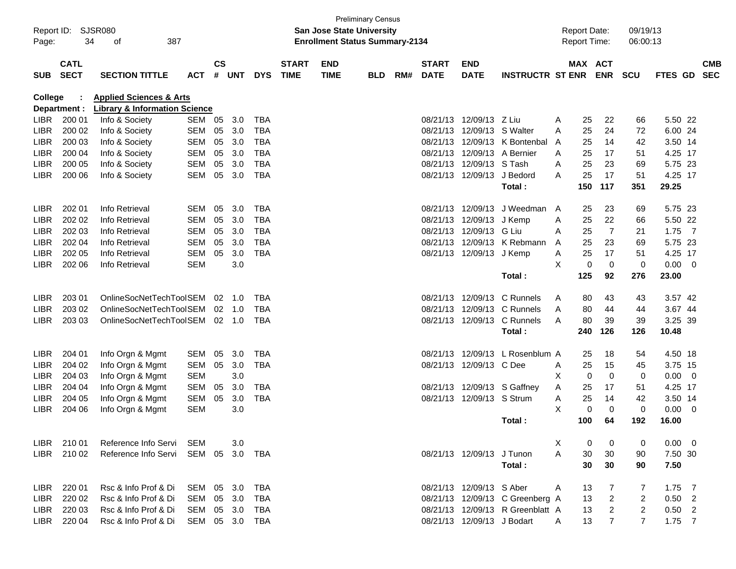| <b>Preliminary Census</b> |                                                           |                                          |                                       |               |                |            |              |             |            |     |              |                                 |                                  |   |                |                |                |                |                |            |
|---------------------------|-----------------------------------------------------------|------------------------------------------|---------------------------------------|---------------|----------------|------------|--------------|-------------|------------|-----|--------------|---------------------------------|----------------------------------|---|----------------|----------------|----------------|----------------|----------------|------------|
|                           | Report ID:<br>SJSR080<br><b>San Jose State University</b> |                                          |                                       |               |                |            |              |             |            |     |              | 09/19/13<br><b>Report Date:</b> |                                  |   |                |                |                |                |                |            |
| Page:                     | 34                                                        | 387<br>οf                                | <b>Enrollment Status Summary-2134</b> |               |                |            |              |             |            |     |              | Report Time:                    |                                  |   | 06:00:13       |                |                |                |                |            |
|                           |                                                           |                                          |                                       |               |                |            |              |             |            |     |              |                                 |                                  |   |                |                |                |                |                |            |
|                           | <b>CATL</b>                                               |                                          |                                       | $\mathsf{cs}$ |                |            | <b>START</b> | <b>END</b>  |            |     | <b>START</b> | <b>END</b>                      |                                  |   | <b>MAX ACT</b> |                |                |                |                | <b>CMB</b> |
| <b>SUB</b>                | <b>SECT</b>                                               | <b>SECTION TITTLE</b>                    | <b>ACT</b>                            | #             | <b>UNT</b>     | <b>DYS</b> | <b>TIME</b>  | <b>TIME</b> | <b>BLD</b> | RM# | <b>DATE</b>  | <b>DATE</b>                     | <b>INSTRUCTR ST ENR</b>          |   |                | <b>ENR</b>     | <b>SCU</b>     | <b>FTES GD</b> |                | <b>SEC</b> |
|                           |                                                           |                                          |                                       |               |                |            |              |             |            |     |              |                                 |                                  |   |                |                |                |                |                |            |
| <b>College</b>            |                                                           | <b>Applied Sciences &amp; Arts</b>       |                                       |               |                |            |              |             |            |     |              |                                 |                                  |   |                |                |                |                |                |            |
|                           | Department :                                              | <b>Library &amp; Information Science</b> |                                       |               |                |            |              |             |            |     |              |                                 |                                  |   |                |                |                |                |                |            |
| <b>LIBR</b>               | 200 01                                                    | Info & Society                           | SEM 05                                |               | 3.0            | <b>TBA</b> |              |             |            |     | 08/21/13     | 12/09/13 Z Liu                  |                                  | A | 25             | 22             | 66             | 5.50 22        |                |            |
| <b>LIBR</b>               | 200 02                                                    | Info & Society                           | <b>SEM</b>                            | 05            | 3.0            | <b>TBA</b> |              |             |            |     | 08/21/13     | 12/09/13 S Walter               |                                  | A | 25             | 24             | 72             | 6.00 24        |                |            |
| <b>LIBR</b>               | 200 03                                                    | Info & Society                           | <b>SEM</b>                            | 05            | 3.0            | <b>TBA</b> |              |             |            |     | 08/21/13     |                                 | 12/09/13 K Bontenbal             | A | 25             | 14             | 42             | 3.50 14        |                |            |
| <b>LIBR</b>               | 200 04                                                    | Info & Society                           | <b>SEM</b>                            | 05            | 3.0            | <b>TBA</b> |              |             |            |     | 08/21/13     |                                 | 12/09/13 A Bernier               | A | 25             | 17             | 51             | 4.25 17        |                |            |
| <b>LIBR</b>               | 200 05                                                    | Info & Society                           | <b>SEM</b>                            | 05            | 3.0            | <b>TBA</b> |              |             |            |     | 08/21/13     | 12/09/13 S Tash                 |                                  | A | 25             | 23             | 69             | 5.75 23        |                |            |
| <b>LIBR</b>               | 200 06                                                    | Info & Society                           | <b>SEM</b>                            | 05            | 3.0            | <b>TBA</b> |              |             |            |     |              | 08/21/13 12/09/13 J Bedord      |                                  | A | 25             | 17             | 51             | 4.25 17        |                |            |
|                           |                                                           |                                          |                                       |               |                |            |              |             |            |     |              |                                 | Total:                           |   | 150            | 117            | 351            | 29.25          |                |            |
| <b>LIBR</b>               | 202 01                                                    | Info Retrieval                           | <b>SEM</b>                            | 05            | 3.0            | <b>TBA</b> |              |             |            |     | 08/21/13     | 12/09/13                        | J Weedman                        | A | 25             | 23             | 69             | 5.75 23        |                |            |
| <b>LIBR</b>               | 202 02                                                    | Info Retrieval                           | <b>SEM</b>                            | 05            | 3.0            | <b>TBA</b> |              |             |            |     | 08/21/13     | 12/09/13                        | J Kemp                           | Α | 25             | 22             | 66             | 5.50 22        |                |            |
| <b>LIBR</b>               | 202 03                                                    | Info Retrieval                           | <b>SEM</b>                            | 05            | 3.0            | <b>TBA</b> |              |             |            |     | 08/21/13     | 12/09/13                        | G Liu                            | A | 25             | $\overline{7}$ | 21             | 1.75           | $\overline{7}$ |            |
| <b>LIBR</b>               | 202 04                                                    | Info Retrieval                           | <b>SEM</b>                            | 05            | 3.0            | <b>TBA</b> |              |             |            |     | 08/21/13     | 12/09/13                        | K Rebmann                        | A | 25             | 23             | 69             | 5.75 23        |                |            |
| <b>LIBR</b>               | 202 05                                                    | Info Retrieval                           | <b>SEM</b>                            | 05            | 3.0            | <b>TBA</b> |              |             |            |     |              | 08/21/13 12/09/13 J Kemp        |                                  | Α | 25             | 17             | 51             | 4.25 17        |                |            |
| <b>LIBR</b>               | 202 06                                                    | Info Retrieval                           | <b>SEM</b>                            |               | 3.0            |            |              |             |            |     |              |                                 |                                  | X | $\mathbf 0$    | $\mathbf 0$    | $\mathbf 0$    | 0.00           | $\overline{0}$ |            |
|                           |                                                           |                                          |                                       |               |                |            |              |             |            |     |              |                                 | Total:                           |   | 125            | 92             | 276            | 23.00          |                |            |
|                           |                                                           |                                          |                                       |               |                |            |              |             |            |     |              |                                 |                                  |   |                |                |                |                |                |            |
| <b>LIBR</b>               | 203 01                                                    | OnlineSocNetTechToolSEM                  |                                       | 02            | 1.0            | TBA        |              |             |            |     |              | 08/21/13 12/09/13               | C Runnels                        | A | 80             | 43             | 43             | 3.57 42        |                |            |
| <b>LIBR</b>               | 203 02                                                    | OnlineSocNetTechToolSEM                  |                                       | 02            | 1.0            | <b>TBA</b> |              |             |            |     | 08/21/13     | 12/09/13                        | C Runnels                        | A | 80             | 44             | 44             | 3.67 44        |                |            |
| <b>LIBR</b>               | 203 03                                                    | OnlineSocNetTechToolSEM                  |                                       |               | $02 \quad 1.0$ | <b>TBA</b> |              |             |            |     |              | 08/21/13 12/09/13               | C Runnels                        | A | 80             | 39             | 39             | 3.25 39        |                |            |
|                           |                                                           |                                          |                                       |               |                |            |              |             |            |     |              |                                 | Total:                           |   | 240            | 126            | 126            | 10.48          |                |            |
|                           |                                                           |                                          |                                       |               |                |            |              |             |            |     |              |                                 |                                  |   |                |                |                |                |                |            |
| <b>LIBR</b>               | 204 01                                                    | Info Orgn & Mgmt                         | SEM                                   | 05            | 3.0            | TBA        |              |             |            |     | 08/21/13     |                                 | 12/09/13 L Rosenblum A           |   | 25             | 18             | 54             | 4.50 18        |                |            |
| <b>LIBR</b>               | 204 02                                                    | Info Orgn & Mgmt                         | <b>SEM</b>                            | 05            | 3.0            | <b>TBA</b> |              |             |            |     |              | 08/21/13 12/09/13 C Dee         |                                  | A | 25             | 15             | 45             | 3.75 15        |                |            |
| <b>LIBR</b>               | 204 03                                                    | Info Orgn & Mgmt                         | <b>SEM</b>                            |               | 3.0            |            |              |             |            |     |              |                                 |                                  | X | $\mathbf 0$    | 0              | $\mathbf 0$    | 0.00           | - 0            |            |
| <b>LIBR</b>               | 204 04                                                    | Info Orgn & Mgmt                         | <b>SEM</b>                            | 05            | 3.0            | <b>TBA</b> |              |             |            |     |              |                                 | 08/21/13 12/09/13 S Gaffney      | Α | 25             | 17             | 51             | 4.25 17        |                |            |
| <b>LIBR</b>               | 204 05                                                    | Info Orgn & Mgmt                         | <b>SEM</b>                            | 05            | 3.0            | <b>TBA</b> |              |             |            |     |              | 08/21/13 12/09/13 S Strum       |                                  | A | 25             | 14             | 42             | 3.50 14        |                |            |
| <b>LIBR</b>               | 204 06                                                    | Info Orgn & Mgmt                         | <b>SEM</b>                            |               | 3.0            |            |              |             |            |     |              |                                 |                                  | X | $\mathbf 0$    | 0              | 0              | 0.00           | 0              |            |
|                           |                                                           |                                          |                                       |               |                |            |              |             |            |     |              |                                 | Total:                           |   | 100            | 64             | 192            | 16.00          |                |            |
|                           |                                                           |                                          |                                       |               |                |            |              |             |            |     |              |                                 |                                  |   |                |                |                |                |                |            |
|                           | LIBR 210 01                                               | Reference Info Servi                     | SEM                                   |               | 3.0            |            |              |             |            |     |              |                                 |                                  | Χ | 0              | 0              | 0              | $0.00 \t 0$    |                |            |
|                           | LIBR 210 02                                               | Reference Info Servi                     | SEM 05 3.0 TBA                        |               |                |            |              |             |            |     |              | 08/21/13 12/09/13 J Tunon       |                                  | A | 30             | 30             | 90             | 7.50 30        |                |            |
|                           |                                                           |                                          |                                       |               |                |            |              |             |            |     |              |                                 | Total:                           |   | 30             | 30             | 90             | 7.50           |                |            |
|                           |                                                           |                                          |                                       |               |                |            |              |             |            |     |              |                                 |                                  |   |                |                |                |                |                |            |
| LIBR                      | 220 01                                                    | Rsc & Info Prof & Di                     | SEM 05 3.0                            |               |                | TBA        |              |             |            |     |              | 08/21/13 12/09/13 S Aber        |                                  | A | 13             | 7              |                | 1.75           | $\overline{7}$ |            |
| LIBR                      | 220 02                                                    | Rsc & Info Prof & Di                     | SEM                                   |               | 05 3.0         | TBA        |              |             |            |     |              |                                 | 08/21/13 12/09/13 C Greenberg A  |   | 13             | $\overline{c}$ | $\overline{2}$ | 0.50           | 2              |            |
| LIBR                      | 220 03                                                    | Rsc & Info Prof & Di                     | SEM                                   |               | 05 3.0         | TBA        |              |             |            |     |              |                                 | 08/21/13 12/09/13 R Greenblatt A |   | 13             | $\overline{c}$ | $\overline{2}$ | 0.50           | 2              |            |
| LIBR                      | 220 04                                                    | Rsc & Info Prof & Di                     | SEM 05 3.0                            |               |                | TBA        |              |             |            |     |              | 08/21/13 12/09/13 J Bodart      |                                  | A | 13             | $\overline{7}$ | $\overline{7}$ | 1.75           | $\overline{7}$ |            |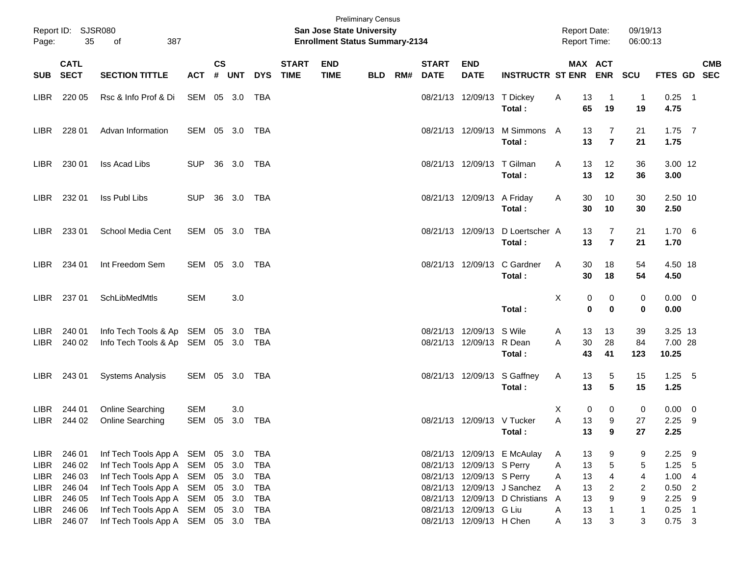| Page:                        | Report ID: SJSR080<br>35             | 387<br>of                                                                                                                                |                   | <b>Preliminary Census</b><br>San Jose State University<br><b>Enrollment Status Summary-2134</b> |            |                          |                             |                           |            |     |                             |                                                        |                                                            | <b>Report Date:</b><br><b>Report Time:</b> |                         |                                         | 09/19/13<br>06:00:13                                |                               |                                   |            |
|------------------------------|--------------------------------------|------------------------------------------------------------------------------------------------------------------------------------------|-------------------|-------------------------------------------------------------------------------------------------|------------|--------------------------|-----------------------------|---------------------------|------------|-----|-----------------------------|--------------------------------------------------------|------------------------------------------------------------|--------------------------------------------|-------------------------|-----------------------------------------|-----------------------------------------------------|-------------------------------|-----------------------------------|------------|
| <b>SUB</b>                   | <b>CATL</b><br><b>SECT</b>           | <b>SECTION TITTLE</b>                                                                                                                    | <b>ACT</b>        | <b>CS</b><br>#                                                                                  | <b>UNT</b> | <b>DYS</b>               | <b>START</b><br><b>TIME</b> | <b>END</b><br><b>TIME</b> | <b>BLD</b> | RM# | <b>START</b><br><b>DATE</b> | <b>END</b><br><b>DATE</b>                              | <b>INSTRUCTR ST ENR</b>                                    |                                            |                         | MAX ACT<br><b>ENR</b>                   | SCU                                                 | FTES GD SEC                   |                                   | <b>CMB</b> |
| LIBR.                        | 220 05                               | Rsc & Info Prof & Di                                                                                                                     | SEM 05 3.0        |                                                                                                 |            | TBA                      |                             |                           |            |     |                             | 08/21/13 12/09/13 T Dickey                             | Total:                                                     | A                                          | 13<br>65                | -1<br>19                                | $\mathbf{1}$<br>19                                  | 0.25<br>4.75                  | $\overline{\phantom{0}}$ 1        |            |
| LIBR.                        | 228 01                               | Advan Information                                                                                                                        | SEM 05 3.0        |                                                                                                 |            | TBA                      |                             |                           |            |     |                             | 08/21/13 12/09/13                                      | M Simmons<br>Total:                                        | A                                          | 13<br>13                | 7<br>$\overline{7}$                     | 21<br>21                                            | $1.75$ 7<br>1.75              |                                   |            |
| LIBR.                        | 230 01                               | Iss Acad Libs                                                                                                                            | <b>SUP</b>        |                                                                                                 | 36 3.0     | TBA                      |                             |                           |            |     |                             | 08/21/13 12/09/13 T Gilman                             | Total:                                                     | A                                          | 13<br>13                | 12<br>12                                | 36<br>36                                            | 3.00 12<br>3.00               |                                   |            |
| LIBR.                        | 232 01                               | Iss Publ Libs                                                                                                                            | <b>SUP</b>        |                                                                                                 | 36 3.0     | TBA                      |                             |                           |            |     |                             | 08/21/13 12/09/13 A Friday                             | Total:                                                     | A                                          | 30<br>30                | 10<br>10                                | 30<br>30                                            | 2.50 10<br>2.50               |                                   |            |
| LIBR.                        | 233 01                               | School Media Cent                                                                                                                        | SEM 05 3.0        |                                                                                                 |            | TBA                      |                             |                           |            |     |                             |                                                        | 08/21/13 12/09/13 D Loertscher A<br>Total:                 |                                            | 13<br>13                | 7<br>$\overline{7}$                     | 21<br>21                                            | 1.706<br>1.70                 |                                   |            |
| LIBR.                        | 234 01                               | Int Freedom Sem                                                                                                                          | SEM 05 3.0        |                                                                                                 |            | TBA                      |                             |                           |            |     |                             | 08/21/13 12/09/13                                      | C Gardner<br>Total:                                        | A                                          | 30<br>30                | 18<br>18                                | 54<br>54                                            | 4.50 18<br>4.50               |                                   |            |
| LIBR.                        | 237 01                               | SchLibMedMtls                                                                                                                            | <b>SEM</b>        |                                                                                                 | 3.0        |                          |                             |                           |            |     |                             |                                                        | Total:                                                     | X                                          | 0<br>$\bf{0}$           | 0<br>$\mathbf 0$                        | 0<br>$\mathbf 0$                                    | $0.00 \t 0$<br>0.00           |                                   |            |
| LIBR.<br><b>LIBR</b>         | 240 01<br>240 02                     | Info Tech Tools & Ap SEM 05 3.0<br>Info Tech Tools & Ap SEM 05 3.0                                                                       |                   |                                                                                                 |            | TBA<br>TBA               |                             |                           |            |     |                             | 08/21/13 12/09/13<br>08/21/13 12/09/13 R Dean          | S Wile<br>Total:                                           | A<br>A                                     | 13<br>30<br>43          | 13<br>28<br>41                          | 39<br>84<br>123                                     | 3.25 13<br>7.00 28<br>10.25   |                                   |            |
| LIBR.                        | 243 01                               | <b>Systems Analysis</b>                                                                                                                  | SEM 05 3.0        |                                                                                                 |            | TBA                      |                             |                           |            |     |                             |                                                        | 08/21/13 12/09/13 S Gaffney<br>Total:                      | A                                          | 13<br>13                | 5<br>5                                  | 15<br>15                                            | $1.25$ 5<br>1.25              |                                   |            |
| LIBR.<br>LIBR                | 244 01<br>244 02                     | Online Searching<br>Online Searching                                                                                                     | <b>SEM</b><br>SEM | 05                                                                                              | 3.0<br>3.0 | TBA                      |                             |                           |            |     |                             | 08/21/13 12/09/13 V Tucker                             | Total:                                                     | Х<br>A                                     | $\mathbf 0$<br>13<br>13 | 0<br>9<br>9                             | 0<br>27<br>27                                       | 0.00<br>2.25<br>2.25          | $\overline{\mathbf{0}}$<br>- 9    |            |
| LIBR<br>LIBR<br>LIBR<br>LIBR | 246 01<br>246 02<br>246 03<br>246 04 | Inf Tech Tools App A SEM 05 3.0<br>Inf Tech Tools App A SEM 05 3.0<br>Inf Tech Tools App A SEM 05 3.0<br>Inf Tech Tools App A SEM 05 3.0 |                   |                                                                                                 |            | TBA<br>TBA<br>TBA<br>TBA |                             |                           |            |     |                             | 08/21/13 12/09/13 S Perry<br>08/21/13 12/09/13 S Perry | 08/21/13 12/09/13 E McAulay<br>08/21/13 12/09/13 J Sanchez | A<br>A<br>A<br>Α                           | 13<br>13<br>13<br>13    | 9<br>$\,$ 5 $\,$<br>4<br>$\overline{2}$ | 9<br>5<br>$\overline{\mathbf{4}}$<br>$\overline{c}$ | 2.25<br>1.25<br>1.004<br>0.50 | - 9<br>- 5<br>$\overline{2}$      |            |
| LIBR<br>LIBR<br>LIBR         | 246 05<br>246 06<br>246 07           | Inf Tech Tools App A SEM 05 3.0<br>Inf Tech Tools App A SEM 05 3.0<br>Inf Tech Tools App A SEM 05 3.0                                    |                   |                                                                                                 |            | TBA<br>TBA<br>TBA        |                             |                           |            |     |                             | 08/21/13 12/09/13 G Liu<br>08/21/13 12/09/13 H Chen    | 08/21/13 12/09/13 D Christians A                           | Α<br>A                                     | 13<br>13<br>13          | $\boldsymbol{9}$<br>$\overline{1}$<br>3 | $\boldsymbol{9}$<br>$\mathbf{1}$<br>3               | 2.25<br>0.25<br>$0.75$ 3      | - 9<br>$\overline{\phantom{0}}$ 1 |            |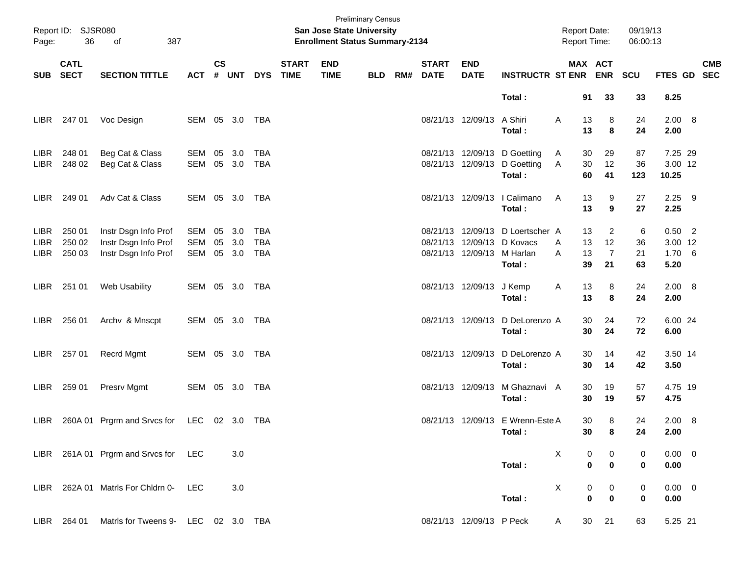| Page:                               | Report ID: SJSR080<br>36   | 387<br>of                                                            | <b>Preliminary Census</b><br><b>San Jose State University</b><br><b>Enrollment Status Summary-2134</b> |                    |                      |                                        |                             |                           |            |     |                             |                                                             | <b>Report Date:</b><br><b>Report Time:</b>       |                                | 09/19/13<br>06:00:13                         |                     |                                      |  |            |
|-------------------------------------|----------------------------|----------------------------------------------------------------------|--------------------------------------------------------------------------------------------------------|--------------------|----------------------|----------------------------------------|-----------------------------|---------------------------|------------|-----|-----------------------------|-------------------------------------------------------------|--------------------------------------------------|--------------------------------|----------------------------------------------|---------------------|--------------------------------------|--|------------|
| <b>SUB</b>                          | <b>CATL</b><br><b>SECT</b> | <b>SECTION TITTLE</b>                                                | <b>ACT</b>                                                                                             | $\mathsf{cs}$<br># | UNT                  | <b>DYS</b>                             | <b>START</b><br><b>TIME</b> | <b>END</b><br><b>TIME</b> | <b>BLD</b> | RM# | <b>START</b><br><b>DATE</b> | <b>END</b><br><b>DATE</b>                                   | <b>INSTRUCTR ST ENR</b>                          |                                | MAX ACT<br><b>ENR</b>                        | SCU                 | FTES GD SEC                          |  | <b>CMB</b> |
|                                     |                            |                                                                      |                                                                                                        |                    |                      |                                        |                             |                           |            |     |                             |                                                             | Total:                                           |                                | 91<br>33                                     | 33                  | 8.25                                 |  |            |
| LIBR                                | 247 01                     | Voc Design                                                           | SEM 05 3.0                                                                                             |                    |                      | TBA                                    |                             |                           |            |     |                             | 08/21/13 12/09/13                                           | A Shiri<br>Total:                                | A                              | 13<br>8<br>13<br>8                           | 24<br>24            | 2.00 8<br>2.00                       |  |            |
| <b>LIBR</b><br><b>LIBR</b>          | 248 01<br>248 02           | Beg Cat & Class<br>Beg Cat & Class                                   | SEM<br>SEM                                                                                             | 05                 | 3.0<br>05 3.0        | <b>TBA</b><br><b>TBA</b>               |                             |                           |            |     |                             | 08/21/13 12/09/13<br>08/21/13 12/09/13                      | D Goetting<br>D Goetting<br>Total:               | 30<br>A<br>30<br>Α<br>60       | 29<br>12<br>41                               | 87<br>36<br>123     | 7.25 29<br>3.00 12<br>10.25          |  |            |
| <b>LIBR</b>                         | 249 01                     | Adv Cat & Class                                                      | SEM 05 3.0                                                                                             |                    |                      | <b>TBA</b>                             |                             |                           |            |     |                             | 08/21/13 12/09/13                                           | I Calimano<br>Total:                             | A<br>13                        | 13<br>9<br>9                                 | 27<br>27            | $2.25$ 9<br>2.25                     |  |            |
| <b>LIBR</b><br><b>LIBR</b><br>LIBR. | 250 01<br>250 02<br>250 03 | Instr Dsgn Info Prof<br>Instr Dsgn Info Prof<br>Instr Dsgn Info Prof | SEM<br><b>SEM</b><br><b>SEM</b>                                                                        | 05<br>05           | 3.0<br>3.0<br>05 3.0 | <b>TBA</b><br><b>TBA</b><br><b>TBA</b> |                             |                           |            |     |                             | 08/21/13 12/09/13<br>08/21/13 12/09/13<br>08/21/13 12/09/13 | D Loertscher A<br>D Kovacs<br>M Harlan<br>Total: | 13<br>13<br>A<br>13<br>A<br>39 | $\overline{2}$<br>12<br>$\overline{7}$<br>21 | 6<br>36<br>21<br>63 | $0.50$ 2<br>3.00 12<br>1.706<br>5.20 |  |            |
| LIBR.                               | 251 01                     | Web Usability                                                        | SEM 05 3.0                                                                                             |                    |                      | TBA                                    |                             |                           |            |     |                             | 08/21/13 12/09/13                                           | J Kemp<br>Total:                                 | A<br>13                        | 13<br>8<br>8                                 | 24<br>24            | 2.00 8<br>2.00                       |  |            |
| LIBR.                               | 256 01                     | Archv & Mnscpt                                                       | SEM 05 3.0                                                                                             |                    |                      | TBA                                    |                             |                           |            |     | 08/21/13 12/09/13           |                                                             | D DeLorenzo A<br>Total:                          |                                | 30<br>24<br>30<br>24                         | 72<br>72            | 6.00 24<br>6.00                      |  |            |
| LIBR                                | 257 01                     | <b>Recrd Mgmt</b>                                                    | SEM 05 3.0                                                                                             |                    |                      | TBA                                    |                             |                           |            |     |                             | 08/21/13 12/09/13                                           | D DeLorenzo A<br>Total:                          |                                | 14<br>30<br>30<br>14                         | 42<br>42            | 3.50 14<br>3.50                      |  |            |
| LIBR.                               | 259 01                     | Presrv Mgmt                                                          | SEM 05 3.0                                                                                             |                    |                      | TBA                                    |                             |                           |            |     |                             | 08/21/13 12/09/13                                           | M Ghaznavi A<br>Total:                           | 30                             | 30<br>19<br>19                               | 57<br>57            | 4.75 19<br>4.75                      |  |            |
| LIBR.                               |                            | 260A 01 Prgrm and Srvcs for LEC 02 3.0 TBA                           |                                                                                                        |                    |                      |                                        |                             |                           |            |     |                             |                                                             | 08/21/13 12/09/13 E Wrenn-Este A<br>Total :      |                                | 30<br>8<br>30<br>8                           | 24<br>24            | 2.00 8<br>2.00                       |  |            |
|                                     |                            | LIBR 261A 01 Prgrm and Srvcs for LEC                                 |                                                                                                        |                    | 3.0                  |                                        |                             |                           |            |     |                             |                                                             | Total:                                           | X                              | 0<br>0<br>$\pmb{0}$<br>$\bf{0}$              | 0<br>0              | $0.00 \t 0$<br>0.00                  |  |            |
|                                     |                            | LIBR 262A 01 Matris For Chidrn 0-                                    | <b>LEC</b>                                                                                             |                    | 3.0                  |                                        |                             |                           |            |     |                             |                                                             | Total:                                           | X                              | 0<br>0<br>$\mathbf 0$<br>$\pmb{0}$           | 0<br>0              | $0.00 \t 0$<br>0.00                  |  |            |
|                                     | LIBR 264 01                | Matrls for Tweens 9- LEC 02 3.0 TBA                                  |                                                                                                        |                    |                      |                                        |                             |                           |            |     |                             | 08/21/13 12/09/13 P Peck                                    |                                                  | A                              | 30<br>21                                     | 63                  | 5.25 21                              |  |            |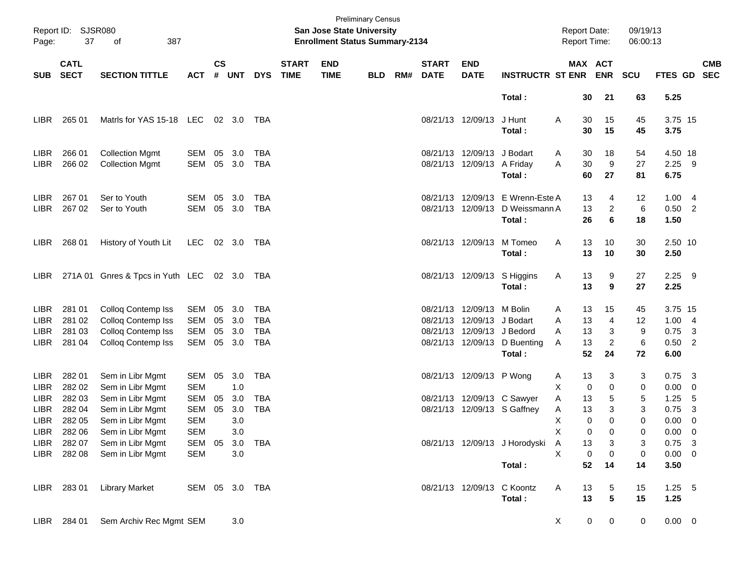| Page:            | Report ID: SJSR080<br>37   | 387<br>of                               |                |                             |                |            |                             | <b>San Jose State University</b><br><b>Enrollment Status Summary-2134</b> | <b>Preliminary Census</b> |     |                             |                            |                               |   | <b>Report Date:</b><br>Report Time: |                | 09/19/13<br>06:00:13 |                 |                |            |
|------------------|----------------------------|-----------------------------------------|----------------|-----------------------------|----------------|------------|-----------------------------|---------------------------------------------------------------------------|---------------------------|-----|-----------------------------|----------------------------|-------------------------------|---|-------------------------------------|----------------|----------------------|-----------------|----------------|------------|
| <b>SUB</b>       | <b>CATL</b><br><b>SECT</b> | <b>SECTION TITTLE</b>                   | <b>ACT</b>     | $\mathsf{cs}$<br>$\pmb{\#}$ | <b>UNT</b>     | <b>DYS</b> | <b>START</b><br><b>TIME</b> | <b>END</b><br><b>TIME</b>                                                 | <b>BLD</b>                | RM# | <b>START</b><br><b>DATE</b> | <b>END</b><br><b>DATE</b>  | <b>INSTRUCTR ST ENR</b>       |   | MAX ACT                             | <b>ENR</b>     | SCU                  | FTES GD SEC     |                | <b>CMB</b> |
|                  |                            |                                         |                |                             |                |            |                             |                                                                           |                           |     |                             |                            | Total:                        |   | 30                                  | 21             | 63                   | 5.25            |                |            |
| LIBR <sub></sub> | 265 01                     | Matris for YAS 15-18 LEC                |                |                             | $02 \quad 3.0$ | TBA        |                             |                                                                           |                           |     |                             | 08/21/13 12/09/13          | J Hunt<br>Total:              | Α | 30<br>30                            | 15<br>15       | 45<br>45             | 3.75 15<br>3.75 |                |            |
| <b>LIBR</b>      | 266 01                     | <b>Collection Mgmt</b>                  | SEM            | 05                          | 3.0            | <b>TBA</b> |                             |                                                                           |                           |     |                             | 08/21/13 12/09/13 J Bodart |                               | A | 30                                  | 18             | 54                   | 4.50 18         |                |            |
| <b>LIBR</b>      | 266 02                     | <b>Collection Mgmt</b>                  | SEM            | 05 3.0                      |                | <b>TBA</b> |                             |                                                                           |                           |     |                             | 08/21/13 12/09/13 A Friday |                               | A | 30                                  | 9              | 27                   | $2.25$ 9        |                |            |
|                  |                            |                                         |                |                             |                |            |                             |                                                                           |                           |     |                             |                            | Total:                        |   | 60                                  | 27             | 81                   | 6.75            |                |            |
| LIBR <sub></sub> | 267 01                     | Ser to Youth                            | SEM            | 05                          | 3.0            | <b>TBA</b> |                             |                                                                           |                           |     |                             | 08/21/13 12/09/13          | E Wrenn-Este A                |   | 13                                  | 4              | 12                   | 1.004           |                |            |
| <b>LIBR</b>      | 267 02                     | Ser to Youth                            | SEM            | 05 3.0                      |                | <b>TBA</b> |                             |                                                                           |                           |     |                             | 08/21/13 12/09/13          | D Weissmann A                 |   | 13                                  | $\overline{c}$ | 6                    | $0.50$ 2        |                |            |
|                  |                            |                                         |                |                             |                |            |                             |                                                                           |                           |     |                             |                            | Total:                        |   | 26                                  | 6              | 18                   | 1.50            |                |            |
| LIBR.            | 268 01                     | History of Youth Lit                    | LEC            |                             | 02 3.0         | TBA        |                             |                                                                           |                           |     |                             | 08/21/13 12/09/13          | M Tomeo                       | Α | 13                                  | 10             | 30                   | 2.50 10         |                |            |
|                  |                            |                                         |                |                             |                |            |                             |                                                                           |                           |     |                             |                            | Total:                        |   | 13                                  | 10             | 30                   | 2.50            |                |            |
|                  |                            |                                         |                |                             |                |            |                             |                                                                           |                           |     |                             |                            |                               |   |                                     |                |                      |                 |                |            |
| LIBR <sub></sub> |                            | 271A 01 Gnres & Tpcs in Yuth LEC 02 3.0 |                |                             |                | TBA        |                             |                                                                           |                           |     |                             |                            | 08/21/13 12/09/13 S Higgins   | A | 13                                  | 9              | 27                   | $2.25$ 9        |                |            |
|                  |                            |                                         |                |                             |                |            |                             |                                                                           |                           |     |                             |                            | Total:                        |   | 13                                  | 9              | 27                   | 2.25            |                |            |
| <b>LIBR</b>      | 281 01                     | Colloq Contemp Iss                      | SEM            | 05                          | 3.0            | <b>TBA</b> |                             |                                                                           |                           |     |                             | 08/21/13 12/09/13 M Bolin  |                               | A | 13                                  | 15             | 45                   | 3.75 15         |                |            |
| <b>LIBR</b>      | 281 02                     | Colloq Contemp Iss                      | <b>SEM</b>     | 05                          | 3.0            | <b>TBA</b> |                             |                                                                           |                           |     |                             | 08/21/13 12/09/13          | J Bodart                      | A | 13                                  | 4              | 12                   | 1.00            | $\overline{4}$ |            |
| LIBR.            | 281 03                     | Colloq Contemp Iss                      | <b>SEM</b>     | 05                          | 3.0            | <b>TBA</b> |                             |                                                                           |                           |     |                             | 08/21/13 12/09/13 J Bedord |                               | A | 13                                  | 3              | 9                    | $0.75$ 3        |                |            |
| <b>LIBR</b>      | 281 04                     | Colloq Contemp Iss                      | SEM            | 05 3.0                      |                | <b>TBA</b> |                             |                                                                           |                           |     |                             | 08/21/13 12/09/13          | D Buenting                    | Α | 13                                  | $\overline{2}$ | 6                    | $0.50$ 2        |                |            |
|                  |                            |                                         |                |                             |                |            |                             |                                                                           |                           |     |                             |                            | Total:                        |   | 52                                  | 24             | 72                   | 6.00            |                |            |
| <b>LIBR</b>      | 282 01                     | Sem in Libr Mgmt                        | SEM            | 05                          | 3.0            | <b>TBA</b> |                             |                                                                           |                           |     |                             | 08/21/13 12/09/13 P Wong   |                               | A | 13                                  | 3              | 3                    | $0.75$ 3        |                |            |
| <b>LIBR</b>      | 282 02                     | Sem in Libr Mgmt                        | <b>SEM</b>     |                             | 1.0            |            |                             |                                                                           |                           |     |                             |                            |                               | X | 0                                   | 0              | 0                    | 0.00            | - 0            |            |
| <b>LIBR</b>      | 282 03                     | Sem in Libr Mgmt                        | <b>SEM</b>     | 05                          | 3.0            | <b>TBA</b> |                             |                                                                           |                           |     |                             |                            | 08/21/13 12/09/13 C Sawyer    | Α | 13                                  | 5              | 5                    | 1.25            | 5              |            |
| LIBR.            | 282 04                     | Sem in Libr Mgmt                        | <b>SEM</b>     | 05                          | 3.0            | <b>TBA</b> |                             |                                                                           |                           |     |                             |                            | 08/21/13 12/09/13 S Gaffney   | Α | 13                                  | 3              | 3                    | 0.75            | $\overline{3}$ |            |
| LIBR.            | 282 05                     | Sem in Libr Mgmt                        | <b>SEM</b>     |                             | 3.0            |            |                             |                                                                           |                           |     |                             |                            |                               | X | $\mathbf 0$                         | 0              | $\mathbf 0$          | 0.00            | 0              |            |
|                  | LIBR 282 06                | Sem in Libr Mgmt                        | SEM            |                             | 3.0            |            |                             |                                                                           |                           |     |                             |                            |                               | Χ | 0                                   | 0              | 0                    | $0.00 \quad 0$  |                |            |
| LIBR             | 282 07                     | Sem in Libr Mgmt                        | SEM            | 05                          | 3.0            | <b>TBA</b> |                             |                                                                           |                           |     |                             |                            | 08/21/13 12/09/13 J Horodyski | Α | 13                                  | 3              | 3                    | $0.75$ 3        |                |            |
| LIBR             | 282 08                     | Sem in Libr Mgmt                        | <b>SEM</b>     |                             | 3.0            |            |                             |                                                                           |                           |     |                             |                            |                               | X | 0                                   | $\pmb{0}$      | 0                    | $0.00 \t 0$     |                |            |
|                  |                            |                                         |                |                             |                |            |                             |                                                                           |                           |     |                             |                            | Total:                        |   | 52                                  | 14             | 14                   | 3.50            |                |            |
|                  | LIBR 283 01                | <b>Library Market</b>                   | SEM 05 3.0 TBA |                             |                |            |                             |                                                                           |                           |     |                             |                            | 08/21/13 12/09/13 C Koontz    | Α | 13                                  | 5              | 15                   | $1.25 - 5$      |                |            |
|                  |                            |                                         |                |                             |                |            |                             |                                                                           |                           |     |                             |                            | Total:                        |   | 13                                  | ${\bf 5}$      | 15                   | 1.25            |                |            |
|                  | LIBR 284 01                | Sem Archiv Rec Mgmt SEM                 |                |                             | 3.0            |            |                             |                                                                           |                           |     |                             |                            |                               | X | 0                                   | 0              | 0                    | $0.00 \t 0$     |                |            |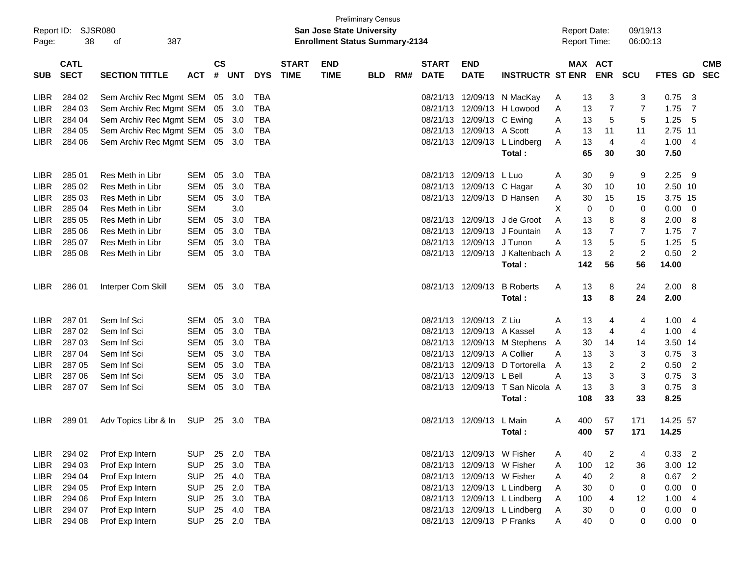| Report ID:<br>Page: | 38                         | SJSR080<br>387<br>οf    |            |                    |            |            |                             | San Jose State University<br><b>Enrollment Status Summary-2134</b> | <b>Preliminary Census</b> |     |                             |                            |                                  |   | <b>Report Date:</b><br><b>Report Time:</b> |                | 09/19/13<br>06:00:13 |             |                |            |
|---------------------|----------------------------|-------------------------|------------|--------------------|------------|------------|-----------------------------|--------------------------------------------------------------------|---------------------------|-----|-----------------------------|----------------------------|----------------------------------|---|--------------------------------------------|----------------|----------------------|-------------|----------------|------------|
| <b>SUB</b>          | <b>CATL</b><br><b>SECT</b> | <b>SECTION TITTLE</b>   | <b>ACT</b> | $\mathsf{cs}$<br># | <b>UNT</b> | <b>DYS</b> | <b>START</b><br><b>TIME</b> | <b>END</b><br><b>TIME</b>                                          | <b>BLD</b>                | RM# | <b>START</b><br><b>DATE</b> | <b>END</b><br><b>DATE</b>  | <b>INSTRUCTR ST ENR</b>          |   | MAX ACT                                    | <b>ENR</b>     | <b>SCU</b>           | FTES GD SEC |                | <b>CMB</b> |
| <b>LIBR</b>         | 284 02                     | Sem Archiv Rec Mgmt SEM |            | 05 3.0             |            | <b>TBA</b> |                             |                                                                    |                           |     | 08/21/13                    |                            | 12/09/13 N MacKay                | Α | 13                                         | 3              | 3                    | 0.75        | 3              |            |
| <b>LIBR</b>         | 284 03                     | Sem Archiv Rec Mgmt SEM |            | 05                 | 3.0        | <b>TBA</b> |                             |                                                                    |                           |     | 08/21/13                    |                            | 12/09/13 H Lowood                | A | 13                                         | 7              | 7                    | 1.75        | 7              |            |
| <b>LIBR</b>         | 284 04                     | Sem Archiv Rec Mgmt SEM |            |                    | 05 3.0     | <b>TBA</b> |                             |                                                                    |                           |     |                             | 08/21/13 12/09/13 C Ewing  |                                  | A | 13                                         | 5              | 5                    | 1.25        | 5              |            |
| <b>LIBR</b>         | 284 05                     | Sem Archiv Rec Mgmt SEM |            |                    | 05 3.0     | <b>TBA</b> |                             |                                                                    |                           |     | 08/21/13                    | 12/09/13 A Scott           |                                  | Α | 13                                         | 11             | 11                   | 2.75 11     |                |            |
| <b>LIBR</b>         | 284 06                     | Sem Archiv Rec Mgmt SEM |            |                    | 05 3.0     | <b>TBA</b> |                             |                                                                    |                           |     |                             |                            | 08/21/13 12/09/13 L Lindberg     | A | 13                                         | 4              | $\overline{4}$       | 1.00        | -4             |            |
|                     |                            |                         |            |                    |            |            |                             |                                                                    |                           |     |                             |                            | Total:                           |   | 65                                         | 30             | 30                   | 7.50        |                |            |
| <b>LIBR</b>         | 285 01                     | Res Meth in Libr        | <b>SEM</b> | 05                 | 3.0        | TBA        |                             |                                                                    |                           |     | 08/21/13                    | 12/09/13 L Luo             |                                  | A | 30                                         | 9              | 9                    | 2.25        | - 9            |            |
| <b>LIBR</b>         | 285 02                     | Res Meth in Libr        | <b>SEM</b> | 05                 | 3.0        | <b>TBA</b> |                             |                                                                    |                           |     | 08/21/13                    | 12/09/13 C Hagar           |                                  | A | 30                                         | 10             | 10                   | 2.50 10     |                |            |
| <b>LIBR</b>         | 285 03                     | Res Meth in Libr        | <b>SEM</b> | 05                 | 3.0        | <b>TBA</b> |                             |                                                                    |                           |     |                             |                            | 08/21/13 12/09/13 D Hansen       | A | 30                                         | 15             | 15                   | 3.75 15     |                |            |
| <b>LIBR</b>         | 285 04                     | Res Meth in Libr        | <b>SEM</b> |                    | 3.0        |            |                             |                                                                    |                           |     |                             |                            |                                  | X | 0                                          | 0              | 0                    | 0.00        | $\mathbf 0$    |            |
| <b>LIBR</b>         | 285 05                     | Res Meth in Libr        | <b>SEM</b> | 05                 | 3.0        | TBA        |                             |                                                                    |                           |     | 08/21/13                    |                            | 12/09/13 J de Groot              | A | 13                                         | 8              | 8                    | 2.00        | 8              |            |
| <b>LIBR</b>         | 285 06                     | Res Meth in Libr        | SEM        | 05                 | 3.0        | <b>TBA</b> |                             |                                                                    |                           |     | 08/21/13                    |                            | 12/09/13 J Fountain              | A | 13                                         | 7              | 7                    | 1.75        | 7              |            |
| <b>LIBR</b>         | 285 07                     | Res Meth in Libr        | SEM        | 05                 | 3.0        | <b>TBA</b> |                             |                                                                    |                           |     | 08/21/13                    | 12/09/13 J Tunon           |                                  | A | 13                                         | 5              | 5                    | 1.25        | 5              |            |
| <b>LIBR</b>         | 285 08                     | Res Meth in Libr        | SEM        | 05                 | 3.0        | <b>TBA</b> |                             |                                                                    |                           |     |                             |                            | 08/21/13 12/09/13 J Kaltenbach A |   | 13                                         | $\overline{c}$ | $\overline{c}$       | 0.50        | $\overline{2}$ |            |
|                     |                            |                         |            |                    |            |            |                             |                                                                    |                           |     |                             |                            | Total:                           |   | 142                                        | 56             | 56                   | 14.00       |                |            |
| <b>LIBR</b>         | 286 01                     | Interper Com Skill      | SEM 05 3.0 |                    |            | TBA        |                             |                                                                    |                           |     |                             | 08/21/13 12/09/13          | <b>B</b> Roberts                 | A | 13                                         | 8              | 24                   | 2.00        | -8             |            |
|                     |                            |                         |            |                    |            |            |                             |                                                                    |                           |     |                             |                            | Total:                           |   | 13                                         | 8              | 24                   | 2.00        |                |            |
| <b>LIBR</b>         | 287 01                     | Sem Inf Sci             | SEM        | 05                 | 3.0        | TBA        |                             |                                                                    |                           |     | 08/21/13                    | 12/09/13 Z Liu             |                                  | A | 13                                         | 4              | 4                    | 1.00        | 4              |            |
| <b>LIBR</b>         | 287 02                     | Sem Inf Sci             | SEM        | 05                 | 3.0        | <b>TBA</b> |                             |                                                                    |                           |     | 08/21/13                    | 12/09/13 A Kassel          |                                  | A | 13                                         | 4              | 4                    | 1.00        | -4             |            |
| <b>LIBR</b>         | 287 03                     | Sem Inf Sci             | SEM        | 05                 | 3.0        | <b>TBA</b> |                             |                                                                    |                           |     | 08/21/13                    |                            | 12/09/13 M Stephens              | A | 30                                         | 14             | 14                   | 3.50 14     |                |            |
| <b>LIBR</b>         | 287 04                     | Sem Inf Sci             | SEM        | 05                 | 3.0        | <b>TBA</b> |                             |                                                                    |                           |     | 08/21/13                    | 12/09/13 A Collier         |                                  | Α | 13                                         | 3              | 3                    | 0.75        | 3              |            |
| <b>LIBR</b>         | 287 05                     | Sem Inf Sci             | SEM        | 05                 | 3.0        | <b>TBA</b> |                             |                                                                    |                           |     | 08/21/13                    |                            | 12/09/13 D Tortorella            | A | 13                                         | 2              | 2                    | 0.50        | $\overline{2}$ |            |
| <b>LIBR</b>         | 287 06                     | Sem Inf Sci             | <b>SEM</b> | 05                 | 3.0        | <b>TBA</b> |                             |                                                                    |                           |     | 08/21/13                    | 12/09/13 L Bell            |                                  | A | 13                                         | 3              | 3                    | 0.75        | 3              |            |
| <b>LIBR</b>         | 287 07                     | Sem Inf Sci             | SEM        | 05                 | 3.0        | <b>TBA</b> |                             |                                                                    |                           |     |                             |                            | 08/21/13 12/09/13 T San Nicola A |   | 13                                         | 3              | 3                    | 0.75        | 3              |            |
|                     |                            |                         |            |                    |            |            |                             |                                                                    |                           |     |                             |                            | Total:                           |   | 108                                        | 33             | 33                   | 8.25        |                |            |
| <b>LIBR</b>         | 289 01                     | Adv Topics Libr & In    | SUP 25 3.0 |                    |            | TBA        |                             |                                                                    |                           |     |                             | 08/21/13 12/09/13 L Main   |                                  | A | 400                                        | 57             | 171                  | 14.25 57    |                |            |
|                     |                            |                         |            |                    |            |            |                             |                                                                    |                           |     |                             |                            | Total:                           |   | 400                                        | 57             | 171                  | 14.25       |                |            |
| LIBR                | 294 02                     | Prof Exp Intern         | <b>SUP</b> |                    | 25 2.0     | <b>TBA</b> |                             |                                                                    |                           |     |                             | 08/21/13 12/09/13 W Fisher |                                  | A | 40                                         | $\overline{c}$ | 4                    | $0.33$ 2    |                |            |
| <b>LIBR</b>         | 294 03                     | Prof Exp Intern         | <b>SUP</b> | 25                 | 3.0        | <b>TBA</b> |                             |                                                                    |                           |     |                             | 08/21/13 12/09/13 W Fisher |                                  | A | 100                                        | 12             | 36                   | 3.00 12     |                |            |
| <b>LIBR</b>         | 294 04                     | Prof Exp Intern         | <b>SUP</b> | 25                 | 4.0        | <b>TBA</b> |                             |                                                                    |                           |     |                             | 08/21/13 12/09/13 W Fisher |                                  | A | 40                                         | $\overline{c}$ | 8                    | 0.67        | $\overline{2}$ |            |
| <b>LIBR</b>         | 294 05                     | Prof Exp Intern         | <b>SUP</b> | 25                 | 2.0        | <b>TBA</b> |                             |                                                                    |                           |     |                             |                            | 08/21/13 12/09/13 L Lindberg     | A | 30                                         | 0              | 0                    | 0.00        | $\mathbf 0$    |            |
| <b>LIBR</b>         | 294 06                     | Prof Exp Intern         | <b>SUP</b> | 25                 | 3.0        | <b>TBA</b> |                             |                                                                    |                           |     |                             |                            | 08/21/13 12/09/13 L Lindberg     | A | 100                                        | 4              | 12                   | 1.00        | $\overline{4}$ |            |
| <b>LIBR</b>         | 294 07                     | Prof Exp Intern         | <b>SUP</b> | 25                 | 4.0        | <b>TBA</b> |                             |                                                                    |                           |     |                             |                            | 08/21/13 12/09/13 L Lindberg     | A | 30                                         | 0              | 0                    | 0.00        | 0              |            |
| LIBR                | 294 08                     | Prof Exp Intern         | <b>SUP</b> |                    |            | 25 2.0 TBA |                             |                                                                    |                           |     |                             | 08/21/13 12/09/13 P Franks |                                  | A | 40                                         | 0              | 0                    | $0.00 \t 0$ |                |            |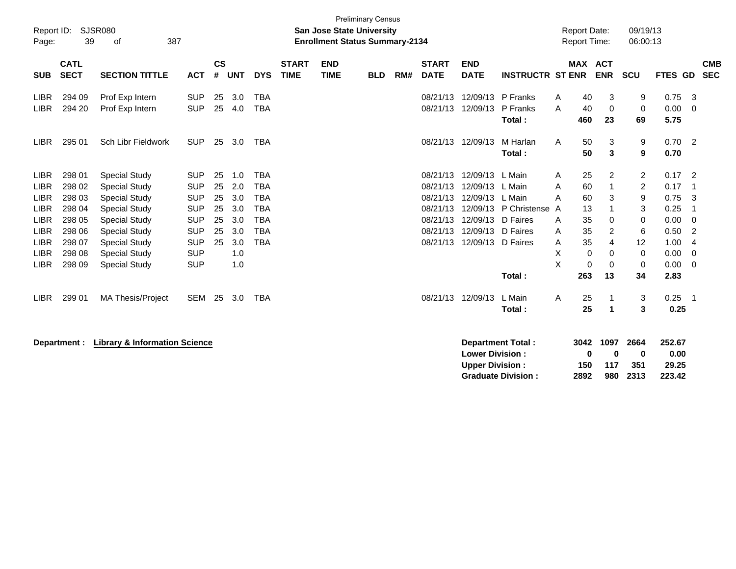| Report ID:<br>Page:        | 39                         | <b>SJSR080</b><br>387<br>of                  |                          |                    |            |                          |                             | <b>San Jose State University</b><br><b>Enrollment Status Summary-2134</b> | <b>Preliminary Census</b> |     |                             |                               |                                |        | <b>Report Date:</b><br>Report Time: |                          | 09/19/13<br>06:00:13 |                      |                          |
|----------------------------|----------------------------|----------------------------------------------|--------------------------|--------------------|------------|--------------------------|-----------------------------|---------------------------------------------------------------------------|---------------------------|-----|-----------------------------|-------------------------------|--------------------------------|--------|-------------------------------------|--------------------------|----------------------|----------------------|--------------------------|
| <b>SUB</b>                 | <b>CATL</b><br><b>SECT</b> | <b>SECTION TITTLE</b>                        | <b>ACT</b>               | $\mathsf{cs}$<br># | <b>UNT</b> | <b>DYS</b>               | <b>START</b><br><b>TIME</b> | <b>END</b><br><b>TIME</b>                                                 | <b>BLD</b>                | RM# | <b>START</b><br><b>DATE</b> | <b>END</b><br><b>DATE</b>     | <b>INSTRUCTR ST ENR</b>        |        | <b>MAX</b>                          | <b>ACT</b><br><b>ENR</b> | <b>SCU</b>           | <b>FTES GD</b>       | <b>CMB</b><br><b>SEC</b> |
| <b>LIBR</b><br><b>LIBR</b> | 294 09<br>294 20           | Prof Exp Intern<br>Prof Exp Intern           | <b>SUP</b><br><b>SUP</b> | 25<br>25           | 3.0<br>4.0 | <b>TBA</b><br><b>TBA</b> |                             |                                                                           |                           |     | 08/21/13<br>08/21/13        | 12/09/13<br>12/09/13          | P Franks<br>P Franks<br>Total: | A<br>A | 40<br>40<br>460                     | 3<br>0<br>23             | 9<br>0<br>69         | 0.75<br>0.00<br>5.75 | 3<br>$\Omega$            |
| <b>LIBR</b>                | 295 01                     | Sch Libr Fieldwork                           | <b>SUP</b>               | 25                 | 3.0        | <b>TBA</b>               |                             |                                                                           |                           |     | 08/21/13                    | 12/09/13                      | M Harlan<br>Total:             | A      | 50<br>50                            | 3<br>3                   | 9<br>9               | 0.70<br>0.70         | $\overline{2}$           |
| <b>LIBR</b>                | 298 01                     | <b>Special Study</b>                         | <b>SUP</b>               | 25                 | 1.0        | <b>TBA</b>               |                             |                                                                           |                           |     | 08/21/13                    | 12/09/13 L Main               |                                | A      | 25                                  | 2                        | 2                    | 0.17                 | 2                        |
| <b>LIBR</b>                | 298 02                     | <b>Special Study</b>                         | <b>SUP</b>               | 25                 | 2.0        | <b>TBA</b>               |                             |                                                                           |                           |     | 08/21/13                    | 12/09/13 L Main               |                                | A      | 60                                  | 1                        | $\overline{2}$       | 0.17                 |                          |
| <b>LIBR</b>                | 298 03                     | <b>Special Study</b>                         | <b>SUP</b>               | 25                 | 3.0        | <b>TBA</b>               |                             |                                                                           |                           |     | 08/21/13                    | 12/09/13 L Main               |                                | A      | 60                                  | 3                        | 9                    | 0.75                 | 3                        |
| <b>LIBR</b>                | 298 04                     | <b>Special Study</b>                         | <b>SUP</b>               | 25                 | 3.0        | <b>TBA</b>               |                             |                                                                           |                           |     | 08/21/13                    |                               | 12/09/13 P Christense          | A      | 13                                  |                          | 3                    | 0.25                 |                          |
| <b>LIBR</b>                | 298 05<br>298 06           | <b>Special Study</b>                         | <b>SUP</b>               | 25<br>25           | 3.0        | <b>TBA</b>               |                             |                                                                           |                           |     | 08/21/13<br>08/21/13        | 12/09/13<br>12/09/13 D Faires | D Faires                       | A      | 35<br>35                            | 0                        | 0                    | 0.00                 | $\Omega$                 |
| <b>LIBR</b><br><b>LIBR</b> | 298 07                     | <b>Special Study</b><br><b>Special Study</b> | <b>SUP</b><br><b>SUP</b> | 25                 | 3.0<br>3.0 | <b>TBA</b><br><b>TBA</b> |                             |                                                                           |                           |     | 08/21/13                    | 12/09/13 D Faires             |                                | A<br>A | 35                                  | 2<br>4                   | 6<br>12              | 0.50<br>1.00         | 2<br>4                   |
| <b>LIBR</b>                | 298 08                     | <b>Special Study</b>                         | <b>SUP</b>               |                    | 1.0        |                          |                             |                                                                           |                           |     |                             |                               |                                | X      | $\mathbf 0$                         | 0                        | 0                    | 0.00                 | 0                        |
| <b>LIBR</b>                | 298 09                     | <b>Special Study</b>                         | <b>SUP</b>               |                    | 1.0        |                          |                             |                                                                           |                           |     |                             |                               |                                | X      | $\mathbf 0$                         | 0                        | 0                    | 0.00                 | 0                        |
|                            |                            |                                              |                          |                    |            |                          |                             |                                                                           |                           |     |                             |                               | Total:                         |        | 263                                 | 13                       | 34                   | 2.83                 |                          |
| <b>LIBR</b>                | 299 01                     | <b>MA Thesis/Project</b>                     | <b>SEM</b>               | 25                 | 3.0        | <b>TBA</b>               |                             |                                                                           |                           |     | 08/21/13                    | 12/09/13                      | L Main<br>Total:               | A      | 25<br>25                            | 1<br>1                   | 3<br>3               | 0.25<br>0.25         | $\overline{1}$           |
|                            |                            | Department : Library O Information Colones   |                          |                    |            |                          |                             |                                                                           |                           |     |                             |                               | Boundary and Tatal .           |        |                                     | $0.10.10 \times 0.07$    |                      | 0.50.07              |                          |

**Department : Library & Information Science** 

| Department Total:         |      | 3042 1097 2664 |          | 252.67 |
|---------------------------|------|----------------|----------|--------|
| <b>Lower Division:</b>    | o    | n              | o        | 0.00   |
| <b>Upper Division:</b>    | 150  | 117            | -351     | 29.25  |
| <b>Graduate Division:</b> | 2892 |                | 980 2313 | 223.42 |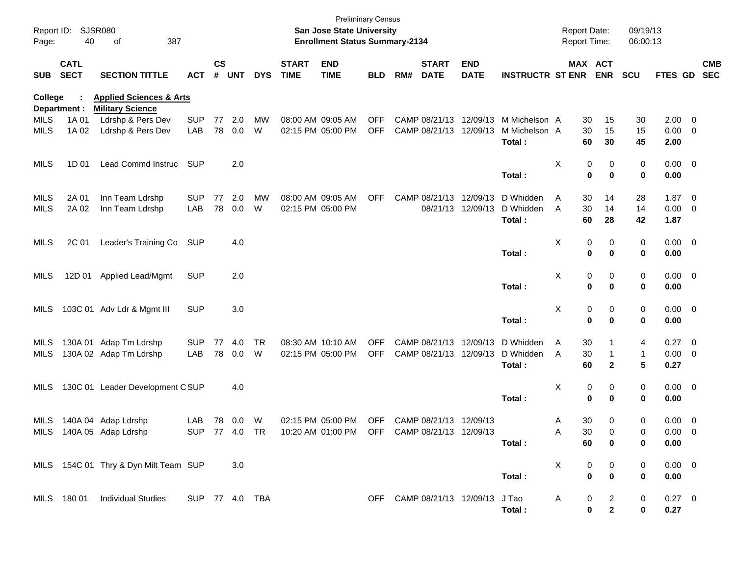| Page:       | Report ID: SJSR080<br>40   | 387<br>οf                                                     |                |                    |            |            |                             | San Jose State University<br><b>Enrollment Status Summary-2134</b> | <b>Preliminary Census</b> |     |                             |                            |                                      | <b>Report Date:</b><br>Report Time: |          |              | 09/19/13<br>06:00:13 |                     |            |
|-------------|----------------------------|---------------------------------------------------------------|----------------|--------------------|------------|------------|-----------------------------|--------------------------------------------------------------------|---------------------------|-----|-----------------------------|----------------------------|--------------------------------------|-------------------------------------|----------|--------------|----------------------|---------------------|------------|
| <b>SUB</b>  | <b>CATL</b><br><b>SECT</b> | <b>SECTION TITTLE</b>                                         | <b>ACT</b>     | $\mathsf{cs}$<br># | <b>UNT</b> | <b>DYS</b> | <b>START</b><br><b>TIME</b> | <b>END</b><br><b>TIME</b>                                          | <b>BLD</b>                | RM# | <b>START</b><br><b>DATE</b> | <b>END</b><br><b>DATE</b>  | <b>INSTRUCTR ST ENR</b>              | MAX ACT                             |          | <b>ENR</b>   | <b>SCU</b>           | FTES GD SEC         | <b>CMB</b> |
| College     | Department :               | <b>Applied Sciences &amp; Arts</b><br><b>Military Science</b> |                |                    |            |            |                             |                                                                    |                           |     |                             |                            |                                      |                                     |          |              |                      |                     |            |
| <b>MILS</b> | 1A 01                      | Ldrshp & Pers Dev                                             | <b>SUP</b>     | 77                 | 2.0        | MW         |                             | 08:00 AM 09:05 AM                                                  | <b>OFF</b>                |     |                             |                            | CAMP 08/21/13 12/09/13 M Michelson A |                                     | 30       | 15           | 30                   | $2.00 \t 0$         |            |
| <b>MILS</b> | 1A 02                      | Ldrshp & Pers Dev                                             | LAB            |                    | 78 0.0     | W          |                             | 02:15 PM 05:00 PM                                                  | <b>OFF</b>                |     |                             | CAMP 08/21/13 12/09/13     | M Michelson A<br>Total:              |                                     | 30<br>60 | 15<br>30     | 15<br>45             | $0.00 \t 0$<br>2.00 |            |
| MILS        | 1D 01                      | Lead Commd Instruc                                            | <b>SUP</b>     |                    | 2.0        |            |                             |                                                                    |                           |     |                             |                            |                                      | X                                   | 0        | 0            | 0                    | $0.00 \t 0$         |            |
|             |                            |                                                               |                |                    |            |            |                             |                                                                    |                           |     |                             |                            | Total:                               |                                     | 0        | $\mathbf 0$  | 0                    | 0.00                |            |
| <b>MILS</b> | 2A 01                      | Inn Team Ldrshp                                               | <b>SUP</b>     | 77                 | 2.0        | MW         |                             | 08:00 AM 09:05 AM                                                  | <b>OFF</b>                |     |                             | CAMP 08/21/13 12/09/13     | D Whidden                            | Α                                   | 30       | 14           | 28                   | $1.87 \ 0$          |            |
| <b>MILS</b> | 2A 02                      | Inn Team Ldrshp                                               | LAB            | 78                 | 0.0        | W          |                             | 02:15 PM 05:00 PM                                                  |                           |     |                             | 08/21/13 12/09/13          | D Whidden                            | A                                   | 30       | 14           | 14                   | $0.00 \t 0$         |            |
|             |                            |                                                               |                |                    |            |            |                             |                                                                    |                           |     |                             |                            | Total:                               |                                     | 60       | 28           | 42                   | 1.87                |            |
| MILS        | 2C 01                      | Leader's Training Co                                          | SUP            |                    | 4.0        |            |                             |                                                                    |                           |     |                             |                            |                                      | X                                   | 0        | 0            | 0                    | $0.00 \t 0$         |            |
|             |                            |                                                               |                |                    |            |            |                             |                                                                    |                           |     |                             |                            | Total:                               |                                     | 0        | $\mathbf 0$  | 0                    | 0.00                |            |
| MILS        | 12D 01                     | <b>Applied Lead/Mgmt</b>                                      | <b>SUP</b>     |                    | 2.0        |            |                             |                                                                    |                           |     |                             |                            |                                      | X                                   | 0        | 0            | 0                    | $0.00 \t 0$         |            |
|             |                            |                                                               |                |                    |            |            |                             |                                                                    |                           |     |                             |                            | Total:                               |                                     | 0        | $\mathbf 0$  | 0                    | 0.00                |            |
| MILS        |                            | 103C 01 Adv Ldr & Mgmt III                                    | <b>SUP</b>     |                    | 3.0        |            |                             |                                                                    |                           |     |                             |                            |                                      | х                                   | 0        | 0            | 0                    | $0.00 \t 0$         |            |
|             |                            |                                                               |                |                    |            |            |                             |                                                                    |                           |     |                             |                            | Total:                               |                                     | 0        | $\mathbf 0$  | 0                    | 0.00                |            |
| MILS        |                            | 130A 01 Adap Tm Ldrshp                                        | <b>SUP</b>     | 77                 | 4.0        | <b>TR</b>  |                             | 08:30 AM 10:10 AM                                                  | <b>OFF</b>                |     |                             | CAMP 08/21/13 12/09/13     | D Whidden                            | Α                                   | 30       |              | 4                    | 0.27 0              |            |
| MILS        |                            | 130A 02 Adap Tm Ldrshp                                        | LAB            | 78                 | 0.0        | W          |                             | 02:15 PM 05:00 PM                                                  | <b>OFF</b>                |     |                             | CAMP 08/21/13 12/09/13     | D Whidden                            | Α                                   | 30       |              | 1                    | $0.00 \t 0$         |            |
|             |                            |                                                               |                |                    |            |            |                             |                                                                    |                           |     |                             |                            | Total:                               |                                     | 60       | $\mathbf{2}$ | 5                    | 0.27                |            |
| MILS        |                            | 130C 01 Leader Development CSUP                               |                |                    | 4.0        |            |                             |                                                                    |                           |     |                             |                            |                                      | х                                   | 0        | 0            | 0                    | $0.00 \t 0$         |            |
|             |                            |                                                               |                |                    |            |            |                             |                                                                    |                           |     |                             |                            | Total:                               |                                     | 0        | $\mathbf 0$  | 0                    | 0.00                |            |
| MILS        |                            | 140A 04 Adap Ldrshp                                           | LAB            | 78                 | 0.0        | W          |                             | 02:15 PM 05:00 PM                                                  | <b>OFF</b>                |     |                             | CAMP 08/21/13 12/09/13     |                                      | A                                   | 30       | 0            | 0                    | $0.00 \t 0$         |            |
| MILS        |                            | 140A 05 Adap Ldrshp                                           | <b>SUP</b>     |                    | 77 4.0 TR  |            |                             | 10:20 AM 01:00 PM                                                  | OFF                       |     |                             | CAMP 08/21/13 12/09/13     |                                      | A                                   | 30       | $\Omega$     | 0                    | $0.00 \quad 0$      |            |
|             |                            |                                                               |                |                    |            |            |                             |                                                                    |                           |     |                             |                            | Total:                               |                                     | 60       | 0            | 0                    | 0.00                |            |
|             |                            | MILS 154C 01 Thry & Dyn Milt Team SUP                         |                |                    | 3.0        |            |                             |                                                                    |                           |     |                             |                            |                                      | X                                   | 0        | 0            | 0                    | $0.00 \t 0$         |            |
|             |                            |                                                               |                |                    |            |            |                             |                                                                    |                           |     |                             |                            | Total:                               |                                     | 0        | $\mathbf 0$  | 0                    | 0.00                |            |
|             | MILS 180 01                | <b>Individual Studies</b>                                     | SUP 77 4.0 TBA |                    |            |            |                             |                                                                    |                           |     |                             | OFF CAMP 08/21/13 12/09/13 | J Tao                                | A                                   | 0        | 2            | 0                    | $0.27$ 0            |            |
|             |                            |                                                               |                |                    |            |            |                             |                                                                    |                           |     |                             |                            | Total:                               |                                     | 0        | $\mathbf 2$  | 0                    | 0.27                |            |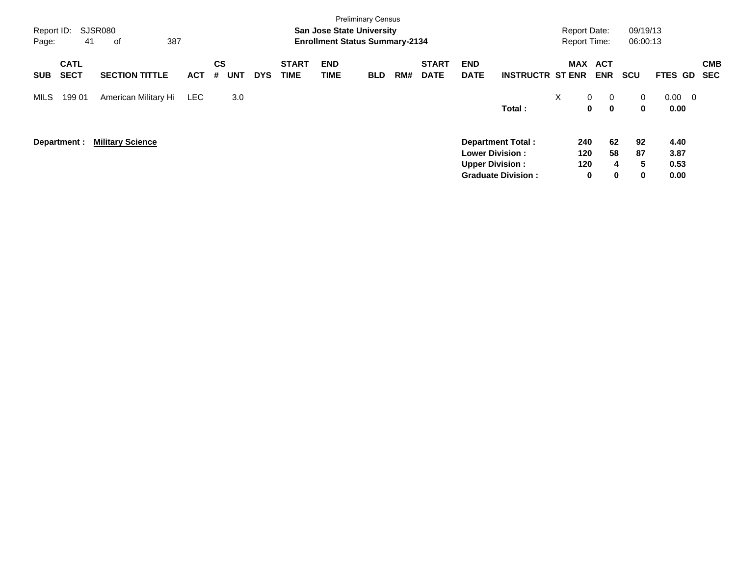| Report ID:<br>Page: | <b>Preliminary Census</b><br><b>SJSR080</b><br><b>San Jose State University</b><br>387<br>41<br><b>Enrollment Status Summary-2134</b><br>οf<br><b>CATL</b><br><b>START</b><br><b>END</b><br>CS<br><b>START</b><br><b>END</b> |                         |            |                 |            |             |      |            |     |             |                                                   |                                                       |                   | <b>Report Date:</b><br><b>Report Time:</b>                   | 09/19/13<br>06:00:13         |                                         |                          |
|---------------------|------------------------------------------------------------------------------------------------------------------------------------------------------------------------------------------------------------------------------|-------------------------|------------|-----------------|------------|-------------|------|------------|-----|-------------|---------------------------------------------------|-------------------------------------------------------|-------------------|--------------------------------------------------------------|------------------------------|-----------------------------------------|--------------------------|
| <b>SUB</b>          | <b>SECT</b>                                                                                                                                                                                                                  | <b>SECTION TITTLE</b>   | <b>ACT</b> | <b>UNT</b><br># | <b>DYS</b> | <b>TIME</b> | TIME | <b>BLD</b> | RM# | <b>DATE</b> | <b>DATE</b>                                       | <b>INSTRUCTR ST ENR</b>                               | <b>MAX</b>        | <b>ACT</b><br><b>ENR</b>                                     | <b>SCU</b>                   | FTES GD                                 | <b>CMB</b><br><b>SEC</b> |
| MILS                | 199 01                                                                                                                                                                                                                       | American Military Hi    | <b>LEC</b> | 3.0             |            |             |      |            |     |             |                                                   | Total:                                                | $\mathsf{X}$      | $\overline{0}$<br>$\mathbf{0}$<br>$\mathbf 0$<br>$\mathbf 0$ | 0<br>$\mathbf 0$             | 0.00<br>$\overline{\mathbf{0}}$<br>0.00 |                          |
|                     | Department :                                                                                                                                                                                                                 | <b>Military Science</b> |            |                 |            |             |      |            |     |             | <b>Lower Division :</b><br><b>Upper Division:</b> | <b>Department Total:</b><br><b>Graduate Division:</b> | 240<br>120<br>120 | 62<br>58<br>0                                                | 92<br>87<br>5<br>4<br>0<br>0 | 4.40<br>3.87<br>0.53<br>0.00            |                          |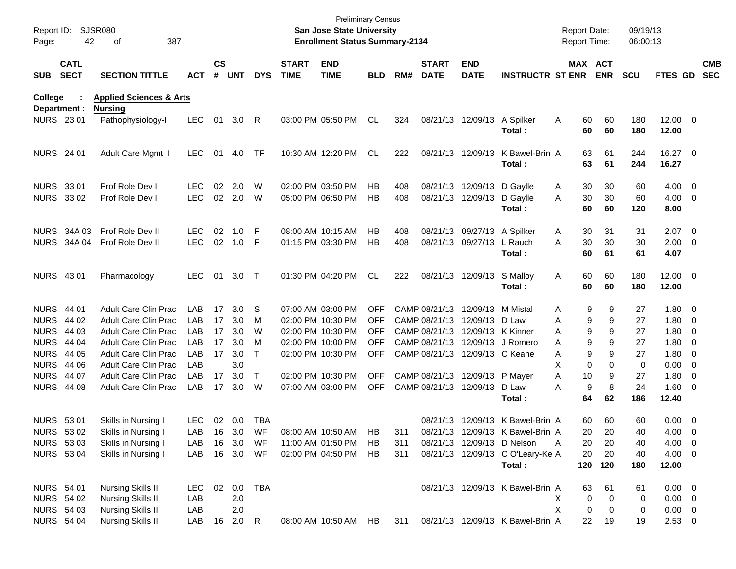| Report ID:<br>Page: | 42                         | <b>SJSR080</b><br>387<br>οf        |            |                    |            |            |                             | <b>Preliminary Census</b><br>San Jose State University<br><b>Enrollment Status Summary-2134</b> |            |     |                             |                                 |                                  | <b>Report Date:</b><br>Report Time: |                       | 09/19/13<br>06:00:13 |                       |                          |
|---------------------|----------------------------|------------------------------------|------------|--------------------|------------|------------|-----------------------------|-------------------------------------------------------------------------------------------------|------------|-----|-----------------------------|---------------------------------|----------------------------------|-------------------------------------|-----------------------|----------------------|-----------------------|--------------------------|
| <b>SUB</b>          | <b>CATL</b><br><b>SECT</b> | <b>SECTION TITTLE</b>              | <b>ACT</b> | $\mathsf{cs}$<br># | <b>UNT</b> | <b>DYS</b> | <b>START</b><br><b>TIME</b> | <b>END</b><br><b>TIME</b>                                                                       | <b>BLD</b> | RM# | <b>START</b><br><b>DATE</b> | <b>END</b><br><b>DATE</b>       | <b>INSTRUCTR ST ENR</b>          |                                     | MAX ACT<br><b>ENR</b> | <b>SCU</b>           | FTES GD               | <b>CMB</b><br><b>SEC</b> |
| College             |                            | <b>Applied Sciences &amp; Arts</b> |            |                    |            |            |                             |                                                                                                 |            |     |                             |                                 |                                  |                                     |                       |                      |                       |                          |
|                     | Department :               | <b>Nursing</b>                     |            |                    |            |            |                             |                                                                                                 |            |     |                             |                                 |                                  |                                     |                       |                      |                       |                          |
|                     | <b>NURS 2301</b>           | Pathophysiology-I                  | <b>LEC</b> | 01                 | 3.0        | R          |                             | 03:00 PM 05:50 PM                                                                               | CL         | 324 |                             | 08/21/13 12/09/13               | A Spilker<br>Total:              | A                                   | 60<br>60<br>60<br>60  | 180<br>180           | $12.00 \t 0$<br>12.00 |                          |
| <b>NURS</b> 24 01   |                            | Adult Care Mgmt I                  | <b>LEC</b> | 01                 | 4.0        | TF         |                             | 10:30 AM 12:20 PM                                                                               | CL         | 222 |                             | 08/21/13 12/09/13               | K Bawel-Brin A                   |                                     | 63<br>61              | 244                  | 16.27 0               |                          |
|                     |                            |                                    |            |                    |            |            |                             |                                                                                                 |            |     |                             |                                 | Total:                           |                                     | 63<br>61              | 244                  | 16.27                 |                          |
| NURS 33 01          |                            | Prof Role Dev I                    | LEC        | 02                 | 2.0        | W          |                             | 02:00 PM 03:50 PM                                                                               | HB         | 408 |                             | 08/21/13 12/09/13 D Gaylle      |                                  | A                                   | 30<br>30              | 60                   | $4.00 \ 0$            |                          |
|                     | <b>NURS 3302</b>           | Prof Role Dev I                    | <b>LEC</b> |                    | 02 2.0     | W          |                             | 05:00 PM 06:50 PM                                                                               | НB         | 408 |                             | 08/21/13 12/09/13               | D Gaylle                         | A                                   | 30<br>30              | 60                   | $4.00 \ 0$            |                          |
|                     |                            |                                    |            |                    |            |            |                             |                                                                                                 |            |     |                             |                                 | Total:                           |                                     | 60<br>60              | 120                  | 8.00                  |                          |
|                     | <b>NURS 34A 03</b>         | Prof Role Dev II                   | <b>LEC</b> | 02                 | 1.0        | -F         |                             | 08:00 AM 10:15 AM                                                                               | HВ         | 408 |                             | 08/21/13 09/27/13 A Spilker     |                                  | A                                   | 31<br>30              | 31                   | $2.07$ 0              |                          |
|                     | <b>NURS 34A 04</b>         | Prof Role Dev II                   | <b>LEC</b> | 02                 | 1.0        | -F         |                             | 01:15 PM 03:30 PM                                                                               | HВ         | 408 |                             | 08/21/13 09/27/13               | L Rauch                          | A                                   | 30<br>30              | 30                   | $2.00 \t 0$           |                          |
|                     |                            |                                    |            |                    |            |            |                             |                                                                                                 |            |     |                             |                                 | Total:                           |                                     | 60<br>61              | 61                   | 4.07                  |                          |
| <b>NURS 4301</b>    |                            | Pharmacology                       | <b>LEC</b> | 01                 | 3.0        | $\top$     |                             | 01:30 PM 04:20 PM                                                                               | <b>CL</b>  | 222 |                             | 08/21/13 12/09/13               | S Malloy                         | Α                                   | 60<br>60              | 180                  | $12.00 \t 0$          |                          |
|                     |                            |                                    |            |                    |            |            |                             |                                                                                                 |            |     |                             |                                 | Total:                           |                                     | 60<br>60              | 180                  | 12.00                 |                          |
| <b>NURS 44 01</b>   |                            | <b>Adult Care Clin Prac</b>        | LAB        | 17                 | 3.0        | S          |                             | 07:00 AM 03:00 PM                                                                               | <b>OFF</b> |     |                             | CAMP 08/21/13 12/09/13 M Mistal |                                  | A                                   | 9<br>9                | 27                   | $1.80 \ 0$            |                          |
| <b>NURS</b>         | 44 02                      | <b>Adult Care Clin Prac</b>        | LAB        | 17                 | 3.0        | м          |                             | 02:00 PM 10:30 PM                                                                               | <b>OFF</b> |     |                             | CAMP 08/21/13 12/09/13 D Law    |                                  | A                                   | 9<br>9                | 27                   | $1.80 \ 0$            |                          |
| <b>NURS</b>         | 44 03                      | <b>Adult Care Clin Prac</b>        | LAB        | 17                 | 3.0        | W          |                             | 02:00 PM 10:30 PM                                                                               | <b>OFF</b> |     |                             | CAMP 08/21/13 12/09/13 K Kinner |                                  | A                                   | 9<br>9                | 27                   | $1.80 \ 0$            |                          |
| <b>NURS</b>         | 44 04                      | <b>Adult Care Clin Prac</b>        | LAB        | 17                 | 3.0        | м          |                             | 02:00 PM 10:00 PM                                                                               | <b>OFF</b> |     |                             |                                 | CAMP 08/21/13 12/09/13 J Romero  | A                                   | 9<br>9                | 27                   | $1.80 \ 0$            |                          |
| <b>NURS</b>         | 44 05                      | <b>Adult Care Clin Prac</b>        | LAB        | 17                 | 3.0        | $\top$     |                             | 02:00 PM 10:30 PM                                                                               | <b>OFF</b> |     |                             | CAMP 08/21/13 12/09/13 C Keane  |                                  | A                                   | 9<br>9                | 27                   | $1.80 \ 0$            |                          |
| <b>NURS</b>         | 44 06                      | <b>Adult Care Clin Prac</b>        | LAB        |                    | 3.0        |            |                             |                                                                                                 |            |     |                             |                                 |                                  | X                                   | 0<br>$\Omega$         | 0                    | $0.00 \t 0$           |                          |
| <b>NURS</b>         | 44 07                      | Adult Care Clin Prac               | LAB        | 17                 | 3.0        | $\top$     |                             | 02:00 PM 10:30 PM                                                                               | <b>OFF</b> |     |                             | CAMP 08/21/13 12/09/13          | P Mayer                          | Α                                   | 9<br>10               | 27                   | $1.80 \ 0$            |                          |
|                     | <b>NURS 44 08</b>          | <b>Adult Care Clin Prac</b>        | LAB        | 17                 | 3.0        | W          |                             | 07:00 AM 03:00 PM                                                                               | <b>OFF</b> |     |                             | CAMP 08/21/13 12/09/13          | D Law                            | A                                   | 9<br>8                | 24                   | $1.60 \ 0$            |                          |
|                     |                            |                                    |            |                    |            |            |                             |                                                                                                 |            |     |                             |                                 | Total:                           |                                     | 64<br>62              | 186                  | 12.40                 |                          |
| <b>NURS 5301</b>    |                            | Skills in Nursing I                | <b>LEC</b> |                    | 02 0.0     | <b>TBA</b> |                             |                                                                                                 |            |     |                             |                                 | 08/21/13 12/09/13 K Bawel-Brin A |                                     | 60<br>60              | 60                   | $0.00 \t 0$           |                          |
|                     | NURS 53 02                 | Skills in Nursing I                | LAB        |                    | 16 3.0     | WF         |                             | 08:00 AM 10:50 AM                                                                               | HB.        | 311 |                             |                                 | 08/21/13 12/09/13 K Bawel-Brin A |                                     | 20<br>20              | 40                   | 4.00 0                |                          |
|                     | NURS 53 03                 | Skills in Nursing I                | LAB        |                    | 16 3.0     | WF         |                             | 11:00 AM 01:50 PM                                                                               | HB         | 311 |                             | 08/21/13 12/09/13 D Nelson      |                                  | A                                   | 20<br>20              | 40                   | $4.00 \t 0$           |                          |
|                     | <b>NURS 5304</b>           | Skills in Nursing I                | LAB        |                    | 16 3.0     | WF         |                             | 02:00 PM 04:50 PM                                                                               | HB.        | 311 |                             |                                 | 08/21/13 12/09/13 C O'Leary-Ke A |                                     | 20<br>20              | 40                   | $4.00 \ 0$            |                          |
|                     |                            |                                    |            |                    |            |            |                             |                                                                                                 |            |     |                             |                                 | Total:                           | 120                                 | 120                   | 180                  | 12.00                 |                          |
|                     | NURS 54 01                 | <b>Nursing Skills II</b>           | LEC.       | 02                 | 0.0        | TBA        |                             |                                                                                                 |            |     |                             |                                 | 08/21/13 12/09/13 K Bawel-Brin A |                                     | 63<br>61              | 61                   | $0.00 \t 0$           |                          |
|                     | <b>NURS 54 02</b>          | <b>Nursing Skills II</b>           | LAB        |                    | 2.0        |            |                             |                                                                                                 |            |     |                             |                                 |                                  | X.                                  | 0<br>0                | 0                    | $0.00 \t 0$           |                          |
|                     | <b>NURS 54 03</b>          | <b>Nursing Skills II</b>           | LAB        |                    | 2.0        |            |                             |                                                                                                 |            |     |                             |                                 |                                  | X                                   | 0<br>0                | 0                    | $0.00 \t 0$           |                          |
|                     | <b>NURS 54 04</b>          | <b>Nursing Skills II</b>           | LAB        |                    | 16 2.0 R   |            |                             | 08:00 AM 10:50 AM HB                                                                            |            | 311 |                             |                                 | 08/21/13 12/09/13 K Bawel-Brin A |                                     | 22<br>19              | 19                   | $2.53 \t 0$           |                          |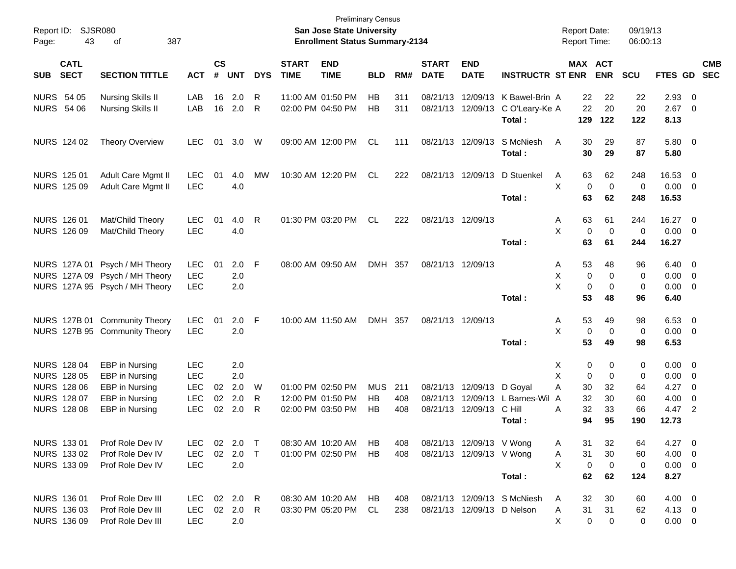| Report ID:<br>Page: | 43                                | SJSR080<br>387<br>οf             |                          |                    |            |              |                             | <b>San Jose State University</b><br><b>Enrollment Status Summary-2134</b> | <b>Preliminary Census</b> |     |                             |                           |                                | <b>Report Date:</b><br>Report Time: |                                  | 09/19/13<br>06:00:13 |                |                                                     |            |
|---------------------|-----------------------------------|----------------------------------|--------------------------|--------------------|------------|--------------|-----------------------------|---------------------------------------------------------------------------|---------------------------|-----|-----------------------------|---------------------------|--------------------------------|-------------------------------------|----------------------------------|----------------------|----------------|-----------------------------------------------------|------------|
| <b>SUB</b>          | <b>CATL</b><br><b>SECT</b>        | <b>SECTION TITTLE</b>            | <b>ACT</b>               | $\mathsf{cs}$<br># | <b>UNT</b> | <b>DYS</b>   | <b>START</b><br><b>TIME</b> | <b>END</b><br><b>TIME</b>                                                 | <b>BLD</b>                | RM# | <b>START</b><br><b>DATE</b> | <b>END</b><br><b>DATE</b> | <b>INSTRUCTR ST ENR</b>        |                                     | <b>MAX ACT</b><br><b>ENR</b>     | <b>SCU</b>           | FTES GD SEC    |                                                     | <b>CMB</b> |
|                     | <b>NURS 54 05</b>                 | <b>Nursing Skills II</b>         | LAB                      | 16                 | 2.0        | R            |                             | 11:00 AM 01:50 PM                                                         | HB                        | 311 |                             | 08/21/13 12/09/13         | K Bawel-Brin A                 | 22                                  | 22                               | 22                   | 2.93           | $\overline{\mathbf{0}}$                             |            |
|                     | <b>NURS 54 06</b>                 | <b>Nursing Skills II</b>         | LAB                      | 16                 | 2.0        | R            |                             | 02:00 PM 04:50 PM                                                         | HB                        | 311 |                             | 08/21/13 12/09/13         | C O'Leary-Ke A<br>Total:       | 22<br>129                           | 20<br>122                        | 20<br>122            | 2.67<br>8.13   | - 0                                                 |            |
|                     | NURS 124 02                       | <b>Theory Overview</b>           | <b>LEC</b>               | 01                 | 3.0        | W            |                             | 09:00 AM 12:00 PM                                                         | CL                        | 111 |                             | 08/21/13 12/09/13         | S McNiesh<br>Total:            | A<br>30<br>30                       | 29<br>29                         | 87<br>87             | 5.80 0<br>5.80 |                                                     |            |
|                     | NURS 125 01                       | Adult Care Mgmt II               | <b>LEC</b>               | 01                 | 4.0        | MW           |                             | 10:30 AM 12:20 PM                                                         | CL                        | 222 |                             | 08/21/13 12/09/13         | D Stuenkel                     | 63<br>A                             | 62                               | 248                  | 16.53          | $\overline{\mathbf{0}}$                             |            |
|                     | NURS 125 09                       | Adult Care Mgmt II               | <b>LEC</b>               |                    | 4.0        |              |                             |                                                                           |                           |     |                             |                           | Total:                         | X<br>63                             | 0<br>$\mathbf 0$<br>62           | 0<br>248             | 0.00<br>16.53  | - 0                                                 |            |
|                     | NURS 126 01                       | Mat/Child Theory                 | <b>LEC</b>               | 01                 | 4.0        | R            |                             | 01:30 PM 03:20 PM                                                         | <b>CL</b>                 | 222 |                             | 08/21/13 12/09/13         |                                | 63<br>A                             | 61                               | 244                  | 16.27          | - 0                                                 |            |
|                     | NURS 126 09                       | Mat/Child Theory                 | <b>LEC</b>               |                    | 4.0        |              |                             |                                                                           |                           |     |                             |                           | Total:                         | X<br>63                             | $\mathbf 0$<br>$\mathbf 0$<br>61 | 0<br>244             | 0.00<br>16.27  | - 0                                                 |            |
|                     | NURS 127A 01                      | Psych / MH Theory                | <b>LEC</b>               | 01                 | 2.0        | F            |                             | 08:00 AM 09:50 AM                                                         | DMH 357                   |     |                             | 08/21/13 12/09/13         |                                | 53<br>Α                             | 48                               | 96                   | 6.40           | $\overline{\phantom{0}}$                            |            |
|                     |                                   | NURS 127A 09 Psych / MH Theory   | <b>LEC</b>               |                    | 2.0        |              |                             |                                                                           |                           |     |                             |                           |                                | X                                   | 0<br>0                           | 0                    | 0.00           | $\overline{\mathbf{0}}$                             |            |
|                     |                                   | NURS 127A 95 Psych / MH Theory   | <b>LEC</b>               |                    | 2.0        |              |                             |                                                                           |                           |     |                             |                           |                                | X                                   | $\mathbf 0$<br>0                 | 0                    | 0.00           | - 0                                                 |            |
|                     |                                   |                                  |                          |                    |            |              |                             |                                                                           |                           |     |                             |                           | Total:                         | 53                                  | 48                               | 96                   | 6.40           |                                                     |            |
|                     |                                   | NURS 127B 01 Community Theory    | <b>LEC</b>               | 01                 | 2.0        | $\mathsf{F}$ |                             | 10:00 AM 11:50 AM                                                         | DMH 357                   |     |                             | 08/21/13 12/09/13         |                                | 53<br>Α                             | 49                               | 98                   | 6.53           | $\overline{\mathbf{0}}$                             |            |
|                     |                                   | NURS 127B 95 Community Theory    | <b>LEC</b>               |                    | 2.0        |              |                             |                                                                           |                           |     |                             |                           | Total:                         | X<br>53                             | $\mathbf 0$<br>$\mathbf 0$<br>49 | $\mathbf 0$<br>98    | 0.00<br>6.53   | $\overline{\phantom{0}}$                            |            |
|                     |                                   |                                  |                          |                    |            |              |                             |                                                                           |                           |     |                             |                           |                                |                                     |                                  |                      |                |                                                     |            |
|                     | <b>NURS 128 04</b><br>NURS 128 05 | EBP in Nursing<br>EBP in Nursing | <b>LEC</b><br><b>LEC</b> |                    | 2.0<br>2.0 |              |                             |                                                                           |                           |     |                             |                           |                                | Х<br>X                              | 0<br>0<br>$\mathbf 0$<br>0       | 0<br>0               | 0.00<br>0.00   | $\overline{\phantom{0}}$<br>$\overline{\mathbf{0}}$ |            |
|                     | <b>NURS 128 06</b>                | EBP in Nursing                   | <b>LEC</b>               | 02                 | 2.0        | W            |                             | 01:00 PM 02:50 PM                                                         | <b>MUS</b>                | 211 |                             | 08/21/13 12/09/13 D Goyal |                                | Α<br>30                             | 32                               | 64                   | 4.27           | 0                                                   |            |
|                     | NURS 128 07                       | EBP in Nursing                   | <b>LEC</b>               | 02                 | 2.0        | R            |                             | 12:00 PM 01:50 PM                                                         | НB                        | 408 |                             |                           | 08/21/13 12/09/13 L Barnes-Wil | A<br>32                             | 30                               | 60                   | 4.00           | 0                                                   |            |
|                     | <b>NURS 128 08</b>                | EBP in Nursing                   | <b>LEC</b>               | 02                 | 2.0        | R            |                             | 02:00 PM 03:50 PM                                                         | HB                        | 408 |                             | 08/21/13 12/09/13         | C Hill                         | 32<br>Α                             | 33                               | 66                   | 4.47           | $\overline{2}$                                      |            |
|                     |                                   |                                  |                          |                    |            |              |                             |                                                                           |                           |     |                             |                           | Total:                         | 94                                  | 95                               | 190                  | 12.73          |                                                     |            |
|                     | NURS 133 01                       | Prof Role Dev IV                 | LEC.                     |                    | 02 2.0 T   |              |                             | 08:30 AM 10:20 AM                                                         | HB                        | 408 |                             | 08/21/13 12/09/13 V Wong  |                                | 31<br>A                             | 32                               | 64                   | $4.27 \t 0$    |                                                     |            |
|                     | NURS 133 02                       | Prof Role Dev IV                 | <b>LEC</b>               | $02\,$             | $2.0$ T    |              |                             | 01:00 PM 02:50 PM                                                         | HB                        | 408 |                             | 08/21/13 12/09/13 V Wong  |                                | 31<br>A                             | 30                               | 60                   | $4.00 \ 0$     |                                                     |            |
|                     | NURS 133 09                       | Prof Role Dev IV                 | <b>LEC</b>               |                    | 2.0        |              |                             |                                                                           |                           |     |                             |                           |                                | X                                   | 0<br>0                           | 0                    | $0.00 \t 0$    |                                                     |            |
|                     |                                   |                                  |                          |                    |            |              |                             |                                                                           |                           |     |                             |                           | Total:                         | 62                                  | 62                               | 124                  | 8.27           |                                                     |            |
|                     | NURS 136 01                       | Prof Role Dev III                | LEC                      |                    | 02  2.0  R |              |                             | 08:30 AM 10:20 AM                                                         | HB.                       | 408 |                             |                           | 08/21/13 12/09/13 S McNiesh    | A<br>32                             | 30                               | 60                   | $4.00 \t 0$    |                                                     |            |
|                     | NURS 136 03                       | Prof Role Dev III                | <b>LEC</b>               |                    | $02$ 2.0   | R            |                             | 03:30 PM 05:20 PM                                                         | CL                        | 238 |                             |                           | 08/21/13 12/09/13 D Nelson     | 31<br>Α                             | 31                               | 62                   | 4.13 0         |                                                     |            |
|                     | NURS 136 09                       | Prof Role Dev III                | <b>LEC</b>               |                    | 2.0        |              |                             |                                                                           |                           |     |                             |                           |                                | X                                   | $\mathbf 0$<br>0                 | 0                    | $0.00 \t 0$    |                                                     |            |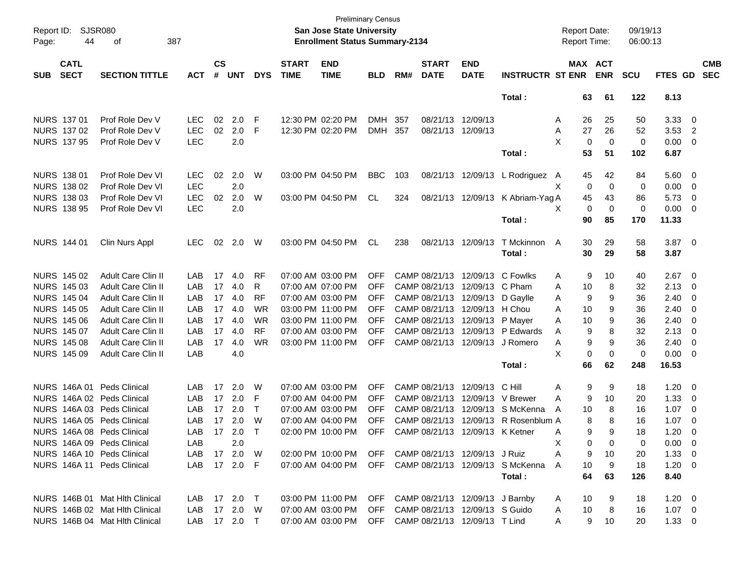| Report ID:<br>Page: | 44                         | SJSR080<br>387<br>οf           |              |                             |            |             |                             | San Jose State University<br><b>Enrollment Status Summary-2134</b> | <b>Preliminary Census</b> |     |                             |                                 |                                                        | <b>Report Date:</b><br><b>Report Time:</b> |            | 09/19/13<br>06:00:13 |                |                         |                          |
|---------------------|----------------------------|--------------------------------|--------------|-----------------------------|------------|-------------|-----------------------------|--------------------------------------------------------------------|---------------------------|-----|-----------------------------|---------------------------------|--------------------------------------------------------|--------------------------------------------|------------|----------------------|----------------|-------------------------|--------------------------|
| <b>SUB</b>          | <b>CATL</b><br><b>SECT</b> | <b>SECTION TITTLE</b>          | <b>ACT</b>   | $\mathsf{cs}$<br>$\pmb{\#}$ | <b>UNT</b> | <b>DYS</b>  | <b>START</b><br><b>TIME</b> | <b>END</b><br><b>TIME</b>                                          | <b>BLD</b>                | RM# | <b>START</b><br><b>DATE</b> | <b>END</b><br><b>DATE</b>       | <b>INSTRUCTR ST ENR</b>                                | MAX ACT                                    | <b>ENR</b> | <b>SCU</b>           | FTES GD        |                         | <b>CMB</b><br><b>SEC</b> |
|                     |                            |                                |              |                             |            |             |                             |                                                                    |                           |     |                             |                                 | Total:                                                 | 63                                         | 61         | 122                  | 8.13           |                         |                          |
|                     | NURS 137 01                | Prof Role Dev V                | <b>LEC</b>   | 02                          | 2.0        | F           |                             | 12:30 PM 02:20 PM                                                  | <b>DMH</b>                | 357 |                             | 08/21/13 12/09/13               |                                                        | 26<br>Α                                    | 25         | 50                   | 3.33           | - 0                     |                          |
|                     | NURS 137 02                | Prof Role Dev V                | <b>LEC</b>   | 02                          | 2.0        | F           |                             | 12:30 PM 02:20 PM                                                  | <b>DMH</b>                | 357 |                             | 08/21/13 12/09/13               |                                                        | 27<br>Α                                    | 26         | 52                   | $3.53$ 2       |                         |                          |
|                     | <b>NURS 137 95</b>         | Prof Role Dev V                | <b>LEC</b>   |                             | 2.0        |             |                             |                                                                    |                           |     |                             |                                 |                                                        | X<br>0                                     | 0          | 0                    | 0.00           | 0                       |                          |
|                     |                            |                                |              |                             |            |             |                             |                                                                    |                           |     |                             |                                 | Total:                                                 | 53                                         | 51         | 102                  | 6.87           |                         |                          |
|                     | <b>NURS 138 01</b>         | Prof Role Dev VI               | <b>LEC</b>   | 02                          | 2.0        | W           |                             | 03:00 PM 04:50 PM                                                  | <b>BBC</b>                | 103 |                             | 08/21/13 12/09/13               | L Rodriguez A                                          | 45                                         | 42         | 84                   | 5.60           | $\overline{\mathbf{0}}$ |                          |
|                     | NURS 138 02                | Prof Role Dev VI               | <b>LEC</b>   |                             | 2.0        |             |                             |                                                                    |                           |     |                             |                                 |                                                        | X<br>0                                     | 0          | 0                    | 0.00           | $\overline{0}$          |                          |
|                     | NURS 138 03                | Prof Role Dev VI               | <b>LEC</b>   | 02                          | 2.0        | W           |                             | 03:00 PM 04:50 PM                                                  | CL                        | 324 |                             | 08/21/13 12/09/13               | K Abriam-Yag A                                         | 45                                         | 43         | 86                   | 5.73           | 0                       |                          |
|                     | <b>NURS 138 95</b>         | Prof Role Dev VI               | <b>LEC</b>   |                             | 2.0        |             |                             |                                                                    |                           |     |                             |                                 |                                                        | X<br>0                                     | 0          | 0                    | 0.00           | $\overline{0}$          |                          |
|                     |                            |                                |              |                             |            |             |                             |                                                                    |                           |     |                             |                                 | Total:                                                 | 90                                         | 85         | 170                  | 11.33          |                         |                          |
|                     | NURS 144 01                | Clin Nurs Appl                 | <b>LEC</b>   | 02                          | 2.0        | W           |                             | 03:00 PM 04:50 PM                                                  | CL                        | 238 |                             | 08/21/13 12/09/13               | T Mckinnon                                             | 30<br>A                                    | 29         | 58                   | $3.87$ 0       |                         |                          |
|                     |                            |                                |              |                             |            |             |                             |                                                                    |                           |     |                             |                                 | Total:                                                 | 30                                         | 29         | 58                   | 3.87           |                         |                          |
|                     | NURS 145 02                | Adult Care Clin II             | LAB          | 17                          | 4.0        | <b>RF</b>   |                             | 07:00 AM 03:00 PM                                                  | <b>OFF</b>                |     |                             | CAMP 08/21/13 12/09/13 C Fowlks |                                                        | 9<br>Α                                     | 10         | 40                   | 2.67           | $\overline{\mathbf{0}}$ |                          |
|                     | <b>NURS 145 03</b>         | Adult Care Clin II             | LAB          | 17                          | 4.0        | R           |                             | 07:00 AM 07:00 PM                                                  | <b>OFF</b>                |     |                             | CAMP 08/21/13 12/09/13 C Pham   |                                                        | Α<br>10                                    | 8          | 32                   | 2.13           | 0                       |                          |
|                     | <b>NURS 145 04</b>         | Adult Care Clin II             | LAB          | 17                          | 4.0        | <b>RF</b>   |                             | 07:00 AM 03:00 PM                                                  | <b>OFF</b>                |     |                             | CAMP 08/21/13 12/09/13          | D Gaylle                                               | 9<br>Α                                     | 9          | 36                   | 2.40           | 0                       |                          |
|                     | <b>NURS 145 05</b>         | Adult Care Clin II             | LAB          | 17                          | 4.0        | <b>WR</b>   |                             | 03:00 PM 11:00 PM                                                  | <b>OFF</b>                |     |                             | CAMP 08/21/13 12/09/13 H Chou   |                                                        | Α<br>10                                    | 9          | 36                   | 2.40           | 0                       |                          |
|                     | <b>NURS 145 06</b>         | Adult Care Clin II             | LAB          | 17                          | 4.0        | <b>WR</b>   |                             | 03:00 PM 11:00 PM                                                  | <b>OFF</b>                |     |                             | CAMP 08/21/13 12/09/13          | P Mayer                                                | Α<br>10                                    | 9          | 36                   | 2.40           | 0                       |                          |
|                     | NURS 145 07                | Adult Care Clin II             | LAB          | 17                          | 4.0        | <b>RF</b>   |                             | 07:00 AM 03:00 PM                                                  | <b>OFF</b>                |     |                             |                                 | CAMP 08/21/13 12/09/13 P Edwards                       | 9<br>A                                     | 8          | 32                   | 2.13           | 0                       |                          |
|                     | <b>NURS 145 08</b>         | Adult Care Clin II             | LAB          | 17                          | 4.0        | <b>WR</b>   |                             | 03:00 PM 11:00 PM                                                  | <b>OFF</b>                |     |                             | CAMP 08/21/13 12/09/13          | J Romero                                               | 9<br>Α                                     | 9          | 36                   | 2.40           | 0                       |                          |
|                     | NURS 145 09                | <b>Adult Care Clin II</b>      | LAB          |                             | 4.0        |             |                             |                                                                    |                           |     |                             |                                 |                                                        | X.<br>0                                    | 0          | $\mathbf 0$          | 0.00           | $\overline{0}$          |                          |
|                     |                            |                                |              |                             |            |             |                             |                                                                    |                           |     |                             |                                 | Total:                                                 | 66                                         | 62         | 248                  | 16.53          |                         |                          |
|                     | NURS 146A 01               | <b>Peds Clinical</b>           | LAB          | 17                          | 2.0        | W           |                             | 07:00 AM 03:00 PM                                                  | <b>OFF</b>                |     |                             | CAMP 08/21/13 12/09/13          | C Hill                                                 | 9<br>Α                                     | 9          | 18                   | 1.20           | $\overline{\mathbf{0}}$ |                          |
|                     |                            | NURS 146A 02 Peds Clinical     | LAB          | 17                          | 2.0        | F           |                             | 07:00 AM 04:00 PM                                                  | <b>OFF</b>                |     |                             |                                 | CAMP 08/21/13 12/09/13 V Brewer                        | Α<br>9                                     | 10         | 20                   | 1.33           | 0                       |                          |
|                     |                            | NURS 146A 03 Peds Clinical     | LAB          | 17                          | 2.0        | $\mathsf T$ |                             | 07:00 AM 03:00 PM                                                  | <b>OFF</b>                |     |                             |                                 | CAMP 08/21/13 12/09/13 S McKenna                       | A<br>10                                    | 8          | 16                   | 1.07           | 0                       |                          |
|                     |                            | NURS 146A 05 Peds Clinical     | LAB          | 17                          | 2.0        | W           |                             | 07:00 AM 04:00 PM                                                  | <b>OFF</b>                |     |                             |                                 | CAMP 08/21/13 12/09/13 R Rosenblum A                   | 8                                          | 8          | 16                   | 1.07           | 0                       |                          |
|                     |                            | NURS 146A 08 Peds Clinical     | LAB.         |                             | 17 2.0     | $\top$      |                             | 02:00 PM 10:00 PM                                                  | <b>OFF</b>                |     |                             | CAMP 08/21/13 12/09/13 K Ketner |                                                        | g<br>А                                     |            | 18                   | 1.20           | $\Omega$                |                          |
|                     |                            | NURS 146A 09 Peds Clinical     | LAB          |                             | 2.0        |             |                             |                                                                    |                           |     |                             |                                 |                                                        | X<br>0                                     | 0          | 0                    | $0.00 \quad 0$ |                         |                          |
|                     |                            | NURS 146A 10 Peds Clinical     | LAB 17 2.0 W |                             |            |             |                             | 02:00 PM 10:00 PM OFF CAMP 08/21/13 12/09/13 J Ruiz                |                           |     |                             |                                 |                                                        | A<br>9                                     | 10         | 20                   | $1.33 \t 0$    |                         |                          |
|                     |                            | NURS 146A 11 Peds Clinical     | LAB 17 2.0 F |                             |            |             |                             |                                                                    |                           |     |                             |                                 | 07:00 AM 04:00 PM OFF CAMP 08/21/13 12/09/13 S McKenna | A<br>10                                    | 9          | 18                   | $1.20 \t 0$    |                         |                          |
|                     |                            |                                |              |                             |            |             |                             |                                                                    |                           |     |                             |                                 | Total:                                                 | 64                                         | 63         | 126                  | 8.40           |                         |                          |
|                     |                            | NURS 146B 01 Mat Hith Clinical | LAB 17 2.0 T |                             |            |             |                             | 03:00 PM 11:00 PM OFF CAMP 08/21/13 12/09/13 J Barnby              |                           |     |                             |                                 |                                                        | 10<br>A                                    | 9          | 18                   | $1.20 \t 0$    |                         |                          |
|                     |                            | NURS 146B 02 Mat Hith Clinical | LAB 17 2.0 W |                             |            |             |                             | 07:00 AM 03:00 PM OFF CAMP 08/21/13 12/09/13 S Guido               |                           |     |                             |                                 |                                                        | 10<br>A                                    | 8          | 16                   | $1.07 \t 0$    |                         |                          |
|                     |                            | NURS 146B 04 Mat Hlth Clinical | LAB 17 2.0 T |                             |            |             |                             | 07:00 AM 03:00 PM OFF CAMP 08/21/13 12/09/13 T Lind                |                           |     |                             |                                 |                                                        | A                                          | $9$ 10     | 20                   | $1.33 \t 0$    |                         |                          |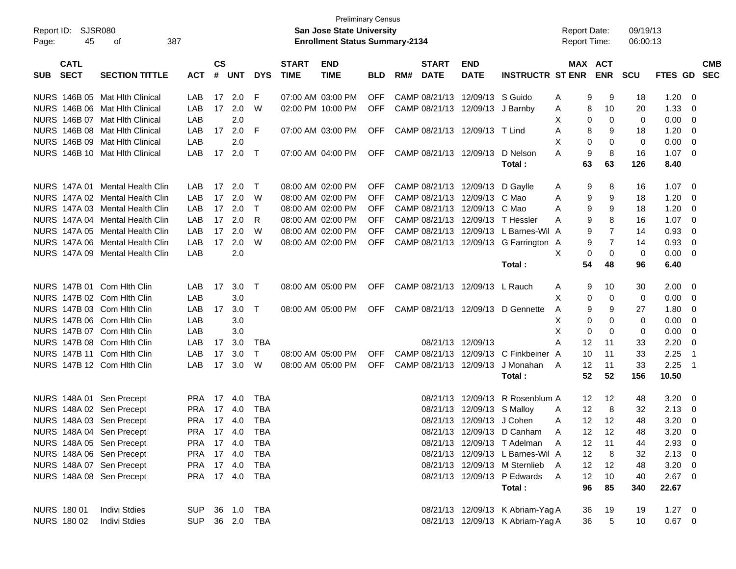| Report ID:<br>45<br>Page:                | <b>SJSR080</b><br>387<br>οf     |                |                    |            |            |                             | <b>Preliminary Census</b><br><b>San Jose State University</b><br><b>Enrollment Status Summary-2134</b> |            |     |                             |                                 |                                       | <b>Report Date:</b><br><b>Report Time:</b> |                       | 09/19/13<br>06:00:13 |             |                          |                          |
|------------------------------------------|---------------------------------|----------------|--------------------|------------|------------|-----------------------------|--------------------------------------------------------------------------------------------------------|------------|-----|-----------------------------|---------------------------------|---------------------------------------|--------------------------------------------|-----------------------|----------------------|-------------|--------------------------|--------------------------|
| <b>CATL</b><br><b>SECT</b><br><b>SUB</b> | <b>SECTION TITTLE</b>           | <b>ACT</b>     | $\mathsf{cs}$<br># | <b>UNT</b> | <b>DYS</b> | <b>START</b><br><b>TIME</b> | <b>END</b><br><b>TIME</b>                                                                              | <b>BLD</b> | RM# | <b>START</b><br><b>DATE</b> | <b>END</b><br><b>DATE</b>       | <b>INSTRUCTR ST ENR</b>               |                                            | MAX ACT<br><b>ENR</b> | <b>SCU</b>           | FTES GD     |                          | <b>CMB</b><br><b>SEC</b> |
|                                          | NURS 146B 05 Mat Hith Clinical  | LAB            | 17                 | 2.0        | F          |                             | 07:00 AM 03:00 PM                                                                                      | <b>OFF</b> |     |                             | CAMP 08/21/13 12/09/13 S Guido  |                                       | 9<br>A                                     | 9                     | 18                   | 1.20        | - 0                      |                          |
|                                          | NURS 146B 06 Mat Hlth Clinical  | LAB            | 17                 | 2.0        | W          |                             | 02:00 PM 10:00 PM                                                                                      | <b>OFF</b> |     |                             | CAMP 08/21/13 12/09/13 J Barnby |                                       | 8<br>A                                     | 10                    | 20                   | 1.33        | - 0                      |                          |
|                                          | NURS 146B 07 Mat Hlth Clinical  | LAB            |                    | 2.0        |            |                             |                                                                                                        |            |     |                             |                                 |                                       | х                                          | 0<br>0                | 0                    | 0.00        | - 0                      |                          |
|                                          | NURS 146B 08 Mat Hlth Clinical  | LAB            | 17                 | 2.0        | E          |                             | 07:00 AM 03:00 PM                                                                                      | <b>OFF</b> |     |                             | CAMP 08/21/13 12/09/13 T Lind   |                                       | A                                          | 8<br>9                | 18                   | 1.20        | - 0                      |                          |
|                                          | NURS 146B 09 Mat Hlth Clinical  | LAB            |                    | 2.0        |            |                             |                                                                                                        |            |     |                             |                                 |                                       | Χ<br>0                                     | 0                     | 0                    | 0.00        | - 0                      |                          |
|                                          | NURS 146B 10 Mat Hlth Clinical  | LAB            | 17                 | 2.0        | $\top$     |                             | 07:00 AM 04:00 PM                                                                                      | <b>OFF</b> |     |                             | CAMP 08/21/13 12/09/13          | D Nelson                              | 9<br>A                                     | 8                     | 16                   | $1.07 \t 0$ |                          |                          |
|                                          |                                 |                |                    |            |            |                             |                                                                                                        |            |     |                             |                                 | Total:                                | 63                                         | 63                    | 126                  | 8.40        |                          |                          |
|                                          | NURS 147A 01 Mental Health Clin | LAB            | 17                 | 2.0        | $\top$     |                             | 08:00 AM 02:00 PM                                                                                      | OFF        |     |                             | CAMP 08/21/13 12/09/13 D Gaylle |                                       | 9<br>A                                     | 8                     | 16                   | 1.07        | - 0                      |                          |
|                                          | NURS 147A 02 Mental Health Clin | LAB            | 17                 | 2.0        | W          |                             | 08:00 AM 02:00 PM                                                                                      | <b>OFF</b> |     |                             | CAMP 08/21/13 12/09/13 C Mao    |                                       | 9<br>A                                     | 9                     | 18                   | 1.20        | - 0                      |                          |
|                                          | NURS 147A 03 Mental Health Clin | LAB            | 17                 | 2.0        | $\top$     |                             | 08:00 AM 02:00 PM                                                                                      | <b>OFF</b> |     |                             | CAMP 08/21/13 12/09/13 C Mao    |                                       | 9<br>A                                     | 9                     | 18                   | 1.20        | - 0                      |                          |
|                                          | NURS 147A 04 Mental Health Clin | LAB            | 17                 | 2.0        | R          |                             | 08:00 AM 02:00 PM                                                                                      | <b>OFF</b> |     |                             |                                 | CAMP 08/21/13 12/09/13 T Hessler      | 9<br>A                                     | 8                     | 16                   | 1.07        | $\overline{\phantom{0}}$ |                          |
|                                          | NURS 147A 05 Mental Health Clin | LAB            | 17                 | 2.0        | W          |                             | 08:00 AM 02:00 PM                                                                                      | <b>OFF</b> |     |                             |                                 | CAMP 08/21/13 12/09/13 L Barnes-Wil A | 9                                          | $\overline{7}$        | 14                   | 0.93        | - 0                      |                          |
|                                          | NURS 147A 06 Mental Health Clin | LAB            | 17                 | 2.0        | W          |                             | 08:00 AM 02:00 PM                                                                                      | <b>OFF</b> |     |                             |                                 | CAMP 08/21/13 12/09/13 G Farrington A | 9                                          | 7                     | 14                   | 0.93        | - 0                      |                          |
|                                          | NURS 147A 09 Mental Health Clin | LAB            |                    | 2.0        |            |                             |                                                                                                        |            |     |                             |                                 |                                       | X                                          | 0<br>0                | 0                    | 0.00        | - 0                      |                          |
|                                          |                                 |                |                    |            |            |                             |                                                                                                        |            |     |                             |                                 | Total:                                | 54                                         | 48                    | 96                   | 6.40        |                          |                          |
| NURS 147B 01 Com Hith Clin               |                                 | LAB            | 17                 | 3.0        | $\top$     |                             | 08:00 AM 05:00 PM                                                                                      | OFF        |     |                             | CAMP 08/21/13 12/09/13 L Rauch  |                                       | A                                          | 9<br>10               | 30                   | 2.00        | - 0                      |                          |
| NURS 147B 02 Com Hith Clin               |                                 | LAB            |                    | 3.0        |            |                             |                                                                                                        |            |     |                             |                                 |                                       | х                                          | 0<br>0                | 0                    | 0.00        | - 0                      |                          |
| NURS 147B 03 Com Hith Clin               |                                 | LAB            | 17                 | 3.0        | $\top$     |                             | 08:00 AM 05:00 PM                                                                                      |            |     |                             |                                 | OFF CAMP 08/21/13 12/09/13 D Gennette | 9<br>A                                     | 9                     | 27                   | 1.80        | - 0                      |                          |
| NURS 147B 06 Com Hith Clin               |                                 | LAB            |                    | 3.0        |            |                             |                                                                                                        |            |     |                             |                                 |                                       | х                                          | 0<br>0                | 0                    | 0.00        | - 0                      |                          |
| NURS 147B 07 Com Hith Clin               |                                 | LAB            |                    | 3.0        |            |                             |                                                                                                        |            |     |                             |                                 |                                       | X<br>0                                     | 0                     | 0                    | 0.00        | - 0                      |                          |
| NURS 147B 08 Com Hith Clin               |                                 | LAB            | 17                 | 3.0        | TBA        |                             |                                                                                                        |            |     |                             | 08/21/13 12/09/13               |                                       | A<br>12                                    | 11                    | 33                   | 2.20        | - 0                      |                          |
| NURS 147B 11 Com Hith Clin               |                                 | LAB            | 17                 | 3.0        | $\top$     |                             | 08:00 AM 05:00 PM                                                                                      | <b>OFF</b> |     |                             |                                 | CAMP 08/21/13 12/09/13 C Finkbeiner A | 10                                         | 11                    | 33                   | 2.25        | - 1                      |                          |
| NURS 147B 12 Com Hith Clin               |                                 | LAB            | 17                 | 3.0        | W          |                             | 08:00 AM 05:00 PM                                                                                      | OFF        |     |                             | CAMP 08/21/13 12/09/13          | J Monahan                             | 12<br>A                                    | 11                    | 33                   | 2.25        | - 1                      |                          |
|                                          |                                 |                |                    |            |            |                             |                                                                                                        |            |     |                             |                                 | Total:                                | 52                                         | 52                    | 156                  | 10.50       |                          |                          |
| NURS 148A 01 Sen Precept                 |                                 | PRA 17         |                    | 4.0        | TBA        |                             |                                                                                                        |            |     |                             |                                 | 08/21/13 12/09/13 R Rosenblum A       | 12                                         | 12                    | 48                   | 3.20        | - 0                      |                          |
| NURS 148A 02 Sen Precept                 |                                 | PRA 17 4.0     |                    |            | TBA        |                             |                                                                                                        |            |     |                             | 08/21/13 12/09/13 S Malloy      |                                       | 12<br>A                                    | 8                     | 32                   | 2.13        | $\overline{\phantom{0}}$ |                          |
| NURS 148A 03 Sen Precept                 |                                 | PRA 17 4.0     |                    |            | <b>TBA</b> |                             |                                                                                                        |            |     |                             | 08/21/13 12/09/13 J Cohen       |                                       | 12<br>A                                    | -12                   | 48                   | 3.20        | - 0                      |                          |
| NURS 148A 04 Sen Precept                 |                                 | PRA 17 4.0 TBA |                    |            |            |                             |                                                                                                        |            |     |                             |                                 | 08/21/13 12/09/13 D Canham A          |                                            | 12 12                 | 48                   | $3.20 \ 0$  |                          |                          |
| NURS 148A 05 Sen Precept                 |                                 | PRA 17 4.0     |                    |            | TBA        |                             |                                                                                                        |            |     |                             |                                 | 08/21/13 12/09/13 T Adelman           | 12<br>A                                    | 11                    | 44                   | $2.93$ 0    |                          |                          |
| NURS 148A 06 Sen Precept                 |                                 | PRA 17 4.0     |                    |            | TBA        |                             |                                                                                                        |            |     |                             |                                 | 08/21/13 12/09/13 L Barnes-Wil A      | 12                                         | -8                    | 32                   | $2.13 \t 0$ |                          |                          |
| NURS 148A 07 Sen Precept                 |                                 | PRA 17 4.0 TBA |                    |            |            |                             |                                                                                                        |            |     |                             |                                 | 08/21/13 12/09/13 M Sternlieb A       | 12 <sup>°</sup>                            | 12                    | 48                   | $3.20 \ 0$  |                          |                          |
| NURS 148A 08 Sen Precept                 |                                 | PRA 17 4.0 TBA |                    |            |            |                             |                                                                                                        |            |     |                             |                                 | 08/21/13 12/09/13 P Edwards           | 12<br>A                                    | 10                    | 40                   | $2.67$ 0    |                          |                          |
|                                          |                                 |                |                    |            |            |                             |                                                                                                        |            |     |                             |                                 | Total:                                | 96                                         | 85                    | 340                  | 22.67       |                          |                          |
| NURS 180 01                              | <b>Indivi Stdies</b>            | SUP 36 1.0 TBA |                    |            |            |                             |                                                                                                        |            |     |                             |                                 | 08/21/13 12/09/13 K Abriam-Yag A      | 36                                         | 19                    | 19                   | $1.27 \t 0$ |                          |                          |
| NURS 180 02                              | <b>Indivi Stdies</b>            | SUP 36 2.0 TBA |                    |            |            |                             |                                                                                                        |            |     |                             |                                 | 08/21/13 12/09/13 K Abriam-Yag A      | 36                                         | $\,$ 5 $\,$           | 10                   | $0.67$ 0    |                          |                          |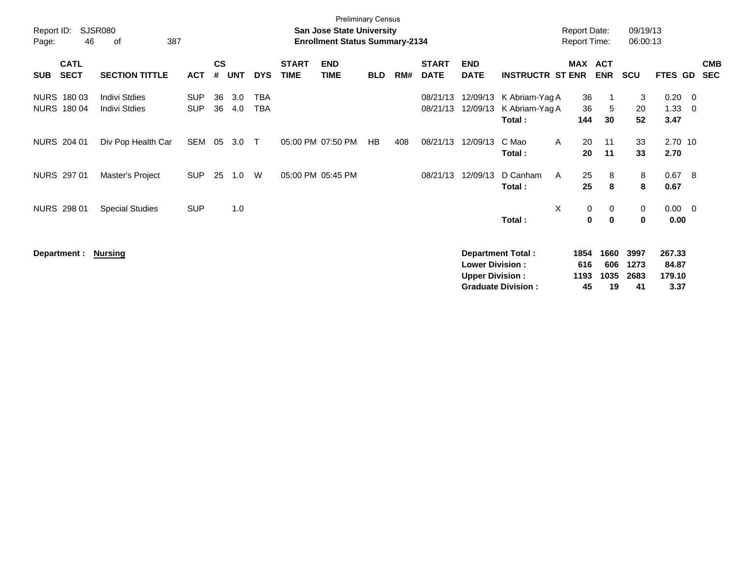| Report ID: |                                   | <b>SJSR080</b>                               |                          | <b>Report Date:</b> |            | 09/19/13                 |                             |                                       |            |     |                             |                                                  |                                                       |                           |                           |                            |                                   |                     |                          |
|------------|-----------------------------------|----------------------------------------------|--------------------------|---------------------|------------|--------------------------|-----------------------------|---------------------------------------|------------|-----|-----------------------------|--------------------------------------------------|-------------------------------------------------------|---------------------------|---------------------------|----------------------------|-----------------------------------|---------------------|--------------------------|
| Page:      | 46                                | 387<br>οf                                    |                          |                     |            |                          |                             | <b>Enrollment Status Summary-2134</b> |            |     |                             |                                                  |                                                       | <b>Report Time:</b>       |                           | 06:00:13                   |                                   |                     |                          |
| <b>SUB</b> | <b>CATL</b><br><b>SECT</b>        | <b>SECTION TITTLE</b>                        | <b>ACT</b>               | $\mathsf{cs}$<br>#  | <b>UNT</b> | <b>DYS</b>               | <b>START</b><br><b>TIME</b> | <b>END</b><br><b>TIME</b>             | <b>BLD</b> | RM# | <b>START</b><br><b>DATE</b> | <b>END</b><br><b>DATE</b>                        | <b>INSTRUCTR ST ENR</b>                               | MAX                       | <b>ACT</b><br><b>ENR</b>  | <b>SCU</b>                 | FTES GD                           |                     | <b>CMB</b><br><b>SEC</b> |
|            | NURS 180 03<br><b>NURS 180 04</b> | <b>Indivi Stdies</b><br><b>Indivi Stdies</b> | <b>SUP</b><br><b>SUP</b> | 36<br>36            | 3.0<br>4.0 | <b>TBA</b><br><b>TBA</b> |                             |                                       |            |     | 08/21/13<br>08/21/13        | 12/09/13<br>12/09/13                             | K Abriam-Yag A<br>K Abriam-Yag A<br>Total:            | 36<br>36<br>144           | $\mathbf 1$<br>5<br>30    | 3<br>20<br>52              | 0.20<br>1.33<br>3.47              | $\overline{0}$<br>0 |                          |
|            | NURS 204 01                       | Div Pop Health Car                           | SEM                      | 05                  | 3.0        | $\top$                   |                             | 05:00 PM 07:50 PM                     | HB         | 408 | 08/21/13                    | 12/09/13                                         | C Mao<br>Total:                                       | 20<br>A<br>20             | 11<br>11                  | 33<br>33                   | 2.70 10<br>2.70                   |                     |                          |
|            | NURS 297 01                       | Master's Project                             | <b>SUP</b>               | 25                  | 1.0        | W                        | 05:00 PM 05:45 PM           |                                       |            |     | 08/21/13                    | 12/09/13                                         | D Canham<br>Total:                                    | 25<br>$\mathsf{A}$<br>25  | 8<br>8                    | 8<br>8                     | 0.67<br>0.67                      | -8                  |                          |
|            | <b>NURS 298 01</b>                | <b>Special Studies</b>                       | <b>SUP</b>               |                     | 1.0        |                          |                             |                                       |            |     |                             |                                                  | Total:                                                | X<br>0<br>$\bf{0}$        | 0<br>$\mathbf 0$          | 0<br>0                     | 0.00<br>0.00                      | $\overline{0}$      |                          |
|            | Department :                      | <b>Nursing</b>                               |                          |                     |            |                          |                             |                                       |            |     |                             | <b>Lower Division:</b><br><b>Upper Division:</b> | <b>Department Total:</b><br><b>Graduate Division:</b> | 1854<br>616<br>1193<br>45 | 1660<br>606<br>1035<br>19 | 3997<br>1273<br>2683<br>41 | 267.33<br>84.87<br>179.10<br>3.37 |                     |                          |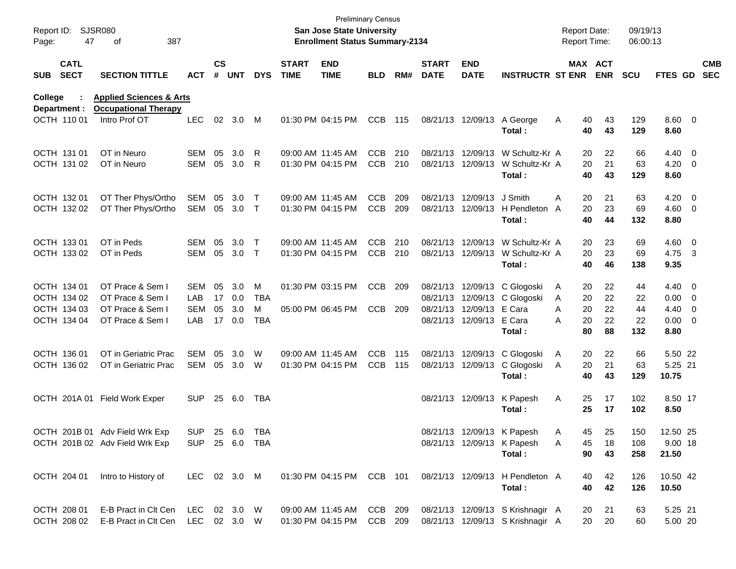| Report ID:<br>Page: | 47                         | <b>SJSR080</b><br>387<br>οf                                       |                |               |        |            |                             | <b>Preliminary Census</b><br><b>San Jose State University</b><br><b>Enrollment Status Summary-2134</b> |            |     |                             |                           |                                                            | <b>Report Date:</b><br><b>Report Time:</b> |          | 09/19/13<br>06:00:13 |                |                          |
|---------------------|----------------------------|-------------------------------------------------------------------|----------------|---------------|--------|------------|-----------------------------|--------------------------------------------------------------------------------------------------------|------------|-----|-----------------------------|---------------------------|------------------------------------------------------------|--------------------------------------------|----------|----------------------|----------------|--------------------------|
| <b>SUB</b>          | <b>CATL</b><br><b>SECT</b> | <b>SECTION TITTLE</b>                                             | <b>ACT</b>     | $\mathsf{cs}$ | # UNT  | <b>DYS</b> | <b>START</b><br><b>TIME</b> | <b>END</b><br><b>TIME</b>                                                                              | <b>BLD</b> | RM# | <b>START</b><br><b>DATE</b> | <b>END</b><br><b>DATE</b> | <b>INSTRUCTR ST ENR ENR</b>                                |                                            | MAX ACT  | <b>SCU</b>           | FTES GD        | <b>CMB</b><br><b>SEC</b> |
| College             | Department :               | <b>Applied Sciences &amp; Arts</b><br><b>Occupational Therapy</b> |                |               |        |            |                             |                                                                                                        |            |     |                             |                           |                                                            |                                            |          |                      |                |                          |
|                     | OCTH 110 01                | Intro Prof OT                                                     | <b>LEC</b>     | 02            | 3.0    | M          |                             | 01:30 PM 04:15 PM                                                                                      | <b>CCB</b> | 115 |                             | 08/21/13 12/09/13         | A George<br>Total:                                         | 40<br>A<br>40                              | 43<br>43 | 129<br>129           | 8.60 0<br>8.60 |                          |
|                     | OCTH 131 01                | OT in Neuro                                                       | SEM            | 05            | 3.0    | R          |                             | 09:00 AM 11:45 AM                                                                                      | <b>CCB</b> | 210 |                             |                           | 08/21/13 12/09/13 W Schultz-Kr A                           | 20                                         | 22       | 66                   | $4.40 \ 0$     |                          |
|                     | OCTH 131 02                | OT in Neuro                                                       | SEM            | 05            | 3.0    | R          |                             | 01:30 PM 04:15 PM                                                                                      | <b>CCB</b> | 210 |                             |                           | 08/21/13 12/09/13 W Schultz-Kr A                           | 20                                         | 21       | 63                   | $4.20 \ 0$     |                          |
|                     |                            |                                                                   |                |               |        |            |                             |                                                                                                        |            |     |                             |                           | Total:                                                     | 40                                         | 43       | 129                  | 8.60           |                          |
|                     | OCTH 132 01                | OT Ther Phys/Ortho                                                | SEM            | 05            | 3.0    | $\top$     |                             | 09:00 AM 11:45 AM                                                                                      | <b>CCB</b> | 209 |                             | 08/21/13 12/09/13         | J Smith                                                    | A<br>20                                    | 21       | 63                   | $4.20 \ 0$     |                          |
|                     | OCTH 132 02                | OT Ther Phys/Ortho                                                | SEM            | 05            | 3.0    | $\top$     |                             | 01:30 PM 04:15 PM                                                                                      | <b>CCB</b> | 209 |                             |                           | 08/21/13 12/09/13 H Pendleton A                            | 20                                         | 23       | 69                   | $4.60$ 0       |                          |
|                     |                            |                                                                   |                |               |        |            |                             |                                                                                                        |            |     |                             |                           | Total:                                                     | 40                                         | 44       | 132                  | 8.80           |                          |
|                     | OCTH 133 01                | OT in Peds                                                        | SEM            | 05            | 3.0    | $\top$     |                             | 09:00 AM 11:45 AM                                                                                      | <b>CCB</b> | 210 |                             | 08/21/13 12/09/13         | W Schultz-Kr A                                             | 20                                         | 23       | 69                   | $4.60$ 0       |                          |
|                     | OCTH 133 02                | OT in Peds                                                        | SEM            | 05            | 3.0    | $\top$     |                             | 01:30 PM 04:15 PM                                                                                      | <b>CCB</b> | 210 |                             |                           | 08/21/13 12/09/13 W Schultz-Kr A                           | 20                                         | 23       | 69                   | 4.75 3         |                          |
|                     |                            |                                                                   |                |               |        |            |                             |                                                                                                        |            |     |                             |                           | Total:                                                     | 40                                         | 46       | 138                  | 9.35           |                          |
|                     | OCTH 134 01                | OT Prace & Sem I                                                  | SEM            | 05            | 3.0    | м          |                             | 01:30 PM 03:15 PM                                                                                      | <b>CCB</b> | 209 |                             |                           | 08/21/13 12/09/13 C Glogoski                               | 20<br>A                                    | 22       | 44                   | 4.40 0         |                          |
|                     | OCTH 134 02                | OT Prace & Sem I                                                  | LAB            |               | 17 0.0 | <b>TBA</b> |                             |                                                                                                        |            |     |                             |                           | 08/21/13 12/09/13 C Glogoski                               | 20<br>A                                    | 22       | 22                   | $0.00 \t 0$    |                          |
|                     | OCTH 134 03                | OT Prace & Sem I                                                  | <b>SEM</b>     | 05            | 3.0    | M          |                             | 05:00 PM 06:45 PM                                                                                      | <b>CCB</b> | 209 |                             | 08/21/13 12/09/13 E Cara  |                                                            | 20<br>A                                    | 22       | 44                   | $4.40 \ 0$     |                          |
|                     | OCTH 134 04                | OT Prace & Sem I                                                  | LAB            |               | 17 0.0 | TBA        |                             |                                                                                                        |            |     |                             | 08/21/13 12/09/13 E Cara  |                                                            | 20<br>A                                    | 22       | 22                   | $0.00 \t 0$    |                          |
|                     |                            |                                                                   |                |               |        |            |                             |                                                                                                        |            |     |                             |                           | Total:                                                     | 80                                         | 88       | 132                  | 8.80           |                          |
|                     | OCTH 136 01                | OT in Geriatric Prac                                              | SEM            | 05            | 3.0    | W          |                             | 09:00 AM 11:45 AM                                                                                      | <b>CCB</b> | 115 |                             | 08/21/13 12/09/13         | C Glogoski                                                 | 20<br>A                                    | 22       | 66                   | 5.50 22        |                          |
|                     | OCTH 136 02                | OT in Geriatric Prac                                              | SEM            |               | 05 3.0 | W          |                             | 01:30 PM 04:15 PM                                                                                      | <b>CCB</b> | 115 |                             | 08/21/13 12/09/13         | C Glogoski                                                 | 20<br>A                                    | 21       | 63                   | 5.25 21        |                          |
|                     |                            |                                                                   |                |               |        |            |                             |                                                                                                        |            |     |                             |                           | Total:                                                     | 40                                         | 43       | 129                  | 10.75          |                          |
|                     |                            | OCTH 201A 01 Field Work Exper                                     | <b>SUP</b>     | 25            | 6.0    | TBA        |                             |                                                                                                        |            |     |                             | 08/21/13 12/09/13         | K Papesh                                                   | 25<br>A                                    | 17       | 102                  | 8.50 17        |                          |
|                     |                            |                                                                   |                |               |        |            |                             |                                                                                                        |            |     |                             |                           | Total:                                                     | 25                                         | 17       | 102                  | 8.50           |                          |
|                     |                            | OCTH 201B 01 Adv Field Wrk Exp                                    | SUP 25 6.0     |               |        | TBA        |                             |                                                                                                        |            |     |                             |                           | 08/21/13 12/09/13 K Papesh                                 | A                                          | 45<br>25 | 150                  | 12.50 25       |                          |
|                     |                            | OCTH 201B 02 Adv Field Wrk Exp                                    | SUP 25 6.0 TBA |               |        |            |                             |                                                                                                        |            |     |                             |                           | 08/21/13 12/09/13 K Papesh A                               | 45                                         | 18       | 108                  | $9.00$ 18      |                          |
|                     |                            |                                                                   |                |               |        |            |                             |                                                                                                        |            |     |                             |                           | Total:                                                     | 90                                         | 43       | 258                  | 21.50          |                          |
|                     |                            | OCTH 204 01 Intro to History of                                   | LEC 02 3.0 M   |               |        |            |                             |                                                                                                        |            |     |                             |                           | 01:30 PM 04:15 PM CCB 101 08/21/13 12/09/13 H Pendleton A  | 40                                         | 42       | 126                  | 10.50 42       |                          |
|                     |                            |                                                                   |                |               |        |            |                             |                                                                                                        |            |     |                             |                           | Total:                                                     | 40                                         | 42       | 126                  | 10.50          |                          |
|                     | OCTH 208 01                | E-B Pract in Clt Cen LEC 02 3.0 W                                 |                |               |        |            |                             | 09:00 AM 11:45 AM CCB 209                                                                              |            |     |                             |                           | 08/21/13 12/09/13 S Krishnagir A                           |                                            | 20 21    | 63                   | 5.25 21        |                          |
|                     |                            | OCTH 208 02 E-B Pract in Clt Cen LEC 02 3.0 W                     |                |               |        |            |                             |                                                                                                        |            |     |                             |                           | 01:30 PM 04:15 PM CCB 209 08/21/13 12/09/13 S Krishnagir A |                                            | 20 20    | 60                   | 5.00 20        |                          |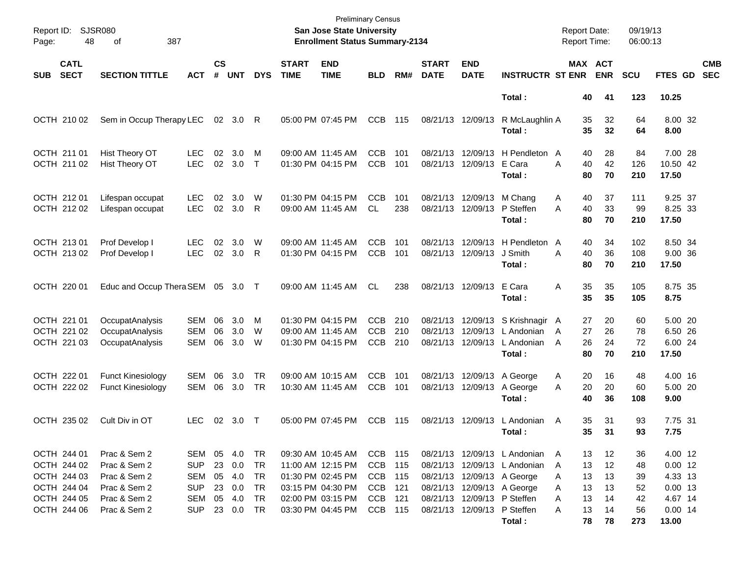| Report ID:<br>Page: | <b>SJSR080</b><br>48                                                                   |                                                                                              |                                                                    |                    |                                                    |                                   | <b>Preliminary Census</b><br><b>San Jose State University</b><br><b>Enrollment Status Summary-2134</b> |                                                                                                                            |                                                           |                   |                             |                                        | <b>Report Date:</b><br><b>Report Time:</b>                                                                                                                                             |                                                                | 09/19/13<br>06:00:13             |                                  |                                                                      |                          |
|---------------------|----------------------------------------------------------------------------------------|----------------------------------------------------------------------------------------------|--------------------------------------------------------------------|--------------------|----------------------------------------------------|-----------------------------------|--------------------------------------------------------------------------------------------------------|----------------------------------------------------------------------------------------------------------------------------|-----------------------------------------------------------|-------------------|-----------------------------|----------------------------------------|----------------------------------------------------------------------------------------------------------------------------------------------------------------------------------------|----------------------------------------------------------------|----------------------------------|----------------------------------|----------------------------------------------------------------------|--------------------------|
| <b>SUB</b>          | <b>CATL</b><br><b>SECT</b>                                                             | <b>SECTION TITTLE</b>                                                                        | <b>ACT</b>                                                         | $\mathsf{cs}$<br># | <b>UNT</b>                                         | <b>DYS</b>                        | <b>START</b><br><b>TIME</b>                                                                            | <b>END</b><br><b>TIME</b>                                                                                                  | <b>BLD</b>                                                | RM#               | <b>START</b><br><b>DATE</b> | <b>END</b><br><b>DATE</b>              | <b>INSTRUCTR ST ENR</b>                                                                                                                                                                |                                                                | MAX ACT<br><b>ENR</b>            | <b>SCU</b>                       | <b>FTES GD</b>                                                       | <b>CMB</b><br><b>SEC</b> |
|                     |                                                                                        |                                                                                              |                                                                    |                    |                                                    |                                   |                                                                                                        |                                                                                                                            |                                                           |                   |                             |                                        | Total:                                                                                                                                                                                 | 40                                                             | 41                               | 123                              | 10.25                                                                |                          |
|                     | OCTH 210 02                                                                            | Sem in Occup Therapy LEC                                                                     |                                                                    |                    | 02 3.0 R                                           |                                   |                                                                                                        | 05:00 PM 07:45 PM                                                                                                          | <b>CCB</b>                                                | 115               |                             | 08/21/13 12/09/13                      | R McLaughlin A<br>Total:                                                                                                                                                               | 35<br>35                                                       | 32<br>32                         | 64<br>64                         | 8.00 32<br>8.00                                                      |                          |
|                     | OCTH 211 01<br>OCTH 211 02                                                             | Hist Theory OT<br>Hist Theory OT                                                             | <b>LEC</b><br><b>LEC</b>                                           | 02                 | 3.0<br>02 3.0                                      | M<br>$\top$                       |                                                                                                        | 09:00 AM 11:45 AM<br>01:30 PM 04:15 PM                                                                                     | <b>CCB</b><br><b>CCB</b>                                  | 101<br>101        |                             | 08/21/13 12/09/13<br>08/21/13 12/09/13 | H Pendleton A<br>E Cara<br>Total:                                                                                                                                                      | 40<br>40<br>A<br>80                                            | 28<br>42<br>70                   | 84<br>126<br>210                 | 7.00 28<br>10.50 42<br>17.50                                         |                          |
|                     | OCTH 212 01<br>OCTH 212 02                                                             | Lifespan occupat<br>Lifespan occupat                                                         | <b>LEC</b><br><b>LEC</b>                                           | 02                 | 3.0<br>02 3.0                                      | W<br>R                            |                                                                                                        | 01:30 PM 04:15 PM<br>09:00 AM 11:45 AM                                                                                     | <b>CCB</b><br>CL                                          | 101<br>238        |                             | 08/21/13 12/09/13<br>08/21/13 12/09/13 | M Chang<br>P Steffen<br>Total:                                                                                                                                                         | 40<br>A<br>A<br>40<br>80                                       | 37<br>33<br>70                   | 111<br>99<br>210                 | 9.25 37<br>8.25 33<br>17.50                                          |                          |
|                     | OCTH 213 01<br>OCTH 213 02                                                             | Prof Develop I<br>Prof Develop I                                                             | LEC.<br><b>LEC</b>                                                 | 02                 | 3.0<br>02 3.0                                      | W<br>R                            |                                                                                                        | 09:00 AM 11:45 AM<br>01:30 PM 04:15 PM                                                                                     | <b>CCB</b><br><b>CCB</b>                                  | 101<br>101        |                             | 08/21/13 12/09/13<br>08/21/13 12/09/13 | H Pendleton<br>J Smith<br>Total:                                                                                                                                                       | 40<br>A<br>40<br>A<br>80                                       | 34<br>36<br>70                   | 102<br>108<br>210                | 8.50 34<br>9.00 36<br>17.50                                          |                          |
|                     | OCTH 220 01                                                                            | Educ and Occup Thera SEM 05 3.0 T                                                            |                                                                    |                    |                                                    |                                   |                                                                                                        | 09:00 AM 11:45 AM                                                                                                          | CL.                                                       | 238               |                             | 08/21/13 12/09/13                      | E Cara<br>Total:                                                                                                                                                                       | 35<br>Α<br>35                                                  | 35<br>35                         | 105<br>105                       | 8.75 35<br>8.75                                                      |                          |
|                     | OCTH 221 01<br>OCTH 221 02<br>OCTH 221 03                                              | OccupatAnalysis<br>OccupatAnalysis<br>OccupatAnalysis                                        | <b>SEM</b><br><b>SEM</b><br><b>SEM</b>                             | 06<br>06<br>06     | 3.0<br>3.0<br>3.0                                  | M<br>W<br>W                       |                                                                                                        | 01:30 PM 04:15 PM<br>09:00 AM 11:45 AM<br>01:30 PM 04:15 PM                                                                | <b>CCB</b><br><b>CCB</b><br><b>CCB</b>                    | 210<br>210<br>210 | 08/21/13                    | 12/09/13<br>08/21/13 12/09/13          | 08/21/13 12/09/13 S Krishnagir A<br>L Andonian<br>L Andonian<br>Total:                                                                                                                 | 27<br>27<br>A<br>26<br>A<br>80                                 | 20<br>26<br>24<br>70             | 60<br>78<br>72<br>210            | 5.00 20<br>6.50 26<br>6.00 24<br>17.50                               |                          |
|                     | OCTH 222 01<br>OCTH 222 02                                                             | <b>Funct Kinesiology</b><br><b>Funct Kinesiology</b>                                         | <b>SEM</b><br>SEM                                                  | 06<br>06           | 3.0<br>3.0                                         | <b>TR</b><br>TR                   |                                                                                                        | 09:00 AM 10:15 AM<br>10:30 AM 11:45 AM                                                                                     | <b>CCB</b><br><b>CCB</b>                                  | 101<br>101        |                             | 08/21/13 12/09/13                      | 08/21/13 12/09/13 A George<br>A George<br>Total:                                                                                                                                       | 20<br>A<br>20<br>A<br>40                                       | 16<br>20<br>36                   | 48<br>60<br>108                  | 4.00 16<br>5.00 20<br>9.00                                           |                          |
|                     | OCTH 235 02                                                                            | Cult Div in OT                                                                               | LEC.                                                               |                    | 02 3.0                                             | $\top$                            |                                                                                                        | 05:00 PM 07:45 PM                                                                                                          | <b>CCB</b>                                                | 115               |                             | 08/21/13 12/09/13                      | L Andonian<br>Total :                                                                                                                                                                  | 35<br>A<br>35                                                  | 31<br>31                         | 93<br>93                         | 7.75 31<br>7.75                                                      |                          |
|                     | OCTH 244 01<br>OCTH 244 02<br>OCTH 244 03<br>OCTH 244 04<br>OCTH 244 05<br>OCTH 244 06 | Prac & Sem 2<br>Prac & Sem 2<br>Prac & Sem 2<br>Prac & Sem 2<br>Prac & Sem 2<br>Prac & Sem 2 | SEM<br><b>SUP</b><br>SEM<br><b>SUP</b><br><b>SEM</b><br><b>SUP</b> | 23<br>05           | 05 4.0<br>23 0.0<br>05 4.0<br>0.0<br>4.0<br>23 0.0 | TR.<br>TR<br>TR<br>TR<br>TR<br>TR |                                                                                                        | 09:30 AM 10:45 AM<br>11:00 AM 12:15 PM<br>01:30 PM 02:45 PM<br>03:15 PM 04:30 PM<br>02:00 PM 03:15 PM<br>03:30 PM 04:45 PM | CCB 115<br>CCB<br>CCB 115<br><b>CCB</b><br>CCB<br>CCB 115 | 115<br>121<br>121 |                             |                                        | 08/21/13 12/09/13 L Andonian<br>08/21/13 12/09/13 L Andonian<br>08/21/13 12/09/13 A George<br>08/21/13 12/09/13 A George<br>08/21/13 12/09/13 P Steffen<br>08/21/13 12/09/13 P Steffen | 13<br>A<br>13<br>A<br>13<br>A<br>13<br>A<br>13<br>A<br>13<br>A | 12<br>12<br>13<br>13<br>14<br>14 | 36<br>48<br>39<br>52<br>42<br>56 | 4.00 12<br>$0.00$ 12<br>4.33 13<br>$0.00$ 13<br>4.67 14<br>$0.00$ 14 |                          |
|                     |                                                                                        |                                                                                              |                                                                    |                    |                                                    |                                   |                                                                                                        |                                                                                                                            |                                                           |                   |                             |                                        | Total:                                                                                                                                                                                 | 78                                                             | 78                               | 273                              | 13.00                                                                |                          |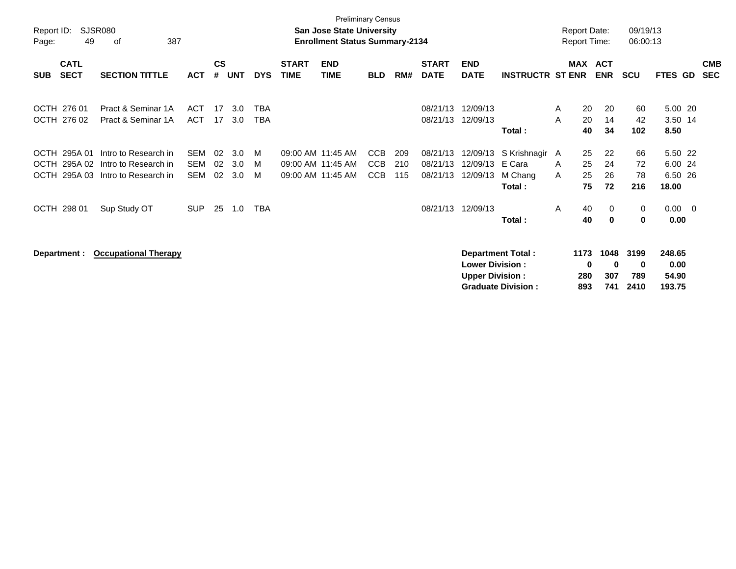| Report ID:<br>Page:        | 49                                 | <b>SJSR080</b><br>387<br>οf                                          |                          |                |                   |                          |                             | <b>Preliminary Census</b><br><b>San Jose State University</b><br><b>Enrollment Status Summary-2134</b> |                                 |                   |                                  |                                                  |                                                       |        | <b>Report Date:</b>     | <b>Report Time:</b>     | 09/19/13<br>06:00:13     |                                        |                          |                          |
|----------------------------|------------------------------------|----------------------------------------------------------------------|--------------------------|----------------|-------------------|--------------------------|-----------------------------|--------------------------------------------------------------------------------------------------------|---------------------------------|-------------------|----------------------------------|--------------------------------------------------|-------------------------------------------------------|--------|-------------------------|-------------------------|--------------------------|----------------------------------------|--------------------------|--------------------------|
| <b>SUB</b>                 | <b>CATL</b><br><b>SECT</b>         | <b>SECTION TITTLE</b>                                                | <b>ACT</b>               | <b>CS</b><br># | <b>UNT</b>        | <b>DYS</b>               | <b>START</b><br><b>TIME</b> | <b>END</b><br><b>TIME</b>                                                                              | <b>BLD</b>                      | RM#               | <b>START</b><br><b>DATE</b>      | <b>END</b><br><b>DATE</b>                        | <b>INSTRUCTR ST ENR</b>                               |        |                         | MAX ACT<br><b>ENR</b>   | <b>SCU</b>               | FTES GD                                |                          | <b>CMB</b><br><b>SEC</b> |
|                            | OCTH 276 01<br>OCTH 276 02         | Pract & Seminar 1A<br>Pract & Seminar 1A                             | ACT<br><b>ACT</b>        | 17<br>17       | 3.0<br>3.0        | <b>TBA</b><br><b>TBA</b> |                             |                                                                                                        |                                 |                   | 08/21/13<br>08/21/13             | 12/09/13<br>12/09/13                             | Total:                                                | A<br>A | 20<br>20<br>40          | 20<br>14<br>34          | 60<br>42<br>102          | 5.00 20<br>3.50 14<br>8.50             |                          |                          |
| <b>OCTH</b><br><b>OCTH</b> | OCTH 295A 01<br>295A 02<br>295A 03 | Intro to Research in<br>Intro to Research in<br>Intro to Research in | <b>SEM</b><br>SEM<br>SEM | 02<br>02<br>02 | 3.0<br>3.0<br>3.0 | M<br>M<br>M              |                             | 09:00 AM 11:45 AM<br>09:00 AM 11:45 AM<br>09:00 AM 11:45 AM                                            | CCB<br><b>CCB</b><br><b>CCB</b> | 209<br>210<br>115 | 08/21/13<br>08/21/13<br>08/21/13 | 12/09/13<br>12/09/13<br>12/09/13                 | S Krishnagir A<br>E Cara<br>M Chang<br>Total:         | A<br>A | 25<br>25<br>25<br>75    | 22<br>24<br>26<br>72    | 66<br>72<br>78<br>216    | 5.50 22<br>6.00 24<br>6.50 26<br>18.00 |                          |                          |
|                            | OCTH 298 01                        | Sup Study OT                                                         | <b>SUP</b>               | 25             | 1.0               | TBA                      |                             |                                                                                                        |                                 |                   | 08/21/13                         | 12/09/13                                         | Total:                                                | A      | 40<br>40                | 0<br>0                  | 0<br>0                   | 0.00<br>0.00                           | $\overline{\phantom{0}}$ |                          |
|                            | Department :                       | <b>Occupational Therapy</b>                                          |                          |                |                   |                          |                             |                                                                                                        |                                 |                   |                                  | <b>Lower Division:</b><br><b>Upper Division:</b> | <b>Department Total:</b><br><b>Graduate Division:</b> |        | 1173<br>0<br>280<br>893 | 1048<br>0<br>307<br>741 | 3199<br>0<br>789<br>2410 | 248.65<br>0.00<br>54.90<br>193.75      |                          |                          |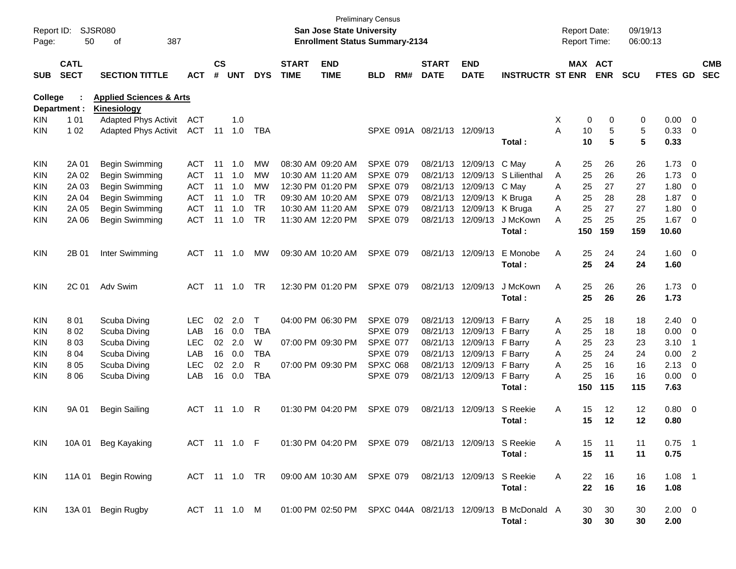| Report ID:<br>Page: | 50                         | <b>SJSR080</b><br>387<br>of                              |                   |                    |            |                 |                             | San Jose State University<br><b>Enrollment Status Summary-2134</b> | <b>Preliminary Census</b>   |     |                             |                            |                         | <b>Report Date:</b><br>Report Time: |            | 09/19/13<br>06:00:13 |              |                          |
|---------------------|----------------------------|----------------------------------------------------------|-------------------|--------------------|------------|-----------------|-----------------------------|--------------------------------------------------------------------|-----------------------------|-----|-----------------------------|----------------------------|-------------------------|-------------------------------------|------------|----------------------|--------------|--------------------------|
| <b>SUB</b>          | <b>CATL</b><br><b>SECT</b> | <b>SECTION TITTLE</b>                                    | <b>ACT</b>        | $\mathsf{cs}$<br># | <b>UNT</b> | <b>DYS</b>      | <b>START</b><br><b>TIME</b> | <b>END</b><br><b>TIME</b>                                          | <b>BLD</b>                  | RM# | <b>START</b><br><b>DATE</b> | <b>END</b><br><b>DATE</b>  | <b>INSTRUCTR ST ENR</b> | <b>MAX ACT</b>                      | <b>ENR</b> | SCU                  | FTES GD      | <b>CMB</b><br><b>SEC</b> |
| <b>College</b>      | Department :               | <b>Applied Sciences &amp; Arts</b><br><b>Kinesiology</b> |                   |                    |            |                 |                             |                                                                    |                             |     |                             |                            |                         |                                     |            |                      |              |                          |
| KIN.                | 1 0 1                      | <b>Adapted Phys Activit</b>                              | <b>ACT</b>        |                    | 1.0        |                 |                             |                                                                    |                             |     |                             |                            |                         | X<br>0                              | 0          | 0                    | 0.00         | - 0                      |
| KIN.                | 1 0 2                      | Adapted Phys Activit                                     | <b>ACT</b>        | 11                 | 1.0        | TBA             |                             |                                                                    |                             |     | SPXE 091A 08/21/13 12/09/13 |                            |                         | 10<br>Α                             | 5          | 5                    | 0.33         | - 0                      |
|                     |                            |                                                          |                   |                    |            |                 |                             |                                                                    |                             |     |                             |                            | Total:                  | 10                                  | 5          | 5                    | 0.33         |                          |
| <b>KIN</b>          | 2A 01                      | Begin Swimming                                           | ACT               | 11                 | 1.0        | MW              |                             | 08:30 AM 09:20 AM                                                  | <b>SPXE 079</b>             |     | 08/21/13                    | 12/09/13 C May             |                         | 25<br>Α                             | 26         | 26                   | 1.73         | - 0                      |
| KIN.                | 2A 02                      | Begin Swimming                                           | <b>ACT</b>        | 11                 | 1.0        | <b>MW</b>       |                             | 10:30 AM 11:20 AM                                                  | <b>SPXE 079</b>             |     | 08/21/13                    |                            | 12/09/13 S Lilienthal   | 25<br>A                             | 26         | 26                   | 1.73         | - 0                      |
| KIN.                | 2A 03                      | Begin Swimming                                           | <b>ACT</b>        | 11                 | 1.0        | <b>MW</b>       |                             | 12:30 PM 01:20 PM                                                  | <b>SPXE 079</b>             |     | 08/21/13                    | 12/09/13                   | C May                   | 25<br>A                             | 27         | 27                   | 1.80         | 0                        |
| KIN.                | 2A 04                      | Begin Swimming                                           | <b>ACT</b>        | 11                 | 1.0        | <b>TR</b>       |                             | 09:30 AM 10:20 AM                                                  | <b>SPXE 079</b>             |     | 08/21/13                    | 12/09/13                   | K Bruga                 | 25<br>Α                             | 28         | 28                   | 1.87         | - 0                      |
| KIN.                | 2A 05                      | Begin Swimming                                           | <b>ACT</b>        | 11                 | 1.0        | <b>TR</b>       |                             | 10:30 AM 11:20 AM                                                  | <b>SPXE 079</b>             |     | 08/21/13                    | 12/09/13                   | K Bruga                 | 25<br>A                             | 27         | 27                   | 1.80         | 0                        |
| KIN.                | 2A 06                      | <b>Begin Swimming</b>                                    | <b>ACT</b>        | 11                 | 1.0        | <b>TR</b>       |                             | 11:30 AM 12:20 PM                                                  | <b>SPXE 079</b>             |     | 08/21/13                    | 12/09/13                   | J McKown                | 25<br>A                             | 25         | 25                   | 1.67         | - 0                      |
|                     |                            |                                                          |                   |                    |            |                 |                             |                                                                    |                             |     |                             |                            | Total:                  | 150                                 | 159        | 159                  | 10.60        |                          |
| <b>KIN</b>          | 2B 01                      | Inter Swimming                                           | ACT               |                    | 11  1.0    | МW              |                             | 09:30 AM 10:20 AM                                                  | <b>SPXE 079</b>             |     |                             | 08/21/13 12/09/13          | E Monobe                | 25<br>A                             | 24         | 24                   | $1.60 \ 0$   |                          |
|                     |                            |                                                          |                   |                    |            |                 |                             |                                                                    |                             |     |                             |                            | Total:                  | 25                                  | 24         | 24                   | 1.60         |                          |
| <b>KIN</b>          | 2C 01                      | Adv Swim                                                 | <b>ACT</b>        |                    | 11 1.0     | <b>TR</b>       |                             | 12:30 PM 01:20 PM                                                  | <b>SPXE 079</b>             |     |                             | 08/21/13 12/09/13          | J McKown                | 25<br>A                             | 26         | 26                   | $1.73 \ 0$   |                          |
|                     |                            |                                                          |                   |                    |            |                 |                             |                                                                    |                             |     |                             |                            | Total:                  | 25                                  | 26         | 26                   | 1.73         |                          |
|                     |                            |                                                          |                   |                    |            |                 |                             |                                                                    |                             |     |                             |                            |                         |                                     |            |                      |              |                          |
| <b>KIN</b>          | 801                        | Scuba Diving                                             | LEC.              | 02                 | 2.0        | T               |                             | 04:00 PM 06:30 PM                                                  | <b>SPXE 079</b>             |     | 08/21/13                    | 12/09/13 F Barry           |                         | 25<br>Α                             | 18         | 18                   | $2.40 \ 0$   |                          |
| KIN.                | 802                        | Scuba Diving                                             | LAB<br><b>LEC</b> | 16<br>02           | 0.0<br>2.0 | <b>TBA</b><br>W |                             |                                                                    | <b>SPXE 079</b>             |     | 08/21/13                    | 12/09/13                   | F Barry                 | 25<br>Α                             | 18         | 18                   | 0.00         | $\overline{0}$           |
| KIN.<br>KIN.        | 803                        | Scuba Diving                                             | LAB               | 16                 | 0.0        | <b>TBA</b>      |                             | 07:00 PM 09:30 PM                                                  | SPXE 077<br><b>SPXE 079</b> |     | 08/21/13<br>08/21/13        | 12/09/13<br>12/09/13       | F Barry                 | 25<br>A<br>25<br>A                  | 23<br>24   | 23<br>24             | 3.10<br>0.00 | -1<br>$\overline{2}$     |
| KIN.                | 804<br>805                 | Scuba Diving<br>Scuba Diving                             | <b>LEC</b>        | 02                 | 2.0        | R               |                             | 07:00 PM 09:30 PM                                                  | <b>SPXC 068</b>             |     | 08/21/13                    | 12/09/13                   | F Barry<br>F Barry      | 25<br>A                             | 16         | 16                   | 2.13         | $\overline{0}$           |
| KIN.                | 8 0 6                      | Scuba Diving                                             | LAB               | 16                 | 0.0        | <b>TBA</b>      |                             |                                                                    | <b>SPXE 079</b>             |     |                             | 08/21/13 12/09/13          | F Barry                 | 25<br>Α                             | 16         | 16                   | 0.00         | - 0                      |
|                     |                            |                                                          |                   |                    |            |                 |                             |                                                                    |                             |     |                             |                            | Total:                  | 150                                 | 115        | 115                  | 7.63         |                          |
|                     |                            |                                                          |                   |                    |            |                 |                             |                                                                    |                             |     |                             |                            |                         |                                     |            |                      |              |                          |
| <b>KIN</b>          | 9A 01                      | <b>Begin Sailing</b>                                     | <b>ACT</b>        | 11                 | 1.0        | R               |                             | 01:30 PM 04:20 PM                                                  | <b>SPXE 079</b>             |     | 08/21/13                    | 12/09/13                   | S Reekie                | Α<br>15                             | 12         | 12                   | $0.80 \ 0$   |                          |
|                     |                            |                                                          |                   |                    |            |                 |                             |                                                                    |                             |     |                             |                            | Total:                  | 15                                  | 12         | 12                   | 0.80         |                          |
| KIN.                |                            | 10A 01 Beg Kayaking                                      | ACT 11 1.0 F      |                    |            |                 |                             | 01:30 PM 04:20 PM SPXE 079                                         |                             |     |                             | 08/21/13 12/09/13 S Reekie |                         | 15<br>A                             | 11         | 11                   | $0.75$ 1     |                          |
|                     |                            |                                                          |                   |                    |            |                 |                             |                                                                    |                             |     |                             |                            | Total:                  | 15                                  | 11         | 11                   | 0.75         |                          |
| KIN                 |                            | 11A 01 Begin Rowing                                      | ACT 11 1.0 TR     |                    |            |                 |                             | 09:00 AM 10:30 AM SPXE 079                                         |                             |     |                             | 08/21/13 12/09/13 S Reekie |                         | Α<br>22                             | 16         | 16                   | $1.08$ 1     |                          |
|                     |                            |                                                          |                   |                    |            |                 |                             |                                                                    |                             |     |                             |                            | Total:                  | 22                                  | 16         | 16                   | 1.08         |                          |
|                     |                            | 13A 01 Begin Rugby                                       | ACT 11 1.0 M      |                    |            |                 |                             | 01:00 PM 02:50 PM SPXC 044A 08/21/13 12/09/13                      |                             |     |                             |                            | B McDonald A            |                                     |            |                      | $2.00 \t 0$  |                          |
| KIN                 |                            |                                                          |                   |                    |            |                 |                             |                                                                    |                             |     |                             |                            | Total:                  | 30<br>30                            | 30<br>30   | 30<br>30             | 2.00         |                          |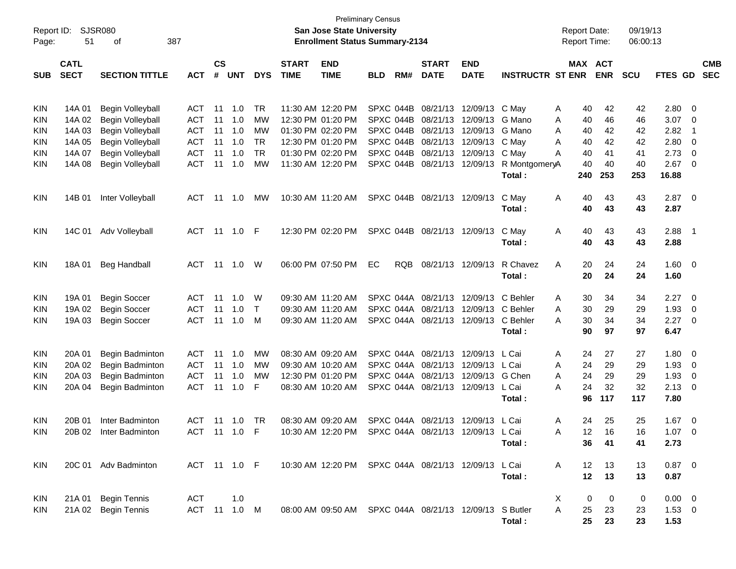| Report ID: |             | SJSR080               |              |               |            |            |              | <b>San Jose State University</b>                       | <b>Preliminary Census</b> |            |                   |                                   |                         | <b>Report Date:</b> |     |            | 09/19/13   |             |                          |            |
|------------|-------------|-----------------------|--------------|---------------|------------|------------|--------------|--------------------------------------------------------|---------------------------|------------|-------------------|-----------------------------------|-------------------------|---------------------|-----|------------|------------|-------------|--------------------------|------------|
| Page:      | 51          | 387<br>οf             |              |               |            |            |              | <b>Enrollment Status Summary-2134</b>                  |                           |            |                   |                                   |                         | <b>Report Time:</b> |     |            | 06:00:13   |             |                          |            |
|            | <b>CATL</b> |                       |              | $\mathsf{cs}$ |            |            | <b>START</b> | <b>END</b>                                             |                           |            | <b>START</b>      | <b>END</b>                        |                         |                     |     | MAX ACT    |            |             |                          | <b>CMB</b> |
| <b>SUB</b> | <b>SECT</b> | <b>SECTION TITTLE</b> | <b>ACT</b>   | #             | <b>UNT</b> | <b>DYS</b> | <b>TIME</b>  | <b>TIME</b>                                            | <b>BLD</b>                | RM#        | <b>DATE</b>       | <b>DATE</b>                       | <b>INSTRUCTR ST ENR</b> |                     |     | <b>ENR</b> | <b>SCU</b> | FTES GD     |                          | <b>SEC</b> |
| <b>KIN</b> | 14A 01      | Begin Volleyball      | ACT          | 11            | 1.0        | TR         |              | 11:30 AM 12:20 PM                                      |                           | SPXC 044B  |                   | 08/21/13 12/09/13                 | C May                   | A                   | 40  | 42         | 42         | 2.80        | - 0                      |            |
| KIN        | 14A 02      | Begin Volleyball      | <b>ACT</b>   | 11            | 1.0        | MW         |              | 12:30 PM 01:20 PM                                      |                           | SPXC 044B  | 08/21/13 12/09/13 |                                   | G Mano                  | A                   | 40  | 46         | 46         | 3.07        | 0                        |            |
| KIN        | 14A 03      | Begin Volleyball      | <b>ACT</b>   | 11            | 1.0        | MW         |              | 01:30 PM 02:20 PM                                      |                           | SPXC 044B  | 08/21/13 12/09/13 |                                   | G Mano                  | A                   | 40  | 42         | 42         | 2.82        | $\mathbf 1$              |            |
| KIN        | 14A 05      | Begin Volleyball      | <b>ACT</b>   | 11            | 1.0        | TR         |              | 12:30 PM 01:20 PM                                      |                           | SPXC 044B  | 08/21/13 12/09/13 |                                   | C May                   | A                   | 40  | 42         | 42         | 2.80        | 0                        |            |
| KIN        | 14A 07      | Begin Volleyball      | <b>ACT</b>   | 11            | 1.0        | <b>TR</b>  |              | 01:30 PM 02:20 PM                                      |                           | SPXC 044B  | 08/21/13 12/09/13 |                                   | C May                   | A                   | 40  | 41         | 41         | 2.73        | 0                        |            |
| KIN        | 14A 08      | Begin Volleyball      | <b>ACT</b>   | 11            | 1.0        | MW         |              | 11:30 AM 12:20 PM                                      |                           | SPXC 044B  | 08/21/13 12/09/13 |                                   | R MontgomeryA           |                     | 40  | 40         | 40         | 2.67        | 0                        |            |
|            |             |                       |              |               |            |            |              |                                                        |                           |            |                   |                                   | Total:                  |                     | 240 | 253        | 253        | 16.88       |                          |            |
| KIN        | 14B 01      | Inter Volleyball      | ACT          | 11            | 1.0        | MW         |              | 10:30 AM 11:20 AM                                      |                           | SPXC 044B  | 08/21/13 12/09/13 |                                   | C May                   | Α                   | 40  | 43         | 43         | 2.87        | $\overline{\phantom{0}}$ |            |
|            |             |                       |              |               |            |            |              |                                                        |                           |            |                   |                                   | Total:                  |                     | 40  | 43         | 43         | 2.87        |                          |            |
| KIN        | 14C 01      | Adv Volleyball        | ACT          | 11            | 1.0        | -F         |              | 12:30 PM 02:20 PM                                      |                           | SPXC 044B  | 08/21/13 12/09/13 |                                   | C May                   | Α                   | 40  | 43         | 43         | 2.88        | - 1                      |            |
|            |             |                       |              |               |            |            |              |                                                        |                           |            |                   |                                   | Total:                  |                     | 40  | 43         | 43         | 2.88        |                          |            |
| KIN        | 18A 01      | <b>Beg Handball</b>   | ACT          | -11           | 1.0        | W          |              | 06:00 PM 07:50 PM                                      | EC                        | <b>RQB</b> | 08/21/13 12/09/13 |                                   | R Chavez                | Α                   | 20  | 24         | 24         | $1.60 \ 0$  |                          |            |
|            |             |                       |              |               |            |            |              |                                                        |                           |            |                   |                                   | Total:                  |                     | 20  | 24         | 24         | 1.60        |                          |            |
| <b>KIN</b> | 19A 01      | <b>Begin Soccer</b>   | <b>ACT</b>   | 11            | 1.0        | W          |              | 09:30 AM 11:20 AM                                      |                           | SPXC 044A  |                   | 08/21/13 12/09/13                 | C Behler                | A                   | 30  | 34         | 34         | 2.27        | $\overline{\mathbf{0}}$  |            |
| KIN        | 19A 02      | <b>Begin Soccer</b>   | <b>ACT</b>   | 11            | 1.0        | $\top$     |              | 09:30 AM 11:20 AM                                      |                           | SPXC 044A  |                   | 08/21/13 12/09/13                 | C Behler                | A                   | 30  | 29         | 29         | 1.93        | 0                        |            |
| KIN        | 19A 03      | <b>Begin Soccer</b>   | <b>ACT</b>   | 11            | 1.0        | M          |              | 09:30 AM 11:20 AM                                      |                           | SPXC 044A  | 08/21/13 12/09/13 |                                   | C Behler                | A                   | 30  | 34         | 34         | 2.27        | 0                        |            |
|            |             |                       |              |               |            |            |              |                                                        |                           |            |                   |                                   | Total:                  |                     | 90  | 97         | 97         | 6.47        |                          |            |
| <b>KIN</b> | 20A 01      | Begin Badminton       | ACT          | 11            | 1.0        | MW         |              | 08:30 AM 09:20 AM                                      |                           | SPXC 044A  | 08/21/13          | 12/09/13                          | L Cai                   | A                   | 24  | 27         | 27         | 1.80        | 0                        |            |
| KIN        | 20A 02      | Begin Badminton       | <b>ACT</b>   | 11            | 1.0        | MW         |              | 09:30 AM 10:20 AM                                      |                           | SPXC 044A  | 08/21/13          | 12/09/13                          | L Cai                   | A                   | 24  | 29         | 29         | 1.93        | 0                        |            |
| KIN        | 20A 03      | Begin Badminton       | <b>ACT</b>   | 11            | 1.0        | MW         |              | 12:30 PM 01:20 PM                                      |                           | SPXC 044A  | 08/21/13          | 12/09/13                          | G Chen                  | A                   | 24  | 29         | 29         | 1.93        | 0                        |            |
| KIN        | 20A 04      | Begin Badminton       | <b>ACT</b>   | 11            | 1.0        | F          |              | 08:30 AM 10:20 AM                                      |                           | SPXC 044A  | 08/21/13 12/09/13 |                                   | L Cai                   | A                   | 24  | 32         | 32         | 2.13        | 0                        |            |
|            |             |                       |              |               |            |            |              |                                                        |                           |            |                   |                                   | Total:                  |                     | 96  | 117        | 117        | 7.80        |                          |            |
| KIN        | 20B 01      | Inter Badminton       | ACT          | 11            | 1.0        | TR         |              | 08:30 AM 09:20 AM                                      |                           | SPXC 044A  | 08/21/13          | 12/09/13                          | L Cai                   | A                   | 24  | 25         | 25         | 1.67        | $\mathbf 0$              |            |
| KIN        | 20B 02      | Inter Badminton       | ACT 11 1.0   |               |            | F          |              | 10:30 AM 12:20 PM                                      |                           |            |                   | SPXC 044A 08/21/13 12/09/13 L Cai |                         | Α                   | 12  | 16         | 16         | 1.07        | $\Omega$                 |            |
|            |             |                       |              |               |            |            |              |                                                        |                           |            |                   |                                   | Total:                  |                     | 36  | 41         | 41         | 2.73        |                          |            |
| KIN        |             | 20C 01 Adv Badminton  | ACT 11 1.0 F |               |            |            |              | 10:30 AM 12:20 PM SPXC 044A 08/21/13 12/09/13 L Cai    |                           |            |                   |                                   |                         | A                   | 12  | 13         | 13         | $0.87$ 0    |                          |            |
|            |             |                       |              |               |            |            |              |                                                        |                           |            |                   |                                   | Total:                  |                     | 12  | 13         | 13         | 0.87        |                          |            |
| KIN        | 21A 01      | <b>Begin Tennis</b>   | ACT          |               | 1.0        |            |              |                                                        |                           |            |                   |                                   |                         | X                   | 0   | 0          | 0          | $0.00 \t 0$ |                          |            |
| KIN        |             | 21A 02 Begin Tennis   | ACT 11 1.0 M |               |            |            |              | 08:00 AM 09:50 AM SPXC 044A 08/21/13 12/09/13 S Butler |                           |            |                   |                                   |                         | Α                   | 25  | 23         | 23         | $1.53 \t 0$ |                          |            |
|            |             |                       |              |               |            |            |              |                                                        |                           |            |                   |                                   | Total:                  |                     | 25  | 23         | 23         | 1.53        |                          |            |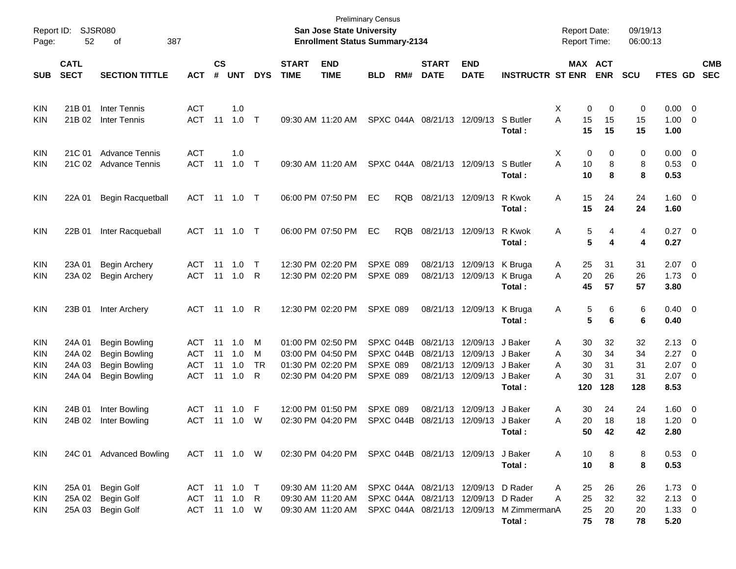| Report ID:<br>Page: | 52                         | <b>SJSR080</b><br>387<br>οf |              |                    |            |            |                             | San Jose State University<br><b>Enrollment Status Summary-2134</b> | <b>Preliminary Census</b> |            |                             |                                     |                         | <b>Report Date:</b><br>Report Time: |            | 09/19/13<br>06:00:13 |                |                         |                          |
|---------------------|----------------------------|-----------------------------|--------------|--------------------|------------|------------|-----------------------------|--------------------------------------------------------------------|---------------------------|------------|-----------------------------|-------------------------------------|-------------------------|-------------------------------------|------------|----------------------|----------------|-------------------------|--------------------------|
| <b>SUB</b>          | <b>CATL</b><br><b>SECT</b> | <b>SECTION TITTLE</b>       | <b>ACT</b>   | $\mathsf{cs}$<br># | <b>UNT</b> | <b>DYS</b> | <b>START</b><br><b>TIME</b> | <b>END</b><br><b>TIME</b>                                          | <b>BLD</b>                | RM#        | <b>START</b><br><b>DATE</b> | <b>END</b><br><b>DATE</b>           | <b>INSTRUCTR ST ENR</b> | MAX ACT                             | <b>ENR</b> | <b>SCU</b>           | <b>FTES GD</b> |                         | <b>CMB</b><br><b>SEC</b> |
|                     |                            |                             |              |                    |            |            |                             |                                                                    |                           |            |                             |                                     |                         |                                     |            |                      |                |                         |                          |
| KIN                 | 21B 01                     | <b>Inter Tennis</b>         | <b>ACT</b>   |                    | 1.0        |            |                             |                                                                    |                           |            |                             |                                     |                         | X<br>0                              | 0          | 0                    | 0.00           | $\overline{\mathbf{0}}$ |                          |
| KIN                 | 21B 02                     | <b>Inter Tennis</b>         | <b>ACT</b>   | 11                 | 1.0        | $\top$     |                             | 09:30 AM 11:20 AM                                                  |                           |            | SPXC 044A 08/21/13 12/09/13 |                                     | S Butler                | Α<br>15                             | 15         | 15                   | 1.00           | 0                       |                          |
|                     |                            |                             |              |                    |            |            |                             |                                                                    |                           |            |                             |                                     | Total:                  | 15                                  | 15         | 15                   | 1.00           |                         |                          |
| KIN                 | 21C 01                     | <b>Advance Tennis</b>       | <b>ACT</b>   |                    | 1.0        |            |                             |                                                                    |                           |            |                             |                                     |                         | X<br>0                              | 0          | 0                    | 0.00           | $\overline{0}$          |                          |
| KIN                 | 21C 02                     | <b>Advance Tennis</b>       | <b>ACT</b>   | 11                 | 1.0        | $\top$     |                             | 09:30 AM 11:20 AM                                                  |                           |            | SPXC 044A 08/21/13 12/09/13 |                                     | S Butler                | Α<br>10                             | 8          | 8                    | 0.53 0         |                         |                          |
|                     |                            |                             |              |                    |            |            |                             |                                                                    |                           |            |                             |                                     | Total:                  | 10                                  | 8          | 8                    | 0.53           |                         |                          |
| <b>KIN</b>          | 22A 01                     | <b>Begin Racquetball</b>    | <b>ACT</b>   | 11                 | 1.0        | $\top$     |                             | 06:00 PM 07:50 PM                                                  | EC                        | <b>RQB</b> |                             | 08/21/13 12/09/13                   | R Kwok                  | Α<br>15                             | 24         | 24                   | $1.60 \t 0$    |                         |                          |
|                     |                            |                             |              |                    |            |            |                             |                                                                    |                           |            |                             |                                     | Total:                  | 15                                  | 24         | 24                   | 1.60           |                         |                          |
| KIN                 | 22B 01                     | Inter Racqueball            | <b>ACT</b>   |                    | 11  1.0    | $\top$     |                             | 06:00 PM 07:50 PM                                                  | EC                        | <b>RQB</b> |                             | 08/21/13 12/09/13                   | R Kwok                  | Α<br>5                              | 4          | 4                    | $0.27$ 0       |                         |                          |
|                     |                            |                             |              |                    |            |            |                             |                                                                    |                           |            |                             |                                     | Total:                  | 5                                   | 4          | 4                    | 0.27           |                         |                          |
| KIN                 | 23A 01                     | <b>Begin Archery</b>        | <b>ACT</b>   | 11                 | 1.0        | $\top$     |                             | 12:30 PM 02:20 PM                                                  | <b>SPXE 089</b>           |            |                             | 08/21/13 12/09/13                   | K Bruga                 | 25<br>A                             | 31         | 31                   | 2.07           | $\overline{\mathbf{0}}$ |                          |
| KIN                 | 23A 02                     | <b>Begin Archery</b>        | <b>ACT</b>   | 11                 | 1.0        | R          |                             | 12:30 PM 02:20 PM                                                  | <b>SPXE 089</b>           |            |                             | 08/21/13 12/09/13                   | K Bruga                 | 20<br>A                             | 26         | 26                   | 1.73           | 0                       |                          |
|                     |                            |                             |              |                    |            |            |                             |                                                                    |                           |            |                             |                                     | Total:                  | 45                                  | 57         | 57                   | 3.80           |                         |                          |
| KIN                 | 23B 01                     | Inter Archery               | ACT          |                    | 11  1.0    | R          |                             | 12:30 PM 02:20 PM                                                  | <b>SPXE 089</b>           |            |                             | 08/21/13 12/09/13                   | K Bruga                 | 5<br>A                              | 6          | 6                    | $0.40 \quad 0$ |                         |                          |
|                     |                            |                             |              |                    |            |            |                             |                                                                    |                           |            |                             |                                     | Total:                  | 5                                   | 6          | 6                    | 0.40           |                         |                          |
| KIN                 | 24A 01                     | <b>Begin Bowling</b>        | <b>ACT</b>   | 11                 | 1.0        | M          |                             | 01:00 PM 02:50 PM                                                  |                           | SPXC 044B  |                             | 08/21/13 12/09/13                   | J Baker                 | 30<br>Α                             | 32         | 32                   | 2.13           | - 0                     |                          |
| KIN                 | 24A 02                     | <b>Begin Bowling</b>        | <b>ACT</b>   | 11                 | 1.0        | M          |                             | 03:00 PM 04:50 PM                                                  |                           | SPXC 044B  |                             | 08/21/13 12/09/13                   | J Baker                 | 30<br>Α                             | 34         | 34                   | 2.27           | $\overline{\mathbf{0}}$ |                          |
| KIN                 | 24A 03                     | <b>Begin Bowling</b>        | <b>ACT</b>   | 11                 | 1.0        | TR         |                             | 01:30 PM 02:20 PM                                                  | <b>SPXE 089</b>           |            |                             | 08/21/13 12/09/13                   | J Baker                 | 30<br>A                             | 31         | 31                   | 2.07           | 0                       |                          |
| KIN                 | 24A 04                     | <b>Begin Bowling</b>        | <b>ACT</b>   | 11                 | 1.0        | R          |                             | 02:30 PM 04:20 PM                                                  | SPXE 089                  |            |                             | 08/21/13 12/09/13                   | J Baker                 | 30<br>А                             | 31         | 31                   | 2.07           | $\overline{\mathbf{0}}$ |                          |
|                     |                            |                             |              |                    |            |            |                             |                                                                    |                           |            |                             |                                     | Total:                  | 120                                 | 128        | 128                  | 8.53           |                         |                          |
| KIN                 | 24B 01                     | Inter Bowling               | <b>ACT</b>   | 11                 | 1.0        | F          |                             | 12:00 PM 01:50 PM                                                  | <b>SPXE 089</b>           |            |                             | 08/21/13 12/09/13                   | J Baker                 | 30<br>A                             | 24         | 24                   | 1.60           | $\overline{0}$          |                          |
| KIN                 | 24B 02                     | Inter Bowling               | <b>ACT</b>   | 11                 | 1.0        | W          |                             | 02:30 PM 04:20 PM                                                  |                           | SPXC 044B  |                             | 08/21/13 12/09/13                   | J Baker                 | 20<br>Α                             | 18         | 18                   | 1.20           | $\overline{0}$          |                          |
|                     |                            |                             |              |                    |            |            |                             |                                                                    |                           |            |                             |                                     | Total :                 | 50.                                 | 42         | 42                   | 2.80           |                         |                          |
| KIN                 |                            | 24C 01 Advanced Bowling     | ACT 11 1.0 W |                    |            |            |                             | 02:30 PM 04:20 PM SPXC 044B 08/21/13 12/09/13 J Baker              |                           |            |                             |                                     |                         | A<br>10                             | 8          | 8                    | $0.53 \ 0$     |                         |                          |
|                     |                            |                             |              |                    |            |            |                             |                                                                    |                           |            |                             |                                     | Total:                  | 10                                  | 8          | 8                    | 0.53           |                         |                          |
| KIN                 | 25A 01                     | <b>Begin Golf</b>           | ACT 11 1.0 T |                    |            |            |                             | 09:30 AM 11:20 AM                                                  |                           |            |                             | SPXC 044A 08/21/13 12/09/13 D Rader |                         | 25<br>A                             | 26         | 26                   | $1.73 \t 0$    |                         |                          |
| <b>KIN</b>          | 25A 02                     | <b>Begin Golf</b>           | ACT          | 11                 | 1.0        | R          |                             | 09:30 AM 11:20 AM                                                  |                           |            |                             | SPXC 044A 08/21/13 12/09/13         | D Rader                 | Α<br>25                             | 32         | 32                   | $2.13 \ 0$     |                         |                          |
| <b>KIN</b>          | 25A 03                     | <b>Begin Golf</b>           | ACT 11 1.0 W |                    |            |            |                             | 09:30 AM 11:20 AM                                                  |                           |            |                             | SPXC 044A 08/21/13 12/09/13         | M ZimmermanA            | 25                                  | 20         | 20                   | $1.33 \ 0$     |                         |                          |
|                     |                            |                             |              |                    |            |            |                             |                                                                    |                           |            |                             |                                     | Total:                  | 75                                  | 78         | 78                   | 5.20           |                         |                          |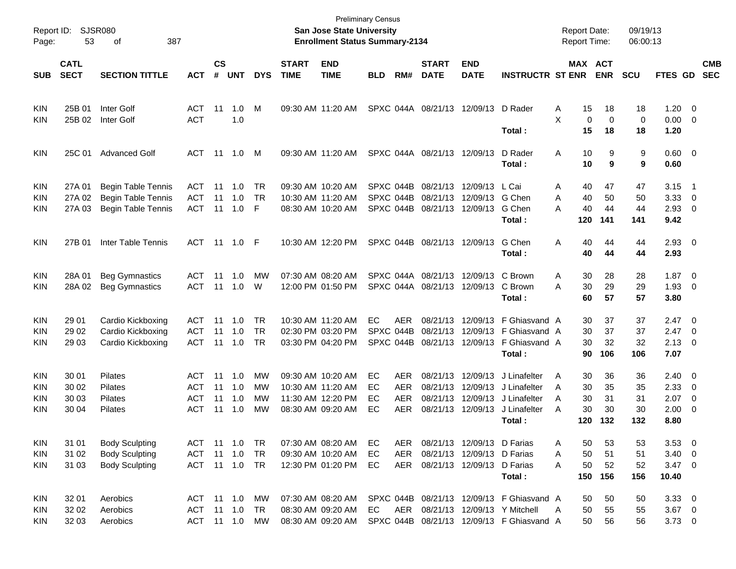| Report ID:<br>Page: | 53                         | SJSR080<br>387<br>οf      |               |                |             |            |                             | <b>San Jose State University</b><br><b>Enrollment Status Summary-2134</b> | <b>Preliminary Census</b> |            |                             |                            |                                           | <b>Report Date:</b><br><b>Report Time:</b> |                       |                   | 09/19/13<br>06:00:13 |                     |                          |                          |
|---------------------|----------------------------|---------------------------|---------------|----------------|-------------|------------|-----------------------------|---------------------------------------------------------------------------|---------------------------|------------|-----------------------------|----------------------------|-------------------------------------------|--------------------------------------------|-----------------------|-------------------|----------------------|---------------------|--------------------------|--------------------------|
| <b>SUB</b>          | <b>CATL</b><br><b>SECT</b> | <b>SECTION TITTLE</b>     | <b>ACT</b>    | <b>CS</b><br># | <b>UNT</b>  | <b>DYS</b> | <b>START</b><br><b>TIME</b> | <b>END</b><br><b>TIME</b>                                                 | <b>BLD</b>                | RM#        | <b>START</b><br><b>DATE</b> | <b>END</b><br><b>DATE</b>  | <b>INSTRUCTR ST ENR</b>                   |                                            | MAX ACT<br><b>ENR</b> | <b>SCU</b>        |                      | FTES GD             |                          | <b>CMB</b><br><b>SEC</b> |
|                     |                            |                           |               |                |             |            |                             |                                                                           |                           |            |                             |                            |                                           |                                            |                       |                   |                      |                     |                          |                          |
| KIN                 | 25B 01                     | Inter Golf                | ACT           | 11             | 1.0         | M          |                             | 09:30 AM 11:20 AM                                                         |                           |            | SPXC 044A 08/21/13 12/09/13 |                            | D Rader                                   | A                                          | 15                    | 18                | 18                   | $1.20 \t 0$         |                          |                          |
| KIN                 | 25B 02                     | Inter Golf                | <b>ACT</b>    |                | 1.0         |            |                             |                                                                           |                           |            |                             |                            | Total:                                    | X                                          | $\mathbf 0$<br>15     | $\mathbf 0$<br>18 | 0<br>18              | $0.00 \t 0$<br>1.20 |                          |                          |
| KIN                 | 25C 01                     | <b>Advanced Golf</b>      | ACT           | 11             | 1.0         | M          |                             | 09:30 AM 11:20 AM                                                         |                           |            | SPXC 044A 08/21/13 12/09/13 |                            | D Rader                                   | Α                                          | 10                    | 9                 | 9                    | $0.60 \quad 0$      |                          |                          |
|                     |                            |                           |               |                |             |            |                             |                                                                           |                           |            |                             |                            | Total :                                   |                                            | 10                    | 9                 | 9                    | 0.60                |                          |                          |
| KIN                 | 27A 01                     | <b>Begin Table Tennis</b> | ACT           | 11             | 1.0         | TR         |                             | 09:30 AM 10:20 AM                                                         | SPXC 044B                 |            | 08/21/13                    | 12/09/13                   | L Cai                                     | Α                                          | 40                    | 47                | 47                   | 3.15                | $\overline{\phantom{1}}$ |                          |
| <b>KIN</b>          | 27A 02                     | <b>Begin Table Tennis</b> | <b>ACT</b>    | 11             | 1.0         | <b>TR</b>  |                             | 10:30 AM 11:20 AM                                                         | SPXC 044B                 |            | 08/21/13                    | 12/09/13                   | G Chen                                    | A                                          | 40                    | 50                | 50                   | 3.33                | $\overline{\mathbf{0}}$  |                          |
| KIN                 | 27A 03                     | <b>Begin Table Tennis</b> | <b>ACT</b>    | 11             | 1.0         | F          |                             | 08:30 AM 10:20 AM                                                         |                           | SPXC 044B  | 08/21/13                    | 12/09/13                   | G Chen<br>Total :                         | A                                          | 40<br>120<br>141      | 44                | 44<br>141            | 2.93<br>9.42        | $\overline{\phantom{0}}$ |                          |
| KIN                 | 27B 01                     | <b>Inter Table Tennis</b> | ACT 11 1.0    |                |             | -F         |                             | 10:30 AM 12:20 PM                                                         |                           |            | SPXC 044B 08/21/13 12/09/13 |                            | G Chen                                    | A                                          | 40                    | 44                | 44                   | $2.93$ 0            |                          |                          |
|                     |                            |                           |               |                |             |            |                             |                                                                           |                           |            |                             |                            | Total :                                   |                                            | 40                    | 44                | 44                   | 2.93                |                          |                          |
| KIN                 | 28A 01                     | <b>Beg Gymnastics</b>     | ACT           | 11             | 1.0         | МW         |                             | 07:30 AM 08:20 AM                                                         |                           |            | SPXC 044A 08/21/13          | 12/09/13                   | C Brown                                   | A                                          | 30                    | 28                | 28                   | $1.87 \t 0$         |                          |                          |
| KIN                 | 28A 02                     | <b>Beg Gymnastics</b>     | <b>ACT</b>    | 11             | 1.0         | W          |                             | 12:00 PM 01:50 PM                                                         |                           |            | SPXC 044A 08/21/13 12/09/13 |                            | C Brown                                   | A                                          | 30                    | 29                | 29                   | 1.93                | $\overline{\phantom{0}}$ |                          |
|                     |                            |                           |               |                |             |            |                             |                                                                           |                           |            |                             |                            | Total :                                   |                                            | 60                    | 57                | 57                   | 3.80                |                          |                          |
| KIN                 | 29 01                      | Cardio Kickboxing         | ACT           | 11             | 1.0         | <b>TR</b>  |                             | 10:30 AM 11:20 AM                                                         | EC                        | <b>AER</b> | 08/21/13                    |                            | 12/09/13 F Ghiasvand A                    |                                            | 30                    | 37                | 37                   | $2.47 \quad 0$      |                          |                          |
| KIN                 | 29 02                      | Cardio Kickboxing         | <b>ACT</b>    | 11             | 1.0         | <b>TR</b>  |                             | 02:30 PM 03:20 PM                                                         | SPXC 044B                 |            | 08/21/13                    |                            | 12/09/13 F Ghiasvand A                    |                                            | 30                    | 37                | 37                   | 2.47                | $\overline{\mathbf{0}}$  |                          |
| KIN                 | 29 03                      | Cardio Kickboxing         | <b>ACT</b>    | 11             | 1.0         | TR         |                             | 03:30 PM 04:20 PM                                                         |                           | SPXC 044B  | 08/21/13                    |                            | 12/09/13 F Ghiasvand A                    |                                            | 30                    | 32                | 32                   | 2.13                | $\overline{\phantom{0}}$ |                          |
|                     |                            |                           |               |                |             |            |                             |                                                                           |                           |            |                             |                            | Total :                                   |                                            | 90<br>106             |                   | 106                  | 7.07                |                          |                          |
| <b>KIN</b>          | 30 01                      | <b>Pilates</b>            | ACT           | 11             | 1.0         | MW         |                             | 09:30 AM 10:20 AM                                                         | EC                        | <b>AER</b> | 08/21/13                    | 12/09/13                   | J Linafelter                              | A                                          | 30                    | 36                | 36                   | $2.40 \ 0$          |                          |                          |
| KIN                 | 30 02                      | Pilates                   | ACT           | 11             | 1.0         | МW         |                             | 10:30 AM 11:20 AM                                                         | ЕC                        | <b>AER</b> | 08/21/13                    | 12/09/13                   | J Linafelter                              | A                                          | 30                    | 35                | 35                   | 2.33                | $\overline{\phantom{0}}$ |                          |
| KIN                 | 30 03                      | <b>Pilates</b>            | ACT           | 11             | 1.0         | МW         |                             | 11:30 AM 12:20 PM                                                         | ЕC                        | <b>AER</b> | 08/21/13                    | 12/09/13                   | J Linafelter                              | A                                          | 30                    | 31                | 31                   | 2.07                | $\overline{\mathbf{0}}$  |                          |
| KIN                 | 30 04                      | <b>Pilates</b>            | <b>ACT</b>    | 11             | 1.0         | MW         |                             | 08:30 AM 09:20 AM                                                         | EC                        | <b>AER</b> |                             | 08/21/13 12/09/13          | J Linafelter                              | A                                          | 30                    | 30                | 30                   | 2.00                | - 0                      |                          |
|                     |                            |                           |               |                |             |            |                             |                                                                           |                           |            |                             |                            | Total :                                   |                                            | 120<br>132            |                   | 132                  | 8.80                |                          |                          |
| KIN                 | 31 01                      | <b>Body Sculpting</b>     | ACT 11 1.0    |                |             | TR -       |                             | 07:30 AM 08:20 AM                                                         | EC                        | AER        |                             | 08/21/13 12/09/13 D Farias |                                           | Α                                          | 50                    | 53                | 53                   | $3.53 \ 0$          |                          |                          |
| <b>KIN</b>          | 31 02                      | <b>Body Sculpting</b>     | ACT           | 11             | 1.0         | TR         |                             | 09:30 AM 10:20 AM                                                         | EC                        | AER        |                             | 08/21/13 12/09/13 D Farias |                                           | A                                          | 50                    | 51                | 51                   | $3.40 \ 0$          |                          |                          |
| <b>KIN</b>          | 31 03                      | <b>Body Sculpting</b>     | ACT 11 1.0 TR |                |             |            |                             | 12:30 PM 01:20 PM                                                         | EC                        | AER        |                             | 08/21/13 12/09/13 D Farias |                                           | A                                          | 50                    | 52                | 52                   | $3.47 \quad 0$      |                          |                          |
|                     |                            |                           |               |                |             |            |                             |                                                                           |                           |            |                             |                            | Total:                                    |                                            | 150<br>156            |                   | 156                  | 10.40               |                          |                          |
| KIN                 | 32 01                      | Aerobics                  | ACT 11 1.0    |                |             | МW         |                             | 07:30 AM 08:20 AM                                                         |                           |            |                             |                            | SPXC 044B 08/21/13 12/09/13 F Ghiasvand A |                                            | 50                    | 50                | 50                   | $3.33 \ 0$          |                          |                          |
| <b>KIN</b>          | 32 02                      | Aerobics                  | ACT           |                | $11 \t 1.0$ | TR         |                             | 08:30 AM 09:20 AM                                                         | EC                        |            |                             |                            | AER 08/21/13 12/09/13 Y Mitchell          | A                                          | 50                    | 55                | 55                   | $3.67$ 0            |                          |                          |
| <b>KIN</b>          | 32 03                      | Aerobics                  | ACT 11 1.0    |                |             | MW         |                             | 08:30 AM 09:20 AM                                                         |                           |            |                             |                            | SPXC 044B 08/21/13 12/09/13 F Ghiasvand A |                                            | 50                    | 56                | 56                   | $3.73 \ 0$          |                          |                          |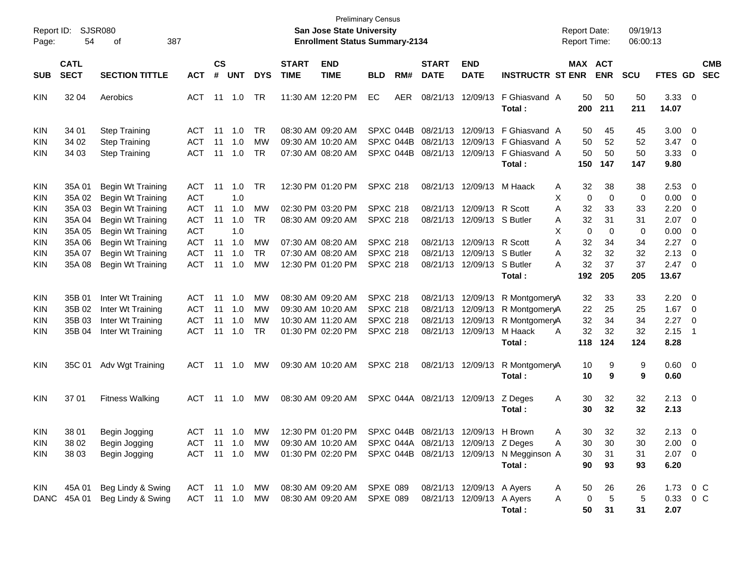| Report ID: |             | <b>SJSR080</b>                |            |               |             |               |                   | <b>San Jose State University</b>                      | <b>Preliminary Census</b> |           |                    |                           |                                                             | <b>Report Date:</b> |            | 09/19/13   |                |                          |
|------------|-------------|-------------------------------|------------|---------------|-------------|---------------|-------------------|-------------------------------------------------------|---------------------------|-----------|--------------------|---------------------------|-------------------------------------------------------------|---------------------|------------|------------|----------------|--------------------------|
| Page:      | 54          | 387<br>οf                     |            |               |             |               |                   | <b>Enrollment Status Summary-2134</b>                 |                           |           |                    |                           |                                                             | <b>Report Time:</b> |            | 06:00:13   |                |                          |
|            | <b>CATL</b> |                               |            | $\mathsf{cs}$ |             |               | <b>START</b>      | <b>END</b>                                            |                           |           | <b>START</b>       | <b>END</b>                |                                                             | MAX ACT             |            |            |                | <b>CMB</b>               |
| <b>SUB</b> | <b>SECT</b> | <b>SECTION TITTLE</b>         | <b>ACT</b> | #             | <b>UNT</b>  | <b>DYS</b>    | <b>TIME</b>       | <b>TIME</b>                                           | <b>BLD</b>                | RM#       | <b>DATE</b>        | <b>DATE</b>               | <b>INSTRUCTR ST ENR</b>                                     |                     | <b>ENR</b> | <b>SCU</b> | FTES GD        | <b>SEC</b>               |
| <b>KIN</b> | 32 04       | Aerobics                      | <b>ACT</b> | 11            | 1.0         | <b>TR</b>     |                   | 11:30 AM 12:20 PM                                     | EC                        | AER       | 08/21/13           | 12/09/13                  | F Ghiasvand A                                               | 50                  | 50         | 50         | $3.33 \ 0$     |                          |
|            |             |                               |            |               |             |               |                   |                                                       |                           |           |                    |                           | Total:                                                      | 200                 | 211        | 211        | 14.07          |                          |
| KIN        | 34 01       | <b>Step Training</b>          | <b>ACT</b> | 11            | 1.0         | <b>TR</b>     | 08:30 AM 09:20 AM |                                                       |                           | SPXC 044B | 08/21/13           | 12/09/13                  | F Ghiasvand A                                               | 50                  | 45         | 45         | 3.00           | $\overline{\phantom{0}}$ |
| KIN        | 34 02       | <b>Step Training</b>          | <b>ACT</b> | 11            | 1.0         | МW            | 09:30 AM 10:20 AM |                                                       |                           | SPXC 044B | 08/21/13           | 12/09/13                  | F Ghiasvand A                                               | 50                  | 52         | 52         | 3.47           | $\overline{\mathbf{0}}$  |
| KIN        | 34 03       | <b>Step Training</b>          | <b>ACT</b> | 11            | 1.0         | <b>TR</b>     |                   | 07:30 AM 08:20 AM                                     |                           | SPXC 044B | 08/21/13           | 12/09/13                  | F Ghiasvand A                                               | 50                  | 50         | 50         | 3.33           | $\overline{\mathbf{0}}$  |
|            |             |                               |            |               |             |               |                   |                                                       |                           |           |                    |                           | Total:                                                      | 150                 | 147        | 147        | 9.80           |                          |
| KIN        | 35A 01      | Begin Wt Training             | <b>ACT</b> | 11            | 1.0         | <b>TR</b>     |                   | 12:30 PM 01:20 PM                                     | <b>SPXC 218</b>           |           | 08/21/13           |                           | 12/09/13 M Haack                                            | 32<br>A             | 38         | 38         | 2.53           | $\overline{\phantom{0}}$ |
| KIN        | 35A 02      | <b>Begin Wt Training</b>      | <b>ACT</b> |               | 1.0         |               |                   |                                                       |                           |           |                    |                           |                                                             | Χ<br>0              | 0          | 0          | 0.00           | $\overline{\phantom{0}}$ |
| KIN        | 35A 03      | Begin Wt Training             | <b>ACT</b> | 11            | 1.0         | МW            | 02:30 PM 03:20 PM |                                                       | <b>SPXC 218</b>           |           | 08/21/13           | 12/09/13 R Scott          |                                                             | Α<br>32             | 33         | 33         | 2.20           | $\overline{\mathbf{0}}$  |
| KIN        | 35A 04      | Begin Wt Training             | <b>ACT</b> | 11            | 1.0         | <b>TR</b>     |                   | 08:30 AM 09:20 AM                                     | <b>SPXC 218</b>           |           | 08/21/13           | 12/09/13 S Butler         |                                                             | 32<br>Α             | 31         | 31         | 2.07           | $\overline{\phantom{0}}$ |
| KIN        | 35A 05      | Begin Wt Training             | <b>ACT</b> |               | 1.0         |               |                   |                                                       |                           |           |                    |                           |                                                             | X<br>0              | 0          | 0          | 0.00           | $\overline{\mathbf{0}}$  |
| KIN        | 35A 06      | Begin Wt Training             | <b>ACT</b> | 11            | 1.0         | МW            | 07:30 AM 08:20 AM |                                                       | <b>SPXC 218</b>           |           | 08/21/13           | 12/09/13 R Scott          |                                                             | 32<br>Α             | 34         | 34         | 2.27           | $\overline{\phantom{0}}$ |
| KIN        | 35A 07      | Begin Wt Training             | <b>ACT</b> | 11            | 1.0         | <b>TR</b>     | 07:30 AM 08:20 AM |                                                       | <b>SPXC 218</b>           |           | 08/21/13           | 12/09/13                  | S Butler                                                    | 32<br>Α             | 32         | 32         | 2.13           | 0                        |
| KIN        | 35A 08      | Begin Wt Training             | <b>ACT</b> | 11            | 1.0         | МW            |                   | 12:30 PM 01:20 PM                                     | <b>SPXC 218</b>           |           | 08/21/13           | 12/09/13 S Butler         |                                                             | 32<br>А             | 37         | 37         | 2.47           | $\overline{\phantom{0}}$ |
|            |             |                               |            |               |             |               |                   |                                                       |                           |           |                    |                           | Total:                                                      | 192                 | 205        | 205        | 13.67          |                          |
| KIN        | 35B 01      | Inter Wt Training             | <b>ACT</b> | 11            | 1.0         | МW            | 08:30 AM 09:20 AM |                                                       | <b>SPXC 218</b>           |           | 08/21/13           |                           | 12/09/13 R MontgomeryA                                      | 32                  | 33         | 33         | 2.20           | - 0                      |
| KIN        | 35B 02      | Inter Wt Training             | <b>ACT</b> | 11            | 1.0         | МW            | 09:30 AM 10:20 AM |                                                       | <b>SPXC 218</b>           |           | 08/21/13           |                           | 12/09/13 R MontgomeryA                                      | 22                  | 25         | 25         | 1.67           | $\overline{\mathbf{0}}$  |
| KIN        | 35B 03      | Inter Wt Training             | <b>ACT</b> | 11            | 1.0         | МW            |                   | 10:30 AM 11:20 AM                                     | <b>SPXC 218</b>           |           | 08/21/13           | 12/09/13                  | R MontgomeryA                                               | 32                  | 34         | 34         | 2.27           | $\overline{\mathbf{0}}$  |
| KIN        | 35B 04      | Inter Wt Training             | <b>ACT</b> | 11            | 1.0         | <b>TR</b>     | 01:30 PM 02:20 PM |                                                       | <b>SPXC 218</b>           |           | 08/21/13           | 12/09/13                  | M Haack                                                     | 32<br>A             | 32         | 32         | 2.15           | $\overline{1}$           |
|            |             |                               |            |               |             |               |                   |                                                       |                           |           |                    |                           | Total:                                                      | 118                 | 124        | 124        | 8.28           |                          |
| KIN        | 35C 01      | Adv Wgt Training              | <b>ACT</b> |               | 11 1.0      | МW            | 09:30 AM 10:20 AM |                                                       | <b>SPXC 218</b>           |           |                    | 08/21/13 12/09/13         | R MontgomeryA                                               | 10                  | 9          | 9          | $0.60 \quad 0$ |                          |
|            |             |                               |            |               |             |               |                   |                                                       |                           |           |                    |                           | Total:                                                      | 10                  | 9          | 9          | 0.60           |                          |
| KIN        | 37 01       | <b>Fitness Walking</b>        | <b>ACT</b> |               | 11 1.0      | <b>MW</b>     |                   | 08:30 AM 09:20 AM                                     |                           |           | SPXC 044A 08/21/13 | 12/09/13                  | Z Deges                                                     | 30<br>A             | 32         | 32         | $2.13 \quad 0$ |                          |
|            |             |                               |            |               |             |               |                   |                                                       |                           |           |                    |                           | Total:                                                      | 30                  | 32         | 32         | 2.13           |                          |
| KIN        | 38 01       | Begin Jogging                 |            |               |             | ACT 11 1.0 MW |                   | 12:30 PM 01:20 PM SPXC 044B 08/21/13 12/09/13 H Brown |                           |           |                    |                           |                                                             | 30<br>A             | 32         | 32         | $2.13 \t 0$    |                          |
| KIN        | 38 02       | Begin Jogging                 | ACT 11 1.0 |               |             | MW.           |                   | 09:30 AM 10:20 AM SPXC 044A 08/21/13 12/09/13 Z Deges |                           |           |                    |                           |                                                             | 30<br>Α             | 30         | 30         | $2.00 \t 0$    |                          |
| KIN        | 38 03       | Begin Jogging                 | ACT        |               | $11 \t 1.0$ | MW            |                   |                                                       |                           |           |                    |                           | 01:30 PM 02:20 PM SPXC 044B 08/21/13 12/09/13 N Megginson A | 30                  | 31         | 31         | $2.07$ 0       |                          |
|            |             |                               |            |               |             |               |                   |                                                       |                           |           |                    |                           | Total:                                                      | 90                  | 93         | 93         | 6.20           |                          |
|            |             |                               |            |               |             |               |                   |                                                       |                           |           |                    |                           |                                                             |                     |            |            |                |                          |
| KIN        | 45A 01      | Beg Lindy & Swing             | ACT 11 1.0 |               |             | MW            |                   | 08:30 AM 09:20 AM                                     | SPXE 089                  |           |                    | 08/21/13 12/09/13 A Ayers |                                                             | 50<br>A             | 26         | 26         |                | 1.73 0 C                 |
|            |             | DANC 45A 01 Beg Lindy & Swing | ACT 11 1.0 |               |             | MW            |                   | 08:30 AM 09:20 AM                                     | SPXE 089                  |           |                    | 08/21/13 12/09/13 A Ayers |                                                             | 0<br>Α              | 5          | 5          |                | 0.33 0 C                 |
|            |             |                               |            |               |             |               |                   |                                                       |                           |           |                    |                           | Total:                                                      | 50                  | 31         | 31         | 2.07           |                          |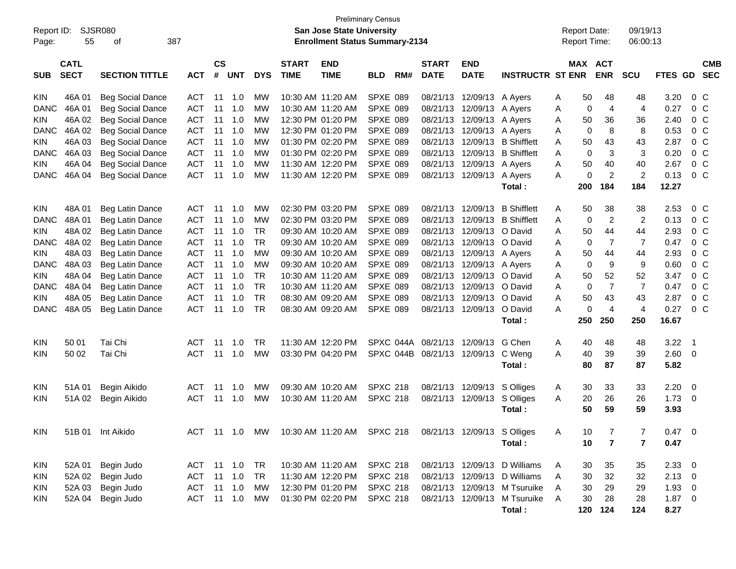| Report ID:<br>Page: | 55                         | <b>SJSR080</b><br>387<br>οf |            |                    |                |            |                             | San Jose State University<br><b>Enrollment Status Summary-2134</b>   | <b>Preliminary Census</b> |           |                             |                           |                              |   | <b>Report Date:</b><br>Report Time: |                | 09/19/13<br>06:00:13 |                |                            |
|---------------------|----------------------------|-----------------------------|------------|--------------------|----------------|------------|-----------------------------|----------------------------------------------------------------------|---------------------------|-----------|-----------------------------|---------------------------|------------------------------|---|-------------------------------------|----------------|----------------------|----------------|----------------------------|
| <b>SUB</b>          | <b>CATL</b><br><b>SECT</b> | <b>SECTION TITTLE</b>       | <b>ACT</b> | $\mathsf{cs}$<br># | <b>UNT</b>     | <b>DYS</b> | <b>START</b><br><b>TIME</b> | <b>END</b><br><b>TIME</b>                                            | <b>BLD</b>                | RM#       | <b>START</b><br><b>DATE</b> | <b>END</b><br><b>DATE</b> | <b>INSTRUCTR ST ENR</b>      |   | MAX ACT                             | <b>ENR</b>     | <b>SCU</b>           | FTES GD SEC    | <b>CMB</b>                 |
| <b>KIN</b>          | 46A 01                     | <b>Beg Social Dance</b>     | ACT        | 11                 | 1.0            | <b>MW</b>  |                             | 10:30 AM 11:20 AM                                                    | <b>SPXE 089</b>           |           |                             | 08/21/13 12/09/13 A Ayers |                              | Α | 50                                  | 48             | 48                   | 3.20           | $0\,C$                     |
| <b>DANC</b>         | 46A 01                     | <b>Beg Social Dance</b>     | <b>ACT</b> | 11                 | 1.0            | <b>MW</b>  |                             | 10:30 AM 11:20 AM                                                    | <b>SPXE 089</b>           |           |                             | 08/21/13 12/09/13 A Ayers |                              | Α | 0                                   | 4              | 4                    | 0.27           | $0\,C$                     |
| <b>KIN</b>          | 46A 02                     | <b>Beg Social Dance</b>     | <b>ACT</b> | 11                 | 1.0            | <b>MW</b>  |                             | 12:30 PM 01:20 PM                                                    | SPXE 089                  |           | 08/21/13                    | 12/09/13 A Ayers          |                              | Α | 50                                  | 36             | 36                   | 2.40           | $0\,C$                     |
| <b>DANC</b>         | 46A 02                     | <b>Beg Social Dance</b>     | <b>ACT</b> | 11                 | 1.0            | <b>MW</b>  |                             | 12:30 PM 01:20 PM                                                    | <b>SPXE 089</b>           |           | 08/21/13                    | 12/09/13                  | A Ayers                      | Α | $\mathbf 0$                         | 8              | 8                    | 0.53           | $0\,C$                     |
| <b>KIN</b>          | 46A 03                     | <b>Beg Social Dance</b>     | <b>ACT</b> | 11                 | 1.0            | <b>MW</b>  |                             | 01:30 PM 02:20 PM                                                    | <b>SPXE 089</b>           |           | 08/21/13                    | 12/09/13                  | <b>B</b> Shifflett           | A | 50                                  | 43             | 43                   | 2.87           | $0\,C$                     |
| <b>DANC</b>         | 46A 03                     | <b>Beg Social Dance</b>     | <b>ACT</b> | 11                 | 1.0            | <b>MW</b>  |                             | 01:30 PM 02:20 PM                                                    | <b>SPXE 089</b>           |           | 08/21/13                    | 12/09/13                  | <b>B</b> Shifflett           | Α | 0                                   | 3              | 3                    | 0.20           | $0\,C$                     |
| <b>KIN</b>          | 46A 04                     | Beg Social Dance            | <b>ACT</b> | 11                 | 1.0            | <b>MW</b>  |                             | 11:30 AM 12:20 PM                                                    | <b>SPXE 089</b>           |           | 08/21/13                    | 12/09/13 A Ayers          |                              | Α | 50                                  | 40             | 40                   | 2.67           | $0\,C$                     |
| <b>DANC</b>         | 46A 04                     | <b>Beg Social Dance</b>     | <b>ACT</b> | 11                 | 1.0            | <b>MW</b>  |                             | 11:30 AM 12:20 PM                                                    | <b>SPXE 089</b>           |           |                             | 08/21/13 12/09/13         | A Ayers                      | A | 0                                   | $\overline{2}$ | $\overline{2}$       | 0.13           | $0\,C$                     |
|                     |                            |                             |            |                    |                |            |                             |                                                                      |                           |           |                             |                           | Total:                       |   | 200                                 | 184            | 184                  | 12.27          |                            |
| <b>KIN</b>          | 48A 01                     | Beg Latin Dance             | ACT        | 11                 | 1.0            | <b>MW</b>  |                             | 02:30 PM 03:20 PM                                                    | <b>SPXE 089</b>           |           | 08/21/13                    | 12/09/13                  | <b>B</b> Shifflett           | A | 50                                  | 38             | 38                   | 2.53           | $0\,C$                     |
| <b>DANC</b>         | 48A 01                     | Beg Latin Dance             | <b>ACT</b> | 11                 | 1.0            | <b>MW</b>  |                             | 02:30 PM 03:20 PM                                                    | <b>SPXE 089</b>           |           | 08/21/13                    | 12/09/13                  | <b>B</b> Shifflett           | Α | 0                                   | $\overline{2}$ | $\overline{2}$       | 0.13           | $0\,C$                     |
| <b>KIN</b>          | 48A 02                     | Beg Latin Dance             | <b>ACT</b> | 11                 | 1.0            | <b>TR</b>  |                             | 09:30 AM 10:20 AM                                                    | SPXE 089                  |           | 08/21/13                    | 12/09/13 O David          |                              | Α | 50                                  | 44             | 44                   | 2.93           | 0 <sup>C</sup>             |
| <b>DANC</b>         | 48A 02                     | Beg Latin Dance             | <b>ACT</b> | 11                 | 1.0            | <b>TR</b>  |                             | 09:30 AM 10:20 AM                                                    | <b>SPXE 089</b>           |           | 08/21/13                    | 12/09/13 O David          |                              | Α | $\mathbf 0$                         | 7              | $\overline{7}$       | 0.47           | $0\,C$                     |
| <b>KIN</b>          | 48A 03                     | Beg Latin Dance             | <b>ACT</b> | 11                 | 1.0            | <b>MW</b>  |                             | 09:30 AM 10:20 AM                                                    | <b>SPXE 089</b>           |           | 08/21/13                    | 12/09/13 A Ayers          |                              | Α | 50                                  | 44             | 44                   | 2.93           | $0\,C$                     |
| <b>DANC</b>         | 48A 03                     | Beg Latin Dance             | <b>ACT</b> | 11                 | 1.0            | <b>MW</b>  |                             | 09:30 AM 10:20 AM                                                    | <b>SPXE 089</b>           |           | 08/21/13                    | 12/09/13 A Ayers          |                              | Α | $\mathbf 0$                         | 9              | 9                    | 0.60           | $0\,C$                     |
| <b>KIN</b>          | 48A 04                     | Beg Latin Dance             | <b>ACT</b> | 11                 | 1.0            | <b>TR</b>  |                             | 10:30 AM 11:20 AM                                                    | <b>SPXE 089</b>           |           | 08/21/13                    | 12/09/13 O David          |                              | A | 50                                  | 52             | 52                   | 3.47           | $0\,C$                     |
| <b>DANC</b>         | 48A 04                     | Beg Latin Dance             | <b>ACT</b> | 11                 | 1.0            | <b>TR</b>  |                             | 10:30 AM 11:20 AM                                                    | <b>SPXE 089</b>           |           | 08/21/13                    | 12/09/13 O David          |                              | A | $\mathbf 0$                         | $\overline{7}$ | $\overline{7}$       | 0.47           | $0\,C$                     |
| KIN                 | 48A 05                     | Beg Latin Dance             | <b>ACT</b> | 11                 | 1.0            | <b>TR</b>  |                             | 08:30 AM 09:20 AM                                                    | <b>SPXE 089</b>           |           | 08/21/13                    | 12/09/13                  | O David                      | A | 50                                  | 43             | 43                   | 2.87           | $0\,C$                     |
| <b>DANC</b>         | 48A 05                     | Beg Latin Dance             | <b>ACT</b> | 11                 | 1.0            | <b>TR</b>  |                             | 08:30 AM 09:20 AM                                                    | SPXE 089                  |           |                             | 08/21/13 12/09/13         | O David                      | A | 0                                   | $\overline{4}$ | $\overline{4}$       | 0.27           | $0\,C$                     |
|                     |                            |                             |            |                    |                |            |                             |                                                                      |                           |           |                             |                           | Total:                       |   | 250                                 | 250            | 250                  | 16.67          |                            |
| <b>KIN</b>          | 50 01                      | Tai Chi                     | ACT        | 11                 | 1.0            | TR.        | 11:30 AM 12:20 PM           |                                                                      |                           | SPXC 044A | 08/21/13                    | 12/09/13                  | G Chen                       | A | 40                                  | 48             | 48                   | 3.22           | $\overline{\phantom{0}}$ 1 |
| <b>KIN</b>          | 50 02                      | Tai Chi                     | <b>ACT</b> | 11                 | 1.0            | <b>MW</b>  |                             | 03:30 PM 04:20 PM                                                    |                           |           | SPXC 044B 08/21/13 12/09/13 |                           | C Weng                       | A | 40                                  | 39             | 39                   | 2.60           | - 0                        |
|                     |                            |                             |            |                    |                |            |                             |                                                                      |                           |           |                             |                           | Total:                       |   | 80                                  | 87             | 87                   | 5.82           |                            |
| <b>KIN</b>          | 51A 01                     | Begin Aikido                | <b>ACT</b> | 11                 | 1.0            | MW         |                             | 09:30 AM 10:20 AM                                                    | <b>SPXC 218</b>           |           | 08/21/13                    | 12/09/13                  | S Olliges                    | A | 30                                  | 33             | 33                   | 2.20           | 0                          |
| <b>KIN</b>          | 51A 02                     | Begin Aikido                | <b>ACT</b> | 11                 | 1.0            | <b>MW</b>  |                             | 10:30 AM 11:20 AM                                                    | <b>SPXC 218</b>           |           | 08/21/13 12/09/13           |                           | S Olliges                    | A | 20                                  | 26             | 26                   | 1.73           | $\overline{0}$             |
|                     |                            |                             |            |                    |                |            |                             |                                                                      |                           |           |                             |                           | Total:                       |   | 50                                  | 59             | 59                   | 3.93           |                            |
| <b>KIN</b>          |                            | 51B 01 Int Aikido           |            |                    |                |            |                             | ACT 11 1.0 MW 10:30 AM 11:20 AM SPXC 218 08/21/13 12/09/13 S Olliges |                           |           |                             |                           |                              | Α | 10                                  | $\overline{7}$ | $\overline{7}$       | $0.47 \ 0$     |                            |
|                     |                            |                             |            |                    |                |            |                             |                                                                      |                           |           |                             |                           | Total:                       |   | 10                                  | $\overline{7}$ | $\overline{7}$       | 0.47           |                            |
|                     |                            |                             |            |                    |                |            |                             |                                                                      |                           |           |                             |                           |                              |   |                                     |                |                      |                |                            |
| KIN                 | 52A 01                     | Begin Judo                  | ACT        |                    | 11 1.0         | TR         |                             | 10:30 AM 11:20 AM                                                    | <b>SPXC 218</b>           |           |                             |                           | 08/21/13 12/09/13 D Williams | A | 30                                  | 35             | 35                   | $2.33 \t 0$    |                            |
| <b>KIN</b>          | 52A 02                     | Begin Judo                  | <b>ACT</b> |                    | $11 \quad 1.0$ | TR         |                             | 11:30 AM 12:20 PM                                                    | <b>SPXC 218</b>           |           |                             |                           | 08/21/13 12/09/13 D Williams | A | 30                                  | 32             | 32                   | $2.13 \quad 0$ |                            |
| <b>KIN</b>          | 52A 03                     | Begin Judo                  | ACT        |                    | 11 1.0         | MW         |                             | 12:30 PM 01:20 PM                                                    | <b>SPXC 218</b>           |           |                             |                           | 08/21/13 12/09/13 M Tsuruike | A | 30                                  | 29             | 29                   | 1.93           | $\overline{\mathbf{0}}$    |
| <b>KIN</b>          | 52A 04                     | Begin Judo                  | <b>ACT</b> |                    | $11 \t1.0$     | <b>MW</b>  |                             | 01:30 PM 02:20 PM                                                    | <b>SPXC 218</b>           |           |                             |                           | 08/21/13 12/09/13 M Tsuruike | A | 30                                  | 28             | 28                   | $1.87 \t 0$    |                            |
|                     |                            |                             |            |                    |                |            |                             |                                                                      |                           |           |                             |                           | Total:                       |   |                                     | 120 124        | 124                  | 8.27           |                            |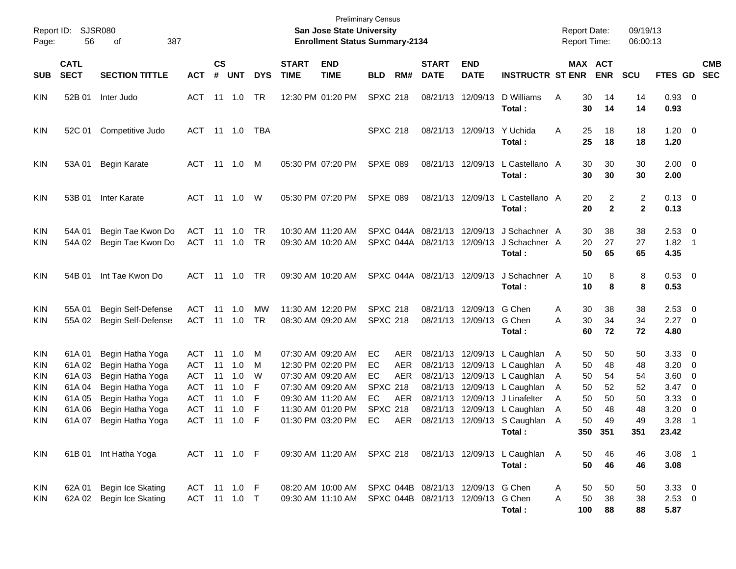| Report ID:<br>Page:                                  | 56                                                                | SJSR080<br>387<br>οf                                                                                                                     |                                                                                         |                                        |                                               |                                 |                             | <b>San Jose State University</b><br><b>Enrollment Status Summary-2134</b>                                                                       | <b>Preliminary Census</b>                                        |                                                      |                                                                      |                                                                                           |                                                                                                            |                                 | <b>Report Date:</b>                           | <b>Report Time:</b>                           | 09/19/13<br>06:00:13                          |                                                                    |                                                                                                                                            |
|------------------------------------------------------|-------------------------------------------------------------------|------------------------------------------------------------------------------------------------------------------------------------------|-----------------------------------------------------------------------------------------|----------------------------------------|-----------------------------------------------|---------------------------------|-----------------------------|-------------------------------------------------------------------------------------------------------------------------------------------------|------------------------------------------------------------------|------------------------------------------------------|----------------------------------------------------------------------|-------------------------------------------------------------------------------------------|------------------------------------------------------------------------------------------------------------|---------------------------------|-----------------------------------------------|-----------------------------------------------|-----------------------------------------------|--------------------------------------------------------------------|--------------------------------------------------------------------------------------------------------------------------------------------|
| <b>SUB</b>                                           | <b>CATL</b><br><b>SECT</b>                                        | <b>SECTION TITTLE</b>                                                                                                                    | <b>ACT</b>                                                                              | <b>CS</b><br>#                         | <b>UNT</b>                                    | <b>DYS</b>                      | <b>START</b><br><b>TIME</b> | <b>END</b><br><b>TIME</b>                                                                                                                       | <b>BLD</b>                                                       | RM#                                                  | <b>START</b><br><b>DATE</b>                                          | <b>END</b><br><b>DATE</b>                                                                 | <b>INSTRUCTR ST ENR</b>                                                                                    |                                 |                                               | MAX ACT<br><b>ENR</b>                         | <b>SCU</b>                                    | FTES GD                                                            | <b>CMB</b><br><b>SEC</b>                                                                                                                   |
| KIN                                                  | 52B 01                                                            | Inter Judo                                                                                                                               | ACT                                                                                     |                                        | $11 \quad 1.0$                                | TR                              |                             | 12:30 PM 01:20 PM                                                                                                                               | <b>SPXC 218</b>                                                  |                                                      |                                                                      | 08/21/13 12/09/13                                                                         | D Williams<br>Total :                                                                                      | Α                               | 30<br>30                                      | 14<br>14                                      | 14<br>14                                      | $0.93 \quad 0$<br>0.93                                             |                                                                                                                                            |
| KIN                                                  | 52C 01                                                            | Competitive Judo                                                                                                                         | ACT                                                                                     |                                        | 11 1.0                                        | TBA                             |                             |                                                                                                                                                 | <b>SPXC 218</b>                                                  |                                                      |                                                                      | 08/21/13 12/09/13                                                                         | Y Uchida<br>Total :                                                                                        | Α                               | 25<br>25                                      | 18<br>18                                      | 18<br>18                                      | $1.20 \ 0$<br>1.20                                                 |                                                                                                                                            |
| KIN                                                  | 53A 01                                                            | <b>Begin Karate</b>                                                                                                                      | ACT                                                                                     |                                        | 11 1.0                                        | M                               |                             | 05:30 PM 07:20 PM                                                                                                                               | <b>SPXE 089</b>                                                  |                                                      |                                                                      | 08/21/13 12/09/13                                                                         | L Castellano A<br>Total :                                                                                  |                                 | 30<br>30                                      | 30<br>30                                      | 30<br>30                                      | $2.00 \t 0$<br>2.00                                                |                                                                                                                                            |
| KIN                                                  | 53B 01                                                            | Inter Karate                                                                                                                             | ACT                                                                                     |                                        | 11  1.0                                       | W                               |                             | 05:30 PM 07:20 PM                                                                                                                               | <b>SPXE 089</b>                                                  |                                                      |                                                                      | 08/21/13 12/09/13                                                                         | L Castellano A<br>Total :                                                                                  |                                 | 20<br>20                                      | 2<br>$\mathbf{2}$                             | 2<br>$\mathbf{2}$                             | $0.13 \ 0$<br>0.13                                                 |                                                                                                                                            |
| <b>KIN</b><br>KIN                                    | 54A 01<br>54A 02                                                  | Begin Tae Kwon Do<br>Begin Tae Kwon Do                                                                                                   | ACT<br>ACT                                                                              | 11                                     | 1.0<br>11 1.0                                 | TR<br>TR                        |                             | 10:30 AM 11:20 AM<br>09:30 AM 10:20 AM                                                                                                          |                                                                  |                                                      | SPXC 044A 08/21/13<br>SPXC 044A 08/21/13 12/09/13                    | 12/09/13                                                                                  | J Schachner A<br>J Schachner A<br>Total :                                                                  |                                 | 30<br>20<br>50                                | 38<br>27<br>65                                | 38<br>27<br>65                                | $2.53$ 0<br>$1.82$ 1<br>4.35                                       |                                                                                                                                            |
| KIN                                                  | 54B 01                                                            | Int Tae Kwon Do                                                                                                                          | ACT                                                                                     |                                        | 11  1.0                                       | TR                              |                             | 09:30 AM 10:20 AM                                                                                                                               |                                                                  |                                                      | SPXC 044A 08/21/13 12/09/13                                          |                                                                                           | J Schachner A<br>Total :                                                                                   |                                 | 10<br>10                                      | 8<br>8                                        | 8<br>8                                        | 0.53 0<br>0.53                                                     |                                                                                                                                            |
| <b>KIN</b><br>KIN                                    | 55A 01<br>55A 02                                                  | Begin Self-Defense<br>Begin Self-Defense                                                                                                 | ACT<br>ACT                                                                              | 11                                     | 1.0                                           | MW<br>TR                        |                             | 11:30 AM 12:20 PM<br>08:30 AM 09:20 AM                                                                                                          | <b>SPXC 218</b><br><b>SPXC 218</b>                               |                                                      | 08/21/13                                                             | 12/09/13<br>08/21/13 12/09/13                                                             | G Chen<br>G Chen<br>Total :                                                                                | A<br>A                          | 30<br>30<br>60                                | 38<br>34<br>72                                | 38<br>34<br>72                                | 2.53<br>$2.27 \t 0$<br>4.80                                        | $\overline{\phantom{0}}$                                                                                                                   |
| <b>KIN</b><br>KIN<br>KIN<br>KIN<br>KIN<br>KIN<br>KIN | 61A 01<br>61A 02<br>61A03<br>61A 04<br>61A 05<br>61A 06<br>61A 07 | Begin Hatha Yoga<br>Begin Hatha Yoga<br>Begin Hatha Yoga<br>Begin Hatha Yoga<br>Begin Hatha Yoga<br>Begin Hatha Yoga<br>Begin Hatha Yoga | ACT<br><b>ACT</b><br><b>ACT</b><br><b>ACT</b><br><b>ACT</b><br><b>ACT</b><br><b>ACT</b> | 11<br>11<br>11<br>11<br>11<br>11<br>11 | 1.0<br>1.0<br>1.0<br>1.0<br>1.0<br>1.0<br>1.0 | M<br>м<br>W<br>F<br>F<br>F<br>F |                             | 07:30 AM 09:20 AM<br>12:30 PM 02:20 PM<br>07:30 AM 09:20 AM<br>07:30 AM 09:20 AM<br>09:30 AM 11:20 AM<br>11:30 AM 01:20 PM<br>01:30 PM 03:20 PM | EC<br>EC<br>EC<br><b>SPXC 218</b><br>EC<br><b>SPXC 218</b><br>EC | AER<br><b>AER</b><br><b>AER</b><br>AER<br><b>AER</b> | 08/21/13<br>08/21/13<br>08/21/13<br>08/21/13<br>08/21/13<br>08/21/13 | 08/21/13 12/09/13<br>12/09/13<br>12/09/13<br>12/09/13<br>12/09/13<br>12/09/13<br>12/09/13 | L Caughlan<br>L Caughlan<br>L Caughlan<br>L Caughlan<br>J Linafelter<br>L Caughlan<br>S Caughlan<br>Total: | A<br>A<br>Α<br>Α<br>A<br>Α<br>A | 50<br>50<br>50<br>50<br>50<br>50<br>50<br>350 | 50<br>48<br>54<br>52<br>50<br>48<br>49<br>351 | 50<br>48<br>54<br>52<br>50<br>48<br>49<br>351 | $3.33\ 0$<br>3.20<br>3.60<br>3.47<br>3.33<br>3.20<br>3.28<br>23.42 | $\overline{\phantom{0}}$<br>$\overline{\mathbf{0}}$<br>$\overline{\mathbf{0}}$<br>$\overline{\mathbf{0}}$<br>$\overline{\mathbf{0}}$<br>-1 |
| KIN                                                  |                                                                   | 61B 01 Int Hatha Yoga                                                                                                                    | ACT 11 1.0 F                                                                            |                                        |                                               |                                 |                             |                                                                                                                                                 |                                                                  |                                                      |                                                                      |                                                                                           | 09:30 AM 11:20 AM SPXC 218 08/21/13 12/09/13 L Caughlan A<br>Total:                                        |                                 | 50<br>50                                      | 46<br>46                                      | 46<br>46                                      | $3.08$ 1<br>3.08                                                   |                                                                                                                                            |
| KIN<br><b>KIN</b>                                    | 62A 01                                                            | <b>Begin Ice Skating</b><br>62A 02 Begin Ice Skating                                                                                     | ACT 11 1.0 F<br>ACT 11 1.0 T                                                            |                                        |                                               |                                 |                             | 08:20 AM 10:00 AM<br>09:30 AM 11:10 AM                                                                                                          |                                                                  |                                                      | SPXC 044B 08/21/13 12/09/13 G Chen<br>SPXC 044B 08/21/13 12/09/13    |                                                                                           | G Chen<br>Total:                                                                                           | A<br>Α                          | 50<br>50<br>100                               | 50<br>38<br>88                                | 50<br>38<br>88                                | 3.3300<br>$2.53$ 0<br>5.87                                         |                                                                                                                                            |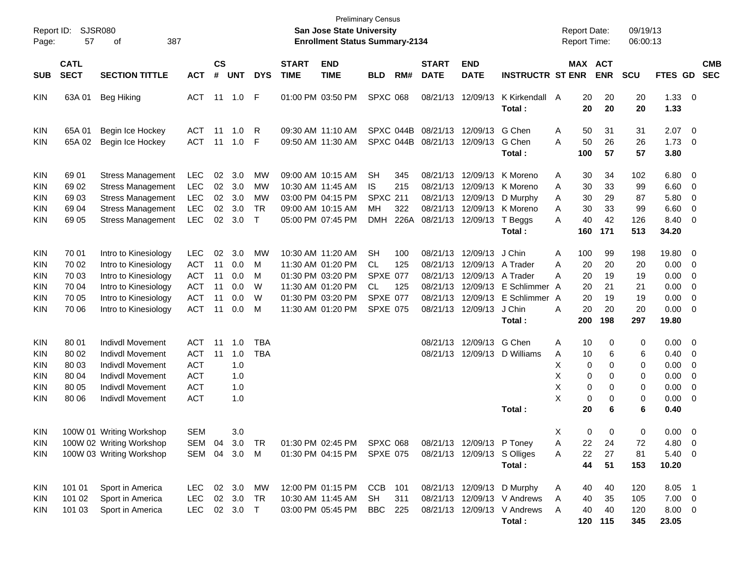| Report ID:<br>Page:                                                              | 57                                                 | <b>SJSR080</b><br>387<br>οf                                                                                                                                    |                                                                                  |                                  |                                        |                                       |                             | San Jose State University<br><b>Enrollment Status Summary-2134</b>                                                         | <b>Preliminary Census</b>                                                              |                           |                                                                      |                                                                      |                                                                                      | <b>Report Date:</b><br>Report Time:                              |                                         | 09/19/13<br>06:00:13                     |                                                        |                                                                      |                          |
|----------------------------------------------------------------------------------|----------------------------------------------------|----------------------------------------------------------------------------------------------------------------------------------------------------------------|----------------------------------------------------------------------------------|----------------------------------|----------------------------------------|---------------------------------------|-----------------------------|----------------------------------------------------------------------------------------------------------------------------|----------------------------------------------------------------------------------------|---------------------------|----------------------------------------------------------------------|----------------------------------------------------------------------|--------------------------------------------------------------------------------------|------------------------------------------------------------------|-----------------------------------------|------------------------------------------|--------------------------------------------------------|----------------------------------------------------------------------|--------------------------|
| <b>SUB</b>                                                                       | <b>CATL</b><br><b>SECT</b>                         | <b>SECTION TITTLE</b>                                                                                                                                          | <b>ACT</b>                                                                       | <b>CS</b><br>#                   | <b>UNT</b>                             | <b>DYS</b>                            | <b>START</b><br><b>TIME</b> | <b>END</b><br><b>TIME</b>                                                                                                  | <b>BLD</b>                                                                             | RM#                       | <b>START</b><br><b>DATE</b>                                          | <b>END</b><br><b>DATE</b>                                            | <b>INSTRUCTR ST ENR</b>                                                              |                                                                  | MAX ACT<br><b>ENR</b>                   | <b>SCU</b>                               | FTES GD                                                |                                                                      | <b>CMB</b><br><b>SEC</b> |
| <b>KIN</b>                                                                       | 63A 01                                             | <b>Beg Hiking</b>                                                                                                                                              | <b>ACT</b>                                                                       |                                  | $11 \quad 1.0$                         | F                                     |                             | 01:00 PM 03:50 PM                                                                                                          | <b>SPXC 068</b>                                                                        |                           | 08/21/13                                                             | 12/09/13                                                             | K Kirkendall A<br>Total:                                                             | 20<br>20                                                         | 20<br>20                                | 20<br>20                                 | 1.33<br>1.33                                           | $\overline{\mathbf{0}}$                                              |                          |
| <b>KIN</b><br><b>KIN</b>                                                         | 65A 01<br>65A 02                                   | Begin Ice Hockey<br>Begin Ice Hockey                                                                                                                           | <b>ACT</b><br><b>ACT</b>                                                         | 11<br>11                         | 1.0<br>1.0                             | R<br>F                                |                             | 09:30 AM 11:10 AM<br>09:50 AM 11:30 AM                                                                                     |                                                                                        | SPXC 044B<br>SPXC 044B    | 08/21/13<br>08/21/13                                                 | 12/09/13<br>12/09/13                                                 | G Chen<br>G Chen<br>Total:                                                           | Α<br>50<br>A<br>50<br>100                                        | 31<br>26<br>57                          | 31<br>26<br>57                           | 2.07<br>1.73<br>3.80                                   | $\overline{\mathbf{0}}$<br>0                                         |                          |
| <b>KIN</b><br><b>KIN</b><br><b>KIN</b><br><b>KIN</b><br><b>KIN</b>               | 69 01<br>69 02<br>69 03<br>69 04<br>69 05          | <b>Stress Management</b><br><b>Stress Management</b><br><b>Stress Management</b><br><b>Stress Management</b><br><b>Stress Management</b>                       | <b>LEC</b><br><b>LEC</b><br>LEC<br>LEC<br><b>LEC</b>                             | 02<br>02<br>02<br>02<br>02       | 3.0<br>3.0<br>3.0<br>3.0<br>3.0        | MW<br>MW<br>MW<br><b>TR</b><br>$\top$ |                             | 09:00 AM 10:15 AM<br>10:30 AM 11:45 AM<br>03:00 PM 04:15 PM<br>09:00 AM 10:15 AM<br>05:00 PM 07:45 PM                      | <b>SH</b><br>IS<br><b>SPXC 211</b><br>MH<br><b>DMH</b>                                 | 345<br>215<br>322<br>226A | 08/21/13<br>08/21/13<br>08/21/13<br>08/21/13<br>08/21/13             | 12/09/13<br>12/09/13<br>12/09/13<br>12/09/13<br>12/09/13             | K Moreno<br>K Moreno<br>D Murphy<br>K Moreno<br>T Beggs<br>Total:                    | 30<br>A<br>30<br>Α<br>30<br>Α<br>30<br>Α<br>40<br>Α<br>160       | 34<br>33<br>29<br>33<br>42<br>171       | 102<br>99<br>87<br>99<br>126<br>513      | 6.80<br>6.60<br>5.80<br>6.60<br>8.40<br>34.20          | 0<br>0<br>0<br>0<br>0                                                |                          |
| <b>KIN</b><br><b>KIN</b><br><b>KIN</b><br><b>KIN</b><br><b>KIN</b><br><b>KIN</b> | 70 01<br>70 02<br>70 03<br>70 04<br>70 05<br>70 06 | Intro to Kinesiology<br>Intro to Kinesiology<br>Intro to Kinesiology<br>Intro to Kinesiology<br>Intro to Kinesiology<br>Intro to Kinesiology                   | <b>LEC</b><br><b>ACT</b><br><b>ACT</b><br><b>ACT</b><br><b>ACT</b><br><b>ACT</b> | 02<br>11<br>11<br>11<br>11<br>11 | 3.0<br>0.0<br>0.0<br>0.0<br>0.0<br>0.0 | MW<br>М<br>М<br>W<br>W<br>М           |                             | 10:30 AM 11:20 AM<br>11:30 AM 01:20 PM<br>01:30 PM 03:20 PM<br>11:30 AM 01:20 PM<br>01:30 PM 03:20 PM<br>11:30 AM 01:20 PM | <b>SH</b><br><b>CL</b><br><b>SPXE 077</b><br>CL.<br><b>SPXE 077</b><br><b>SPXE 075</b> | 100<br>125<br>125         | 08/21/13<br>08/21/13<br>08/21/13<br>08/21/13<br>08/21/13<br>08/21/13 | 12/09/13<br>12/09/13<br>12/09/13<br>12/09/13<br>12/09/13<br>12/09/13 | J Chin<br>A Trader<br>A Trader<br>E Schlimmer A<br>E Schlimmer A<br>J Chin<br>Total: | Α<br>100<br>20<br>Α<br>Α<br>20<br>20<br>20<br>A<br>20<br>200     | 99<br>20<br>19<br>21<br>19<br>20<br>198 | 198<br>20<br>19<br>21<br>19<br>20<br>297 | 19.80<br>0.00<br>0.00<br>0.00<br>0.00<br>0.00<br>19.80 | 0<br>0<br>0<br>0<br>0<br>0                                           |                          |
| <b>KIN</b><br><b>KIN</b><br><b>KIN</b><br><b>KIN</b><br><b>KIN</b><br><b>KIN</b> | 80 01<br>80 02<br>80 03<br>80 04<br>80 05<br>80 06 | <b>Indivdl Movement</b><br><b>Indivdl Movement</b><br><b>Indivdl Movement</b><br><b>Indivdl Movement</b><br><b>Indivdl Movement</b><br><b>Indivdl Movement</b> | <b>ACT</b><br><b>ACT</b><br><b>ACT</b><br><b>ACT</b><br><b>ACT</b><br><b>ACT</b> | 11<br>11                         | 1.0<br>1.0<br>1.0<br>1.0<br>1.0<br>1.0 | <b>TBA</b><br><b>TBA</b>              |                             |                                                                                                                            |                                                                                        |                           | 08/21/13<br>08/21/13                                                 | 12/09/13<br>12/09/13                                                 | G Chen<br>D Williams<br>Total:                                                       | Α<br>10<br>10<br>A<br>х<br>0<br>Χ<br>0<br>Χ<br>0<br>X<br>0<br>20 | 0<br>6<br>0<br>0<br>0<br>0<br>6         | 0<br>6<br>0<br>0<br>0<br>0<br>6          | 0.00<br>0.40<br>0.00<br>0.00<br>0.00<br>0.00<br>0.40   | 0<br>0<br>0<br>0<br>0<br>0                                           |                          |
| <b>KIN</b><br><b>KIN</b><br>KIN                                                  |                                                    | 100W 01 Writing Workshop<br>100W 02 Writing Workshop<br>100W 03 Writing Workshop                                                                               | <b>SEM</b><br>SEM 04<br>SEM 04                                                   |                                  | 3.0<br>3.0<br>3.0                      | TR<br>M                               |                             | 01:30 PM 02:45 PM<br>01:30 PM 04:15 PM                                                                                     | SPXC 068<br><b>SPXE 075</b>                                                            |                           |                                                                      | 08/21/13 12/09/13 P Toney<br>08/21/13 12/09/13 S Olliges             | Total:                                                                               | X<br>22<br>Α<br>22<br>Α<br>44                                    | 0<br>0<br>24<br>27<br>51                | 0<br>72<br>81<br>153                     | 0.00<br>4.80<br>5.40<br>10.20                          | $\mathbf{0}$<br>$\overline{\phantom{0}}$<br>$\overline{\phantom{0}}$ |                          |
| KIN<br><b>KIN</b><br><b>KIN</b>                                                  | 101 01<br>101 02<br>101 03                         | Sport in America<br>Sport in America<br>Sport in America                                                                                                       | LEC<br>LEC<br>LEC                                                                | 02                               | 02 3.0<br>3.0<br>02 3.0                | МW<br>TR<br>$\top$                    |                             | 12:00 PM 01:15 PM<br>10:30 AM 11:45 AM<br>03:00 PM 05:45 PM                                                                | CCB<br><b>SH</b><br><b>BBC</b>                                                         | 101<br>311<br>225         |                                                                      | 08/21/13 12/09/13                                                    | D Murphy<br>08/21/13 12/09/13 V Andrews<br>08/21/13 12/09/13 V Andrews<br>Total:     | A<br>40<br>Α<br>40<br>A<br>40<br>120                             | 40<br>35<br>40<br>115                   | 120<br>105<br>120<br>345                 | 8.05 1<br>$7.00 \t 0$<br>8.00 0<br>23.05               |                                                                      |                          |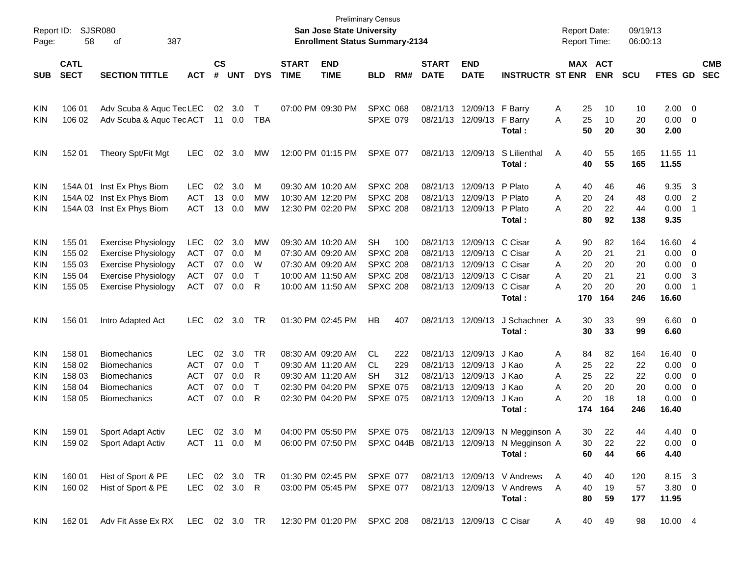| Report ID:<br>Page: | 58                         | <b>SJSR080</b><br>387<br>of      |               |                             |            |            |                             | <b>San Jose State University</b><br><b>Enrollment Status Summary-2134</b> | <b>Preliminary Census</b> |     |                             |                           |                                                             | <b>Report Date:</b><br>Report Time: |                       |            | 09/19/13<br>06:00:13 |                |                         |                          |
|---------------------|----------------------------|----------------------------------|---------------|-----------------------------|------------|------------|-----------------------------|---------------------------------------------------------------------------|---------------------------|-----|-----------------------------|---------------------------|-------------------------------------------------------------|-------------------------------------|-----------------------|------------|----------------------|----------------|-------------------------|--------------------------|
| <b>SUB</b>          | <b>CATL</b><br><b>SECT</b> | <b>SECTION TITTLE</b>            | <b>ACT</b>    | $\mathsf{cs}$<br>$\pmb{\#}$ | <b>UNT</b> | <b>DYS</b> | <b>START</b><br><b>TIME</b> | <b>END</b><br><b>TIME</b>                                                 | <b>BLD</b>                | RM# | <b>START</b><br><b>DATE</b> | <b>END</b><br><b>DATE</b> | <b>INSTRUCTR ST ENR</b>                                     |                                     | MAX ACT<br><b>ENR</b> | <b>SCU</b> |                      | <b>FTES GD</b> |                         | <b>CMB</b><br><b>SEC</b> |
|                     |                            |                                  |               |                             |            |            |                             |                                                                           |                           |     |                             |                           |                                                             |                                     |                       |            |                      |                |                         |                          |
| KIN                 | 106 01                     | Adv Scuba & Aquc TecLEC          |               |                             | 02 3.0     | T          |                             | 07:00 PM 09:30 PM                                                         | <b>SPXC 068</b>           |     |                             | 08/21/13 12/09/13         | F Barry                                                     | A                                   | 25                    | 10         | 10                   | $2.00 \t 0$    |                         |                          |
| KIN                 | 106 02                     | Adv Scuba & Aquc TecACT          |               | 11                          | 0.0        | TBA        |                             |                                                                           | <b>SPXE 079</b>           |     |                             | 08/21/13 12/09/13         | F Barry                                                     | A                                   | 25                    | 10         | 20                   | 0.00           | $\overline{\mathbf{0}}$ |                          |
|                     |                            |                                  |               |                             |            |            |                             |                                                                           |                           |     |                             |                           | Total:                                                      |                                     | 50                    | 20         | 30                   | 2.00           |                         |                          |
| KIN                 | 152 01                     | Theory Spt/Fit Mgt               | <b>LEC</b>    | 02                          | 3.0        | MW         |                             | 12:00 PM 01:15 PM                                                         | <b>SPXE 077</b>           |     |                             | 08/21/13 12/09/13         | S Lilienthal                                                | Α                                   | 40                    | 55         | 165                  | 11.55 11       |                         |                          |
|                     |                            |                                  |               |                             |            |            |                             |                                                                           |                           |     |                             |                           | Total:                                                      |                                     | 40                    | 55         | 165                  | 11.55          |                         |                          |
| KIN                 | 154A 01                    | Inst Ex Phys Biom                | <b>LEC</b>    | 02                          | 3.0        | M          |                             | 09:30 AM 10:20 AM                                                         | <b>SPXC 208</b>           |     |                             | 08/21/13 12/09/13         | P Plato                                                     | A                                   | 40                    | 46         | 46                   | 9.35           | $\mathbf{3}$            |                          |
| KIN                 |                            | 154A 02 Inst Ex Phys Biom        | <b>ACT</b>    | 13                          | 0.0        | MW         |                             | 10:30 AM 12:20 PM                                                         | <b>SPXC 208</b>           |     |                             | 08/21/13 12/09/13         | P Plato                                                     | Α                                   | 20                    | 24         | 48                   | 0.00           | $\overline{2}$          |                          |
| KIN                 |                            | 154A 03 Inst Ex Phys Biom        | <b>ACT</b>    | 13                          | 0.0        | <b>MW</b>  |                             | 12:30 PM 02:20 PM                                                         | <b>SPXC 208</b>           |     |                             | 08/21/13 12/09/13         | P Plato                                                     | A                                   | 20                    | 22         | 44                   | 0.00           | -1                      |                          |
|                     |                            |                                  |               |                             |            |            |                             |                                                                           |                           |     |                             |                           | Total:                                                      |                                     | 80                    | 92         | 138                  | 9.35           |                         |                          |
| KIN                 | 155 01                     | <b>Exercise Physiology</b>       | <b>LEC</b>    | 02                          | 3.0        | MW         |                             | 09:30 AM 10:20 AM                                                         | <b>SH</b>                 | 100 |                             | 08/21/13 12/09/13         | C Cisar                                                     | A                                   | 90                    | 82         | 164                  | 16.60 4        |                         |                          |
| KIN                 | 155 02                     | <b>Exercise Physiology</b>       | <b>ACT</b>    | 07                          | 0.0        | M          |                             | 07:30 AM 09:20 AM                                                         | <b>SPXC 208</b>           |     |                             | 08/21/13 12/09/13         | C Cisar                                                     | Α                                   | 20                    | 21         | 21                   | 0.00           | 0                       |                          |
| KIN                 | 155 03                     | <b>Exercise Physiology</b>       | <b>ACT</b>    | 07                          | 0.0        | W          |                             | 07:30 AM 09:20 AM                                                         | <b>SPXC 208</b>           |     |                             | 08/21/13 12/09/13         | C Cisar                                                     | A                                   | 20                    | 20         | 20                   | 0.00           | 0                       |                          |
| KIN                 | 155 04                     | <b>Exercise Physiology</b>       | <b>ACT</b>    | 07                          | 0.0        | T          |                             | 10:00 AM 11:50 AM                                                         | <b>SPXC 208</b>           |     |                             | 08/21/13 12/09/13         | C Cisar                                                     | A                                   | 20                    | 21         | 21                   | 0.00           | -3                      |                          |
| KIN                 | 155 05                     | <b>Exercise Physiology</b>       | <b>ACT</b>    | 07                          | 0.0        | R          |                             | 10:00 AM 11:50 AM                                                         | <b>SPXC 208</b>           |     |                             | 08/21/13 12/09/13         | C Cisar                                                     | A                                   | 20                    | 20         | 20                   | 0.00           | -1                      |                          |
|                     |                            |                                  |               |                             |            |            |                             |                                                                           |                           |     |                             |                           | Total:                                                      | 170                                 | 164                   |            | 246                  | 16.60          |                         |                          |
| KIN                 | 156 01                     | Intro Adapted Act                | <b>LEC</b>    | 02                          | 3.0        | TR         |                             | 01:30 PM 02:45 PM                                                         | HB                        | 407 |                             | 08/21/13 12/09/13         | J Schachner A                                               |                                     | 30                    | 33         | 99                   | $6.60$ 0       |                         |                          |
|                     |                            |                                  |               |                             |            |            |                             |                                                                           |                           |     |                             |                           | Total:                                                      |                                     | 30                    | 33         | 99                   | 6.60           |                         |                          |
| KIN                 | 158 01                     | <b>Biomechanics</b>              | <b>LEC</b>    | 02                          | 3.0        | TR         |                             | 08:30 AM 09:20 AM                                                         | CL                        | 222 |                             | 08/21/13 12/09/13         | J Kao                                                       | A                                   | 84                    | 82         | 164                  | 16.40 0        |                         |                          |
| KIN                 | 158 02                     | <b>Biomechanics</b>              | <b>ACT</b>    | 07                          | 0.0        | Т          |                             | 09:30 AM 11:20 AM                                                         | CL.                       | 229 |                             | 08/21/13 12/09/13         | J Kao                                                       | Α                                   | 25                    | 22         | 22                   | 0.00           | $\overline{\mathbf{0}}$ |                          |
| KIN                 | 158 03                     | <b>Biomechanics</b>              | <b>ACT</b>    | 07                          | 0.0        | R          |                             | 09:30 AM 11:20 AM                                                         | SH                        | 312 |                             | 08/21/13 12/09/13         | J Kao                                                       | Α                                   | 25                    | 22         | 22                   | 0.00           | 0                       |                          |
| KIN                 | 158 04                     | <b>Biomechanics</b>              | <b>ACT</b>    | 07                          | 0.0        | Т          |                             | 02:30 PM 04:20 PM                                                         | <b>SPXE 075</b>           |     |                             | 08/21/13 12/09/13         | J Kao                                                       | A                                   | 20                    | 20         | 20                   | 0.00           | $\mathbf 0$             |                          |
| KIN                 | 158 05                     | <b>Biomechanics</b>              | <b>ACT</b>    | 07                          | 0.0        | R          |                             | 02:30 PM 04:20 PM                                                         | <b>SPXE 075</b>           |     |                             | 08/21/13 12/09/13         | J Kao                                                       | Α                                   | 20                    | 18         | 18                   | 0.00           | $\overline{\mathbf{0}}$ |                          |
|                     |                            |                                  |               |                             |            |            |                             |                                                                           |                           |     |                             |                           | Total:                                                      | 174                                 | 164                   |            | 246                  | 16.40          |                         |                          |
| KIN                 | 159 01                     | Sport Adapt Activ                | LEC           |                             | 02 3.0     | M          |                             | 04:00 PM 05:50 PM                                                         | <b>SPXE 075</b>           |     |                             |                           | 08/21/13 12/09/13 N Megginson A                             |                                     | 30                    | 22         | 44                   | $4.40 \quad 0$ |                         |                          |
| KIN.                | 159 02                     | Sport Adapt Activ                | ACT 11 0.0 M  |                             |            |            |                             |                                                                           |                           |     |                             |                           | 06:00 PM 07:50 PM SPXC 044B 08/21/13 12/09/13 N Megginson A |                                     | 30                    | 22         | 22                   | $0.00 \t 0$    |                         |                          |
|                     |                            |                                  |               |                             |            |            |                             |                                                                           |                           |     |                             |                           | Total:                                                      |                                     | 60                    | 44         | 66                   | 4.40           |                         |                          |
| KIN                 | 160 01                     | Hist of Sport & PE               | LEC 02 3.0 TR |                             |            |            |                             | 01:30 PM 02:45 PM SPXE 077                                                |                           |     |                             |                           | 08/21/13 12/09/13 V Andrews                                 | A                                   | 40                    | 40         | 120                  | 8.15 3         |                         |                          |
| <b>KIN</b>          | 160 02                     | Hist of Sport & PE               | LEC 02 3.0 R  |                             |            |            |                             | 03:00 PM 05:45 PM SPXE 077                                                |                           |     |                             |                           | 08/21/13 12/09/13 V Andrews                                 | A                                   | 40                    | 19         | 57                   | $3.80\ 0$      |                         |                          |
|                     |                            |                                  |               |                             |            |            |                             |                                                                           |                           |     |                             |                           | Total:                                                      |                                     | 80                    | 59         | 177                  | 11.95          |                         |                          |
| <b>KIN</b>          | 162 01                     | Adv Fit Asse Ex RX LEC 02 3.0 TR |               |                             |            |            |                             | 12:30 PM 01:20 PM SPXC 208 08/21/13 12/09/13 C Cisar                      |                           |     |                             |                           |                                                             | A                                   | 40                    | 49         | 98                   | 10.00 4        |                         |                          |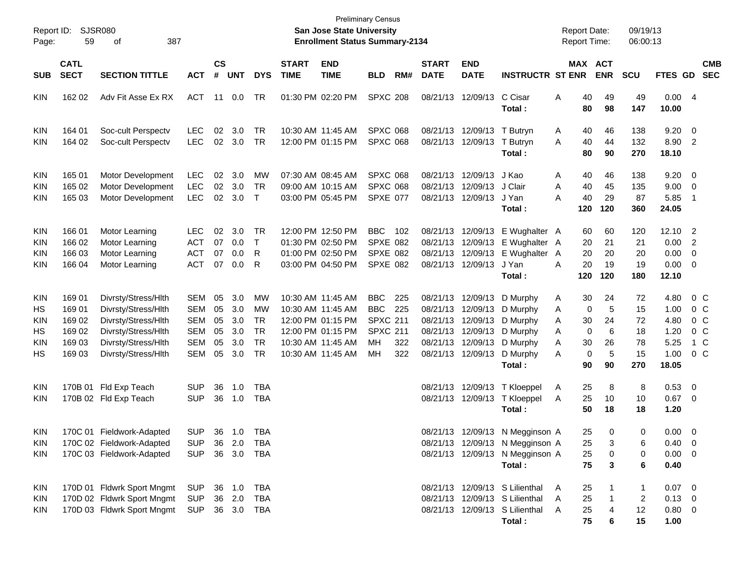| Report ID:<br>Page:                 | SJSR080<br>59                                           | 387                                                                                                                                    |                                                                           |                                  |                                        |                                                                     | <b>San Jose State University</b><br><b>Enrollment Status Summary-2134</b> | <b>Preliminary Census</b>                                                                                                  |                                                                            |                          |              |                                                             | <b>Report Date:</b><br><b>Report Time:</b>                                                                                           |                            |                                     | 09/19/13<br>06:00:13                |                                         |                                                         |                                                                            |                                                                                        |
|-------------------------------------|---------------------------------------------------------|----------------------------------------------------------------------------------------------------------------------------------------|---------------------------------------------------------------------------|----------------------------------|----------------------------------------|---------------------------------------------------------------------|---------------------------------------------------------------------------|----------------------------------------------------------------------------------------------------------------------------|----------------------------------------------------------------------------|--------------------------|--------------|-------------------------------------------------------------|--------------------------------------------------------------------------------------------------------------------------------------|----------------------------|-------------------------------------|-------------------------------------|-----------------------------------------|---------------------------------------------------------|----------------------------------------------------------------------------|----------------------------------------------------------------------------------------|
|                                     | <b>CATL</b>                                             |                                                                                                                                        |                                                                           | $\mathsf{cs}$                    |                                        |                                                                     | <b>START</b>                                                              | <b>END</b>                                                                                                                 |                                                                            |                          | <b>START</b> | <b>END</b>                                                  |                                                                                                                                      | MAX ACT                    |                                     |                                     |                                         |                                                         |                                                                            | <b>CMB</b>                                                                             |
| <b>SUB</b>                          | <b>SECT</b>                                             | <b>SECTION TITTLE</b>                                                                                                                  | <b>ACT</b>                                                                | #                                | <b>UNT</b>                             | <b>DYS</b>                                                          | <b>TIME</b>                                                               | <b>TIME</b>                                                                                                                | <b>BLD</b>                                                                 | RM#                      | <b>DATE</b>  | <b>DATE</b>                                                 | <b>INSTRUCTR ST ENR</b>                                                                                                              |                            |                                     | <b>ENR</b>                          | <b>SCU</b>                              | FTES GD                                                 |                                                                            | <b>SEC</b>                                                                             |
| KIN                                 | 162 02                                                  | Adv Fit Asse Ex RX                                                                                                                     | <b>ACT</b>                                                                | 11                               | 0.0                                    | TR                                                                  |                                                                           | 01:30 PM 02:20 PM                                                                                                          | <b>SPXC 208</b>                                                            |                          |              | 08/21/13 12/09/13                                           | C Cisar<br>Total:                                                                                                                    | Α                          | 40<br>80                            | 49<br>98                            | 49<br>147                               | 0.004<br>10.00                                          |                                                                            |                                                                                        |
| KIN<br>KIN                          | 164 01<br>164 02                                        | Soc-cult Perspectv<br>Soc-cult Perspectv                                                                                               | <b>LEC</b><br><b>LEC</b>                                                  | 02<br>02                         | 3.0<br>3.0                             | TR<br>TR                                                            |                                                                           | 10:30 AM 11:45 AM<br>12:00 PM 01:15 PM                                                                                     | <b>SPXC 068</b><br><b>SPXC 068</b>                                         |                          |              | 08/21/13 12/09/13<br>08/21/13 12/09/13                      | T Butryn<br>T Butryn<br>Total:                                                                                                       | A<br>A                     | 40<br>40<br>80                      | 46<br>44<br>90                      | 138<br>132<br>270                       | 9.20<br>8.90<br>18.10                                   | $\overline{\mathbf{0}}$<br>$\overline{2}$                                  |                                                                                        |
| KIN<br>KIN<br>KIN                   | 165 01<br>165 02<br>165 03                              | Motor Development<br>Motor Development<br>Motor Development                                                                            | <b>LEC</b><br><b>LEC</b><br><b>LEC</b>                                    | 02<br>02<br>02                   | 3.0<br>3.0<br>3.0                      | MW<br>TR<br>$\mathsf{T}$                                            |                                                                           | 07:30 AM 08:45 AM<br>09:00 AM 10:15 AM<br>03:00 PM 05:45 PM                                                                | <b>SPXC 068</b><br><b>SPXC 068</b><br><b>SPXE 077</b>                      |                          |              | 08/21/13 12/09/13<br>08/21/13 12/09/13<br>08/21/13 12/09/13 | J Kao<br>J Clair<br>J Yan<br>Total:                                                                                                  | A<br>Α<br>Α                | 40<br>40<br>40<br>120               | 46<br>45<br>29<br>120               | 138<br>135<br>87<br>360                 | 9.20<br>9.00<br>5.85<br>24.05                           | $\overline{\mathbf{0}}$<br>$\mathbf{0}$<br>-1                              |                                                                                        |
| <b>KIN</b><br>KIN<br>KIN<br>KIN     | 166 01<br>166 02<br>166 03<br>166 04                    | Motor Learning<br>Motor Learning<br>Motor Learning<br>Motor Learning                                                                   | <b>LEC</b><br><b>ACT</b><br><b>ACT</b><br><b>ACT</b>                      | 02<br>07<br>07<br>07             | 3.0<br>0.0<br>0.0<br>0.0               | TR<br>$\mathsf{T}$<br>R<br>R                                        |                                                                           | 12:00 PM 12:50 PM<br>01:30 PM 02:50 PM<br>01:00 PM 02:50 PM<br>03:00 PM 04:50 PM                                           | <b>BBC</b><br><b>SPXE 082</b><br><b>SPXE 082</b><br>SPXE 082               | 102                      |              | 08/21/13 12/09/13                                           | 08/21/13 12/09/13 E Wughalter A<br>08/21/13 12/09/13 E Wughalter A<br>08/21/13 12/09/13 E Wughalter<br>J Yan<br>Total:               | A<br>Α                     | 60<br>20<br>20<br>20<br>120         | 60<br>21<br>20<br>19<br>120         | 120<br>21<br>20<br>19<br>180            | 12.10<br>0.00<br>0.00<br>0.00<br>12.10                  | $\overline{\phantom{0}}$<br>$\overline{2}$<br>0<br>$\overline{\mathbf{0}}$ |                                                                                        |
| KIN<br>НS<br>KIN<br>HS<br>KIN<br>HS | 169 01<br>169 01<br>169 02<br>169 02<br>169 03<br>16903 | Divrsty/Stress/Hlth<br>Divrsty/Stress/Hlth<br>Divrsty/Stress/Hlth<br>Divrsty/Stress/Hlth<br>Divrsty/Stress/Hlth<br>Divrsty/Stress/Hlth | <b>SEM</b><br><b>SEM</b><br><b>SEM</b><br><b>SEM</b><br><b>SEM</b><br>SEM | 05<br>05<br>05<br>05<br>05<br>05 | 3.0<br>3.0<br>3.0<br>3.0<br>3.0<br>3.0 | <b>MW</b><br>MW<br><b>TR</b><br><b>TR</b><br><b>TR</b><br><b>TR</b> |                                                                           | 10:30 AM 11:45 AM<br>10:30 AM 11:45 AM<br>12:00 PM 01:15 PM<br>12:00 PM 01:15 PM<br>10:30 AM 11:45 AM<br>10:30 AM 11:45 AM | <b>BBC</b><br><b>BBC</b><br><b>SPXC 211</b><br><b>SPXC 211</b><br>MН<br>MН | 225<br>225<br>322<br>322 |              | 08/21/13 12/09/13<br>08/21/13 12/09/13<br>08/21/13 12/09/13 | 08/21/13 12/09/13 D Murphy<br>08/21/13 12/09/13 D Murphy<br>D Murphy<br>D Murphy<br>08/21/13 12/09/13 D Murphy<br>D Murphy<br>Total: | A<br>A<br>A<br>A<br>A<br>A | 30<br>0<br>30<br>0<br>30<br>0<br>90 | 24<br>5<br>24<br>6<br>26<br>5<br>90 | 72<br>15<br>72<br>18<br>78<br>15<br>270 | 4.80<br>1.00<br>4.80<br>1.20<br>5.25<br>1.00<br>18.05   |                                                                            | $0\,$ C<br>0 <sup>o</sup><br>0 <sup>o</sup><br>0 <sup>o</sup><br>1 C<br>0 <sup>o</sup> |
| KIN<br>KIN                          |                                                         | 170B 01 Fld Exp Teach<br>170B 02 Fld Exp Teach                                                                                         | <b>SUP</b><br><b>SUP</b>                                                  | 36<br>36                         | 1.0<br>1.0                             | <b>TBA</b><br><b>TBA</b>                                            |                                                                           |                                                                                                                            |                                                                            |                          |              | 08/21/13 12/09/13<br>08/21/13 12/09/13                      | T Kloeppel<br>T Kloeppel<br>Total:                                                                                                   | A<br>Α                     | 25<br>25<br>50                      | 8<br>10<br>18                       | 8<br>10<br>18                           | 0.53<br>0.67<br>1.20                                    | $\overline{\mathbf{0}}$<br>$\overline{\mathbf{0}}$                         |                                                                                        |
| <b>KIN</b><br>KIN<br><b>KIN</b>     |                                                         | 170C 01 Fieldwork-Adapted<br>170C 02 Fieldwork-Adapted<br>170C 03 Fieldwork-Adapted                                                    | <b>SUP</b><br><b>SUP</b><br><b>SUP</b>                                    |                                  | 36 1.0 TBA<br>36 2.0                   | TBA<br>36 3.0 TBA                                                   |                                                                           |                                                                                                                            |                                                                            |                          |              |                                                             | 08/21/13 12/09/13 N Megginson A<br>08/21/13 12/09/13 N Megginson A<br>08/21/13 12/09/13 N Megginson A<br>Total:                      |                            | 25<br>25<br>25<br>75                | $\overline{0}$<br>3<br>0<br>3       | 0<br>6<br>0<br>6                        | $0.00 \quad 0$<br>$0.40 \quad 0$<br>$0.00 \t 0$<br>0.40 |                                                                            |                                                                                        |
| KIN<br><b>KIN</b><br><b>KIN</b>     |                                                         | 170D 01 Fldwrk Sport Mngmt<br>170D 02 Fldwrk Sport Mngmt<br>170D 03 Fldwrk Sport Mngmt                                                 | SUP<br><b>SUP</b><br><b>SUP</b>                                           |                                  | 36 1.0<br>36 2.0                       | TBA<br>TBA<br>36 3.0 TBA                                            |                                                                           |                                                                                                                            |                                                                            |                          |              |                                                             | 08/21/13 12/09/13 S Lilienthal<br>08/21/13 12/09/13 S Lilienthal<br>08/21/13 12/09/13 S Lilienthal<br>Total:                         | A<br>Α<br>A                | 25<br>25<br>25<br>75                | 4<br>6                              | $\mathbf{1}$<br>2<br>12<br>15           | $0.07 \quad 0$<br>$0.13 \quad 0$<br>$0.80 \t 0$<br>1.00 |                                                                            |                                                                                        |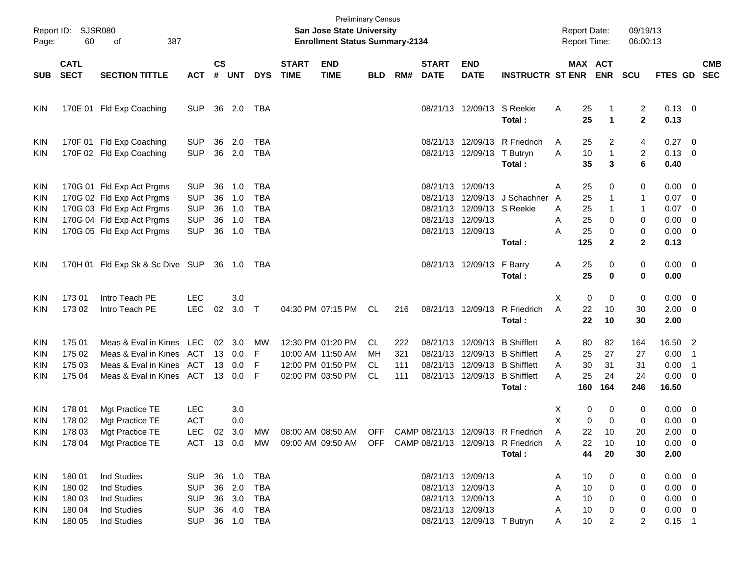| Report ID:<br>Page:                    | <b>SJSR080</b><br>60                           | 387<br>of                                                                                                                                     |                                                                    |                            |                                      |                                                             |                             | <b>San Jose State University</b><br><b>Enrollment Status Summary-2134</b>        | <b>Preliminary Census</b>     |                          |                             |                                                                                                                |                                                                                                                                 | <b>Report Date:</b><br>Report Time:                                     |                                              | 09/19/13<br>06:00:13                 |                                                                      |                                                        |  |
|----------------------------------------|------------------------------------------------|-----------------------------------------------------------------------------------------------------------------------------------------------|--------------------------------------------------------------------|----------------------------|--------------------------------------|-------------------------------------------------------------|-----------------------------|----------------------------------------------------------------------------------|-------------------------------|--------------------------|-----------------------------|----------------------------------------------------------------------------------------------------------------|---------------------------------------------------------------------------------------------------------------------------------|-------------------------------------------------------------------------|----------------------------------------------|--------------------------------------|----------------------------------------------------------------------|--------------------------------------------------------|--|
| <b>SUB</b>                             | <b>CATL</b><br><b>SECT</b>                     | <b>SECTION TITTLE</b>                                                                                                                         | <b>ACT</b>                                                         | $\mathsf{cs}$              | # UNT                                | <b>DYS</b>                                                  | <b>START</b><br><b>TIME</b> | <b>END</b><br><b>TIME</b>                                                        | <b>BLD</b>                    | RM#                      | <b>START</b><br><b>DATE</b> | <b>END</b><br><b>DATE</b>                                                                                      | <b>INSTRUCTR ST ENR ENR</b>                                                                                                     |                                                                         | MAX ACT                                      | <b>SCU</b>                           | FTES GD SEC                                                          | <b>CMB</b>                                             |  |
| KIN                                    |                                                | 170E 01 Fld Exp Coaching                                                                                                                      | <b>SUP</b>                                                         |                            | 36 2.0                               | TBA                                                         |                             |                                                                                  |                               |                          |                             | 08/21/13 12/09/13 S Reekie                                                                                     | Total:                                                                                                                          | Α<br>25<br>25                                                           | 1<br>$\blacktriangleleft$                    | 2<br>$\mathbf 2$                     | $0.13 \quad 0$<br>0.13                                               |                                                        |  |
| KIN<br>KIN                             |                                                | 170F 01 Fld Exp Coaching<br>170F 02 Fld Exp Coaching                                                                                          | <b>SUP</b><br><b>SUP</b>                                           | 36<br>36                   | 2.0<br>2.0                           | TBA<br><b>TBA</b>                                           |                             |                                                                                  |                               |                          |                             | 08/21/13 12/09/13 T Butryn                                                                                     | 08/21/13 12/09/13 R Friedrich<br>Total:                                                                                         | 25<br>A<br>A<br>10<br>35                                                | 2<br>$\mathbf{1}$<br>3                       | 4<br>2<br>6                          | $0.27$ 0<br>$0.13 \ 0$<br>0.40                                       |                                                        |  |
| KIN<br>KIN<br>KIN<br>KIN<br>KIN        |                                                | 170G 01 Fld Exp Act Prgms<br>170G 02 Fld Exp Act Prgms<br>170G 03 Fld Exp Act Prgms<br>170G 04 Fld Exp Act Prgms<br>170G 05 Fld Exp Act Prgms | <b>SUP</b><br><b>SUP</b><br><b>SUP</b><br><b>SUP</b><br><b>SUP</b> | 36<br>36<br>36<br>36<br>36 | 1.0<br>1.0<br>1.0<br>1.0<br>1.0      | TBA<br><b>TBA</b><br><b>TBA</b><br><b>TBA</b><br><b>TBA</b> |                             |                                                                                  |                               |                          |                             | 08/21/13 12/09/13<br>08/21/13 12/09/13 S Reekie<br>08/21/13 12/09/13<br>08/21/13 12/09/13                      | 08/21/13 12/09/13 J Schachner<br>Total:                                                                                         | 25<br>Α<br>25<br>$\overline{A}$<br>25<br>A<br>25<br>Α<br>Α<br>25<br>125 | 0<br>1<br>1<br>0<br>0<br>$\mathbf{2}$        | 0<br>1<br>1<br>0<br>0<br>$\mathbf 2$ | $0.00 \t 0$<br>0.07<br>0.07<br>$0.00 \t 0$<br>$0.00 \t 0$<br>0.13    | $\overline{\phantom{0}}$<br>$\overline{\phantom{0}}$   |  |
| KIN                                    |                                                | 170H 01 Fld Exp Sk & Sc Dive SUP                                                                                                              |                                                                    |                            |                                      | 36 1.0 TBA                                                  |                             |                                                                                  |                               |                          |                             | 08/21/13 12/09/13 F Barry                                                                                      | Total:                                                                                                                          | 25<br>Α<br>25                                                           | 0<br>$\bf{0}$                                | 0<br>0                               | $0.00 \t 0$<br>0.00                                                  |                                                        |  |
| KIN<br>KIN                             | 173 01<br>173 02                               | Intro Teach PE<br>Intro Teach PE                                                                                                              | <b>LEC</b><br><b>LEC</b>                                           | 02                         | 3.0<br>$3.0$ T                       |                                                             |                             | 04:30 PM 07:15 PM                                                                | CL                            | 216                      |                             | 08/21/13 12/09/13                                                                                              | R Friedrich<br>Total:                                                                                                           | $\mathbf 0$<br>X<br>A<br>22<br>22                                       | $\mathbf 0$<br>10<br>10                      | 0<br>30<br>30                        | $0.00 \t 0$<br>$2.00 \t 0$<br>2.00                                   |                                                        |  |
| KIN<br>KIN<br>KIN<br>KIN               | 175 01<br>175 02<br>175 03<br>175 04           | Meas & Eval in Kines LEC<br>Meas & Eval in Kines<br>Meas & Eval in Kines<br>Meas & Eval in Kines ACT                                          | ACT<br>ACT                                                         | 13<br>13                   | 02 3.0<br>0.0<br>0.0<br>13 0.0       | МW<br>F<br>F<br>F                                           |                             | 12:30 PM 01:20 PM<br>10:00 AM 11:50 AM<br>12:00 PM 01:50 PM<br>02:00 PM 03:50 PM | CL.<br>MН<br>CL.<br><b>CL</b> | 222<br>321<br>111<br>111 |                             | 08/21/13 12/09/13                                                                                              | <b>B</b> Shifflett<br>08/21/13 12/09/13 B Shifflett<br>08/21/13 12/09/13 B Shifflett<br>08/21/13 12/09/13 B Shifflett<br>Total: | 80<br>A<br>25<br>A<br>30<br>A<br>A<br>25<br>160                         | 82<br>27<br>31<br>24<br>164                  | 164<br>27<br>31<br>24<br>246         | 16.50 2<br>0.00<br>0.00<br>$0.00 \t 0$<br>16.50                      | $\overline{\phantom{0}}$ 1<br>$\overline{\phantom{1}}$ |  |
| KIN<br>KIN<br><b>KIN</b><br>KIN.       | 178 01<br>178 02<br>178 03<br>178 04           | Mgt Practice TE<br>Mgt Practice TE<br>Mgt Practice TE<br>Mgt Practice TE                                                                      | LEC<br><b>ACT</b><br>LEC<br>ACT                                    |                            | 3.0<br>0.0<br>02 3.0<br>13 0.0       | MW<br>MW                                                    |                             | 09:00 AM 09:50 AM                                                                |                               |                          |                             |                                                                                                                | 08:00 AM 08:50 AM OFF CAMP 08/21/13 12/09/13 R Friedrich<br>OFF CAMP 08/21/13 12/09/13 R Friedrich<br>Total:                    | X<br>X<br>22<br>A<br>22<br>A<br>44                                      | 0<br>0<br>0<br>$\mathbf 0$<br>10<br>10<br>20 | 0<br>0<br>20<br>10<br>30             | $0.00 \ 0$<br>$0.00 \t 0$<br>$2.00 \t 0$<br>$0.00 \t 0$<br>2.00      |                                                        |  |
| KIN<br><b>KIN</b><br>KIN<br>KIN<br>KIN | 180 01<br>180 02<br>180 03<br>180 04<br>180 05 | Ind Studies<br>Ind Studies<br><b>Ind Studies</b><br>Ind Studies<br><b>Ind Studies</b>                                                         | <b>SUP</b><br><b>SUP</b><br><b>SUP</b><br><b>SUP</b><br><b>SUP</b> |                            | 36 1.0<br>36 2.0<br>36 3.0<br>36 4.0 | TBA<br>TBA<br>TBA<br>TBA<br>36 1.0 TBA                      |                             |                                                                                  |                               |                          |                             | 08/21/13 12/09/13<br>08/21/13 12/09/13<br>08/21/13 12/09/13<br>08/21/13 12/09/13<br>08/21/13 12/09/13 T Butryn |                                                                                                                                 | 10<br>Α<br>10<br>Α<br>10<br>Α<br>10<br>Α<br>10<br>Α                     | 0<br>0<br>0<br>0<br>2                        | 0<br>0<br>0<br>0<br>2                | $0.00 \t 0$<br>$0.00 \t 0$<br>$0.00 \t 0$<br>$0.00 \t 0$<br>$0.15$ 1 |                                                        |  |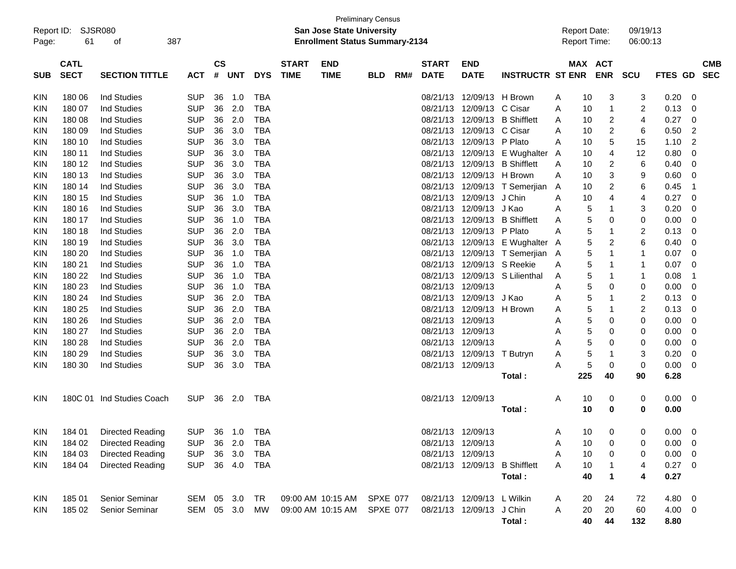| Report ID:<br>Page: | 61                         | SJSR080<br>387<br>οf      |            |                |            |            |                             | San Jose State University<br><b>Enrollment Status Summary-2134</b> | <b>Preliminary Census</b> |     |                             |                            |                                 |   | <b>Report Date:</b><br><b>Report Time:</b> |            | 09/19/13<br>06:00:13 |             |    |            |
|---------------------|----------------------------|---------------------------|------------|----------------|------------|------------|-----------------------------|--------------------------------------------------------------------|---------------------------|-----|-----------------------------|----------------------------|---------------------------------|---|--------------------------------------------|------------|----------------------|-------------|----|------------|
| <b>SUB</b>          | <b>CATL</b><br><b>SECT</b> | <b>SECTION TITTLE</b>     | <b>ACT</b> | <b>CS</b><br># | <b>UNT</b> | <b>DYS</b> | <b>START</b><br><b>TIME</b> | <b>END</b><br><b>TIME</b>                                          | <b>BLD</b>                | RM# | <b>START</b><br><b>DATE</b> | <b>END</b><br><b>DATE</b>  | <b>INSTRUCTR ST ENR</b>         |   | MAX ACT                                    | <b>ENR</b> | SCU                  | FTES GD SEC |    | <b>CMB</b> |
| KIN                 | 180 06                     | <b>Ind Studies</b>        | <b>SUP</b> | 36             | 1.0        | TBA        |                             |                                                                    |                           |     |                             | 08/21/13 12/09/13 H Brown  |                                 | A | 10                                         | 3          | 3                    | 0.20        | 0  |            |
| KIN                 | 180 07                     | <b>Ind Studies</b>        | <b>SUP</b> | 36             | 2.0        | <b>TBA</b> |                             |                                                                    |                           |     | 08/21/13                    | 12/09/13 C Cisar           |                                 | A | 10                                         | 1          | 2                    | 0.13        | 0  |            |
| KIN                 | 180 08                     | <b>Ind Studies</b>        | <b>SUP</b> | 36             | 2.0        | <b>TBA</b> |                             |                                                                    |                           |     | 08/21/13                    | 12/09/13                   | <b>B</b> Shifflett              | A | 10                                         | 2          | 4                    | 0.27        | 0  |            |
| KIN                 | 180 09                     | <b>Ind Studies</b>        | <b>SUP</b> | 36             | 3.0        | <b>TBA</b> |                             |                                                                    |                           |     | 08/21/13                    | 12/09/13                   | C Cisar                         | A | 10                                         | 2          | 6                    | 0.50        | 2  |            |
| KIN                 | 180 10                     | <b>Ind Studies</b>        | <b>SUP</b> | 36             | 3.0        | <b>TBA</b> |                             |                                                                    |                           |     | 08/21/13                    | 12/09/13 P Plato           |                                 | A | 10                                         | 5          | 15                   | 1.10        | 2  |            |
| KIN                 | 180 11                     | <b>Ind Studies</b>        | <b>SUP</b> | 36             | 3.0        | <b>TBA</b> |                             |                                                                    |                           |     | 08/21/13                    |                            | 12/09/13 E Wughalter A          |   | 10                                         | 4          | 12                   | 0.80        | 0  |            |
| KIN                 | 180 12                     | <b>Ind Studies</b>        | <b>SUP</b> | 36             | 3.0        | <b>TBA</b> |                             |                                                                    |                           |     | 08/21/13                    | 12/09/13                   | <b>B</b> Shifflett              | A | 10                                         | 2          | 6                    | 0.40        | 0  |            |
| KIN                 | 180 13                     | <b>Ind Studies</b>        | <b>SUP</b> | 36             | 3.0        | <b>TBA</b> |                             |                                                                    |                           |     | 08/21/13                    | 12/09/13 H Brown           |                                 | A | 10                                         | 3          | 9                    | 0.60        | 0  |            |
| KIN                 | 180 14                     | <b>Ind Studies</b>        | <b>SUP</b> | 36             | 3.0        | <b>TBA</b> |                             |                                                                    |                           |     | 08/21/13                    |                            | 12/09/13 T Semerjian            | A | 10                                         | 2          | 6                    | 0.45        | -1 |            |
| KIN                 | 180 15                     | <b>Ind Studies</b>        | <b>SUP</b> | 36             | 1.0        | <b>TBA</b> |                             |                                                                    |                           |     | 08/21/13                    | 12/09/13 J Chin            |                                 | A | 10                                         | 4          | 4                    | 0.27        | 0  |            |
| KIN                 | 180 16                     | <b>Ind Studies</b>        | <b>SUP</b> | 36             | 3.0        | <b>TBA</b> |                             |                                                                    |                           |     | 08/21/13                    | 12/09/13 J Kao             |                                 | A | 5                                          | 1          | 3                    | 0.20        | 0  |            |
| KIN                 | 180 17                     | <b>Ind Studies</b>        | <b>SUP</b> | 36             | 1.0        | <b>TBA</b> |                             |                                                                    |                           |     | 08/21/13                    | 12/09/13                   | <b>B</b> Shifflett              | A | 5                                          | 0          | 0                    | 0.00        | 0  |            |
| KIN                 | 180 18                     | <b>Ind Studies</b>        | <b>SUP</b> | 36             | 2.0        | <b>TBA</b> |                             |                                                                    |                           |     | 08/21/13                    | 12/09/13 P Plato           |                                 | A | 5                                          | 1          | $\overline{c}$       | 0.13        | 0  |            |
| KIN                 | 180 19                     | <b>Ind Studies</b>        | <b>SUP</b> | 36             | 3.0        | <b>TBA</b> |                             |                                                                    |                           |     | 08/21/13                    |                            | 12/09/13 E Wughalter A          |   | 5                                          | 2          | 6                    | 0.40        | 0  |            |
| KIN                 | 180 20                     | <b>Ind Studies</b>        | <b>SUP</b> | 36             | 1.0        | <b>TBA</b> |                             |                                                                    |                           |     |                             |                            | 08/21/13 12/09/13 T Semerjian A |   | 5                                          | 1          | 1                    | 0.07        | 0  |            |
| KIN                 | 180 21                     | <b>Ind Studies</b>        | <b>SUP</b> | 36             | 1.0        | <b>TBA</b> |                             |                                                                    |                           |     | 08/21/13                    | 12/09/13 S Reekie          |                                 | A | 5                                          | 1          | 1                    | 0.07        | 0  |            |
| KIN                 | 180 22                     | <b>Ind Studies</b>        | <b>SUP</b> | 36             | 1.0        | <b>TBA</b> |                             |                                                                    |                           |     | 08/21/13                    |                            | 12/09/13 S Lilienthal           | A | 5                                          | 1          | 1                    | 0.08        | -1 |            |
| KIN                 | 180 23                     | <b>Ind Studies</b>        | <b>SUP</b> | 36             | 1.0        | <b>TBA</b> |                             |                                                                    |                           |     | 08/21/13 12/09/13           |                            |                                 | A | 5                                          | 0          | 0                    | 0.00        | 0  |            |
| KIN                 | 180 24                     | <b>Ind Studies</b>        | <b>SUP</b> | 36             | 2.0        | <b>TBA</b> |                             |                                                                    |                           |     | 08/21/13                    | 12/09/13 J Kao             |                                 | A | 5                                          | 1          | 2                    | 0.13        | 0  |            |
| KIN                 | 180 25                     | <b>Ind Studies</b>        | <b>SUP</b> | 36             | 2.0        | <b>TBA</b> |                             |                                                                    |                           |     | 08/21/13                    | 12/09/13                   | H Brown                         | A | 5                                          | 1          | 2                    | 0.13        | 0  |            |
| KIN                 | 180 26                     | <b>Ind Studies</b>        | <b>SUP</b> | 36             | 2.0        | <b>TBA</b> |                             |                                                                    |                           |     | 08/21/13 12/09/13           |                            |                                 | Α | 5                                          | 0          | 0                    | 0.00        | 0  |            |
| KIN                 | 180 27                     | <b>Ind Studies</b>        | <b>SUP</b> | 36             | 2.0        | <b>TBA</b> |                             |                                                                    |                           |     | 08/21/13 12/09/13           |                            |                                 | A | 5                                          | 0          | 0                    | 0.00        | 0  |            |
| KIN                 | 180 28                     | <b>Ind Studies</b>        | <b>SUP</b> | 36             | 2.0        | <b>TBA</b> |                             |                                                                    |                           |     | 08/21/13 12/09/13           |                            |                                 | A | 5                                          | 0          | 0                    | 0.00        | 0  |            |
| KIN                 | 180 29                     | <b>Ind Studies</b>        | <b>SUP</b> | 36             | 3.0        | <b>TBA</b> |                             |                                                                    |                           |     |                             | 08/21/13 12/09/13          | T Butryn                        | A | 5                                          | 1          | 3                    | 0.20        | 0  |            |
| <b>KIN</b>          | 180 30                     | Ind Studies               | <b>SUP</b> | 36             | 3.0        | <b>TBA</b> |                             |                                                                    |                           |     | 08/21/13 12/09/13           |                            |                                 | Α | 5                                          | 0          | 0                    | 0.00        | 0  |            |
|                     |                            |                           |            |                |            |            |                             |                                                                    |                           |     |                             |                            | Total:                          |   | 225                                        | 40         | 90                   | 6.28        |    |            |
| KIN                 |                            | 180C 01 Ind Studies Coach | <b>SUP</b> | 36             | 2.0        | TBA        |                             |                                                                    |                           |     | 08/21/13 12/09/13           |                            |                                 | A | 10                                         | 0          | 0                    | 0.00        | 0  |            |
|                     |                            |                           |            |                |            |            |                             |                                                                    |                           |     |                             |                            | Total:                          |   | 10                                         | 0          | 0                    | 0.00        |    |            |
| <b>KIN</b>          | 184 01                     | <b>Directed Reading</b>   | <b>SUP</b> |                | 36 1.0     | TBA        |                             |                                                                    |                           |     | 08/21/13 12/09/13           |                            |                                 | A | 10                                         | 0          | 0                    | 0.00        | 0  |            |
| KIN                 | 184 02                     | Directed Reading          | <b>SUP</b> |                | 36 2.0     | TBA        |                             |                                                                    |                           |     | 08/21/13 12/09/13           |                            |                                 | A | 10                                         | 0          | 0                    | 0.00        | 0  |            |
| KIN                 | 184 03                     | <b>Directed Reading</b>   | <b>SUP</b> |                | 36 3.0     | TBA        |                             |                                                                    |                           |     | 08/21/13 12/09/13           |                            |                                 | A | 10                                         | 0          | 0                    | 0.00        | 0  |            |
| KIN                 | 184 04                     | <b>Directed Reading</b>   | <b>SUP</b> |                | 36 4.0     | TBA        |                             |                                                                    |                           |     |                             |                            | 08/21/13 12/09/13 B Shifflett   | A | 10                                         |            | 4                    | 0.27        | 0  |            |
|                     |                            |                           |            |                |            |            |                             |                                                                    |                           |     |                             |                            | Total:                          |   | 40                                         | 1          | 4                    | 0.27        |    |            |
| KIN                 | 18501                      | Senior Seminar            | SEM 05 3.0 |                |            | TR         |                             | 09:00 AM 10:15 AM                                                  | SPXE 077                  |     |                             | 08/21/13 12/09/13 L Wilkin |                                 | A | 20                                         | 24         | 72                   | 4.80 0      |    |            |
| <b>KIN</b>          | 185 02                     | <b>Senior Seminar</b>     | SEM 05 3.0 |                |            | MW         |                             | 09:00 AM 10:15 AM                                                  | SPXE 077                  |     |                             | 08/21/13 12/09/13 J Chin   |                                 | A | 20                                         | 20         | 60                   | $4.00 \ 0$  |    |            |
|                     |                            |                           |            |                |            |            |                             |                                                                    |                           |     |                             |                            | Total:                          |   | 40                                         | 44         | 132                  | 8.80        |    |            |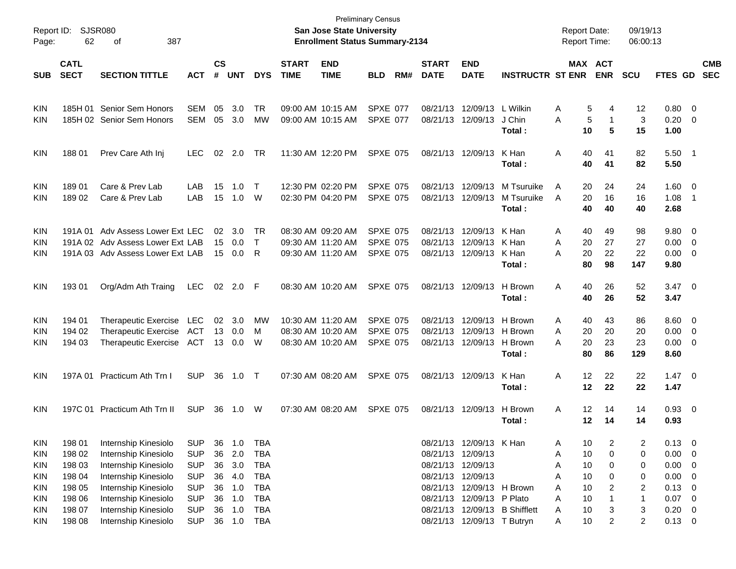| Report ID:<br>Page: | 62                         | <b>SJSR080</b><br>387<br>of      |            |                |            |              |                             | <b>Preliminary Census</b><br><b>San Jose State University</b><br><b>Enrollment Status Summary-2134</b> |                 |     |                             |                            |                               | <b>Report Date:</b><br><b>Report Time:</b> |                       |                | 09/19/13<br>06:00:13 |                |                          |                          |
|---------------------|----------------------------|----------------------------------|------------|----------------|------------|--------------|-----------------------------|--------------------------------------------------------------------------------------------------------|-----------------|-----|-----------------------------|----------------------------|-------------------------------|--------------------------------------------|-----------------------|----------------|----------------------|----------------|--------------------------|--------------------------|
| <b>SUB</b>          | <b>CATL</b><br><b>SECT</b> | <b>SECTION TITTLE</b>            | <b>ACT</b> | <b>CS</b><br># | <b>UNT</b> | <b>DYS</b>   | <b>START</b><br><b>TIME</b> | <b>END</b><br><b>TIME</b>                                                                              | <b>BLD</b>      | RM# | <b>START</b><br><b>DATE</b> | <b>END</b><br><b>DATE</b>  | <b>INSTRUCTR ST ENR</b>       |                                            | MAX ACT<br><b>ENR</b> |                | <b>SCU</b>           | FTES GD        |                          | <b>CMB</b><br><b>SEC</b> |
|                     |                            |                                  |            |                |            |              |                             |                                                                                                        |                 |     |                             |                            |                               |                                            |                       |                |                      |                |                          |                          |
| <b>KIN</b>          | 185H 01                    | Senior Sem Honors                | <b>SEM</b> | 05             | 3.0        | TR           | 09:00 AM 10:15 AM           |                                                                                                        | <b>SPXE 077</b> |     |                             | 08/21/13 12/09/13          | L Wilkin                      | A                                          | 5                     | 4              | 12                   | $0.80 \quad 0$ |                          |                          |
| KIN                 |                            | 185H 02 Senior Sem Honors        | <b>SEM</b> | 05             | 3.0        | MW           |                             | 09:00 AM 10:15 AM                                                                                      | SPXE 077        |     |                             | 08/21/13 12/09/13          | J Chin                        | Α                                          | 5                     | $\mathbf{1}$   | 3                    | 0.20           | $\overline{\mathbf{0}}$  |                          |
|                     |                            |                                  |            |                |            |              |                             |                                                                                                        |                 |     |                             |                            | Total:                        |                                            | 10                    | 5              | 15                   | 1.00           |                          |                          |
| <b>KIN</b>          | 188 01                     | Prev Care Ath Inj                | <b>LEC</b> | 02             | 2.0        | TR           |                             | 11:30 AM 12:20 PM                                                                                      | <b>SPXE 075</b> |     |                             | 08/21/13 12/09/13          | K Han                         | Α                                          | 40                    | 41             | 82                   | 5.50           | - 1                      |                          |
|                     |                            |                                  |            |                |            |              |                             |                                                                                                        |                 |     |                             |                            | Total:                        |                                            | 40                    | 41             | 82                   | 5.50           |                          |                          |
| <b>KIN</b>          | 18901                      | Care & Prev Lab                  | LAB        | 15             | 1.0        | $\mathsf{T}$ |                             | 12:30 PM 02:20 PM                                                                                      | <b>SPXE 075</b> |     |                             | 08/21/13 12/09/13          | M Tsuruike                    | A                                          | 20                    | 24             | 24                   | 1.60           | $\overline{\mathbf{0}}$  |                          |
| KIN                 | 18902                      | Care & Prev Lab                  | LAB        | 15             | 1.0        | W            | 02:30 PM 04:20 PM           |                                                                                                        | <b>SPXE 075</b> |     |                             | 08/21/13 12/09/13          | M Tsuruike                    | A                                          | 20                    | 16             | 16                   | 1.08           | -1                       |                          |
|                     |                            |                                  |            |                |            |              |                             |                                                                                                        |                 |     |                             |                            | Total:                        |                                            | 40                    | 40             | 40                   | 2.68           |                          |                          |
| <b>KIN</b>          | 191A 01                    | Adv Assess Lower Ext LEC         |            | 02             | 3.0        | TR           |                             | 08:30 AM 09:20 AM                                                                                      | <b>SPXE 075</b> |     |                             | 08/21/13 12/09/13          | K Han                         | A                                          | 40                    | 49             | 98                   | 9.80           | - 0                      |                          |
| <b>KIN</b>          |                            | 191A 02 Adv Assess Lower Ext LAB |            | 15             | 0.0        | $\mathsf{T}$ | 09:30 AM 11:20 AM           |                                                                                                        | <b>SPXE 075</b> |     |                             | 08/21/13 12/09/13          | K Han                         | A                                          | 20                    | 27             | 27                   | 0.00           | $\overline{0}$           |                          |
| KIN                 |                            | 191A 03 Adv Assess Lower Ext LAB |            | 15             | 0.0        | R            |                             | 09:30 AM 11:20 AM                                                                                      | <b>SPXE 075</b> |     |                             | 08/21/13 12/09/13          | K Han                         | А                                          | 20                    | 22             | 22                   | 0.00           | $\overline{\mathbf{0}}$  |                          |
|                     |                            |                                  |            |                |            |              |                             |                                                                                                        |                 |     |                             |                            | Total:                        |                                            | 80                    | 98             | 147                  | 9.80           |                          |                          |
| <b>KIN</b>          | 193 01                     | Org/Adm Ath Traing               | <b>LEC</b> |                | 02 2.0 F   |              |                             | 08:30 AM 10:20 AM                                                                                      | <b>SPXE 075</b> |     |                             | 08/21/13 12/09/13          | H Brown                       | Α                                          | 40                    | 26             | 52                   | $3.47 \quad 0$ |                          |                          |
|                     |                            |                                  |            |                |            |              |                             |                                                                                                        |                 |     |                             |                            | Total:                        |                                            | 40                    | 26             | 52                   | 3.47           |                          |                          |
| <b>KIN</b>          | 194 01                     | <b>Therapeutic Exercise</b>      | LEC        | 02             | 3.0        | MW           |                             | 10:30 AM 11:20 AM                                                                                      | <b>SPXE 075</b> |     |                             | 08/21/13 12/09/13          | H Brown                       | A                                          | 40                    | 43             | 86                   | 8.60           | $\overline{\mathbf{0}}$  |                          |
| <b>KIN</b>          | 194 02                     | <b>Therapeutic Exercise</b>      | ACT        | 13             | 0.0        | М            |                             | 08:30 AM 10:20 AM                                                                                      | <b>SPXE 075</b> |     |                             | 08/21/13 12/09/13          | H Brown                       | A                                          | 20                    | 20             | 20                   | 0.00           | $\overline{0}$           |                          |
| <b>KIN</b>          | 194 03                     | <b>Therapeutic Exercise</b>      | ACT        | 13             | 0.0        | W            |                             | 08:30 AM 10:20 AM                                                                                      | <b>SPXE 075</b> |     |                             | 08/21/13 12/09/13          | H Brown                       | А                                          | 20                    | 23             | 23                   | 0.00           | $\overline{\mathbf{0}}$  |                          |
|                     |                            |                                  |            |                |            |              |                             |                                                                                                        |                 |     |                             |                            | Total:                        |                                            | 80                    | 86             | 129                  | 8.60           |                          |                          |
| <b>KIN</b>          | 197A 01                    | Practicum Ath Trn I              | <b>SUP</b> | 36             | 1.0        | $\top$       |                             | 07:30 AM 08:20 AM                                                                                      | <b>SPXE 075</b> |     |                             | 08/21/13 12/09/13          | K Han                         | Α                                          | 12                    | 22             | 22                   | $1.47 \quad 0$ |                          |                          |
|                     |                            |                                  |            |                |            |              |                             |                                                                                                        |                 |     |                             |                            | Total:                        |                                            | 12                    | 22             | 22                   | 1.47           |                          |                          |
| KIN                 |                            | 197C 01 Practicum Ath Trn II     | <b>SUP</b> | 36             | 1.0        | W            |                             | 07:30 AM 08:20 AM                                                                                      | <b>SPXE 075</b> |     |                             | 08/21/13 12/09/13          | H Brown                       | Α                                          | 12                    | 14             | 14                   | $0.93$ 0       |                          |                          |
|                     |                            |                                  |            |                |            |              |                             |                                                                                                        |                 |     |                             |                            | Total:                        |                                            | 12                    | 14             | 14                   | 0.93           |                          |                          |
| <b>KIN</b>          | 198 01                     | Internship Kinesiolo             | <b>SUP</b> | 36             | 1.0        | TBA          |                             |                                                                                                        |                 |     |                             | 08/21/13 12/09/13 K Han    |                               | A                                          | 10                    | 2              | 2                    | 0.13           | $\overline{\mathbf{0}}$  |                          |
| <b>KIN</b>          | 198 02                     | Internship Kinesiolo             | <b>SUP</b> | 36             | 2.0        | <b>TBA</b>   |                             |                                                                                                        |                 |     |                             | 08/21/13 12/09/13          |                               | Α                                          | $10$                  | 0              | 0                    | 0.00           | 0                        |                          |
| <b>KIN</b>          | 198 03                     | Internship Kinesiolo             | <b>SUP</b> | 36             | 3.0        | <b>TBA</b>   |                             |                                                                                                        |                 |     |                             | 08/21/13 12/09/13          |                               | Α                                          | 10                    | 0              | 0                    | 0.00           | 0                        |                          |
| <b>KIN</b>          | 198 04                     | Internship Kinesiolo             | <b>SUP</b> | 36             | 4.0        | <b>TBA</b>   |                             |                                                                                                        |                 |     |                             | 08/21/13 12/09/13          |                               | Α                                          | 10                    | 0              | 0                    | 0.00           | $\mathbf 0$              |                          |
| <b>KIN</b>          | 198 05                     | Internship Kinesiolo             | <b>SUP</b> | 36             | 1.0        | <b>TBA</b>   |                             |                                                                                                        |                 |     |                             | 08/21/13 12/09/13 H Brown  |                               | Α                                          | 10                    | 2              | $\overline{2}$       | 0.13           | $\mathbf 0$              |                          |
| <b>KIN</b>          | 198 06                     | Internship Kinesiolo             | <b>SUP</b> | 36             | 1.0        | <b>TBA</b>   |                             |                                                                                                        |                 |     |                             | 08/21/13 12/09/13          | P Plato                       | Α                                          | 10                    |                | $\mathbf 1$          | 0.07           | $\overline{\phantom{0}}$ |                          |
| <b>KIN</b>          | 198 07                     | Internship Kinesiolo             | <b>SUP</b> | 36             | 1.0        | <b>TBA</b>   |                             |                                                                                                        |                 |     |                             |                            | 08/21/13 12/09/13 B Shifflett | Α                                          | 10                    | 3              | 3                    | 0.20           | $\overline{\mathbf{0}}$  |                          |
| <b>KIN</b>          | 198 08                     | Internship Kinesiolo             | <b>SUP</b> |                | 36 1.0     | <b>TBA</b>   |                             |                                                                                                        |                 |     |                             | 08/21/13 12/09/13 T Butryn |                               | Α                                          | 10                    | $\overline{2}$ | $\overline{c}$       | $0.13 \ 0$     |                          |                          |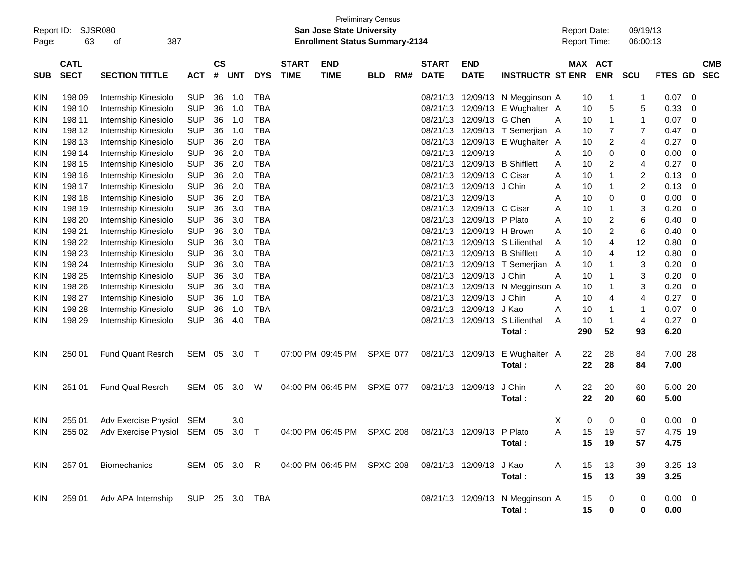| Report ID:<br>Page: | 63                         | <b>SJSR080</b><br>387<br>οf              |                |                |            |            |                             | <b>Preliminary Census</b><br><b>San Jose State University</b><br><b>Enrollment Status Summary-2134</b> |                 |     |                             |                           |                                 | <b>Report Date:</b><br><b>Report Time:</b> |     |                       | 09/19/13<br>06:00:13      |                |             |                          |
|---------------------|----------------------------|------------------------------------------|----------------|----------------|------------|------------|-----------------------------|--------------------------------------------------------------------------------------------------------|-----------------|-----|-----------------------------|---------------------------|---------------------------------|--------------------------------------------|-----|-----------------------|---------------------------|----------------|-------------|--------------------------|
| <b>SUB</b>          | <b>CATL</b><br><b>SECT</b> | <b>SECTION TITTLE</b>                    | <b>ACT</b>     | <b>CS</b><br># | <b>UNT</b> | <b>DYS</b> | <b>START</b><br><b>TIME</b> | <b>END</b><br><b>TIME</b>                                                                              | <b>BLD</b>      | RM# | <b>START</b><br><b>DATE</b> | <b>END</b><br><b>DATE</b> | <b>INSTRUCTR ST ENR</b>         |                                            |     | MAX ACT<br><b>ENR</b> | <b>SCU</b>                | <b>FTES GD</b> |             | <b>CMB</b><br><b>SEC</b> |
| <b>KIN</b>          | 198 09                     | Internship Kinesiolo                     | <b>SUP</b>     | 36             | 1.0        | <b>TBA</b> |                             |                                                                                                        |                 |     | 08/21/13                    | 12/09/13                  | N Megginson A                   |                                            | 10  | 1                     | 1                         | 0.07           | 0           |                          |
| KIN                 | 198 10                     | Internship Kinesiolo                     | <b>SUP</b>     | 36             | 1.0        | <b>TBA</b> |                             |                                                                                                        |                 |     | 08/21/13                    | 12/09/13                  | E Wughalter A                   |                                            | 10  | 5                     | 5                         | 0.33           | 0           |                          |
| KIN                 | 198 11                     | Internship Kinesiolo                     | <b>SUP</b>     | 36             | 1.0        | <b>TBA</b> |                             |                                                                                                        |                 |     | 08/21/13                    | 12/09/13                  | G Chen                          | A                                          | 10  | 1                     | $\mathbf{1}$              | 0.07           | 0           |                          |
| KIN                 | 198 12                     | Internship Kinesiolo                     | <b>SUP</b>     | 36             | 1.0        | <b>TBA</b> |                             |                                                                                                        |                 |     | 08/21/13                    | 12/09/13                  | T Semerjian A                   |                                            | 10  | 7                     | 7                         | 0.47           | 0           |                          |
| KIN                 | 198 13                     | Internship Kinesiolo                     | <b>SUP</b>     | 36             | 2.0        | <b>TBA</b> |                             |                                                                                                        |                 |     | 08/21/13                    |                           | 12/09/13 E Wughalter A          |                                            | 10  | $\overline{c}$        | 4                         | 0.27           | 0           |                          |
| KIN                 | 198 14                     | Internship Kinesiolo                     | <b>SUP</b>     | 36             | 2.0        | <b>TBA</b> |                             |                                                                                                        |                 |     | 08/21/13                    | 12/09/13                  |                                 | A                                          | 10  | 0                     | 0                         | 0.00           | 0           |                          |
| KIN                 | 198 15                     | Internship Kinesiolo                     | <b>SUP</b>     | 36             | 2.0        | <b>TBA</b> |                             |                                                                                                        |                 |     | 08/21/13                    | 12/09/13                  | <b>B</b> Shifflett              | A                                          | 10  | 2                     | 4                         | 0.27           | $\mathbf 0$ |                          |
| KIN                 | 198 16                     | Internship Kinesiolo                     | <b>SUP</b>     | 36             | 2.0        | <b>TBA</b> |                             |                                                                                                        |                 |     | 08/21/13                    | 12/09/13                  | C Cisar                         | A                                          | 10  | 1                     | $\overline{c}$            | 0.13           | 0           |                          |
| KIN                 | 198 17                     | Internship Kinesiolo                     | <b>SUP</b>     | 36             | 2.0        | <b>TBA</b> |                             |                                                                                                        |                 |     | 08/21/13                    | 12/09/13                  | J Chin                          | A                                          | 10  | 1                     | $\overline{c}$            | 0.13           | 0           |                          |
| KIN                 | 198 18                     | Internship Kinesiolo                     | <b>SUP</b>     | 36             | 2.0        | <b>TBA</b> |                             |                                                                                                        |                 |     | 08/21/13                    | 12/09/13                  |                                 | A                                          | 10  | 0                     | 0                         | 0.00           | 0           |                          |
| KIN                 | 198 19                     | Internship Kinesiolo                     | <b>SUP</b>     | 36             | 3.0        | <b>TBA</b> |                             |                                                                                                        |                 |     | 08/21/13                    | 12/09/13                  | C Cisar                         | A                                          | 10  | 1                     | 3                         | 0.20           | $\mathbf 0$ |                          |
| KIN                 | 198 20                     | Internship Kinesiolo                     | <b>SUP</b>     | 36             | 3.0        | <b>TBA</b> |                             |                                                                                                        |                 |     | 08/21/13                    | 12/09/13 P Plato          |                                 | A                                          | 10  | $\overline{c}$        | 6                         | 0.40           | 0           |                          |
| KIN                 | 198 21                     | Internship Kinesiolo                     | <b>SUP</b>     | 36             | 3.0        | <b>TBA</b> |                             |                                                                                                        |                 |     | 08/21/13                    | 12/09/13 H Brown          |                                 | A                                          | 10  | $\overline{c}$        | 6                         | 0.40           | 0           |                          |
| KIN                 | 198 22                     | Internship Kinesiolo                     | <b>SUP</b>     | 36             | 3.0        | <b>TBA</b> |                             |                                                                                                        |                 |     | 08/21/13                    |                           | 12/09/13 S Lilienthal           | A                                          | 10  | 4                     | 12                        | 0.80           | 0           |                          |
| KIN                 | 198 23                     | Internship Kinesiolo                     | <b>SUP</b>     | 36             | 3.0        | <b>TBA</b> |                             |                                                                                                        |                 |     | 08/21/13                    |                           | 12/09/13 B Shifflett            | A                                          | 10  | 4                     | 12                        | 0.80           | 0           |                          |
| KIN                 | 198 24                     | Internship Kinesiolo                     | <b>SUP</b>     | 36             | 3.0        | <b>TBA</b> |                             |                                                                                                        |                 |     | 08/21/13                    |                           | 12/09/13 T Semerjian A          |                                            | 10  | 1                     | $\ensuremath{\mathsf{3}}$ | 0.20           | $\mathbf 0$ |                          |
| KIN                 | 198 25                     | Internship Kinesiolo                     | <b>SUP</b>     | 36             | 3.0        | <b>TBA</b> |                             |                                                                                                        |                 |     | 08/21/13                    | 12/09/13                  | J Chin                          | A                                          | 10  | 1                     | 3                         | 0.20           | $\mathbf 0$ |                          |
| KIN                 | 198 26                     | Internship Kinesiolo                     | <b>SUP</b>     | 36             | 3.0        | <b>TBA</b> |                             |                                                                                                        |                 |     | 08/21/13                    | 12/09/13                  | N Megginson A                   |                                            | 10  | 1                     | 3                         | 0.20           | 0           |                          |
| KIN                 | 198 27                     | Internship Kinesiolo                     | <b>SUP</b>     | 36             | 1.0        | <b>TBA</b> |                             |                                                                                                        |                 |     | 08/21/13                    | 12/09/13                  | J Chin                          | A                                          | 10  | 4                     | 4                         | 0.27           | $\mathbf 0$ |                          |
| KIN                 | 198 28                     | Internship Kinesiolo                     | <b>SUP</b>     | 36             | 1.0        | <b>TBA</b> |                             |                                                                                                        |                 |     | 08/21/13                    | 12/09/13                  | J Kao                           | A                                          | 10  | 1                     | $\mathbf 1$               | 0.07           | 0           |                          |
| <b>KIN</b>          | 198 29                     | Internship Kinesiolo                     | <b>SUP</b>     | 36             | 4.0        | <b>TBA</b> |                             |                                                                                                        |                 |     | 08/21/13                    | 12/09/13                  | S Lilienthal                    | A                                          | 10  | $\mathbf{1}$          | $\overline{\mathbf{4}}$   | 0.27           | $\mathbf 0$ |                          |
|                     |                            |                                          |                |                |            |            |                             |                                                                                                        |                 |     |                             |                           | Total:                          |                                            | 290 | 52                    | 93                        | 6.20           |             |                          |
| <b>KIN</b>          | 250 01                     | <b>Fund Quant Resrch</b>                 | SEM 05 3.0     |                |            | $\top$     |                             | 07:00 PM 09:45 PM                                                                                      | SPXE 077        |     |                             | 08/21/13 12/09/13         | E Wughalter A                   |                                            | 22  | 28                    | 84                        | 7.00 28        |             |                          |
|                     |                            |                                          |                |                |            |            |                             |                                                                                                        |                 |     |                             |                           | Total:                          |                                            | 22  | 28                    | 84                        | 7.00           |             |                          |
| <b>KIN</b>          | 251 01                     | <b>Fund Qual Resrch</b>                  | SEM            | 05             | 3.0        | W          |                             | 04:00 PM 06:45 PM                                                                                      | <b>SPXE 077</b> |     |                             | 08/21/13 12/09/13         | J Chin                          | A                                          | 22  | 20                    | 60                        | 5.00 20        |             |                          |
|                     |                            |                                          |                |                |            |            |                             |                                                                                                        |                 |     |                             |                           | Total:                          |                                            | 22  | 20                    | 60                        | 5.00           |             |                          |
| KIN                 | 255 01                     | Adv Exercise Physiol SEM                 |                |                | 3.0        |            |                             |                                                                                                        |                 |     |                             |                           |                                 | X                                          | 0   | 0                     | 0                         | 0.00           | 0           |                          |
| KIN                 |                            | 255 02 Adv Exercise Physiol SEM 05 3.0 T |                |                |            |            |                             | 04:00 PM 06:45 PM SPXC 208 08/21/13 12/09/13 P Plato                                                   |                 |     |                             |                           |                                 | A                                          | 15  | 19                    | 57                        | 4.75 19        |             |                          |
|                     |                            |                                          |                |                |            |            |                             |                                                                                                        |                 |     |                             |                           | Total:                          |                                            | 15  | 19                    | 57                        | 4.75           |             |                          |
| KIN                 | 257 01                     | <b>Biomechanics</b>                      | SEM 05 3.0 R   |                |            |            |                             | 04:00 PM 06:45 PM SPXC 208                                                                             |                 |     |                             | 08/21/13 12/09/13 J Kao   |                                 | A                                          | 15  | 13                    | 39                        | 3.25 13        |             |                          |
|                     |                            |                                          |                |                |            |            |                             |                                                                                                        |                 |     |                             |                           | Total:                          |                                            | 15  | 13                    | 39                        | 3.25           |             |                          |
|                     |                            |                                          |                |                |            |            |                             |                                                                                                        |                 |     |                             |                           |                                 |                                            |     |                       |                           |                |             |                          |
| KIN                 |                            | 259 01 Adv APA Internship                | SUP 25 3.0 TBA |                |            |            |                             |                                                                                                        |                 |     |                             |                           | 08/21/13 12/09/13 N Megginson A |                                            | 15  | 0                     | 0                         | $0.00 \t 0$    |             |                          |
|                     |                            |                                          |                |                |            |            |                             |                                                                                                        |                 |     |                             |                           | Total:                          |                                            | 15  | 0                     | 0                         | 0.00           |             |                          |
|                     |                            |                                          |                |                |            |            |                             |                                                                                                        |                 |     |                             |                           |                                 |                                            |     |                       |                           |                |             |                          |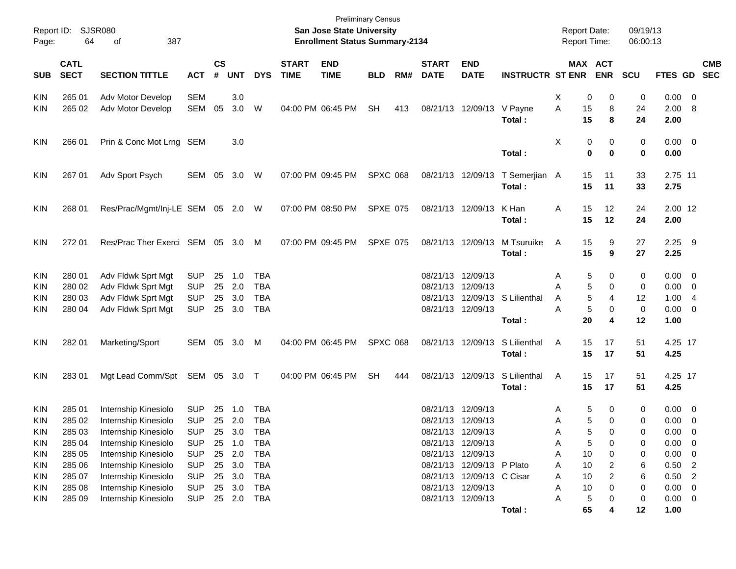| Page:      | Report ID: SJSR080<br>64   | 387<br>of                       |              |                    |            |            |                             | San Jose State University<br><b>Enrollment Status Summary-2134</b> | Preliminary Census |     |                             |                           |                                | <b>Report Date:</b><br><b>Report Time:</b> |                                   | 09/19/13<br>06:00:13 |                     |                          |            |
|------------|----------------------------|---------------------------------|--------------|--------------------|------------|------------|-----------------------------|--------------------------------------------------------------------|--------------------|-----|-----------------------------|---------------------------|--------------------------------|--------------------------------------------|-----------------------------------|----------------------|---------------------|--------------------------|------------|
| <b>SUB</b> | <b>CATL</b><br><b>SECT</b> | <b>SECTION TITTLE</b>           | <b>ACT</b>   | $\mathsf{cs}$<br># | <b>UNT</b> | <b>DYS</b> | <b>START</b><br><b>TIME</b> | <b>END</b><br><b>TIME</b>                                          | <b>BLD</b>         | RM# | <b>START</b><br><b>DATE</b> | <b>END</b><br><b>DATE</b> | <b>INSTRUCTR ST ENR</b>        |                                            | MAX ACT<br><b>ENR</b>             | <b>SCU</b>           | FTES GD SEC         |                          | <b>CMB</b> |
| <b>KIN</b> | 265 01                     | Adv Motor Develop               | <b>SEM</b>   |                    | 3.0        |            |                             |                                                                    |                    |     |                             |                           |                                | Χ                                          | 0<br>0                            | 0                    | 0.00                | $\overline{\phantom{0}}$ |            |
| <b>KIN</b> | 265 02                     | Adv Motor Develop               | SEM          | 05                 | 3.0        | W          |                             | 04:00 PM 06:45 PM                                                  | <b>SH</b>          | 413 |                             | 08/21/13 12/09/13         | V Payne<br>Total:              | Α<br>15<br>15                              | 8<br>8                            | 24<br>24             | 2.00<br>2.00        | 8                        |            |
| <b>KIN</b> | 266 01                     | Prin & Conc Mot Lrng SEM        |              |                    | 3.0        |            |                             |                                                                    |                    |     |                             |                           | Total:                         | Χ                                          | 0<br>0<br>$\mathbf 0$<br>$\bf{0}$ | 0<br>0               | $0.00 \t 0$<br>0.00 |                          |            |
| <b>KIN</b> | 267 01                     | Adv Sport Psych                 | SEM          | 05                 | 3.0        | W          |                             | 07:00 PM 09:45 PM                                                  | <b>SPXC 068</b>    |     |                             | 08/21/13 12/09/13         | T Semerjian A<br>Total:        | 15<br>15                                   | 11<br>11                          | 33<br>33             | 2.75 11<br>2.75     |                          |            |
| <b>KIN</b> | 268 01                     | Res/Prac/Mgmt/Inj-LE SEM 05 2.0 |              |                    |            | W          |                             | 07:00 PM 08:50 PM                                                  | <b>SPXE 075</b>    |     |                             | 08/21/13 12/09/13         | K Han<br>Total:                | 15<br>Α<br>15                              | 12<br>12                          | 24<br>24             | 2.00 12<br>2.00     |                          |            |
| <b>KIN</b> | 272 01                     | Res/Prac Ther Exerci SEM 05 3.0 |              |                    |            | M          |                             | 07:00 PM 09:45 PM                                                  | <b>SPXE 075</b>    |     |                             | 08/21/13 12/09/13         | M Tsuruike<br>Total:           | 15<br>A<br>15                              | 9<br>9                            | 27<br>27             | $2.25$ 9<br>2.25    |                          |            |
| <b>KIN</b> | 280 01                     | Adv Fldwk Sprt Mgt              | <b>SUP</b>   | 25                 | 1.0        | <b>TBA</b> |                             |                                                                    |                    |     |                             | 08/21/13 12/09/13         |                                | A                                          | 5<br>0                            | 0                    | 0.00                | $\overline{\phantom{0}}$ |            |
| <b>KIN</b> | 280 02                     | Adv Fldwk Sprt Mgt              | <b>SUP</b>   |                    | 25 2.0     | <b>TBA</b> |                             |                                                                    |                    |     | 08/21/13 12/09/13           |                           |                                | A                                          | 5<br>0                            | 0                    | 0.00                | $\overline{\phantom{0}}$ |            |
| KIN        | 280 03                     | Adv Fldwk Sprt Mgt              | <b>SUP</b>   | 25                 | 3.0        | <b>TBA</b> |                             |                                                                    |                    |     |                             |                           | 08/21/13 12/09/13 S Lilienthal | A                                          | 5<br>4                            | 12                   | 1.00                | - 4                      |            |
| <b>KIN</b> | 280 04                     | Adv Fldwk Sprt Mgt              | <b>SUP</b>   |                    | 25 3.0     | <b>TBA</b> |                             |                                                                    |                    |     |                             | 08/21/13 12/09/13         |                                | A                                          | 5<br>0                            | 0                    | 0.00                | $\overline{\mathbf{0}}$  |            |
|            |                            |                                 |              |                    |            |            |                             |                                                                    |                    |     |                             |                           | Total:                         | 20                                         | 4                                 | 12                   | 1.00                |                          |            |
| <b>KIN</b> | 282 01                     | Marketing/Sport                 | SEM 05 3.0   |                    |            | M          |                             | 04:00 PM 06:45 PM                                                  | <b>SPXC 068</b>    |     |                             | 08/21/13 12/09/13         | S Lilienthal<br>Total:         | 15<br>Α<br>15                              | 17<br>17                          | 51<br>51             | 4.25 17<br>4.25     |                          |            |
| <b>KIN</b> | 283 01                     | Mgt Lead Comm/Spt               | SEM 05 3.0 T |                    |            |            |                             | 04:00 PM 06:45 PM                                                  | <b>SH</b>          | 444 |                             | 08/21/13 12/09/13         | S Lilienthal<br>Total:         | Α<br>15<br>15                              | 17<br>17                          | 51<br>51             | 4.25 17<br>4.25     |                          |            |
| <b>KIN</b> | 285 01                     | Internship Kinesiolo            | <b>SUP</b>   |                    | 25 1.0     | <b>TBA</b> |                             |                                                                    |                    |     | 08/21/13 12/09/13           |                           |                                | A                                          | 5<br>0                            | 0                    | 0.00                | $\overline{\phantom{0}}$ |            |
| <b>KIN</b> | 285 02                     | Internship Kinesiolo            | <b>SUP</b>   |                    | 25 2.0     | <b>TBA</b> |                             |                                                                    |                    |     | 08/21/13 12/09/13           |                           |                                | A                                          | 5<br>0                            | 0                    | 0.00                | $\overline{\mathbf{0}}$  |            |
| <b>KIN</b> | 285 03                     | Internship Kinesiolo            | <b>SUP</b>   |                    | 25 3.0     | TBA        |                             |                                                                    |                    |     |                             | 08/21/13 12/09/13         |                                | A                                          | 5<br>0                            | 0                    | $0.00 \quad 0$      |                          |            |
| KIN        | 285 04                     | Internship Kinesiolo            | <b>SUP</b>   |                    | 25 1.0     | <b>TBA</b> |                             |                                                                    |                    |     |                             | 08/21/13 12/09/13         |                                | A                                          | 5<br>0                            | 0                    | 0.00                | $\overline{\mathbf{0}}$  |            |
| <b>KIN</b> | 285 05                     | Internship Kinesiolo            | <b>SUP</b>   |                    | 25 2.0     | <b>TBA</b> |                             |                                                                    |                    |     |                             | 08/21/13 12/09/13         |                                | 10<br>A                                    | 0                                 | 0                    | 0.00                | - 0                      |            |
| <b>KIN</b> | 285 06                     | Internship Kinesiolo            | <b>SUP</b>   |                    | 25 3.0     | TBA        |                             |                                                                    |                    |     |                             | 08/21/13 12/09/13 P Plato |                                | 10<br>A                                    | $\overline{\mathbf{c}}$           | 6                    | 0.50                | $\overline{2}$           |            |
| <b>KIN</b> | 285 07                     | Internship Kinesiolo            | <b>SUP</b>   |                    | 25 3.0     | TBA        |                             |                                                                    |                    |     |                             | 08/21/13 12/09/13 C Cisar |                                | 10<br>A                                    | 2                                 | 6                    | 0.50                | $\overline{2}$           |            |
| <b>KIN</b> | 285 08                     | Internship Kinesiolo            | <b>SUP</b>   |                    | 25 3.0     | TBA        |                             |                                                                    |                    |     |                             | 08/21/13 12/09/13         |                                | 10<br>Α                                    | 0                                 | 0                    | 0.00                | $\overline{\mathbf{0}}$  |            |
| <b>KIN</b> | 285 09                     | Internship Kinesiolo            | <b>SUP</b>   |                    | 25 2.0     | TBA        |                             |                                                                    |                    |     |                             | 08/21/13 12/09/13         |                                | A                                          | 5<br>0                            | 0                    | $0.00 \t 0$         |                          |            |
|            |                            |                                 |              |                    |            |            |                             |                                                                    |                    |     |                             |                           | Total:                         | 65                                         |                                   | 12                   | 1.00                |                          |            |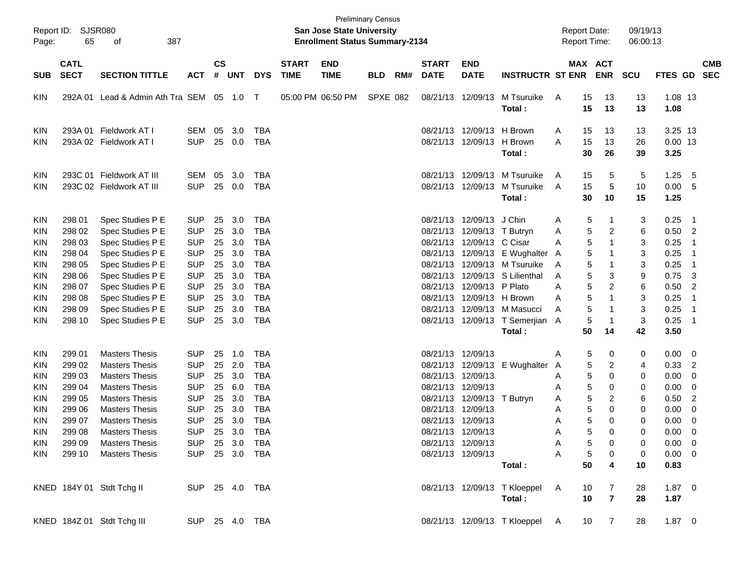| Report ID:<br>Page:                           | 65                                   | SJSR080<br>387<br>οf                                                                             |                                                              |                    |                   |                                        |                             | <b>Preliminary Census</b><br><b>San Jose State University</b><br><b>Enrollment Status Summary-2134</b> |            |     |                                  |                                                                                  |                                                      |                  |                            | <b>Report Date:</b><br>Report Time: | 09/19/13<br>06:00:13 |                                                      |                                        |                          |
|-----------------------------------------------|--------------------------------------|--------------------------------------------------------------------------------------------------|--------------------------------------------------------------|--------------------|-------------------|----------------------------------------|-----------------------------|--------------------------------------------------------------------------------------------------------|------------|-----|----------------------------------|----------------------------------------------------------------------------------|------------------------------------------------------|------------------|----------------------------|-------------------------------------|----------------------|------------------------------------------------------|----------------------------------------|--------------------------|
| <b>SUB</b>                                    | <b>CATL</b><br><b>SECT</b>           | <b>SECTION TITTLE</b>                                                                            | <b>ACT</b>                                                   | $\mathsf{cs}$<br># | <b>UNT</b>        | <b>DYS</b>                             | <b>START</b><br><b>TIME</b> | <b>END</b><br><b>TIME</b>                                                                              | <b>BLD</b> | RM# | <b>START</b><br><b>DATE</b>      | <b>END</b><br><b>DATE</b>                                                        | <b>INSTRUCTR ST ENR</b>                              |                  |                            | MAX ACT<br><b>ENR</b>               | <b>SCU</b>           | <b>FTES GD</b>                                       |                                        | <b>CMB</b><br><b>SEC</b> |
| <b>KIN</b>                                    |                                      | 292A 01 Lead & Admin Ath Tra SEM 05 1.0 T                                                        |                                                              |                    |                   |                                        |                             | 05:00 PM 06:50 PM                                                                                      | SPXE 082   |     |                                  | 08/21/13 12/09/13                                                                | M Tsuruike<br>Total:                                 | A                | 15<br>15                   | 13<br>13                            | 13<br>13             | 1.08 13<br>1.08                                      |                                        |                          |
| <b>KIN</b><br><b>KIN</b>                      |                                      | 293A 01 Fieldwork AT I<br>293A 02 Fieldwork AT I                                                 | SEM<br><b>SUP</b>                                            | 05<br>25           | 3.0<br>0.0        | <b>TBA</b><br><b>TBA</b>               |                             |                                                                                                        |            |     | 08/21/13                         | 12/09/13 H Brown<br>08/21/13 12/09/13 H Brown                                    | Total:                                               | A<br>A           | 15<br>15<br>30             | 13<br>13<br>26                      | 13<br>26<br>39       | 3.25 13<br>$0.00$ 13<br>3.25                         |                                        |                          |
| <b>KIN</b><br><b>KIN</b>                      |                                      | 293C 01 Fieldwork AT III<br>293C 02 Fieldwork AT III                                             | SEM<br><b>SUP</b>                                            | 05<br>25           | 3.0<br>0.0        | <b>TBA</b><br><b>TBA</b>               |                             |                                                                                                        |            |     | 08/21/13<br>08/21/13             | 12/09/13<br>12/09/13                                                             | M Tsuruike<br>M Tsuruike<br>Total:                   | A<br>A           | 15<br>15<br>30             | 5<br>5<br>10                        | 5<br>10<br>15        | 1.25<br>0.00<br>1.25                                 | 5<br>5                                 |                          |
| <b>KIN</b><br>KIN<br>KIN                      | 298 01<br>298 02<br>298 03           | Spec Studies P E<br>Spec Studies P E<br>Spec Studies P E                                         | <b>SUP</b><br><b>SUP</b><br><b>SUP</b>                       | 25<br>25<br>25     | 3.0<br>3.0<br>3.0 | <b>TBA</b><br><b>TBA</b><br><b>TBA</b> |                             |                                                                                                        |            |     | 08/21/13<br>08/21/13<br>08/21/13 | 12/09/13<br>12/09/13 T Butryn<br>12/09/13                                        | J Chin<br>C Cisar                                    | A<br>Α<br>A      | 5<br>5<br>5                | 1<br>$\overline{\mathbf{c}}$<br>1   | 3<br>6<br>3          | 0.25<br>0.50<br>0.25                                 | $\overline{1}$<br>$\overline{2}$<br>-1 |                          |
| <b>KIN</b><br><b>KIN</b><br><b>KIN</b>        | 298 04<br>298 05<br>298 06           | Spec Studies P E<br>Spec Studies P E<br>Spec Studies P E                                         | <b>SUP</b><br><b>SUP</b><br><b>SUP</b>                       | 25<br>25<br>25     | 3.0<br>3.0<br>3.0 | <b>TBA</b><br><b>TBA</b><br><b>TBA</b> |                             |                                                                                                        |            |     | 08/21/13<br>08/21/13<br>08/21/13 | 12/09/13<br>12/09/13                                                             | E Wughalter A<br>M Tsuruike<br>12/09/13 S Lilienthal | A<br>A           | 5<br>5<br>5                | 1<br>1<br>3                         | 3<br>3<br>9          | 0.25<br>0.25<br>0.75                                 | -1<br>-1<br>3                          |                          |
| <b>KIN</b><br><b>KIN</b><br><b>KIN</b>        | 298 07<br>298 08<br>298 09           | Spec Studies P E<br>Spec Studies P E<br>Spec Studies P E                                         | <b>SUP</b><br><b>SUP</b><br><b>SUP</b>                       | 25<br>25<br>25     | 3.0<br>3.0<br>3.0 | <b>TBA</b><br><b>TBA</b><br><b>TBA</b> |                             |                                                                                                        |            |     | 08/21/13<br>08/21/13<br>08/21/13 | 12/09/13<br>12/09/13 H Brown<br>12/09/13                                         | P Plato<br>M Masucci                                 | A<br>A<br>A      | 5<br>5<br>5                | 2<br>1<br>1                         | 6<br>3<br>3          | 0.50<br>0.25<br>0.25                                 | $\overline{2}$<br>-1<br>-1             |                          |
| <b>KIN</b>                                    | 298 10                               | Spec Studies P E                                                                                 | <b>SUP</b>                                                   | 25                 | 3.0               | <b>TBA</b>                             |                             |                                                                                                        |            |     |                                  |                                                                                  | 08/21/13 12/09/13 T Semerjian A<br>Total:            |                  | 5<br>50                    | $\mathbf{1}$<br>14                  | 3<br>42              | 0.25<br>3.50                                         | -1                                     |                          |
| <b>KIN</b><br>KIN<br>KIN                      | 299 01<br>299 02<br>299 03           | <b>Masters Thesis</b><br><b>Masters Thesis</b><br><b>Masters Thesis</b>                          | <b>SUP</b><br><b>SUP</b><br><b>SUP</b>                       | 25<br>25<br>25     | 1.0<br>2.0<br>3.0 | <b>TBA</b><br><b>TBA</b><br><b>TBA</b> |                             |                                                                                                        |            |     | 08/21/13<br>08/21/13<br>08/21/13 | 12/09/13<br>12/09/13<br>12/09/13                                                 | E Wughalter                                          | Α<br>A<br>A      | 5<br>5<br>5                | 0<br>$\overline{\mathbf{c}}$<br>0   | 0<br>4<br>0          | 0.00<br>0.33<br>0.00                                 | 0<br>$\overline{2}$<br>0               |                          |
| <b>KIN</b><br><b>KIN</b><br><b>KIN</b>        | 299 04<br>299 05<br>299 06           | <b>Masters Thesis</b><br><b>Masters Thesis</b><br><b>Masters Thesis</b>                          | <b>SUP</b><br><b>SUP</b><br><b>SUP</b>                       | 25<br>25<br>25     | 6.0<br>3.0<br>3.0 | <b>TBA</b><br><b>TBA</b><br><b>TBA</b> |                             |                                                                                                        |            |     | 08/21/13<br>08/21/13<br>08/21/13 | 12/09/13<br>12/09/13<br>12/09/13                                                 | T Butryn                                             | A<br>Α<br>A      | 5<br>5<br>5                | 0<br>2<br>$\mathbf 0$               | 0<br>6<br>0          | 0.00<br>0.50<br>0.00                                 | 0<br>$\overline{c}$<br>0               |                          |
| <b>KIN</b><br><b>KIN</b><br>KIN<br><b>KIN</b> | 299 07<br>299 08<br>299 09<br>299 10 | <b>Masters Thesis</b><br><b>Masters Thesis</b><br><b>Masters Thesis</b><br><b>Masters Thesis</b> | <b>SUP</b><br>SUP 25 3.0 TBA<br><b>SUP</b><br>SUP 25 3.0 TBA | 25                 | 3.0<br>25 3.0     | <b>TBA</b><br>TBA                      |                             |                                                                                                        |            |     |                                  | 08/21/13 12/09/13<br>08/21/13 12/09/13<br>08/21/13 12/09/13<br>08/21/13 12/09/13 |                                                      | A<br>A<br>A<br>Α | 5<br>5<br>5<br>$\,$ 5 $\,$ | $\Omega$<br>0<br>0<br>0             | 0<br>0<br>0<br>0     | 0.00<br>$0.00 \quad 0$<br>$0.00 \t 0$<br>$0.00 \t 0$ | 0                                      |                          |
|                                               |                                      | KNED 184Y 01 Stdt Tchg II                                                                        | SUP 25 4.0 TBA                                               |                    |                   |                                        |                             |                                                                                                        |            |     |                                  |                                                                                  | Total:<br>08/21/13 12/09/13 T Kloeppel               | <b>A</b>         | 50<br>10                   | 4<br>7                              | 10<br>28             | 0.83<br>$1.87 \ 0$                                   |                                        |                          |
|                                               |                                      | KNED 184Z 01 Stdt Tchg III                                                                       | SUP 25 4.0 TBA                                               |                    |                   |                                        |                             |                                                                                                        |            |     |                                  |                                                                                  | Total:<br>08/21/13 12/09/13 T Kloeppel A             |                  | 10<br>10                   | $\overline{7}$<br>$\overline{7}$    | 28<br>28             | 1.87<br>$1.87 \t 0$                                  |                                        |                          |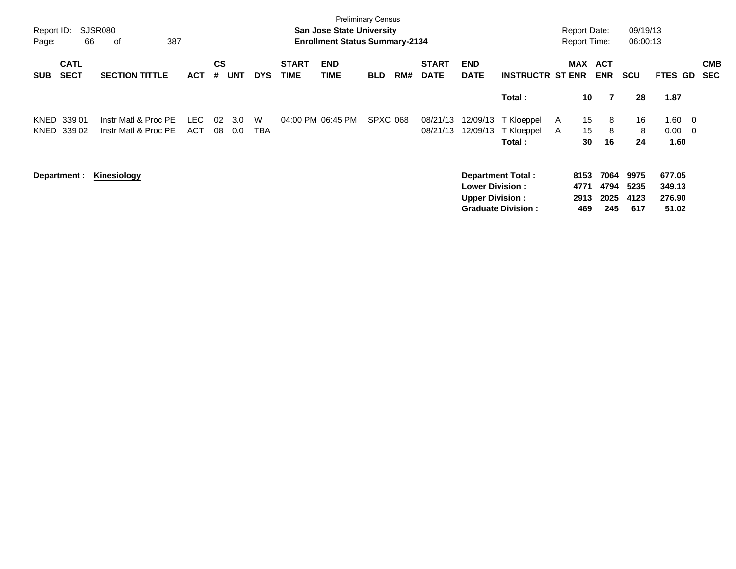| Report ID:<br>Page: | 66                         | <b>SJSR080</b><br>387<br>οf                  |                    |                |            |                 |                             | <b>Preliminary Census</b><br><b>San Jose State University</b><br><b>Enrollment Status Summary-2134</b> |            |     |                             |                                                                               |                                             | <b>Report Date:</b><br><b>Report Time:</b> |                                | 09/19/13<br>06:00:13        |                                     |                                                    |
|---------------------|----------------------------|----------------------------------------------|--------------------|----------------|------------|-----------------|-----------------------------|--------------------------------------------------------------------------------------------------------|------------|-----|-----------------------------|-------------------------------------------------------------------------------|---------------------------------------------|--------------------------------------------|--------------------------------|-----------------------------|-------------------------------------|----------------------------------------------------|
| <b>SUB</b>          | <b>CATL</b><br><b>SECT</b> | <b>SECTION TITTLE</b>                        | <b>ACT</b>         | <b>CS</b><br># | <b>UNT</b> | <b>DYS</b>      | <b>START</b><br><b>TIME</b> | <b>END</b><br><b>TIME</b>                                                                              | <b>BLD</b> | RM# | <b>START</b><br><b>DATE</b> | <b>END</b><br><b>DATE</b>                                                     | <b>INSTRUCTR ST ENR</b>                     | MAX                                        | ACT<br><b>ENR</b>              | <b>SCU</b>                  | FTES GD                             | <b>CMB</b><br><b>SEC</b>                           |
|                     |                            |                                              |                    |                |            |                 |                             |                                                                                                        |            |     |                             |                                                                               | Total:                                      |                                            | $\overline{7}$<br>10           | 28                          | 1.87                                |                                                    |
| KNED                | KNED 339 01<br>339 02      | Instr Matl & Proc PE<br>Instr Matl & Proc PE | LEC.<br><b>ACT</b> | 02<br>08       | 3.0<br>0.0 | W<br><b>TBA</b> | 04:00 PM 06:45 PM           |                                                                                                        | SPXC 068   |     | 08/21/13<br>08/21/13        | 12/09/13                                                                      | 12/09/13 T Kloeppel<br>T Kloeppel<br>Total: | A<br>A                                     | 8<br>15<br>15<br>8<br>30<br>16 | 16<br>8<br>24               | 1.60<br>0.00<br>1.60                | $\overline{\mathbf{0}}$<br>$\overline{\mathbf{0}}$ |
|                     | Department :               | Kinesiology                                  |                    |                |            |                 |                             |                                                                                                        |            |     |                             | <b>Department Total:</b><br><b>Lower Division :</b><br><b>Upper Division:</b> | <b>Graduate Division:</b>                   | 8153<br>4771<br>2913<br>469                | 7064<br>4794<br>2025<br>245    | 9975<br>5235<br>4123<br>617 | 677.05<br>349.13<br>276.90<br>51.02 |                                                    |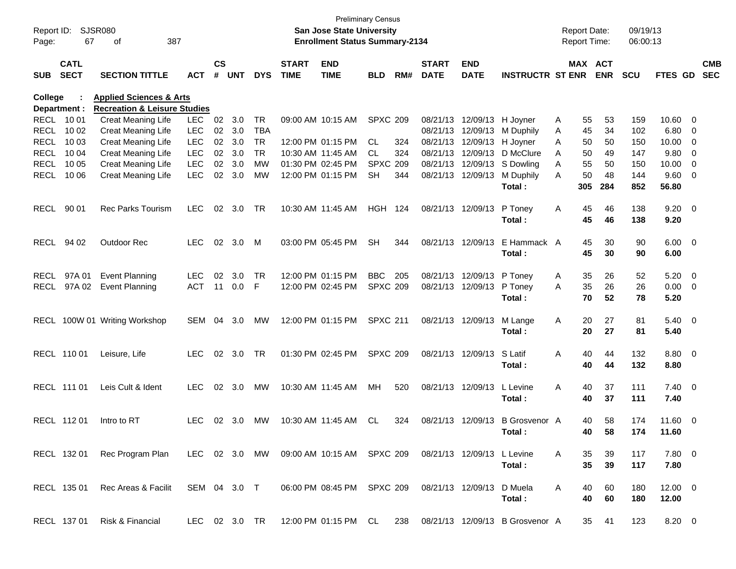| Report ID:<br>Page:        | 67                         | SJSR080<br>387<br>оf                                   |                          |                    |            |                        |                             | San Jose State University<br><b>Enrollment Status Summary-2134</b> | <b>Preliminary Census</b> |     |                             |                                        |                                 |        | <b>Report Date:</b> | <b>Report Time:</b>   | 09/19/13<br>06:00:13 |                |                          |                          |
|----------------------------|----------------------------|--------------------------------------------------------|--------------------------|--------------------|------------|------------------------|-----------------------------|--------------------------------------------------------------------|---------------------------|-----|-----------------------------|----------------------------------------|---------------------------------|--------|---------------------|-----------------------|----------------------|----------------|--------------------------|--------------------------|
| <b>SUB</b>                 | <b>CATL</b><br><b>SECT</b> | <b>SECTION TITTLE</b>                                  | <b>ACT</b>               | $\mathsf{cs}$<br># | <b>UNT</b> | <b>DYS</b>             | <b>START</b><br><b>TIME</b> | <b>END</b><br><b>TIME</b>                                          | <b>BLD</b>                | RM# | <b>START</b><br><b>DATE</b> | <b>END</b><br><b>DATE</b>              | <b>INSTRUCTR ST ENR</b>         |        |                     | MAX ACT<br><b>ENR</b> | <b>SCU</b>           | <b>FTES GD</b> |                          | <b>CMB</b><br><b>SEC</b> |
| <b>College</b>             |                            | <b>Applied Sciences &amp; Arts</b>                     |                          |                    |            |                        |                             |                                                                    |                           |     |                             |                                        |                                 |        |                     |                       |                      |                |                          |                          |
|                            | Department :               | <b>Recreation &amp; Leisure Studies</b>                |                          |                    |            |                        |                             |                                                                    |                           |     |                             |                                        |                                 |        |                     |                       |                      |                |                          |                          |
| <b>RECL</b>                | 10 01                      | <b>Creat Meaning Life</b>                              | <b>LEC</b>               | 02                 | 3.0        | TR                     |                             | 09:00 AM 10:15 AM                                                  | <b>SPXC 209</b>           |     |                             | 08/21/13 12/09/13                      | H Joyner                        | A      | 55                  | 53                    | 159                  | 10.60          | $\overline{\mathbf{0}}$  |                          |
| <b>RECL</b>                | 10 02                      | <b>Creat Meaning Life</b>                              | LEC                      | 02                 | 3.0        | TBA                    |                             |                                                                    |                           |     |                             | 08/21/13 12/09/13                      | M Duphily                       | A      | 45                  | 34                    | 102                  | 6.80           | $\overline{0}$           |                          |
| <b>RECL</b>                | 10 03                      | <b>Creat Meaning Life</b>                              | <b>LEC</b>               | 02                 | 3.0        | <b>TR</b><br><b>TR</b> |                             | 12:00 PM 01:15 PM                                                  | CL                        | 324 |                             | 08/21/13 12/09/13<br>08/21/13 12/09/13 | H Joyner                        | Α      | 50                  | 50                    | 150                  | 10.00          | $\overline{0}$           |                          |
| <b>RECL</b><br><b>RECL</b> | 10 04<br>10 05             | <b>Creat Meaning Life</b><br><b>Creat Meaning Life</b> | <b>LEC</b><br><b>LEC</b> | 02<br>02           | 3.0<br>3.0 | МW                     |                             | 10:30 AM 11:45 AM<br>01:30 PM 02:45 PM                             | CL.<br><b>SPXC 209</b>    | 324 |                             | 08/21/13 12/09/13                      | D McClure<br>S Dowling          | Α<br>Α | 50                  | 49<br>50              | 147                  | 9.80<br>10.00  | 0                        |                          |
| <b>RECL</b>                | 10 06                      | <b>Creat Meaning Life</b>                              | <b>LEC</b>               | 02                 | 3.0        | MW                     |                             | 12:00 PM 01:15 PM                                                  | <b>SH</b>                 | 344 |                             | 08/21/13 12/09/13                      | M Duphily                       | Α      | 55<br>50            | 48                    | 150<br>144           | 9.60           | 0<br>- 0                 |                          |
|                            |                            |                                                        |                          |                    |            |                        |                             |                                                                    |                           |     |                             |                                        | Total:                          |        | 305                 | 284                   | 852                  | 56.80          |                          |                          |
| <b>RECL</b>                | 90 01                      | <b>Rec Parks Tourism</b>                               | <b>LEC</b>               | 02                 | 3.0        | TR                     |                             | 10:30 AM 11:45 AM                                                  | <b>HGH</b>                | 124 |                             | 08/21/13 12/09/13                      | P Toney                         | A      | 45                  | 46                    | 138                  | $9.20 \ 0$     |                          |                          |
|                            |                            |                                                        |                          |                    |            |                        |                             |                                                                    |                           |     |                             |                                        | Total:                          |        | 45                  | 46                    | 138                  | 9.20           |                          |                          |
| <b>RECL</b>                | 94 02                      | <b>Outdoor Rec</b>                                     | LEC                      | 02                 | 3.0        | M                      |                             | 03:00 PM 05:45 PM                                                  | <b>SH</b>                 | 344 |                             | 08/21/13 12/09/13                      | E Hammack A                     |        | 45                  | 30                    | 90                   | $6.00 \quad 0$ |                          |                          |
|                            |                            |                                                        |                          |                    |            |                        |                             |                                                                    |                           |     |                             |                                        | Total:                          |        | 45                  | 30                    | 90                   | 6.00           |                          |                          |
|                            |                            |                                                        |                          |                    |            |                        |                             |                                                                    |                           |     |                             |                                        |                                 |        |                     |                       |                      |                |                          |                          |
| <b>RECL</b>                | 97A 01                     | <b>Event Planning</b>                                  | <b>LEC</b>               | 02                 | 3.0        | <b>TR</b>              |                             | 12:00 PM 01:15 PM                                                  | <b>BBC</b>                | 205 |                             | 08/21/13 12/09/13                      | P Toney                         | A      | 35                  | 26                    | 52                   | 5.20           | $\overline{\phantom{0}}$ |                          |
| <b>RECL</b>                | 97A 02                     | <b>Event Planning</b>                                  | <b>ACT</b>               | 11                 | 0.0        | F                      |                             | 12:00 PM 02:45 PM                                                  | <b>SPXC 209</b>           |     |                             | 08/21/13 12/09/13                      | P Toney                         | A      | 35                  | 26                    | 26                   | 0.00           | $\overline{\phantom{0}}$ |                          |
|                            |                            |                                                        |                          |                    |            |                        |                             |                                                                    |                           |     |                             |                                        | Total:                          |        | 70                  | 52                    | 78                   | 5.20           |                          |                          |
|                            |                            |                                                        |                          |                    |            |                        |                             |                                                                    |                           |     |                             |                                        |                                 |        |                     |                       |                      |                |                          |                          |
| RECL                       |                            | 100W 01 Writing Workshop                               | SEM                      | 04                 | 3.0        | МW                     |                             | 12:00 PM 01:15 PM                                                  | <b>SPXC 211</b>           |     |                             | 08/21/13 12/09/13                      | M Lange                         | Α      | 20                  | 27                    | 81                   | $5.40 \ 0$     |                          |                          |
|                            |                            |                                                        |                          |                    |            |                        |                             |                                                                    |                           |     |                             |                                        | Total:                          |        | 20                  | 27                    | 81                   | 5.40           |                          |                          |
|                            | RECL 110 01                | Leisure, Life                                          | <b>LEC</b>               | 02                 | 3.0        | TR                     |                             | 01:30 PM 02:45 PM                                                  | <b>SPXC 209</b>           |     |                             | 08/21/13 12/09/13                      | S Latif                         | Α      | 40                  | 44                    | 132                  | 8.80 0         |                          |                          |
|                            |                            |                                                        |                          |                    |            |                        |                             |                                                                    |                           |     |                             |                                        | Total:                          |        | 40                  | 44                    | 132                  | 8.80           |                          |                          |
|                            |                            |                                                        |                          |                    |            |                        |                             |                                                                    |                           |     |                             |                                        |                                 |        |                     |                       |                      |                |                          |                          |
|                            | RECL 111 01                | Leis Cult & Ident                                      | <b>LEC</b>               | 02                 | 3.0        | МW                     |                             | 10:30 AM 11:45 AM                                                  | MН                        | 520 |                             | 08/21/13 12/09/13                      | L Levine                        | Α      | 40                  | 37                    | 111                  | $7.40 \quad 0$ |                          |                          |
|                            |                            |                                                        |                          |                    |            |                        |                             |                                                                    |                           |     |                             |                                        | Total:                          |        | 40                  | 37                    | 111                  | 7.40           |                          |                          |
|                            |                            |                                                        |                          |                    |            |                        |                             |                                                                    |                           |     |                             |                                        |                                 |        |                     |                       |                      |                |                          |                          |
|                            | RECL 112 01                | Intro to RT                                            | <b>LEC</b>               | 02                 | 3.0        | <b>MW</b>              |                             | 10:30 AM 11:45 AM                                                  | CL                        | 324 |                             | 08/21/13 12/09/13                      | <b>B</b> Grosvenor A            |        | 40                  | 58                    | 174                  | 11.60 0        |                          |                          |
|                            |                            |                                                        |                          |                    |            |                        |                             |                                                                    |                           |     |                             |                                        | Total:                          |        | 40                  | 58                    | 174                  | 11.60          |                          |                          |
|                            |                            |                                                        |                          |                    |            |                        |                             |                                                                    |                           |     |                             |                                        |                                 |        |                     |                       |                      |                |                          |                          |
|                            | RECL 132 01                | Rec Program Plan                                       |                          |                    |            |                        |                             | LEC 02 3.0 MW 09:00 AM 10:15 AM SPXC 209                           |                           |     |                             | 08/21/13 12/09/13 L Levine             |                                 | A      | 35                  | 39                    | 117                  | $7.80 \t 0$    |                          |                          |
|                            |                            |                                                        |                          |                    |            |                        |                             |                                                                    |                           |     |                             |                                        | Total:                          |        | 35                  | 39                    | 117                  | 7.80           |                          |                          |
|                            |                            |                                                        |                          |                    |            |                        |                             |                                                                    |                           |     |                             |                                        |                                 |        |                     |                       |                      |                |                          |                          |
|                            | RECL 135 01                | Rec Areas & Facilit                                    | SEM 04 3.0 T             |                    |            |                        |                             | 06:00 PM 08:45 PM SPXC 209                                         |                           |     |                             | 08/21/13 12/09/13                      | D Muela                         | A      | 40                  | 60                    | 180                  | $12.00 \t 0$   |                          |                          |
|                            |                            |                                                        |                          |                    |            |                        |                             |                                                                    |                           |     |                             |                                        | Total:                          |        | 40                  | 60                    | 180                  | 12.00          |                          |                          |
|                            |                            |                                                        |                          |                    |            |                        |                             |                                                                    |                           |     |                             |                                        |                                 |        |                     |                       |                      |                |                          |                          |
|                            | RECL 137 01                | Risk & Financial                                       | LEC 02 3.0 TR            |                    |            |                        |                             | 12:00 PM 01:15 PM CL                                               |                           | 238 |                             |                                        | 08/21/13 12/09/13 B Grosvenor A |        | 35                  | 41                    | 123                  | 8.20 0         |                          |                          |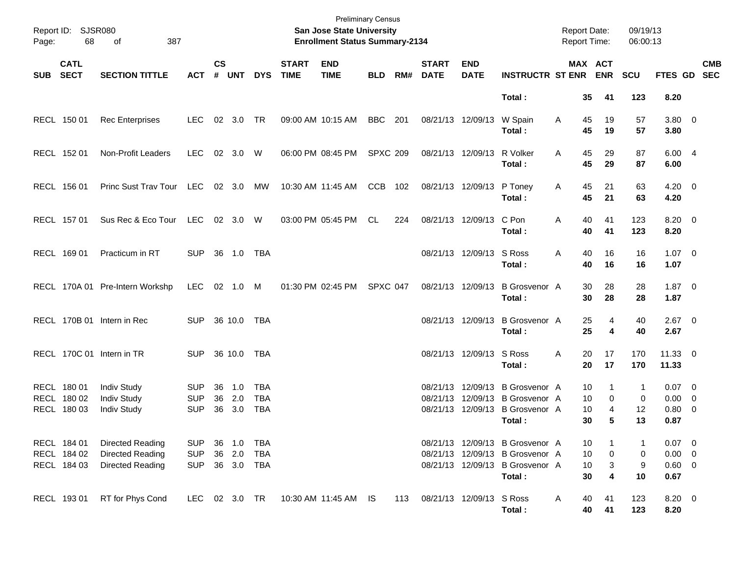| Page:      | Report ID: SJSR080<br>68                  | 387<br>of                                                      |                                        |                    |                                |                                 |                             | <b>Preliminary Census</b><br>San Jose State University<br><b>Enrollment Status Summary-2134</b> |                 |     |                             |                           |                                                                                                                 | <b>Report Date:</b><br><b>Report Time:</b> |                                                    | 09/19/13<br>06:00:13 |                                                 |                           |
|------------|-------------------------------------------|----------------------------------------------------------------|----------------------------------------|--------------------|--------------------------------|---------------------------------|-----------------------------|-------------------------------------------------------------------------------------------------|-----------------|-----|-----------------------------|---------------------------|-----------------------------------------------------------------------------------------------------------------|--------------------------------------------|----------------------------------------------------|----------------------|-------------------------------------------------|---------------------------|
| <b>SUB</b> | <b>CATL</b><br><b>SECT</b>                | <b>SECTION TITTLE</b>                                          | <b>ACT</b>                             | $\mathsf{cs}$<br># | <b>UNT</b>                     | <b>DYS</b>                      | <b>START</b><br><b>TIME</b> | <b>END</b><br><b>TIME</b>                                                                       | <b>BLD</b>      | RM# | <b>START</b><br><b>DATE</b> | <b>END</b><br><b>DATE</b> | <b>INSTRUCTR ST ENR</b>                                                                                         |                                            | MAX ACT<br><b>ENR</b>                              | <b>SCU</b>           |                                                 | <b>CMB</b><br>FTES GD SEC |
|            |                                           |                                                                |                                        |                    |                                |                                 |                             |                                                                                                 |                 |     |                             |                           | Total:                                                                                                          |                                            | 35<br>41                                           | 123                  | 8.20                                            |                           |
|            | RECL 150 01                               | <b>Rec Enterprises</b>                                         | <b>LEC</b>                             |                    | 02 3.0 TR                      |                                 |                             | 09:00 AM 10:15 AM                                                                               | BBC 201         |     |                             | 08/21/13 12/09/13         | W Spain<br>Total:                                                                                               | Α                                          | 45<br>19<br>45<br>19                               | 57<br>57             | $3.80\ 0$<br>3.80                               |                           |
|            | RECL 152 01                               | Non-Profit Leaders                                             | <b>LEC</b>                             |                    | 02 3.0 W                       |                                 |                             | 06:00 PM 08:45 PM                                                                               | <b>SPXC 209</b> |     |                             | 08/21/13 12/09/13         | R Volker<br>Total:                                                                                              | A                                          | 45<br>29<br>45<br>29                               | 87<br>87             | 6.004<br>6.00                                   |                           |
|            | RECL 156 01                               | Princ Sust Trav Tour                                           | LEC                                    |                    | 02 3.0                         | МW                              |                             | 10:30 AM 11:45 AM                                                                               | CCB 102         |     |                             | 08/21/13 12/09/13         | P Toney<br>Total:                                                                                               | Α                                          | 45<br>21<br>45<br>21                               | 63<br>63             | $4.20 \ 0$<br>4.20                              |                           |
|            | RECL 157 01                               | Sus Rec & Eco Tour                                             | LEC                                    |                    | 02 3.0 W                       |                                 |                             | 03:00 PM 05:45 PM                                                                               | CL              | 224 |                             | 08/21/13 12/09/13         | C Pon<br>Total:                                                                                                 | Α                                          | 40<br>41<br>40<br>41                               | 123<br>123           | $8.20 \ 0$<br>8.20                              |                           |
|            | RECL 169 01                               | Practicum in RT                                                | <b>SUP</b>                             |                    | 36 1.0                         | TBA                             |                             |                                                                                                 |                 |     |                             | 08/21/13 12/09/13 S Ross  | Total:                                                                                                          | Α                                          | 40<br>16<br>40<br>16                               | 16<br>16             | $1.07 \t 0$<br>1.07                             |                           |
|            |                                           | RECL 170A 01 Pre-Intern Workshp                                | <b>LEC</b>                             |                    | 02 1.0 M                       |                                 |                             | 01:30 PM 02:45 PM                                                                               | SPXC 047        |     |                             | 08/21/13 12/09/13         | <b>B</b> Grosvenor A<br>Total:                                                                                  |                                            | 28<br>30<br>28<br>30                               | 28<br>28             | $1.87 \ 0$<br>1.87                              |                           |
|            |                                           | RECL 170B 01 Intern in Rec                                     | <b>SUP</b>                             |                    | 36 10.0                        | TBA                             |                             |                                                                                                 |                 |     |                             | 08/21/13 12/09/13         | <b>B</b> Grosvenor A<br>Total:                                                                                  |                                            | 25<br>4<br>25<br>4                                 | 40<br>40             | $2.67$ 0<br>2.67                                |                           |
|            |                                           | RECL 170C 01 Intern in TR                                      | <b>SUP</b>                             |                    | 36 10.0                        | TBA                             |                             |                                                                                                 |                 |     |                             | 08/21/13 12/09/13 S Ross  | Total:                                                                                                          | Α                                          | 17<br>20<br>20<br>17                               | 170<br>170           | $11.33 \t 0$<br>11.33                           |                           |
|            | RECL 180 01<br>RECL 180 02<br>RECL 180 03 | <b>Indiv Study</b><br><b>Indiv Study</b><br><b>Indiv Study</b> | <b>SUP</b><br><b>SUP</b><br><b>SUP</b> | 36<br>36<br>36     | 1.0<br>2.0<br>3.0              | TBA<br><b>TBA</b><br><b>TBA</b> |                             |                                                                                                 |                 |     | 08/21/13                    |                           | 08/21/13 12/09/13 B Grosvenor A<br>12/09/13 B Grosvenor A<br>08/21/13 12/09/13 B Grosvenor A<br>Total:          |                                            | 10<br>1<br>10<br>$\mathbf 0$<br>10<br>4<br>30<br>5 | 1<br>0<br>12<br>13   | $0.07 \quad 0$<br>$0.00 \t 0$<br>0.80 0<br>0.87 |                           |
|            | RECL 184 01<br>RECL 184 02<br>RECL 184 03 | Directed Reading<br>Directed Reading<br>Directed Reading       | <b>SUP</b><br><b>SUP</b><br><b>SUP</b> |                    | 36 1.0<br>36 2.0<br>36 3.0 TBA | TBA<br>TBA                      |                             |                                                                                                 |                 |     |                             |                           | 08/21/13 12/09/13 B Grosvenor A<br>08/21/13 12/09/13 B Grosvenor A<br>08/21/13 12/09/13 B Grosvenor A<br>Total: |                                            | 10<br>0<br>10<br>10<br>3<br>30<br>4                | -1<br>0<br>9<br>10   | $0.07$ 0<br>$0.00 \t 0$<br>$0.60 \t 0$<br>0.67  |                           |
|            | RECL 193 01                               | RT for Phys Cond                                               | LEC                                    |                    | 02 3.0 TR                      |                                 |                             | 10:30 AM 11:45 AM IS                                                                            |                 | 113 |                             | 08/21/13 12/09/13 S Ross  | Total:                                                                                                          | A                                          | 40<br>41<br>40<br>41                               | 123<br>123           | $8.20 \ 0$<br>8.20                              |                           |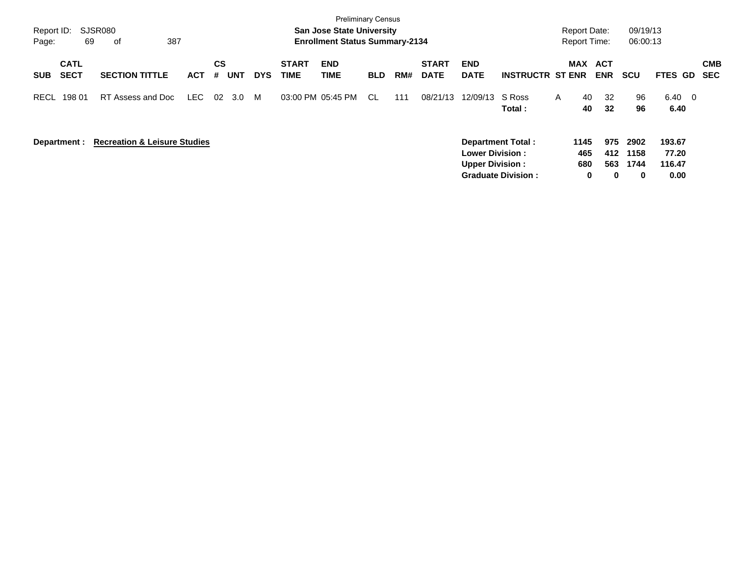| Report ID:<br>Page: | 69                         | SJSR080<br>387<br>оf                    |            |                              |            |                             | <b>Preliminary Census</b><br><b>San Jose State University</b><br><b>Enrollment Status Summary-2134</b> |            |     |                             |                                                  |                          |   | <b>Report Date:</b><br><b>Report Time:</b> |                   | 09/19/13<br>06:00:13 |                           |                   |
|---------------------|----------------------------|-----------------------------------------|------------|------------------------------|------------|-----------------------------|--------------------------------------------------------------------------------------------------------|------------|-----|-----------------------------|--------------------------------------------------|--------------------------|---|--------------------------------------------|-------------------|----------------------|---------------------------|-------------------|
| <b>SUB</b>          | <b>CATL</b><br><b>SECT</b> | <b>SECTION TITTLE</b>                   | <b>ACT</b> | <b>CS</b><br><b>UNT</b><br># | <b>DYS</b> | <b>START</b><br><b>TIME</b> | <b>END</b><br>TIME                                                                                     | <b>BLD</b> | RM# | <b>START</b><br><b>DATE</b> | <b>END</b><br><b>DATE</b>                        | <b>INSTRUCTR ST ENR</b>  |   | <b>MAX</b>                                 | ACT<br><b>ENR</b> | <b>SCU</b>           | <b>FTES GD</b>            | <b>CMB</b><br>SEC |
| <b>RECL</b>         | 198 01                     | RT Assess and Doc                       | LEC        | 02<br>3.0                    | M          |                             | 03:00 PM 05:45 PM                                                                                      | -CL        | 111 | 08/21/13                    | 12/09/13                                         | S Ross<br>Total:         | A | 40<br>40                                   | 32<br>32          | 96<br>96             | 6.40 0<br>6.40            |                   |
| Department :        |                            | <b>Recreation &amp; Leisure Studies</b> |            |                              |            |                             |                                                                                                        |            |     |                             | <b>Lower Division:</b><br><b>Upper Division:</b> | <b>Department Total:</b> |   | 1145<br>465<br>680                         | 975<br>412<br>563 | 2902<br>1158<br>1744 | 193.67<br>77.20<br>116.47 |                   |

**Graduate Division : 0 0 0 0.00**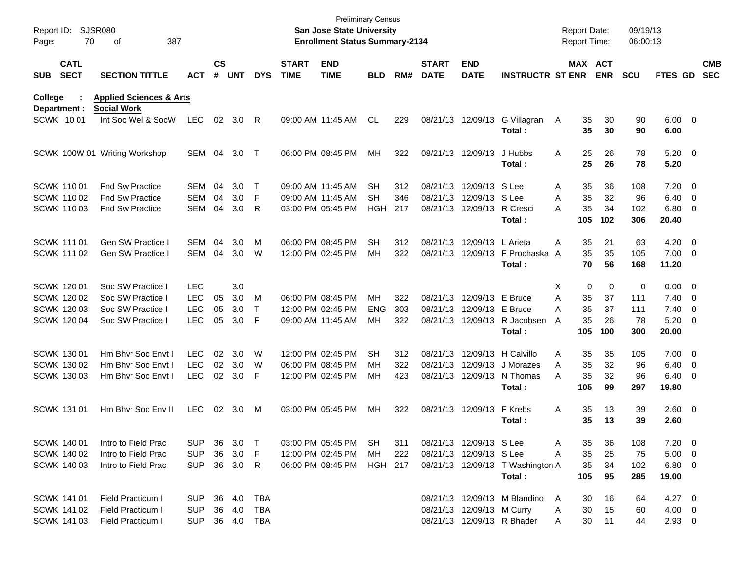| Report ID:<br>Page: | 70                         | <b>SJSR080</b><br>387<br>οf                              |            |                    |            |              |                             | <b>Preliminary Census</b><br><b>San Jose State University</b><br><b>Enrollment Status Summary-2134</b> |            |     |                             |                           |                                  | <b>Report Date:</b> |           | Report Time:          | 09/19/13<br>06:00:13 |                        |                          |                          |
|---------------------|----------------------------|----------------------------------------------------------|------------|--------------------|------------|--------------|-----------------------------|--------------------------------------------------------------------------------------------------------|------------|-----|-----------------------------|---------------------------|----------------------------------|---------------------|-----------|-----------------------|----------------------|------------------------|--------------------------|--------------------------|
| <b>SUB</b>          | <b>CATL</b><br><b>SECT</b> | <b>SECTION TITTLE</b>                                    | ACT        | $\mathsf{cs}$<br># | <b>UNT</b> | <b>DYS</b>   | <b>START</b><br><b>TIME</b> | <b>END</b><br><b>TIME</b>                                                                              | BLD        | RM# | <b>START</b><br><b>DATE</b> | <b>END</b><br><b>DATE</b> | <b>INSTRUCTR ST ENR</b>          |                     |           | MAX ACT<br><b>ENR</b> | <b>SCU</b>           | <b>FTES GD</b>         |                          | <b>CMB</b><br><b>SEC</b> |
| <b>College</b>      | Department :               | <b>Applied Sciences &amp; Arts</b><br><b>Social Work</b> |            |                    |            |              |                             |                                                                                                        |            |     |                             |                           |                                  |                     |           |                       |                      |                        |                          |                          |
|                     | <b>SCWK 1001</b>           | Int Soc Wel & SocW                                       | <b>LEC</b> | 02                 | 3.0        | R            |                             | 09:00 AM 11:45 AM                                                                                      | CL         | 229 |                             | 08/21/13 12/09/13         | G Villagran<br>Total:            | A                   | 35<br>35  | 30<br>30              | 90<br>90             | $6.00 \quad 0$<br>6.00 |                          |                          |
|                     |                            | SCWK 100W 01 Writing Workshop                            | <b>SEM</b> | 04                 | 3.0        | $\top$       |                             | 06:00 PM 08:45 PM                                                                                      | MН         | 322 |                             | 08/21/13 12/09/13         | J Hubbs<br>Total:                | A                   | 25<br>25  | 26<br>26              | 78<br>78             | $5.20 \ 0$<br>5.20     |                          |                          |
|                     | <b>SCWK 11001</b>          | <b>Fnd Sw Practice</b>                                   | SEM        | 04                 | 3.0        | Т            |                             | 09:00 AM 11:45 AM                                                                                      | SН         | 312 |                             | 08/21/13 12/09/13         | S Lee                            | A                   | 35        | 36                    | 108                  | 7.20                   | $\overline{\phantom{0}}$ |                          |
|                     | <b>SCWK 11002</b>          | <b>Fnd Sw Practice</b>                                   | <b>SEM</b> | 04                 | 3.0        | F            |                             | 09:00 AM 11:45 AM                                                                                      | <b>SH</b>  | 346 |                             | 08/21/13 12/09/13         | S Lee                            | Α                   | 35        | 32                    | 96                   | 6.40                   | $\overline{\phantom{0}}$ |                          |
|                     | <b>SCWK 11003</b>          | <b>Fnd Sw Practice</b>                                   | SEM        | 04                 | 3.0        | R            |                             | 03:00 PM 05:45 PM                                                                                      | HGH        | 217 |                             | 08/21/13 12/09/13         | R Cresci<br>Total:               | Α                   | 35<br>105 | 34<br>102             | 102<br>306           | 6.80<br>20.40          | $\overline{\phantom{0}}$ |                          |
|                     | <b>SCWK 111 01</b>         | <b>Gen SW Practice I</b>                                 | SEM        | 04                 | 3.0        | м            |                             | 06:00 PM 08:45 PM                                                                                      | SН         | 312 |                             | 08/21/13 12/09/13         | L Arieta                         | A                   | 35        | 21                    | 63                   | 4.20                   | $\overline{\phantom{0}}$ |                          |
|                     | <b>SCWK 111 02</b>         | Gen SW Practice I                                        | <b>SEM</b> | 04                 | 3.0        | W            |                             | 12:00 PM 02:45 PM                                                                                      | МH         | 322 |                             | 08/21/13 12/09/13         | F Prochaska                      | A                   | 35        | 35                    | 105                  | $7.00 \t 0$            |                          |                          |
|                     |                            |                                                          |            |                    |            |              |                             |                                                                                                        |            |     |                             |                           | Total:                           |                     | 70        | 56                    | 168                  | 11.20                  |                          |                          |
|                     | SCWK 120 01                | Soc SW Practice I                                        | <b>LEC</b> |                    | 3.0        |              |                             |                                                                                                        |            |     |                             |                           |                                  | X                   | 0         | $\mathbf 0$           | 0                    | 0.00                   | $\overline{\phantom{0}}$ |                          |
|                     | SCWK 120 02                | Soc SW Practice I                                        | <b>LEC</b> | 05                 | 3.0        | м            |                             | 06:00 PM 08:45 PM                                                                                      | MН         | 322 |                             | 08/21/13 12/09/13         | E Bruce                          | Α                   | 35        | 37                    | 111                  | 7.40                   | $\overline{\mathbf{0}}$  |                          |
|                     | <b>SCWK 12003</b>          | Soc SW Practice I                                        | <b>LEC</b> | 05                 | 3.0        | т            |                             | 12:00 PM 02:45 PM                                                                                      | <b>ENG</b> | 303 |                             | 08/21/13 12/09/13         | E Bruce                          | Α                   | 35        | 37                    | 111                  | 7.40                   | $\overline{\phantom{0}}$ |                          |
|                     | <b>SCWK 120 04</b>         | Soc SW Practice I                                        | <b>LEC</b> | 05                 | 3.0        | F            |                             | 09:00 AM 11:45 AM                                                                                      | МH         | 322 |                             | 08/21/13 12/09/13         | R Jacobsen                       | A                   | 35        | 26                    | 78                   | 5.20                   | $\overline{\phantom{0}}$ |                          |
|                     |                            |                                                          |            |                    |            |              |                             |                                                                                                        |            |     |                             |                           | Total:                           |                     | 105       | 100                   | 300                  | 20.00                  |                          |                          |
|                     | SCWK 130 01                | Hm Bhyr Soc Envt I                                       | LEC        | 02                 | 3.0        | W            |                             | 12:00 PM 02:45 PM                                                                                      | SН         | 312 |                             | 08/21/13 12/09/13         | H Calvillo                       | A                   | 35        | 35                    | 105                  | 7.00                   | $\overline{\phantom{0}}$ |                          |
|                     | SCWK 130 02                | Hm Bhyr Soc Envt I                                       | <b>LEC</b> | 02                 | 3.0        | W            |                             | 06:00 PM 08:45 PM                                                                                      | MН         | 322 |                             | 08/21/13 12/09/13         | J Morazes                        | Α                   | 35        | 32                    | 96                   | 6.40                   | $\overline{\mathbf{0}}$  |                          |
|                     | <b>SCWK 130 03</b>         | Hm Bhyr Soc Envt I                                       | <b>LEC</b> | 02                 | 3.0        | F            |                             | 12:00 PM 02:45 PM                                                                                      | МH         | 423 |                             | 08/21/13 12/09/13         | N Thomas<br>Total:               | Α                   | 35<br>105 | 32<br>99              | 96<br>297            | 6.40<br>19.80          | $\overline{\phantom{0}}$ |                          |
|                     | SCWK 131 01                | Hm Bhyr Soc Eny II                                       | <b>LEC</b> | 02                 | 3.0        | M            |                             | 03:00 PM 05:45 PM                                                                                      | MН         | 322 |                             | 08/21/13 12/09/13         | F Krebs                          | Α                   | 35        | 13                    | 39                   | $2.60 \t 0$            |                          |                          |
|                     |                            |                                                          |            |                    |            |              |                             |                                                                                                        |            |     |                             |                           | Total:                           |                     | 35        | 13                    | 39                   | 2.60                   |                          |                          |
|                     | SCWK 140 01                | Intro to Field Prac                                      | <b>SUP</b> | 36                 | 3.0        | $\top$       |                             | 03:00 PM 05:45 PM                                                                                      | SH         | 311 |                             | 08/21/13 12/09/13 S Lee   |                                  | Α                   | 35        | 36                    | 108                  | $7.20 \ 0$             |                          |                          |
|                     | SCWK 140 02                | Intro to Field Prac                                      | <b>SUP</b> | 36                 | 3.0        | F            |                             | 12:00 PM 02:45 PM                                                                                      | МH         | 222 |                             | 08/21/13 12/09/13 S Lee   |                                  | Α                   | 35        | 25                    | 75                   | $5.00 \t 0$            |                          |                          |
|                     | SCWK 140 03                | Intro to Field Prac                                      | <b>SUP</b> |                    | 36 3.0     | -R           |                             | 06:00 PM 08:45 PM                                                                                      | HGH 217    |     |                             |                           | 08/21/13 12/09/13 T Washington A |                     | 35        | 34                    | 102                  | $6.80$ 0               |                          |                          |
|                     |                            |                                                          |            |                    |            |              |                             |                                                                                                        |            |     |                             |                           | Total:                           |                     | 105       | 95                    | 285                  | 19.00                  |                          |                          |
|                     | <b>SCWK 141 01</b>         | <b>Field Practicum I</b>                                 | <b>SUP</b> |                    | 36 4.0     | <b>TBA</b>   |                             |                                                                                                        |            |     |                             |                           | 08/21/13 12/09/13 M Blandino     | $\mathsf{A}$        | 30        | 16                    | 64                   | $4.27$ 0               |                          |                          |
|                     | SCWK 141 02                | Field Practicum I                                        | <b>SUP</b> |                    | 36 4.0     | TBA          |                             |                                                                                                        |            |     |                             | 08/21/13 12/09/13 M Curry |                                  | Α                   | 30        | 15                    | 60                   | $4.00 \ 0$             |                          |                          |
|                     | <b>SCWK 141 03</b>         | Field Practicum I                                        | <b>SUP</b> |                    |            | 36  4.0  TBA |                             |                                                                                                        |            |     |                             |                           | 08/21/13 12/09/13 R Bhader       | Α                   | 30        | 11                    | 44                   | $2.93$ 0               |                          |                          |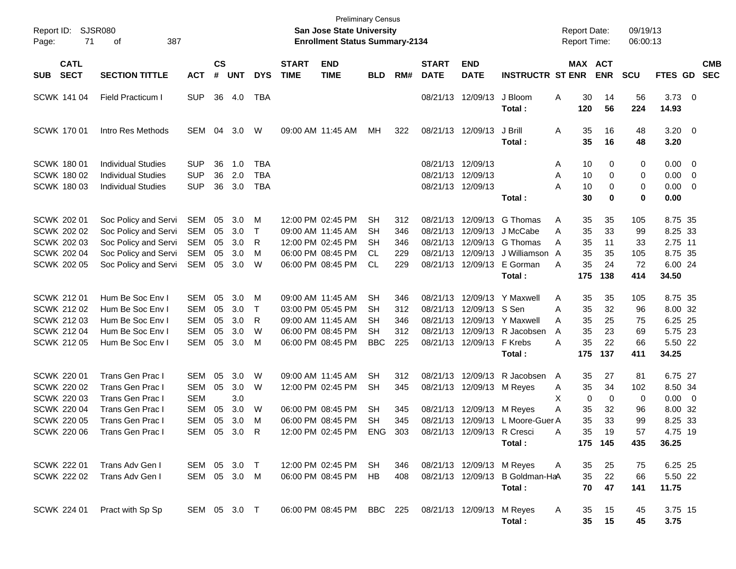| Report ID:<br>Page: | 71                                                                                                                       | <b>SJSR080</b><br>387<br>οf                                                                                                        |                                                               |                            |                                 |                                        |                             | <b>Preliminary Census</b><br><b>San Jose State University</b><br><b>Enrollment Status Summary-2134</b> |                                                      |                                 |                                        |                                                                                                           |                                                                                                      | <b>Report Date:</b><br>Report Time: |                                                                          | 09/19/13<br>06:00:13                                     |                                                                             |                          |                          |
|---------------------|--------------------------------------------------------------------------------------------------------------------------|------------------------------------------------------------------------------------------------------------------------------------|---------------------------------------------------------------|----------------------------|---------------------------------|----------------------------------------|-----------------------------|--------------------------------------------------------------------------------------------------------|------------------------------------------------------|---------------------------------|----------------------------------------|-----------------------------------------------------------------------------------------------------------|------------------------------------------------------------------------------------------------------|-------------------------------------|--------------------------------------------------------------------------|----------------------------------------------------------|-----------------------------------------------------------------------------|--------------------------|--------------------------|
| <b>SUB</b>          | <b>CATL</b><br><b>SECT</b>                                                                                               | <b>SECTION TITTLE</b>                                                                                                              | <b>ACT</b>                                                    | $\mathsf{cs}$<br>#         | <b>UNT</b>                      | <b>DYS</b>                             | <b>START</b><br><b>TIME</b> | <b>END</b><br><b>TIME</b>                                                                              | <b>BLD</b>                                           | RM#                             | <b>START</b><br><b>DATE</b>            | <b>END</b><br><b>DATE</b>                                                                                 | <b>INSTRUCTR ST ENR</b>                                                                              |                                     | MAX ACT<br><b>ENR</b>                                                    | <b>SCU</b>                                               | <b>FTES GD</b>                                                              |                          | <b>CMB</b><br><b>SEC</b> |
|                     | SCWK 141 04                                                                                                              | <b>Field Practicum I</b>                                                                                                           | <b>SUP</b>                                                    | 36                         | 4.0                             | TBA                                    |                             |                                                                                                        |                                                      |                                 |                                        | 08/21/13 12/09/13                                                                                         | J Bloom<br>Total:                                                                                    | Α<br>120                            | 30<br>14<br>56                                                           | 56<br>224                                                | $3.73 \ 0$<br>14.93                                                         |                          |                          |
|                     | <b>SCWK 17001</b>                                                                                                        | Intro Res Methods                                                                                                                  | SEM                                                           | 04                         | 3.0                             | W                                      |                             | 09:00 AM 11:45 AM                                                                                      | МH                                                   | 322                             |                                        | 08/21/13 12/09/13                                                                                         | J Brill<br>Total:                                                                                    | Α                                   | 35<br>16<br>35<br>16                                                     | 48<br>48                                                 | $3.20 \ 0$<br>3.20                                                          |                          |                          |
|                     | <b>SCWK 180 01</b><br><b>SCWK 180 02</b><br>SCWK 180 03                                                                  | <b>Individual Studies</b><br><b>Individual Studies</b><br><b>Individual Studies</b>                                                | <b>SUP</b><br><b>SUP</b><br><b>SUP</b>                        | 36<br>36<br>36             | 1.0<br>2.0<br>3.0               | <b>TBA</b><br><b>TBA</b><br><b>TBA</b> |                             |                                                                                                        |                                                      |                                 | 08/21/13 12/09/13<br>08/21/13 12/09/13 | 08/21/13 12/09/13                                                                                         | Total:                                                                                               | A<br>Α<br>A                         | 10<br>10<br>10<br>30                                                     | 0<br>0<br>0<br>0<br>$\mathbf 0$<br>0<br>$\mathbf 0$<br>0 | $0.00 \t 0$<br>0.00<br>$0.00 \t 0$<br>0.00                                  | $\overline{\phantom{0}}$ |                          |
|                     | SCWK 202 01<br><b>SCWK 202 02</b><br><b>SCWK 202 03</b><br><b>SCWK 202 04</b><br>SCWK 202 05                             | Soc Policy and Servi<br>Soc Policy and Servi<br>Soc Policy and Servi<br>Soc Policy and Servi<br>Soc Policy and Servi               | SEM<br><b>SEM</b><br><b>SEM</b><br><b>SEM</b><br>SEM          | 05<br>05<br>05<br>05<br>05 | 3.0<br>3.0<br>3.0<br>3.0<br>3.0 | М<br>Τ<br>R<br>M<br>W                  |                             | 12:00 PM 02:45 PM<br>09:00 AM 11:45 AM<br>12:00 PM 02:45 PM<br>06:00 PM 08:45 PM<br>06:00 PM 08:45 PM  | SН<br>SН<br>SН<br>CL.<br><b>CL</b>                   | 312<br>346<br>346<br>229<br>229 |                                        | 08/21/13 12/09/13<br>08/21/13 12/09/13<br>08/21/13 12/09/13<br>08/21/13 12/09/13                          | G Thomas<br>J McCabe<br>G Thomas<br>J Williamson A<br>08/21/13 12/09/13 E Gorman<br>Total:           | Α<br>Α<br>A<br>A<br>175             | 35<br>35<br>35<br>33<br>35<br>11<br>35<br>35<br>35<br>24<br>138          | 105<br>99<br>33<br>105<br>72<br>414                      | 8.75 35<br>8.25 33<br>2.75 11<br>8.75 35<br>6.00 24<br>34.50                |                          |                          |
|                     | SCWK 212 01<br><b>SCWK 212 02</b><br><b>SCWK 212 03</b><br><b>SCWK 212 04</b><br>SCWK 212 05                             | Hum Be Soc Env I<br>Hum Be Soc Env I<br>Hum Be Soc Env I<br>Hum Be Soc Env I<br>Hum Be Soc Env I                                   | SEM<br><b>SEM</b><br>SEM<br>SEM<br><b>SEM</b>                 | 05<br>05<br>05<br>05<br>05 | 3.0<br>3.0<br>3.0<br>3.0<br>3.0 | M<br>Τ<br>R<br>W<br>M                  |                             | 09:00 AM 11:45 AM<br>03:00 PM 05:45 PM<br>09:00 AM 11:45 AM<br>06:00 PM 08:45 PM<br>06:00 PM 08:45 PM  | SН<br>SН<br>SН<br>SН<br><b>BBC</b>                   | 346<br>312<br>346<br>312<br>225 |                                        | 08/21/13 12/09/13 S Sen<br>08/21/13 12/09/13 F Krebs                                                      | 08/21/13 12/09/13 Y Maxwell<br>08/21/13 12/09/13 Y Maxwell<br>08/21/13 12/09/13 R Jacobsen<br>Total: | A<br>A<br>A<br>A<br>A<br>175        | 35<br>35<br>35<br>32<br>35<br>25<br>35<br>23<br>35<br>22<br>137          | 105<br>96<br>75<br>69<br>66<br>411                       | 8.75 35<br>8.00 32<br>6.25 25<br>5.75 23<br>5.50 22<br>34.25                |                          |                          |
|                     | <b>SCWK 220 01</b><br><b>SCWK 220 02</b><br><b>SCWK 22003</b><br><b>SCWK 220 04</b><br><b>SCWK 220 05</b><br>SCWK 220 06 | <b>Trans Gen Prac I</b><br>Trans Gen Prac I<br>Trans Gen Prac I<br>Trans Gen Prac I<br><b>Trans Gen Prac I</b><br>Trans Gen Prac I | SEM<br><b>SEM</b><br>SEM<br>SEM<br><b>SEM</b><br>SEM 05 3.0 R | 05<br>05<br>05<br>05       | 3.0<br>3.0<br>3.0<br>3.0<br>3.0 | W<br>W<br>W<br>M                       |                             | 09:00 AM 11:45 AM<br>12:00 PM 02:45 PM<br>06:00 PM 08:45 PM<br>06:00 PM 08:45 PM<br>12:00 PM 02:45 PM  | SН<br><b>SH</b><br><b>SH</b><br><b>SH</b><br>ENG 303 | 312<br>345<br>345<br>345        |                                        | 08/21/13 12/09/13<br>08/21/13 12/09/13 M Reyes<br>08/21/13 12/09/13 M Reyes<br>08/21/13 12/09/13 R Cresci | R Jacobsen<br>08/21/13 12/09/13 L Moore-Guer A<br>Total:                                             | $\overline{A}$<br>A<br>Χ<br>Α<br>Α  | 35<br>27<br>35<br>34<br>0<br>32<br>35<br>35<br>33<br>35<br>19<br>175 145 | 81<br>102<br>0<br>0<br>96<br>99<br>57<br>435             | 6.75 27<br>8.50 34<br>$0.00 \t 0$<br>8.00 32<br>8.25 33<br>4.75 19<br>36.25 |                          |                          |
|                     | SCWK 222 01<br><b>SCWK 222 02</b>                                                                                        | Trans Adv Gen I<br>Trans Adv Gen I                                                                                                 | SEM 05 3.0 T<br>SEM 05 3.0 M                                  |                            |                                 |                                        |                             | 12:00 PM 02:45 PM<br>06:00 PM 08:45 PM                                                                 | SH<br>HB.                                            | 346<br>408                      |                                        | 08/21/13 12/09/13 M Reyes                                                                                 | 08/21/13 12/09/13 B Goldman-HaA<br>Total:                                                            | Α                                   | 35<br>25<br>35<br>22<br>70<br>47                                         | 75<br>66<br>141                                          | 6.25 25<br>5.50 22<br>11.75                                                 |                          |                          |
|                     | SCWK 224 01                                                                                                              | Pract with Sp Sp                                                                                                                   | SEM 05 3.0 T                                                  |                            |                                 |                                        |                             | 06:00 PM 08:45 PM                                                                                      | BBC 225                                              |                                 |                                        | 08/21/13 12/09/13 M Reyes                                                                                 | Total:                                                                                               | A                                   | 15<br>35<br>35<br>15                                                     | 45<br>45                                                 | 3.75 15<br>3.75                                                             |                          |                          |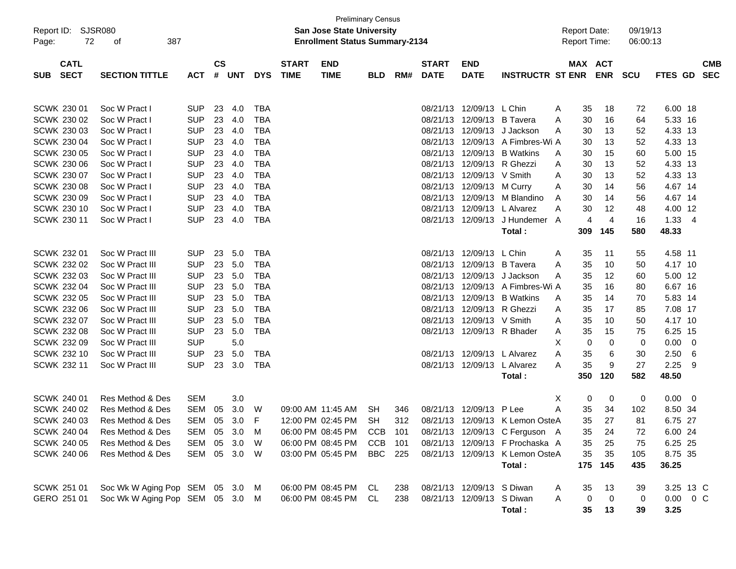| Report ID: SJSR080<br>72<br>Page:        |                                 | <b>Preliminary Census</b><br><b>San Jose State University</b><br><b>Enrollment Status Summary-2134</b> |                |            |            |                             |                           |            |     |                             |                           | <b>Report Date:</b><br><b>Report Time:</b> |              | 09/19/13<br>06:00:13 |            |               |                          |
|------------------------------------------|---------------------------------|--------------------------------------------------------------------------------------------------------|----------------|------------|------------|-----------------------------|---------------------------|------------|-----|-----------------------------|---------------------------|--------------------------------------------|--------------|----------------------|------------|---------------|--------------------------|
| <b>CATL</b><br><b>SECT</b><br><b>SUB</b> | <b>SECTION TITTLE</b>           | <b>ACT</b>                                                                                             | <b>CS</b><br># | <b>UNT</b> | <b>DYS</b> | <b>START</b><br><b>TIME</b> | <b>END</b><br><b>TIME</b> | <b>BLD</b> | RM# | <b>START</b><br><b>DATE</b> | <b>END</b><br><b>DATE</b> | <b>INSTRUCTR ST ENR</b>                    | MAX ACT      | <b>ENR</b>           | <b>SCU</b> | FTES GD       | <b>CMB</b><br><b>SEC</b> |
| SCWK 230 01                              | Soc W Pract I                   | <b>SUP</b>                                                                                             | 23             | 4.0        | TBA        |                             |                           |            |     |                             | 08/21/13 12/09/13         | L Chin                                     | 35           | 18                   | 72         | 6.00 18       |                          |
| SCWK 230 02                              | Soc W Pract I                   | <b>SUP</b>                                                                                             | 23             | 4.0        | <b>TBA</b> |                             |                           |            |     |                             | 08/21/13 12/09/13         | <b>B</b> Tavera                            | Α<br>30      | 16                   | 64         | 5.33 16       |                          |
| SCWK 230 03                              | Soc W Pract I                   | <b>SUP</b>                                                                                             | 23             | 4.0        | <b>TBA</b> |                             |                           |            |     |                             | 08/21/13 12/09/13         | J Jackson                                  | A<br>30<br>A | 13                   | 52         | 4.33 13       |                          |
| <b>SCWK 230 04</b>                       | Soc W Pract I                   | <b>SUP</b>                                                                                             | 23             | 4.0        | <b>TBA</b> |                             |                           |            |     |                             |                           | 08/21/13 12/09/13 A Fimbres-Wi A           | 30           | 13                   | 52         | 4.33 13       |                          |
| SCWK 230 05                              | Soc W Pract I                   | <b>SUP</b>                                                                                             | 23             | 4.0        | <b>TBA</b> |                             |                           |            |     |                             | 08/21/13 12/09/13         | <b>B</b> Watkins                           | 30<br>A      | 15                   | 60         | 5.00 15       |                          |
| <b>SCWK 230 06</b>                       | Soc W Pract I                   | <b>SUP</b>                                                                                             | 23             | 4.0        | <b>TBA</b> |                             |                           |            |     |                             | 08/21/13 12/09/13         | R Ghezzi                                   | 30<br>A      | 13                   | 52         | 4.33 13       |                          |
| SCWK 230 07                              | Soc W Pract I                   | <b>SUP</b>                                                                                             | 23             | 4.0        | <b>TBA</b> |                             |                           |            |     |                             | 08/21/13 12/09/13         | V Smith                                    | Α<br>30      | 13                   | 52         | 4.33 13       |                          |
| <b>SCWK 230 08</b>                       | Soc W Pract I                   | <b>SUP</b>                                                                                             | 23             | 4.0        | <b>TBA</b> |                             |                           |            |     |                             | 08/21/13 12/09/13         | M Curry                                    | 30<br>A      | 14                   | 56         | 4.67 14       |                          |
| SCWK 230 09                              | Soc W Pract I                   | <b>SUP</b>                                                                                             | 23             | 4.0        | <b>TBA</b> |                             |                           |            |     |                             | 08/21/13 12/09/13         | M Blandino                                 | 30<br>A      | 14                   | 56         | 4.67 14       |                          |
| SCWK 230 10                              | Soc W Pract I                   | <b>SUP</b>                                                                                             | 23             | 4.0        | <b>TBA</b> |                             |                           |            |     |                             | 08/21/13 12/09/13         | L Alvarez                                  | 30<br>Α      | 12                   | 48         | 4.00 12       |                          |
| <b>SCWK 230 11</b>                       | Soc W Pract I                   | <b>SUP</b>                                                                                             | 23             | 4.0        | <b>TBA</b> |                             |                           |            |     |                             | 08/21/13 12/09/13         | J Hundemer A                               | 4            | $\overline{4}$       | 16         | $1.33 + 4$    |                          |
|                                          |                                 |                                                                                                        |                |            |            |                             |                           |            |     |                             |                           | Total:                                     | 309          | 145                  | 580        | 48.33         |                          |
|                                          |                                 |                                                                                                        |                |            |            |                             |                           |            |     |                             |                           |                                            |              |                      |            |               |                          |
| SCWK 232 01                              | Soc W Pract III                 | <b>SUP</b>                                                                                             | 23             | 5.0        | TBA        |                             |                           |            |     |                             | 08/21/13 12/09/13         | L Chin                                     | 35<br>Α      | 11                   | 55         | 4.58 11       |                          |
| SCWK 232 02                              | Soc W Pract III                 | <b>SUP</b>                                                                                             | 23             | 5.0        | <b>TBA</b> |                             |                           |            |     |                             | 08/21/13 12/09/13         | <b>B</b> Tavera                            | 35<br>A      | 10                   | 50         | 4.17 10       |                          |
| SCWK 232 03                              | Soc W Pract III                 | <b>SUP</b>                                                                                             | 23             | 5.0        | <b>TBA</b> |                             |                           |            |     |                             | 08/21/13 12/09/13         | J Jackson                                  | 35<br>A      | 12                   | 60         | 5.00 12       |                          |
| <b>SCWK 232 04</b>                       | Soc W Pract III                 | <b>SUP</b>                                                                                             | 23             | 5.0        | <b>TBA</b> |                             |                           |            |     |                             |                           | 08/21/13 12/09/13 A Fimbres-Wi A           | 35           | 16                   | 80         | 6.67 16       |                          |
| SCWK 232 05                              | Soc W Pract III                 | <b>SUP</b>                                                                                             | 23             | 5.0        | <b>TBA</b> |                             |                           |            |     |                             | 08/21/13 12/09/13         | <b>B</b> Watkins                           | 35<br>A      | 14                   | 70         | 5.83 14       |                          |
| SCWK 232 06                              | Soc W Pract III                 | <b>SUP</b>                                                                                             | 23             | 5.0        | <b>TBA</b> |                             |                           |            |     |                             | 08/21/13 12/09/13         | R Ghezzi                                   | 35<br>A      | 17                   | 85         | 7.08 17       |                          |
| SCWK 232 07                              | Soc W Pract III                 | <b>SUP</b>                                                                                             | 23             | 5.0        | <b>TBA</b> |                             |                           |            |     |                             | 08/21/13 12/09/13         | V Smith                                    | 35<br>Α      | 10                   | 50         | 4.17 10       |                          |
| <b>SCWK 232 08</b>                       | Soc W Pract III                 | <b>SUP</b>                                                                                             | 23             | 5.0        | <b>TBA</b> |                             |                           |            |     |                             |                           | 08/21/13 12/09/13 R Bhader                 | 35<br>A      | 15                   | 75         | 6.25 15       |                          |
| SCWK 232 09                              | Soc W Pract III                 | <b>SUP</b>                                                                                             |                | 5.0        |            |                             |                           |            |     |                             |                           |                                            | X<br>0       | 0                    | 0          | 0.00          | $\overline{\phantom{0}}$ |
| <b>SCWK 232 10</b>                       | Soc W Pract III                 | <b>SUP</b>                                                                                             | 23             | 5.0        | TBA        |                             |                           |            |     |                             | 08/21/13 12/09/13         | L Alvarez                                  | 35<br>Α      | 6                    | 30         | 2.50          | - 6                      |
| SCWK 232 11                              | Soc W Pract III                 | <b>SUP</b>                                                                                             | 23             | 3.0        | <b>TBA</b> |                             |                           |            |     |                             | 08/21/13 12/09/13         | L Alvarez                                  | 35<br>Α      | 9                    | 27         | 2.25          | - 9                      |
|                                          |                                 |                                                                                                        |                |            |            |                             |                           |            |     |                             |                           | Total:                                     | 350          | 120                  | 582        | 48.50         |                          |
|                                          |                                 |                                                                                                        |                |            |            |                             |                           |            |     |                             |                           |                                            |              |                      |            |               |                          |
| SCWK 240 01                              | Res Method & Des                | <b>SEM</b>                                                                                             |                | 3.0        |            |                             |                           |            |     |                             |                           |                                            | X<br>0       | 0                    | 0          | 0.00          | $\overline{\phantom{0}}$ |
| SCWK 240 02                              | Res Method & Des                | <b>SEM</b>                                                                                             | 05             | 3.0        | W          |                             | 09:00 AM 11:45 AM         | <b>SH</b>  | 346 |                             | 08/21/13 12/09/13         | P Lee                                      | 35<br>Α      | 34                   | 102        | 8.50 34       |                          |
| SCWK 240 03                              | Res Method & Des                | <b>SEM</b>                                                                                             | 05             | 3.0        | F          |                             | 12:00 PM 02:45 PM         | SH.        | 312 |                             |                           | 08/21/13 12/09/13 K Lemon OsteA            | 35           | 27                   | 81         | 6.75 27       |                          |
| SCWK 240 04                              | Res Method & Des                | SEM 05 3.0 M                                                                                           |                |            |            |                             | 06:00 PM 08:45 PM         | CCB 101    |     |                             |                           | 08/21/13 12/09/13 C Ferguson A             | 35           | 24                   | $72\,$     | 6.00 24       |                          |
| SCWK 240 05                              | Res Method & Des                | SEM 05 3.0 W                                                                                           |                |            |            |                             | 06:00 PM 08:45 PM CCB 101 |            |     |                             |                           | 08/21/13 12/09/13 F Prochaska A            | 35           | 25                   | 75         | 6.25 25       |                          |
| <b>SCWK 240 06</b>                       | Res Method & Des                | SEM 05 3.0 W                                                                                           |                |            |            |                             | 03:00 PM 05:45 PM         | BBC 225    |     |                             |                           | 08/21/13 12/09/13 K Lemon OsteA            | 35           | 35                   | 105        | 8.75 35       |                          |
|                                          |                                 |                                                                                                        |                |            |            |                             |                           |            |     |                             |                           | Total:                                     |              | 175 145              | 435        | 36.25         |                          |
| SCWK 251 01                              | Soc Wk W Aging Pop SEM 05 3.0 M |                                                                                                        |                |            |            |                             | 06:00 PM 08:45 PM CL      |            | 238 |                             | 08/21/13 12/09/13 S Diwan |                                            | 35<br>A      | 13                   | 39         | 3.25 13 C     |                          |
| GERO 251 01                              | Soc Wk W Aging Pop SEM 05 3.0 M |                                                                                                        |                |            |            |                             | 06:00 PM 08:45 PM CL      |            | 238 |                             | 08/21/13 12/09/13 S Diwan |                                            | 0<br>Α       | 0                    | 0          | $0.00 \t 0 C$ |                          |
|                                          |                                 |                                                                                                        |                |            |            |                             |                           |            |     |                             |                           | Total:                                     | 35           | 13                   | 39         | 3.25          |                          |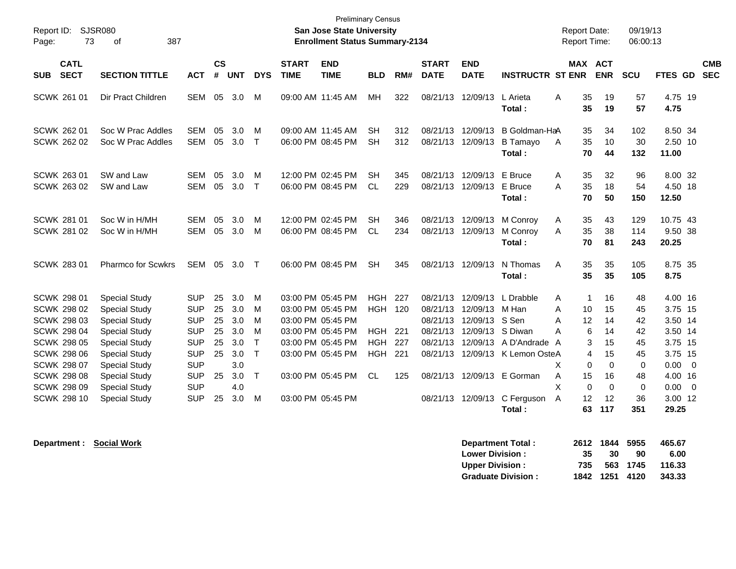| Report ID:<br>Page:                                                                                                                                                          | SJSR080<br>73 | 0f<br>387                                                                                                                                                                                    |                                                                                                              |                                        |                                                      |                                           |                             | <b>Preliminary Census</b><br><b>San Jose State University</b><br><b>Enrollment Status Summary-2134</b>                                          |                                                                       |                                 |                                                          |                                                          |                                                                                                                          | <b>Report Date:</b><br><b>Report Time:</b> |                                                              |                                                    | 09/19/13<br>06:00:13                        |                                                                                          |                         |                          |
|------------------------------------------------------------------------------------------------------------------------------------------------------------------------------|---------------|----------------------------------------------------------------------------------------------------------------------------------------------------------------------------------------------|--------------------------------------------------------------------------------------------------------------|----------------------------------------|------------------------------------------------------|-------------------------------------------|-----------------------------|-------------------------------------------------------------------------------------------------------------------------------------------------|-----------------------------------------------------------------------|---------------------------------|----------------------------------------------------------|----------------------------------------------------------|--------------------------------------------------------------------------------------------------------------------------|--------------------------------------------|--------------------------------------------------------------|----------------------------------------------------|---------------------------------------------|------------------------------------------------------------------------------------------|-------------------------|--------------------------|
| <b>CATL</b><br><b>SECT</b><br><b>SUB</b>                                                                                                                                     |               | <b>SECTION TITTLE</b>                                                                                                                                                                        | <b>ACT</b>                                                                                                   | <b>CS</b><br>#                         | <b>UNT</b>                                           | <b>DYS</b>                                | <b>START</b><br><b>TIME</b> | <b>END</b><br><b>TIME</b>                                                                                                                       | <b>BLD</b>                                                            | RM#                             | <b>START</b><br><b>DATE</b>                              | <b>END</b><br><b>DATE</b>                                | <b>INSTRUCTR ST ENR</b>                                                                                                  |                                            |                                                              | MAX ACT<br><b>ENR</b>                              | SCU                                         | FTES GD                                                                                  |                         | <b>CMB</b><br><b>SEC</b> |
| SCWK 261 01                                                                                                                                                                  |               | Dir Pract Children                                                                                                                                                                           | SEM                                                                                                          |                                        | 05 3.0                                               | M                                         |                             | 09:00 AM 11:45 AM                                                                                                                               | MH                                                                    | 322                             |                                                          | 08/21/13 12/09/13                                        | L Arieta<br>Total:                                                                                                       | A                                          | 35<br>35                                                     | 19<br>19                                           | 57<br>57                                    | 4.75 19<br>4.75                                                                          |                         |                          |
| <b>SCWK 262 01</b><br>SCWK 262 02                                                                                                                                            |               | Soc W Prac Addles<br>Soc W Prac Addles                                                                                                                                                       | <b>SEM</b><br><b>SEM</b>                                                                                     | 05<br>05                               | 3.0<br>3.0                                           | м<br>$\mathsf{T}$                         |                             | 09:00 AM 11:45 AM<br>06:00 PM 08:45 PM                                                                                                          | <b>SH</b><br><b>SH</b>                                                | 312<br>312                      | 08/21/13<br>08/21/13                                     | 12/09/13<br>12/09/13                                     | B Goldman-HaA<br><b>B</b> Tamayo<br>Total:                                                                               | A                                          | 35<br>35<br>70                                               | 34<br>10<br>44                                     | 102<br>30<br>132                            | 8.50 34<br>2.50 10<br>11.00                                                              |                         |                          |
| SCWK 263 01<br>SCWK 263 02                                                                                                                                                   |               | SW and Law<br>SW and Law                                                                                                                                                                     | <b>SEM</b><br><b>SEM</b>                                                                                     | 05<br>05                               | 3.0<br>3.0                                           | м<br>$\mathsf{T}$                         |                             | 12:00 PM 02:45 PM<br>06:00 PM 08:45 PM                                                                                                          | <b>SH</b><br><b>CL</b>                                                | 345<br>229                      | 08/21/13                                                 | 08/21/13 12/09/13<br>12/09/13                            | E Bruce<br>E Bruce<br>Total:                                                                                             | Α<br>A                                     | 35<br>35<br>70                                               | 32<br>18<br>50                                     | 96<br>54<br>150                             | 8.00 32<br>4.50 18<br>12.50                                                              |                         |                          |
| <b>SCWK 281 01</b><br><b>SCWK 281 02</b>                                                                                                                                     |               | Soc W in H/MH<br>Soc W in H/MH                                                                                                                                                               | <b>SEM</b><br><b>SEM</b>                                                                                     | 05<br>05                               | 3.0<br>3.0                                           | м<br>M                                    |                             | 12:00 PM 02:45 PM<br>06:00 PM 08:45 PM                                                                                                          | <b>SH</b><br><b>CL</b>                                                | 346<br>234                      | 08/21/13 12/09/13                                        | 08/21/13 12/09/13                                        | M Conroy<br>M Conroy<br>Total:                                                                                           | Α<br>A                                     | 35<br>35<br>70                                               | 43<br>38<br>81                                     | 129<br>114<br>243                           | 10.75 43<br>9.50 38<br>20.25                                                             |                         |                          |
| <b>SCWK 283 01</b>                                                                                                                                                           |               | <b>Pharmco for Scwkrs</b>                                                                                                                                                                    | <b>SEM</b>                                                                                                   | 05                                     | 3.0                                                  | $\mathsf{T}$                              |                             | 06:00 PM 08:45 PM                                                                                                                               | <b>SH</b>                                                             | 345                             | 08/21/13 12/09/13                                        |                                                          | N Thomas<br>Total:                                                                                                       | A                                          | 35<br>35                                                     | 35<br>35                                           | 105<br>105                                  | 8.75 35<br>8.75                                                                          |                         |                          |
| <b>SCWK 298 01</b><br><b>SCWK 298 02</b><br><b>SCWK 298 03</b><br><b>SCWK 298 04</b><br><b>SCWK 298 05</b><br><b>SCWK 298 06</b><br><b>SCWK 298 07</b><br><b>SCWK 298 08</b> |               | <b>Special Study</b><br><b>Special Study</b><br><b>Special Study</b><br><b>Special Study</b><br><b>Special Study</b><br><b>Special Study</b><br><b>Special Study</b><br><b>Special Study</b> | <b>SUP</b><br><b>SUP</b><br><b>SUP</b><br><b>SUP</b><br><b>SUP</b><br><b>SUP</b><br><b>SUP</b><br><b>SUP</b> | 25<br>25<br>25<br>25<br>25<br>25<br>25 | 3.0<br>3.0<br>3.0<br>3.0<br>3.0<br>3.0<br>3.0<br>3.0 | м<br>м<br>M<br>M<br>$\top$<br>$\top$<br>T |                             | 03:00 PM 05:45 PM<br>03:00 PM 05:45 PM<br>03:00 PM 05:45 PM<br>03:00 PM 05:45 PM<br>03:00 PM 05:45 PM<br>03:00 PM 05:45 PM<br>03:00 PM 05:45 PM | <b>HGH</b><br><b>HGH 120</b><br>HGH<br><b>HGH</b><br>HGH<br><b>CL</b> | 227<br>221<br>227<br>221<br>125 | 08/21/13<br>08/21/13<br>08/21/13<br>08/21/13<br>08/21/13 | 12/09/13<br>12/09/13<br>12/09/13<br>12/09/13<br>12/09/13 | L Drabble<br>M Han<br>S Sen<br>S Diwan<br>A D'Andrade A<br>08/21/13 12/09/13 K Lemon OsteA<br>08/21/13 12/09/13 E Gorman | A<br>A<br>A<br>А<br>X<br>A                 | -1<br>10<br>12<br>6<br>3<br>$\overline{4}$<br>$\Omega$<br>15 | 16<br>15<br>14<br>14<br>15<br>15<br>$\Omega$<br>16 | 48<br>45<br>42<br>42<br>45<br>45<br>0<br>48 | 4.00 16<br>3.75 15<br>3.50 14<br>3.50 14<br>3.75 15<br>3.75 15<br>$0.00 \t 0$<br>4.00 16 |                         |                          |
| <b>SCWK 298 09</b><br><b>SCWK 298 10</b>                                                                                                                                     |               | <b>Special Study</b><br><b>Special Study</b>                                                                                                                                                 | <b>SUP</b><br><b>SUP</b>                                                                                     | 25                                     | 4.0<br>3.0                                           | M                                         |                             | 03:00 PM 05:45 PM                                                                                                                               |                                                                       |                                 |                                                          | 08/21/13 12/09/13                                        | C Ferguson<br>Total:                                                                                                     | X<br>A                                     | $\Omega$<br>12<br>63                                         | $\Omega$<br>12<br>117                              | $\mathbf 0$<br>36<br>351                    | 0.00<br>3.00 12<br>29.25                                                                 | $\overline{\mathbf{0}}$ |                          |

**Department : Social Work Department Total : 2612 1844 5955 465.67 Lower Division : 35 30 90 6.00<br>
Upper Division : 35 563 1745 116.33 Upper Division : 735 563 1745 116.33 Graduate Division :**